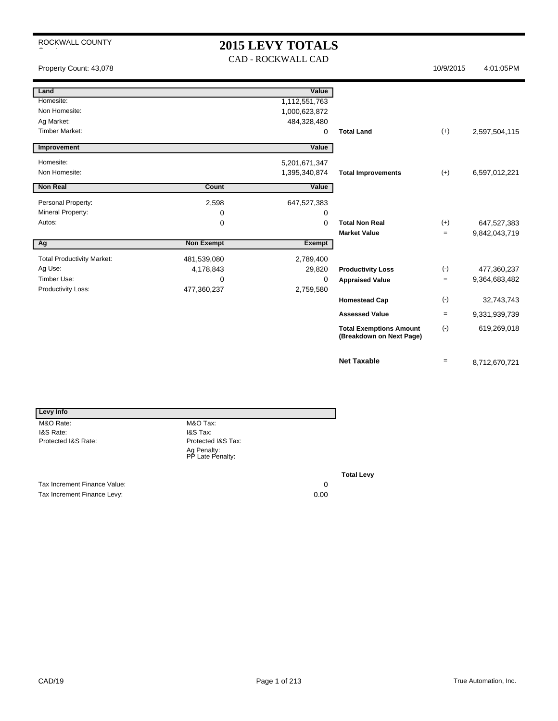### **2015 LEVY TOTALS** CAD - ROCKWALL CAD

 $\overline{\phantom{a}}$ 

Property Count: 43,078 4:01:05PM

| Land                              |                   | Value         |                                                            |       |               |
|-----------------------------------|-------------------|---------------|------------------------------------------------------------|-------|---------------|
| Homesite:                         |                   | 1,112,551,763 |                                                            |       |               |
| Non Homesite:                     |                   | 1,000,623,872 |                                                            |       |               |
| Ag Market:                        |                   | 484,328,480   |                                                            |       |               |
| <b>Timber Market:</b>             |                   | $\Omega$      | <b>Total Land</b>                                          | $(+)$ | 2,597,504,115 |
| Improvement                       |                   | Value         |                                                            |       |               |
| Homesite:                         |                   | 5,201,671,347 |                                                            |       |               |
| Non Homesite:                     |                   | 1,395,340,874 | <b>Total Improvements</b>                                  | $(+)$ | 6,597,012,221 |
| <b>Non Real</b>                   | Count             | Value         |                                                            |       |               |
| Personal Property:                | 2,598             | 647,527,383   |                                                            |       |               |
| Mineral Property:                 | 0                 | 0             |                                                            |       |               |
| Autos:                            | 0                 | $\Omega$      | <b>Total Non Real</b>                                      | $(+)$ | 647,527,383   |
|                                   |                   |               | <b>Market Value</b>                                        | $=$   | 9,842,043,719 |
| Ag                                | <b>Non Exempt</b> | Exempt        |                                                            |       |               |
| <b>Total Productivity Market:</b> | 481,539,080       | 2,789,400     |                                                            |       |               |
| Ag Use:                           | 4,178,843         | 29,820        | <b>Productivity Loss</b>                                   | $(-)$ | 477,360,237   |
| Timber Use:                       | 0                 | $\Omega$      | <b>Appraised Value</b>                                     | $=$   | 9,364,683,482 |
| Productivity Loss:                | 477,360,237       | 2,759,580     |                                                            |       |               |
|                                   |                   |               | <b>Homestead Cap</b>                                       | $(-)$ | 32,743,743    |
|                                   |                   |               | <b>Assessed Value</b>                                      | $=$   | 9,331,939,739 |
|                                   |                   |               | <b>Total Exemptions Amount</b><br>(Breakdown on Next Page) | $(-)$ | 619,269,018   |
|                                   |                   |               | <b>Net Taxable</b>                                         | $=$   | 8,712,670,721 |

| Levy Info                    |                                 |    |
|------------------------------|---------------------------------|----|
| M&O Rate:                    | M&O Tax:                        |    |
| I&S Rate:                    | I&S Tax:                        |    |
| Protected I&S Rate:          | Protected I&S Tax:              |    |
|                              | Ag Penalty:<br>PP Late Penalty: |    |
|                              |                                 | Тα |
| Tax Increment Finance Value: |                                 | 0  |

Tax Increment Finance Levy: 0.00

**Total Levy**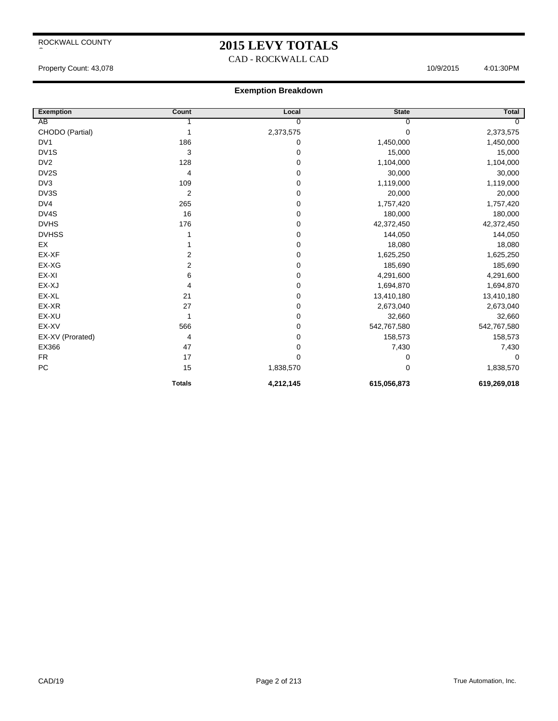### **2015 LEVY TOTALS**

CAD - ROCKWALL CAD

Property Count: 43,078 4:01:30PM

| <b>Exemption</b> | Count         | Local          | <b>State</b> | <b>Total</b>   |
|------------------|---------------|----------------|--------------|----------------|
| AB               |               | $\overline{0}$ | 0            | $\overline{0}$ |
| CHODO (Partial)  |               | 2,373,575      | 0            | 2,373,575      |
| DV <sub>1</sub>  | 186           | 0              | 1,450,000    | 1,450,000      |
| DV1S             | 3             | 0              | 15,000       | 15,000         |
| DV <sub>2</sub>  | 128           | 0              | 1,104,000    | 1,104,000      |
| DV2S             | 4             | 0              | 30,000       | 30,000         |
| DV3              | 109           | 0              | 1,119,000    | 1,119,000      |
| DV3S             | 2             | 0              | 20,000       | 20,000         |
| DV4              | 265           | 0              | 1,757,420    | 1,757,420      |
| DV4S             | 16            | 0              | 180,000      | 180,000        |
| <b>DVHS</b>      | 176           | 0              | 42,372,450   | 42,372,450     |
| <b>DVHSS</b>     |               | 0              | 144,050      | 144,050        |
| EX               |               | 0              | 18,080       | 18,080         |
| EX-XF            | 2             | 0              | 1,625,250    | 1,625,250      |
| EX-XG            | 2             | 0              | 185,690      | 185,690        |
| EX-XI            | 6             | 0              | 4,291,600    | 4,291,600      |
| EX-XJ            | 4             | 0              | 1,694,870    | 1,694,870      |
| EX-XL            | 21            | 0              | 13,410,180   | 13,410,180     |
| EX-XR            | 27            | 0              | 2,673,040    | 2,673,040      |
| EX-XU            | 1             | 0              | 32,660       | 32,660         |
| EX-XV            | 566           | 0              | 542,767,580  | 542,767,580    |
| EX-XV (Prorated) | 4             | 0              | 158,573      | 158,573        |
| EX366            | 47            | 0              | 7,430        | 7,430          |
| <b>FR</b>        | 17            | 0              | 0            | 0              |
| PC               | 15            | 1,838,570      | 0            | 1,838,570      |
|                  | <b>Totals</b> | 4,212,145      | 615,056,873  | 619,269,018    |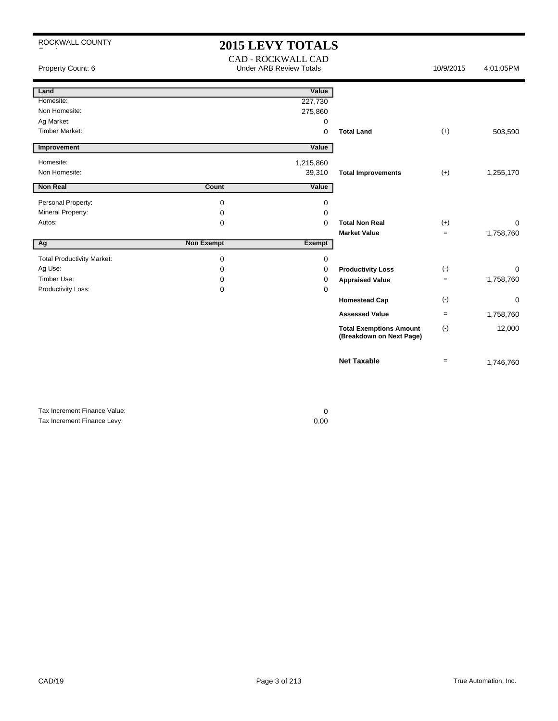| ROCKWALL COUNTY                   |                   | <b>2015 LEVY TOTALS</b>                              |                                                            |           |           |
|-----------------------------------|-------------------|------------------------------------------------------|------------------------------------------------------------|-----------|-----------|
| Property Count: 6                 |                   | CAD - ROCKWALL CAD<br><b>Under ARB Review Totals</b> |                                                            | 10/9/2015 | 4:01:05PM |
| Land                              |                   | Value                                                |                                                            |           |           |
| Homesite:                         |                   | 227,730                                              |                                                            |           |           |
| Non Homesite:                     |                   | 275,860                                              |                                                            |           |           |
| Ag Market:                        |                   | 0                                                    |                                                            |           |           |
| <b>Timber Market:</b>             |                   | 0                                                    | <b>Total Land</b>                                          | $(+)$     | 503,590   |
| Improvement                       |                   | Value                                                |                                                            |           |           |
| Homesite:                         |                   | 1,215,860                                            |                                                            |           |           |
| Non Homesite:                     |                   | 39,310                                               | <b>Total Improvements</b>                                  | $(+)$     | 1,255,170 |
| <b>Non Real</b>                   | Count             | Value                                                |                                                            |           |           |
| Personal Property:                | 0                 | 0                                                    |                                                            |           |           |
| Mineral Property:                 | 0                 | 0                                                    |                                                            |           |           |
| Autos:                            | 0                 | $\Omega$                                             | <b>Total Non Real</b>                                      | $(+)$     | $\Omega$  |
|                                   |                   |                                                      | <b>Market Value</b>                                        | $=$       | 1,758,760 |
| Ag                                | <b>Non Exempt</b> | Exempt                                               |                                                            |           |           |
| <b>Total Productivity Market:</b> | 0                 | $\mathbf 0$                                          |                                                            |           |           |
| Ag Use:                           | 0                 | 0                                                    | <b>Productivity Loss</b>                                   | $(-)$     | $\Omega$  |
| Timber Use:                       | 0                 | $\Omega$                                             | <b>Appraised Value</b>                                     | $=$       | 1,758,760 |
| Productivity Loss:                | 0                 | 0                                                    |                                                            |           |           |
|                                   |                   |                                                      | <b>Homestead Cap</b>                                       | $(-)$     | 0         |
|                                   |                   |                                                      | <b>Assessed Value</b>                                      | $=$       | 1,758,760 |
|                                   |                   |                                                      | <b>Total Exemptions Amount</b><br>(Breakdown on Next Page) | $(-)$     | 12,000    |
|                                   |                   |                                                      | <b>Net Taxable</b>                                         | $=$       | 1,746,760 |

| Tax Increment Finance Value: |      |
|------------------------------|------|
| Tax Increment Finance Levy:  | 0.00 |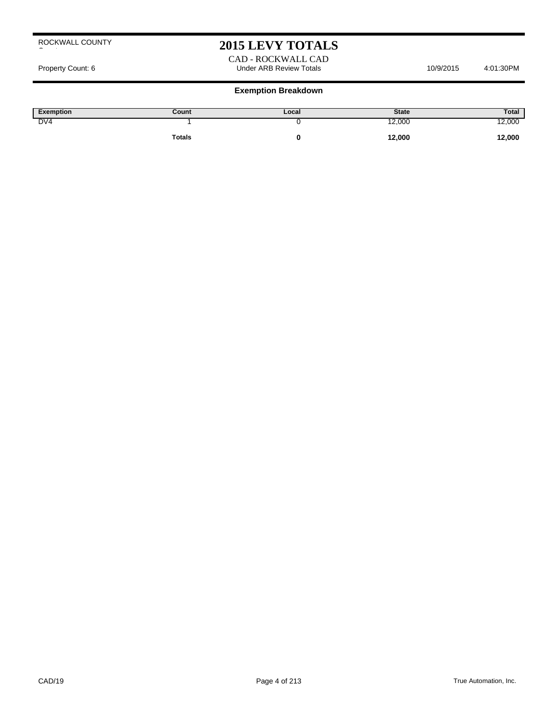## **2015 LEVY TOTALS**

#### CAD - ROCKWALL CAD Property Count: 6 and the Under ARB Review Totals 10/9/2015 4:01:30PM

| Exemption | Count         | Local | <b>State</b> | Total  |
|-----------|---------------|-------|--------------|--------|
| DV4       |               |       | 12,000       | 12,000 |
|           | <b>Totals</b> |       | 12,000       | 12,000 |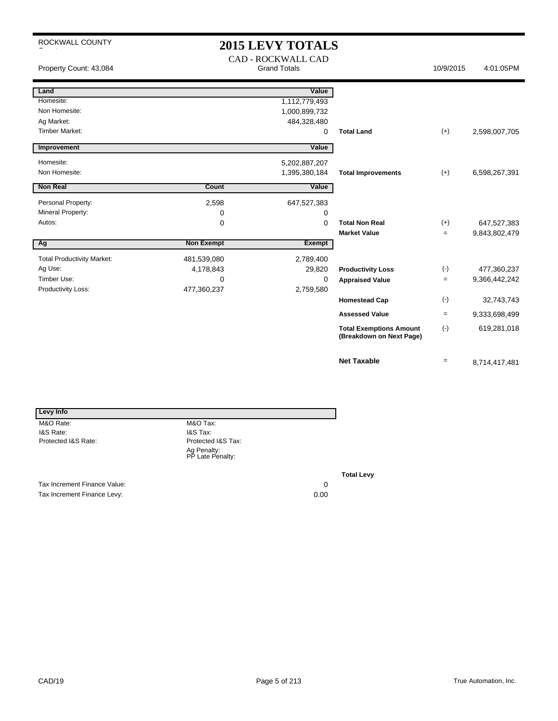| ROCKWALL COUNTY                   |                   | <b>2015 LEVY TOTALS</b><br><b>CAD - ROCKWALL CAD</b> |                                                            |                   |               |
|-----------------------------------|-------------------|------------------------------------------------------|------------------------------------------------------------|-------------------|---------------|
| Property Count: 43,084            |                   | <b>Grand Totals</b>                                  |                                                            | 10/9/2015         | 4:01:05PM     |
| Land                              |                   | Value                                                |                                                            |                   |               |
| Homesite:                         |                   | 1,112,779,493                                        |                                                            |                   |               |
| Non Homesite:                     |                   | 1,000,899,732                                        |                                                            |                   |               |
| Ag Market:                        |                   | 484,328,480                                          |                                                            |                   |               |
| <b>Timber Market:</b>             |                   | 0                                                    | <b>Total Land</b>                                          | $(+)$             | 2,598,007,705 |
| Improvement                       |                   | Value                                                |                                                            |                   |               |
| Homesite:                         |                   | 5,202,887,207                                        |                                                            |                   |               |
| Non Homesite:                     |                   | 1,395,380,184                                        | <b>Total Improvements</b>                                  | $(+)$             | 6,598,267,391 |
| <b>Non Real</b>                   | Count             | Value                                                |                                                            |                   |               |
| Personal Property:                | 2,598             | 647,527,383                                          |                                                            |                   |               |
| Mineral Property:                 | 0                 | 0                                                    |                                                            |                   |               |
| Autos:                            | $\mathbf 0$       | 0                                                    | <b>Total Non Real</b>                                      | $(+)$             | 647,527,383   |
|                                   |                   |                                                      | <b>Market Value</b>                                        | $\equiv$          | 9,843,802,479 |
| Ag                                | <b>Non Exempt</b> | Exempt                                               |                                                            |                   |               |
| <b>Total Productivity Market:</b> | 481,539,080       | 2,789,400                                            |                                                            |                   |               |
| Ag Use:                           | 4,178,843         | 29,820                                               | <b>Productivity Loss</b>                                   | $(-)$             | 477,360,237   |
| Timber Use:                       | $\Omega$          | 0                                                    | <b>Appraised Value</b>                                     | $\equiv$          | 9,366,442,242 |
| Productivity Loss:                | 477,360,237       | 2,759,580                                            |                                                            |                   |               |
|                                   |                   |                                                      | <b>Homestead Cap</b>                                       | $(\cdot)$         | 32,743,743    |
|                                   |                   |                                                      | <b>Assessed Value</b>                                      | $=$               | 9,333,698,499 |
|                                   |                   |                                                      | <b>Total Exemptions Amount</b><br>(Breakdown on Next Page) | $(-)$             | 619,281,018   |
|                                   |                   |                                                      | <b>Net Taxable</b>                                         | $\qquad \qquad =$ | 8,714,417,481 |

| Levy Info                    |                                 |      |    |
|------------------------------|---------------------------------|------|----|
| M&O Rate:                    | M&O Tax:                        |      |    |
| I&S Rate:                    | I&S Tax:                        |      |    |
| Protected I&S Rate:          | Protected I&S Tax:              |      |    |
|                              | Ag Penalty:<br>PP Late Penalty: |      |    |
|                              |                                 |      | Тα |
| Tax Increment Finance Value: |                                 | 0    |    |
| Tax Increment Finance Levy:  |                                 | 0.00 |    |

**Total Levy**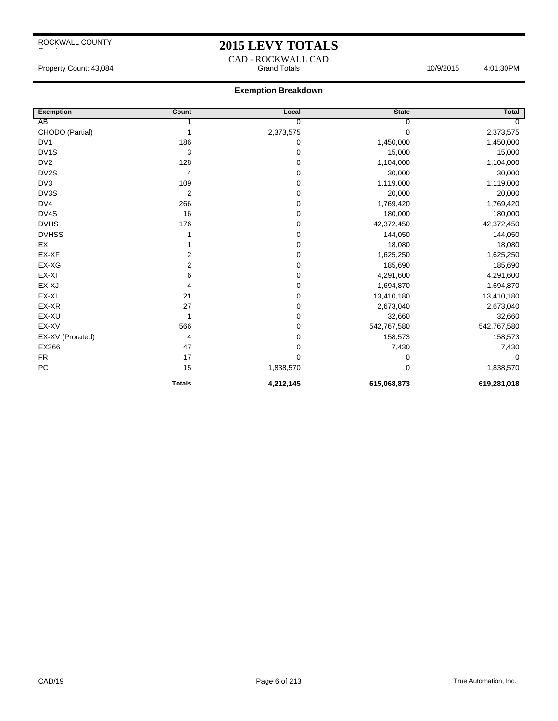### **2015 LEVY TOTALS**

CAD - ROCKWALL CAD Property Count: 43,084 **Access 10:03:00 Property Count: 43,084** Access 10:03:00 Property Count: 43,084

| <b>Exemption</b>  | Count         | Local          | <b>State</b> | Total       |
|-------------------|---------------|----------------|--------------|-------------|
| AB                |               | $\overline{0}$ | 0            | $\Omega$    |
| CHODO (Partial)   |               | 2,373,575      | 0            | 2,373,575   |
| DV <sub>1</sub>   | 186           | 0              | 1,450,000    | 1,450,000   |
| DV <sub>1</sub> S | 3             | 0              | 15,000       | 15,000      |
| DV <sub>2</sub>   | 128           | 0              | 1,104,000    | 1,104,000   |
| DV2S              | 4             | 0              | 30,000       | 30,000      |
| DV <sub>3</sub>   | 109           | 0              | 1,119,000    | 1,119,000   |
| DV3S              | 2             | 0              | 20,000       | 20,000      |
| DV4               | 266           | 0              | 1,769,420    | 1,769,420   |
| DV4S              | 16            | 0              | 180,000      | 180,000     |
| <b>DVHS</b>       | 176           | 0              | 42,372,450   | 42,372,450  |
| <b>DVHSS</b>      |               | 0              | 144,050      | 144,050     |
| EX                |               | 0              | 18,080       | 18,080      |
| EX-XF             | 2             | 0              | 1,625,250    | 1,625,250   |
| EX-XG             | 2             | 0              | 185,690      | 185,690     |
| EX-XI             | 6             | 0              | 4,291,600    | 4,291,600   |
| EX-XJ             | 4             | 0              | 1,694,870    | 1,694,870   |
| EX-XL             | 21            | 0              | 13,410,180   | 13,410,180  |
| EX-XR             | 27            | 0              | 2,673,040    | 2,673,040   |
| EX-XU             | 1             | 0              | 32,660       | 32,660      |
| EX-XV             | 566           | 0              | 542,767,580  | 542,767,580 |
| EX-XV (Prorated)  | 4             | 0              | 158,573      | 158,573     |
| EX366             | 47            | 0              | 7,430        | 7,430       |
| <b>FR</b>         | 17            | 0              | 0            | $\Omega$    |
| ${\sf PC}$        | 15            | 1,838,570      | 0            | 1,838,570   |
|                   | <b>Totals</b> | 4,212,145      | 615,068,873  | 619,281,018 |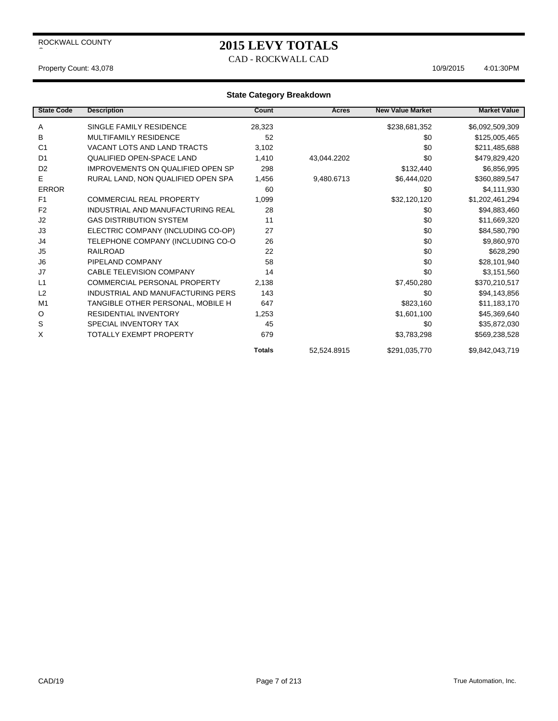### **2015 LEVY TOTALS**

CAD - ROCKWALL CAD

#### Property Count: 43,078 4:01:30PM

| <b>State Code</b> | <b>Description</b>                       | Count         | Acres       | <b>New Value Market</b> | <b>Market Value</b> |
|-------------------|------------------------------------------|---------------|-------------|-------------------------|---------------------|
| A                 | SINGLE FAMILY RESIDENCE                  | 28,323        |             | \$238,681,352           | \$6,092,509,309     |
| в                 | <b>MULTIFAMILY RESIDENCE</b>             | 52            |             | \$0                     | \$125,005,465       |
| C <sub>1</sub>    | <b>VACANT LOTS AND LAND TRACTS</b>       | 3,102         |             | \$0                     | \$211,485,688       |
| D <sub>1</sub>    | <b>QUALIFIED OPEN-SPACE LAND</b>         | 1,410         | 43,044.2202 | \$0                     | \$479,829,420       |
| D <sub>2</sub>    | <b>IMPROVEMENTS ON QUALIFIED OPEN SP</b> | 298           |             | \$132,440               | \$6,856,995         |
| E                 | RURAL LAND, NON QUALIFIED OPEN SPA       | 1,456         | 9,480.6713  | \$6,444,020             | \$360,889,547       |
| <b>ERROR</b>      |                                          | 60            |             | \$0                     | \$4,111,930         |
| F <sub>1</sub>    | <b>COMMERCIAL REAL PROPERTY</b>          | 1,099         |             | \$32,120,120            | \$1,202,461,294     |
| F <sub>2</sub>    | INDUSTRIAL AND MANUFACTURING REAL        | 28            |             | \$0                     | \$94,883,460        |
| J <sub>2</sub>    | <b>GAS DISTRIBUTION SYSTEM</b>           | 11            |             | \$0                     | \$11,669,320        |
| J3                | ELECTRIC COMPANY (INCLUDING CO-OP)       | 27            |             | \$0                     | \$84,580,790        |
| J4                | TELEPHONE COMPANY (INCLUDING CO-O        | 26            |             | \$0                     | \$9,860,970         |
| J5                | <b>RAILROAD</b>                          | 22            |             | \$0                     | \$628,290           |
| J <sub>6</sub>    | PIPELAND COMPANY                         | 58            |             | \$0                     | \$28,101,940        |
| J7                | <b>CABLE TELEVISION COMPANY</b>          | 14            |             | \$0                     | \$3,151,560         |
| L1                | COMMERCIAL PERSONAL PROPERTY             | 2,138         |             | \$7,450,280             | \$370,210,517       |
| L2                | INDUSTRIAL AND MANUFACTURING PERS        | 143           |             | \$0                     | \$94,143,856        |
| M <sub>1</sub>    | TANGIBLE OTHER PERSONAL, MOBILE H        | 647           |             | \$823,160               | \$11,183,170        |
| O                 | <b>RESIDENTIAL INVENTORY</b>             | 1,253         |             | \$1,601,100             | \$45,369,640        |
| S                 | SPECIAL INVENTORY TAX                    | 45            |             | \$0                     | \$35,872,030        |
| X                 | TOTALLY EXEMPT PROPERTY                  | 679           |             | \$3,783,298             | \$569,238,528       |
|                   |                                          | <b>Totals</b> | 52.524.8915 | \$291,035,770           | \$9.842.043.719     |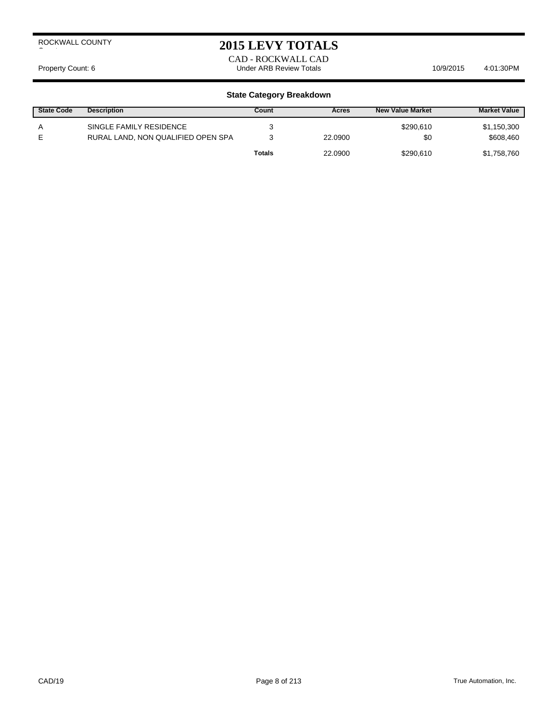### **2015 LEVY TOTALS**

CAD - ROCKWALL CAD Property Count: 6 **Archaeol Science 10/9/2015** 4:01:30PM

| <b>State Code</b> | <b>Description</b>                                            | Count  | Acres   | <b>New Value Market</b> | <b>Market Value</b>      |
|-------------------|---------------------------------------------------------------|--------|---------|-------------------------|--------------------------|
| A                 | SINGLE FAMILY RESIDENCE<br>RURAL LAND, NON QUALIFIED OPEN SPA |        | 22.0900 | \$290,610<br>\$0        | \$1,150,300<br>\$608,460 |
|                   |                                                               | Totals | 22.0900 | \$290.610               | \$1,758,760              |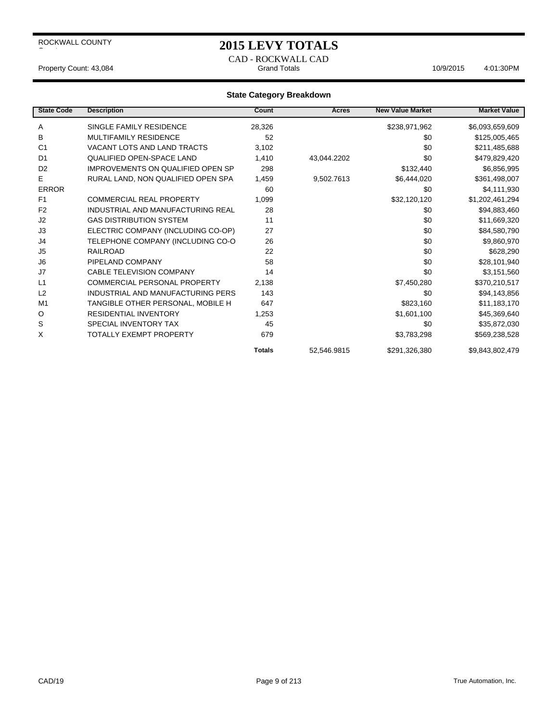### **2015 LEVY TOTALS**

CAD - ROCKWALL CAD Property Count: 43,084 **Access 10/9/2015** 4:01:30PM Grand Totals 10/9/2015 4:01:30PM

| <b>State Code</b> | <b>Description</b>                       | Count         | Acres       | <b>New Value Market</b> | <b>Market Value</b> |
|-------------------|------------------------------------------|---------------|-------------|-------------------------|---------------------|
| A                 | SINGLE FAMILY RESIDENCE                  | 28,326        |             | \$238,971,962           | \$6,093,659,609     |
| в                 | <b>MULTIFAMILY RESIDENCE</b>             | 52            |             | \$0                     | \$125,005,465       |
| C <sub>1</sub>    | <b>VACANT LOTS AND LAND TRACTS</b>       | 3,102         |             | \$0                     | \$211,485,688       |
| D <sub>1</sub>    | <b>QUALIFIED OPEN-SPACE LAND</b>         | 1,410         | 43,044.2202 | \$0                     | \$479,829,420       |
| D <sub>2</sub>    | <b>IMPROVEMENTS ON QUALIFIED OPEN SP</b> | 298           |             | \$132,440               | \$6,856,995         |
| E                 | RURAL LAND, NON QUALIFIED OPEN SPA       | 1,459         | 9,502.7613  | \$6,444,020             | \$361,498,007       |
| <b>ERROR</b>      |                                          | 60            |             | \$0                     | \$4,111,930         |
| F <sub>1</sub>    | <b>COMMERCIAL REAL PROPERTY</b>          | 1,099         |             | \$32,120,120            | \$1,202,461,294     |
| F <sub>2</sub>    | INDUSTRIAL AND MANUFACTURING REAL        | 28            |             | \$0                     | \$94,883,460        |
| J2                | <b>GAS DISTRIBUTION SYSTEM</b>           | 11            |             | \$0                     | \$11,669,320        |
| J3                | ELECTRIC COMPANY (INCLUDING CO-OP)       | 27            |             | \$0                     | \$84,580,790        |
| J4                | TELEPHONE COMPANY (INCLUDING CO-O        | 26            |             | \$0                     | \$9,860,970         |
| J5                | <b>RAILROAD</b>                          | 22            |             | \$0                     | \$628,290           |
| J <sub>6</sub>    | PIPELAND COMPANY                         | 58            |             | \$0                     | \$28,101,940        |
| J7                | <b>CABLE TELEVISION COMPANY</b>          | 14            |             | \$0                     | \$3,151,560         |
| L1                | COMMERCIAL PERSONAL PROPERTY             | 2,138         |             | \$7,450,280             | \$370,210,517       |
| L2                | INDUSTRIAL AND MANUFACTURING PERS        | 143           |             | \$0                     | \$94,143,856        |
| M <sub>1</sub>    | TANGIBLE OTHER PERSONAL, MOBILE H        | 647           |             | \$823,160               | \$11,183,170        |
| O                 | <b>RESIDENTIAL INVENTORY</b>             | 1,253         |             | \$1,601,100             | \$45,369,640        |
| S                 | SPECIAL INVENTORY TAX                    | 45            |             | \$0                     | \$35,872,030        |
| X                 | TOTALLY EXEMPT PROPERTY                  | 679           |             | \$3,783,298             | \$569,238,528       |
|                   |                                          | <b>Totals</b> | 52.546.9815 | \$291,326,380           | \$9.843.802.479     |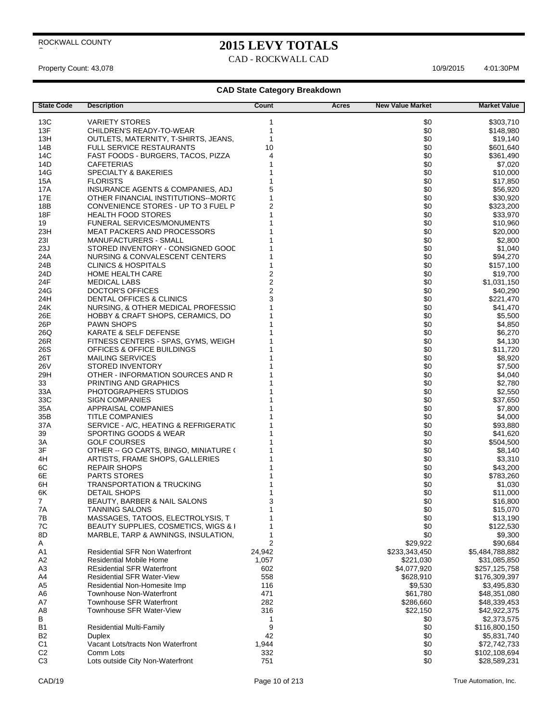## **2015 LEVY TOTALS**

CAD - ROCKWALL CAD

Property Count: 43,078 4:01:30PM

| <b>State Code</b> | <b>Description</b>                                                 | Count                   | <b>New Value Market</b><br>Acres | <b>Market Value</b>          |
|-------------------|--------------------------------------------------------------------|-------------------------|----------------------------------|------------------------------|
| 13C               | <b>VARIETY STORES</b>                                              | 1                       | \$0                              | \$303,710                    |
| 13F               | CHILDREN'S READY-TO-WEAR                                           | 1                       | \$0                              | \$148,980                    |
| 13H               | OUTLETS, MATERNITY, T-SHIRTS, JEANS,                               | 1                       | \$0                              | \$19,140                     |
| 14B               | FULL SERVICE RESTAURANTS                                           | 10                      | \$0                              | \$601,640                    |
| 14C               | FAST FOODS - BURGERS, TACOS, PIZZA                                 | 4                       | \$0                              | \$361,490                    |
| 14D               | <b>CAFETERIAS</b>                                                  | 1                       | \$0                              | \$7,020                      |
| 14G               | <b>SPECIALTY &amp; BAKERIES</b>                                    |                         | \$0                              | \$10,000                     |
| 15A               | <b>FLORISTS</b>                                                    | 1                       | \$0                              | \$17,850                     |
| 17A               | INSURANCE AGENTS & COMPANIES, ADJ                                  | 5                       | \$0                              | \$56,920                     |
| 17E               | OTHER FINANCIAL INSTITUTIONS--MORTC                                | 1                       | \$0                              | \$30,920                     |
| 18B               | CONVENIENCE STORES - UP TO 3 FUEL P                                | $\overline{2}$          | \$0                              | \$323,200                    |
| 18F               | <b>HEALTH FOOD STORES</b>                                          |                         | \$0                              | \$33,970                     |
| 19<br>23H         | <b>FUNERAL SERVICES/MONUMENTS</b>                                  |                         | \$0<br>\$0                       | \$10,960                     |
| 231               | <b>MEAT PACKERS AND PROCESSORS</b><br><b>MANUFACTURERS - SMALL</b> |                         | \$0                              | \$20,000<br>\$2,800          |
| 23J               | STORED INVENTORY - CONSIGNED GOOD                                  |                         | \$0                              | \$1,040                      |
| 24A               | NURSING & CONVALESCENT CENTERS                                     |                         | \$0                              | \$94,270                     |
| 24B               | <b>CLINICS &amp; HOSPITALS</b>                                     |                         | \$0                              | \$157,100                    |
| 24D               | <b>HOME HEALTH CARE</b>                                            | $\overline{\mathbf{c}}$ | \$0                              | \$19,700                     |
| 24F               | <b>MEDICAL LABS</b>                                                | $\overline{\mathbf{c}}$ | \$0                              | \$1,031,150                  |
| 24G               | <b>DOCTOR'S OFFICES</b>                                            | $\overline{c}$          | \$0                              | \$40,290                     |
| 24H               | DENTAL OFFICES & CLINICS                                           | 3                       | \$0                              | \$221,470                    |
| 24K               | NURSING, & OTHER MEDICAL PROFESSIC                                 |                         | \$0                              | \$41,470                     |
| 26E               | HOBBY & CRAFT SHOPS, CERAMICS, DO                                  |                         | \$0                              | \$5,500                      |
| 26P               | <b>PAWN SHOPS</b>                                                  |                         | \$0                              | \$4,850                      |
| 26Q               | KARATE & SELF DEFENSE                                              |                         | \$0                              | \$6,270                      |
| 26R               | FITNESS CENTERS - SPAS, GYMS, WEIGH                                |                         | \$0                              | \$4,130                      |
| 26S               | OFFICES & OFFICE BUILDINGS                                         |                         | \$0                              | \$11,720                     |
| 26T               | <b>MAILING SERVICES</b>                                            |                         | \$0                              | \$8,920                      |
| 26V               | STORED INVENTORY                                                   |                         | \$0                              | \$7,500                      |
| 29H<br>33         | OTHER - INFORMATION SOURCES AND R<br>PRINTING AND GRAPHICS         |                         | \$0<br>\$0                       | \$4,040<br>\$2,780           |
| 33A               | PHOTOGRAPHERS STUDIOS                                              |                         | \$0                              | \$2,550                      |
| 33C               | <b>SIGN COMPANIES</b>                                              |                         | \$0                              | \$37,650                     |
| 35A               | APPRAISAL COMPANIES                                                |                         | \$0                              | \$7,800                      |
| 35B               | <b>TITLE COMPANIES</b>                                             |                         | \$0                              | \$4,000                      |
| 37A               | SERVICE - A/C, HEATING & REFRIGERATIC                              |                         | \$0                              | \$93,880                     |
| 39                | SPORTING GOODS & WEAR                                              |                         | \$0                              | \$41,620                     |
| ЗA                | <b>GOLF COURSES</b>                                                |                         | \$0                              | \$504,500                    |
| 3F                | OTHER -- GO CARTS, BINGO, MINIATURE (                              |                         | \$0                              | \$8,140                      |
| 4H                | ARTISTS, FRAME SHOPS, GALLERIES                                    |                         | \$0                              | \$3,310                      |
| 6C                | <b>REPAIR SHOPS</b>                                                |                         | \$0                              | \$43,200                     |
| 6E                | <b>PARTS STORES</b>                                                |                         | \$0                              | \$783,260                    |
| 6H<br>6K          | <b>TRANSPORTATION &amp; TRUCKING</b><br><b>DETAIL SHOPS</b>        |                         | \$0<br>\$0                       | \$1,030                      |
| $\overline{7}$    | BEAUTY, BARBER & NAIL SALONS                                       | 3                       | \$0                              | \$11,000<br>\$16,800         |
| 7A                | <b>TANNING SALONS</b>                                              | 1                       | \$0                              | \$15,070                     |
| 7B                | MASSAGES, TATOOS, ELECTROLYSIS, T                                  | 1                       | \$0                              | \$13,190                     |
| 7C                | BEAUTY SUPPLIES, COSMETICS, WIGS & I                               | 1                       | \$0                              | \$122,530                    |
| 8D                | MARBLE, TARP & AWNINGS, INSULATION,                                | $\mathbf{1}$            | \$0                              | \$9,300                      |
| A                 |                                                                    | 2                       | \$29,922                         | \$90,684                     |
| A <sub>1</sub>    | <b>Residential SFR Non Waterfront</b>                              | 24,942                  | \$233,343,450                    | \$5,484,788,882              |
| A <sub>2</sub>    | <b>Residential Mobile Home</b>                                     | 1,057                   | \$221,030                        | \$31,085,850                 |
| A <sub>3</sub>    | <b>REsidential SFR Waterfront</b>                                  | 602                     | \$4,077,920                      | \$257,125,758                |
| A4                | <b>Residential SFR Water-View</b>                                  | 558                     | \$628,910                        | \$176,309,397                |
| A <sub>5</sub>    | Residential Non-Homesite Imp                                       | 116                     | \$9,530                          | \$3,495,830                  |
| A <sub>6</sub>    | <b>Townhouse Non-Waterfront</b>                                    | 471                     | \$61,780                         | \$48,351,080                 |
| A7                | <b>Townhouse SFR Waterfront</b>                                    | 282                     | \$286,660                        | \$48,339,453                 |
| A <sub>8</sub>    | Townhouse SFR Water-View                                           | 316                     | \$22,150                         | \$42,922,375                 |
| В<br><b>B1</b>    | <b>Residential Multi-Family</b>                                    | 1<br>9                  | \$0<br>\$0                       | \$2,373,575<br>\$116,800,150 |
| B <sub>2</sub>    | <b>Duplex</b>                                                      | 42                      | \$0                              | \$5,831,740                  |
| C <sub>1</sub>    | Vacant Lots/tracts Non Waterfront                                  | 1,944                   | \$0                              | \$72,742,733                 |
| C <sub>2</sub>    | Comm Lots                                                          | 332                     | \$0                              | \$102,108,694                |
| C <sub>3</sub>    | Lots outside City Non-Waterfront                                   | 751                     | \$0                              | \$28,589,231                 |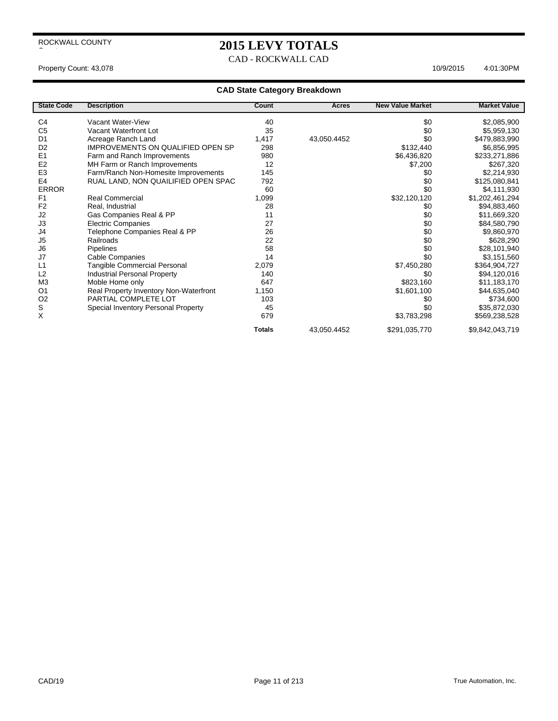### **2015 LEVY TOTALS**

CAD - ROCKWALL CAD

### Property Count: 43,078 4:01:30PM

| <b>State Code</b> | <b>Description</b>                       | Count         | Acres       | <b>New Value Market</b> | <b>Market Value</b> |
|-------------------|------------------------------------------|---------------|-------------|-------------------------|---------------------|
| C <sub>4</sub>    | Vacant Water-View                        | 40            |             | \$0                     | \$2,085,900         |
| C <sub>5</sub>    | Vacant Waterfront Lot                    | 35            |             | \$0                     | \$5,959,130         |
| D <sub>1</sub>    | Acreage Ranch Land                       | 1,417         | 43,050.4452 | \$0                     | \$479,883,990       |
| D <sub>2</sub>    | <b>IMPROVEMENTS ON QUALIFIED OPEN SP</b> | 298           |             | \$132,440               | \$6,856,995         |
| E <sub>1</sub>    | Farm and Ranch Improvements              | 980           |             | \$6,436,820             | \$233,271,886       |
| E <sub>2</sub>    | MH Farm or Ranch Improvements            | 12            |             | \$7,200                 | \$267,320           |
| E <sub>3</sub>    | Farm/Ranch Non-Homesite Improvements     | 145           |             | \$0                     | \$2,214,930         |
| E <sub>4</sub>    | RUAL LAND, NON QUAILIFIED OPEN SPAC      | 792           |             | \$0                     | \$125,080,841       |
| <b>ERROR</b>      |                                          | 60            |             | \$0                     | \$4,111,930         |
| F <sub>1</sub>    | Real Commercial                          | 1,099         |             | \$32,120,120            | \$1,202,461,294     |
| F <sub>2</sub>    | Real, Industrial                         | 28            |             | \$0                     | \$94,883,460        |
| J2                |                                          | 11            |             |                         |                     |
| J3                | Gas Companies Real & PP                  | 27            |             | \$0                     | \$11,669,320        |
|                   | <b>Electric Companies</b>                | 26            |             | \$0<br>\$0              | \$84,580,790        |
| J4                | Telephone Companies Real & PP            |               |             |                         | \$9,860,970         |
| J <sub>5</sub>    | Railroads                                | 22            |             | \$0                     | \$628,290           |
| J6                | Pipelines                                | 58            |             | \$0                     | \$28,101,940        |
| J7                | <b>Cable Companies</b>                   | 14            |             | \$0                     | \$3,151,560         |
| L1                | Tangible Commercial Personal             | 2,079         |             | \$7,450,280             | \$364,904,727       |
| L2                | <b>Industrial Personal Property</b>      | 140           |             | \$0                     | \$94,120,016        |
| M <sub>3</sub>    | Moble Home only                          | 647           |             | \$823,160               | \$11,183,170        |
| O <sub>1</sub>    | Real Property Inventory Non-Waterfront   | 1,150         |             | \$1,601,100             | \$44,635,040        |
| O <sub>2</sub>    | PARTIAL COMPLETE LOT                     | 103           |             | \$0                     | \$734,600           |
| $\mathbb S$       | Special Inventory Personal Property      | 45            |             | \$0                     | \$35,872,030        |
| X                 |                                          | 679           |             | \$3,783,298             | \$569,238,528       |
|                   |                                          | <b>Totals</b> | 43,050.4452 | \$291,035,770           | \$9,842,043,719     |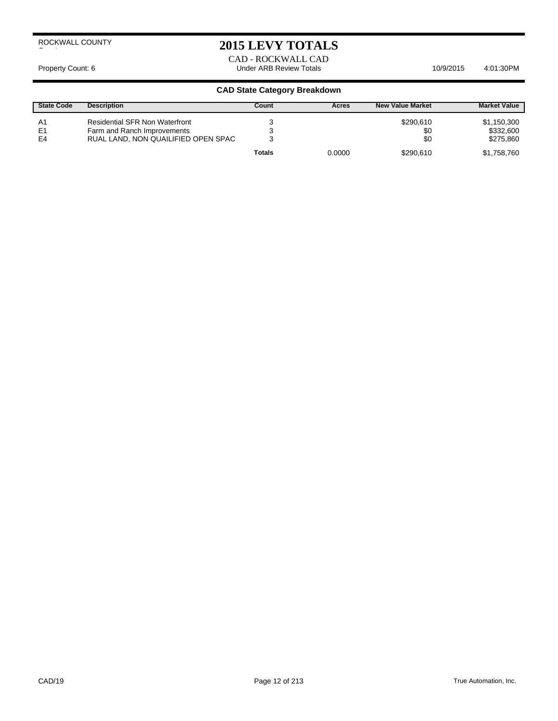### **2015 LEVY TOTALS**

CAD - ROCKWALL CAD Property Count: 6 **Archaeol Science 10/9/2015** Lunder ARB Review Totals **10/9/2015** 4:01:30PM

| <b>State Code</b>          | <b>Description</b>                                                                                          | Count  | Acres  | <b>New Value Market</b> | <b>Market Value</b>                   |
|----------------------------|-------------------------------------------------------------------------------------------------------------|--------|--------|-------------------------|---------------------------------------|
| A1<br>E <sub>1</sub><br>E4 | <b>Residential SFR Non Waterfront</b><br>Farm and Ranch Improvements<br>RUAL LAND, NON QUAILIFIED OPEN SPAC |        |        | \$290.610<br>\$0<br>\$0 | \$1,150,300<br>\$332,600<br>\$275,860 |
|                            |                                                                                                             | Totals | 0.0000 | \$290.610               | \$1,758,760                           |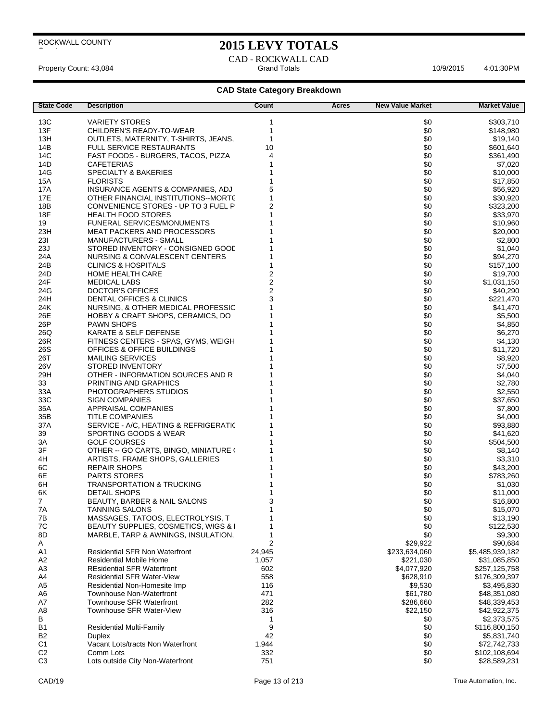### **2015 LEVY TOTALS**

CAD - ROCKWALL CAD Property Count: 43,084 **Access 2:01:30PM** 10/9/2015 4:01:30PM

| <b>State Code</b> | <b>Description</b>                                             | Count                                     | Acres | <b>New Value Market</b> | <b>Market Value</b>  |
|-------------------|----------------------------------------------------------------|-------------------------------------------|-------|-------------------------|----------------------|
| 13C               | VARIETY STORES                                                 | 1                                         |       | \$0                     | \$303,710            |
| 13F               | CHILDREN'S READY-TO-WEAR                                       | 1                                         |       | \$0                     | \$148,980            |
| 13H               | OUTLETS, MATERNITY, T-SHIRTS, JEANS,                           | 1                                         |       | \$0                     | \$19,140             |
| 14B               | <b>FULL SERVICE RESTAURANTS</b>                                | 10                                        |       | \$0                     | \$601,640            |
| 14C               | FAST FOODS - BURGERS, TACOS, PIZZA                             | 4                                         |       | \$0                     | \$361,490            |
| 14D               | <b>CAFETERIAS</b>                                              | 1                                         |       | \$0                     | \$7,020              |
| 14G               | <b>SPECIALTY &amp; BAKERIES</b>                                |                                           |       | \$0                     | \$10,000             |
| 15A               | <b>FLORISTS</b>                                                |                                           |       | \$0                     |                      |
| 17A               | INSURANCE AGENTS & COMPANIES, ADJ                              | 5                                         |       | \$0                     | \$17,850<br>\$56,920 |
| 17E               | OTHER FINANCIAL INSTITUTIONS-MORTC                             | 1                                         |       | \$0                     |                      |
|                   |                                                                | $\overline{2}$                            |       | \$0                     | \$30,920             |
| 18B<br>18F        | CONVENIENCE STORES - UP TO 3 FUEL P                            |                                           |       | \$0                     | \$323,200            |
|                   | <b>HEALTH FOOD STORES</b><br><b>FUNERAL SERVICES/MONUMENTS</b> |                                           |       | \$0                     | \$33,970             |
| 19<br>23H         |                                                                |                                           |       | \$0                     | \$10,960             |
|                   | <b>MEAT PACKERS AND PROCESSORS</b>                             |                                           |       |                         | \$20,000             |
| 231               | MANUFACTURERS - SMALL                                          |                                           |       | \$0                     | \$2,800              |
| 23J               | STORED INVENTORY - CONSIGNED GOOD                              |                                           |       | \$0                     | \$1,040              |
| 24A               | NURSING & CONVALESCENT CENTERS                                 |                                           |       | \$0                     | \$94,270             |
| 24B               | <b>CLINICS &amp; HOSPITALS</b>                                 |                                           |       | \$0                     | \$157,100            |
| 24D               | HOME HEALTH CARE                                               | $\overline{\mathbf{c}}$                   |       | \$0                     | \$19,700             |
| 24F               | <b>MEDICAL LABS</b>                                            | $\overline{\mathbf{c}}$<br>$\overline{c}$ |       | \$0                     | \$1,031,150          |
| 24G               | DOCTOR'S OFFICES                                               | 3                                         |       | \$0                     | \$40,290             |
| 24H               | DENTAL OFFICES & CLINICS                                       |                                           |       | \$0                     | \$221,470            |
| 24K               | NURSING, & OTHER MEDICAL PROFESSIC                             |                                           |       | \$0                     | \$41,470             |
| 26E               | HOBBY & CRAFT SHOPS, CERAMICS, DO                              |                                           |       | \$0                     | \$5,500              |
| 26P               | <b>PAWN SHOPS</b>                                              |                                           |       | \$0                     | \$4,850              |
| 26Q               | KARATE & SELF DEFENSE                                          |                                           |       | \$0                     | \$6,270              |
| 26R               | FITNESS CENTERS - SPAS, GYMS, WEIGH                            |                                           |       | \$0                     | \$4,130              |
| 26S               | OFFICES & OFFICE BUILDINGS                                     |                                           |       | \$0                     | \$11,720             |
| 26T               | <b>MAILING SERVICES</b>                                        |                                           |       | \$0                     | \$8,920              |
| 26V               | <b>STORED INVENTORY</b>                                        |                                           |       | \$0                     | \$7,500              |
| 29H               | OTHER - INFORMATION SOURCES AND R                              |                                           |       | \$0                     | \$4,040              |
| 33<br>33A         | PRINTING AND GRAPHICS<br>PHOTOGRAPHERS STUDIOS                 |                                           |       | \$0<br>\$0              | \$2,780              |
| 33C               | SIGN COMPANIES                                                 |                                           |       | \$0                     | \$2,550              |
| 35A               | APPRAISAL COMPANIES                                            |                                           |       | \$0                     | \$37,650<br>\$7,800  |
| 35B               | <b>TITLE COMPANIES</b>                                         |                                           |       | \$0                     | \$4,000              |
| 37A               | SERVICE - A/C, HEATING & REFRIGERATIC                          |                                           |       | \$0                     | \$93,880             |
| 39                | SPORTING GOODS & WEAR                                          |                                           |       | \$0                     | \$41,620             |
| ЗΑ                | GOLF COURSES                                                   |                                           |       | \$0                     | \$504,500            |
| 3F                | OTHER -- GO CARTS, BINGO, MINIATURE (                          |                                           |       | \$0                     | \$8,140              |
| 4H                | ARTISTS, FRAME SHOPS, GALLERIES                                |                                           |       | \$0                     | \$3,310              |
| 6C                | <b>REPAIR SHOPS</b>                                            |                                           |       | \$0                     | \$43,200             |
| 6E                | <b>PARTS STORES</b>                                            |                                           |       | \$0                     | \$783,260            |
| 6H                | <b>TRANSPORTATION &amp; TRUCKING</b>                           |                                           |       | \$0                     | \$1,030              |
| 6K                | <b>DETAIL SHOPS</b>                                            | 1                                         |       | \$0                     | \$11,000             |
| 7                 | BEAUTY, BARBER & NAIL SALONS                                   | 3                                         |       | \$0                     | \$16,800             |
| 7A                | TANNING SALONS                                                 |                                           |       | \$0                     | \$15,070             |
| 7B                | MASSAGES, TATOOS, ELECTROLYSIS, T                              | 1                                         |       | \$0                     | \$13,190             |
| 7C                | BEAUTY SUPPLIES, COSMETICS, WIGS & I                           |                                           |       | \$0                     | \$122,530            |
| 8D                | MARBLE, TARP & AWNINGS, INSULATION,                            | 1                                         |       | \$0                     | \$9,300              |
| A                 |                                                                | 2                                         |       | \$29,922                | \$90,684             |
| A1                | <b>Residential SFR Non Waterfront</b>                          | 24,945                                    |       | \$233,634,060           | \$5,485,939,182      |
| A <sub>2</sub>    | Residential Mobile Home                                        | 1,057                                     |       | \$221,030               | \$31,085,850         |
| A <sub>3</sub>    | <b>REsidential SFR Waterfront</b>                              | 602                                       |       | \$4,077,920             | \$257,125,758        |
| A4                | <b>Residential SFR Water-View</b>                              | 558                                       |       | \$628,910               | \$176,309,397        |
| A <sub>5</sub>    | Residential Non-Homesite Imp                                   | 116                                       |       | \$9,530                 | \$3,495,830          |
| A6                | <b>Townhouse Non-Waterfront</b>                                | 471                                       |       | \$61,780                | \$48,351,080         |
| A7                | <b>Townhouse SFR Waterfront</b>                                | 282                                       |       | \$286,660               | \$48,339,453         |
| A8                | Townhouse SFR Water-View                                       | 316                                       |       | \$22,150                | \$42,922,375         |
| В                 |                                                                | 1                                         |       | \$0                     | \$2,373,575          |
| B1                | <b>Residential Multi-Family</b>                                | 9                                         |       | \$0                     | \$116,800,150        |
| <b>B2</b>         | Duplex                                                         | 42                                        |       | \$0                     | \$5,831,740          |
| C <sub>1</sub>    | Vacant Lots/tracts Non Waterfront                              | 1,944                                     |       | \$0                     | \$72,742,733         |
| C <sub>2</sub>    | Comm Lots                                                      | 332                                       |       | \$0                     | \$102,108,694        |
| C <sub>3</sub>    | Lots outside City Non-Waterfront                               | 751                                       |       | \$0                     | \$28,589,231         |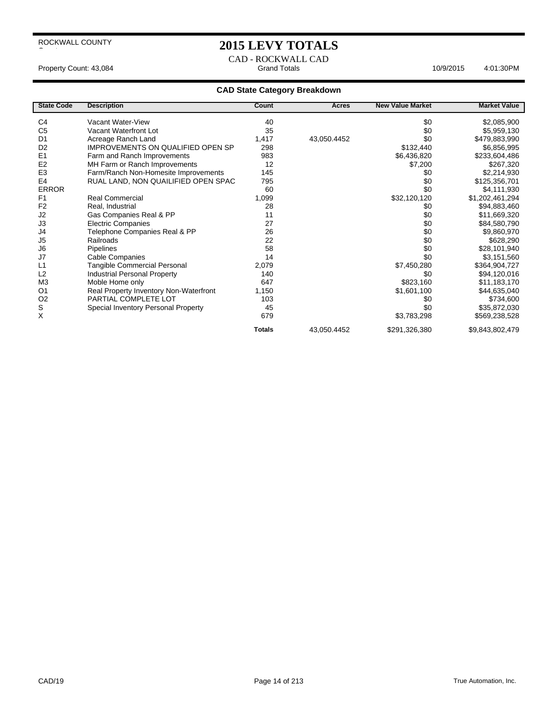$\overline{\phantom{a}}$ 

### **2015 LEVY TOTALS**

CAD - ROCKWALL CAD Property Count: 43,084 **Access 2:01:30PM** 10/9/2015 4:01:30PM

| <b>State Code</b> | <b>Description</b>                     | Count         | Acres       | <b>New Value Market</b> | <b>Market Value</b> |
|-------------------|----------------------------------------|---------------|-------------|-------------------------|---------------------|
| C <sub>4</sub>    | Vacant Water-View                      | 40            |             |                         |                     |
|                   |                                        | 35            |             | \$0                     | \$2,085,900         |
| C <sub>5</sub>    | Vacant Waterfront Lot                  |               |             | \$0                     | \$5,959,130         |
| D <sub>1</sub>    | Acreage Ranch Land                     | 1,417         | 43,050.4452 | \$0                     | \$479,883,990       |
| D <sub>2</sub>    | IMPROVEMENTS ON QUALIFIED OPEN SP      | 298           |             | \$132,440               | \$6,856,995         |
| E <sub>1</sub>    | Farm and Ranch Improvements            | 983           |             | \$6,436,820             | \$233,604,486       |
| E <sub>2</sub>    | MH Farm or Ranch Improvements          | 12            |             | \$7,200                 | \$267,320           |
| E <sub>3</sub>    | Farm/Ranch Non-Homesite Improvements   | 145           |             | \$0                     | \$2,214,930         |
| E <sub>4</sub>    | RUAL LAND, NON QUAILIFIED OPEN SPAC    | 795           |             | \$0                     | \$125,356,701       |
| <b>ERROR</b>      |                                        | 60            |             | \$0                     | \$4,111,930         |
| F <sub>1</sub>    | Real Commercial                        | 1,099         |             | \$32,120,120            | \$1,202,461,294     |
| F <sub>2</sub>    | Real, Industrial                       | 28            |             | \$0                     | \$94,883,460        |
| J2                | Gas Companies Real & PP                | 11            |             | \$0                     | \$11,669,320        |
| J3                | <b>Electric Companies</b>              | 27            |             | \$0                     | \$84,580,790        |
| J4                | Telephone Companies Real & PP          | 26            |             | \$0                     | \$9,860,970         |
| J <sub>5</sub>    | Railroads                              | 22            |             | \$0                     | \$628,290           |
| J6                | Pipelines                              | 58            |             | \$0                     | \$28,101,940        |
| J7                | Cable Companies                        | 14            |             | \$0                     | \$3,151,560         |
| L1                | <b>Tangible Commercial Personal</b>    | 2,079         |             | \$7,450,280             | \$364,904,727       |
| L2                | <b>Industrial Personal Property</b>    | 140           |             | \$0                     | \$94,120,016        |
| M <sub>3</sub>    | Moble Home only                        | 647           |             | \$823,160               | \$11,183,170        |
| O <sub>1</sub>    | Real Property Inventory Non-Waterfront | 1,150         |             | \$1,601,100             | \$44,635,040        |
| O <sub>2</sub>    | PARTIAL COMPLETE LOT                   | 103           |             | \$0                     | \$734,600           |
| S                 | Special Inventory Personal Property    | 45            |             | \$0                     | \$35,872,030        |
| X                 |                                        | 679           |             | \$3,783,298             | \$569,238,528       |
|                   |                                        | <b>Totals</b> | 43,050.4452 | \$291,326,380           | \$9,843,802,479     |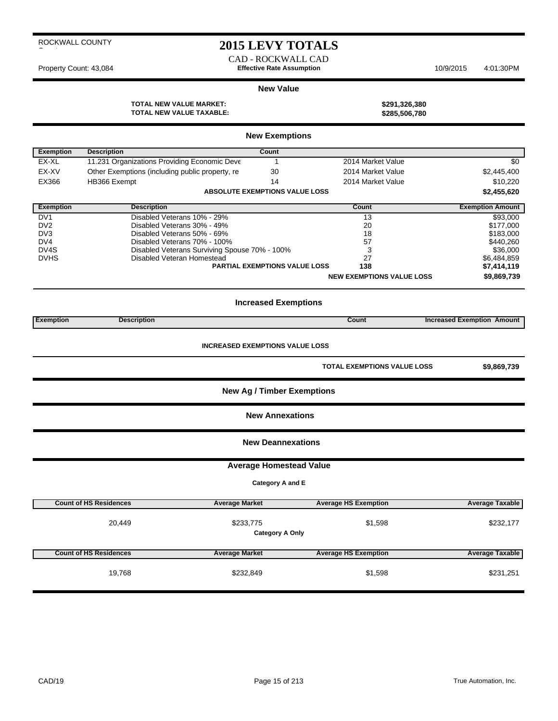### **2015 LEVY TOTALS**

CAD - ROCKWALL CAD Property Count: 43,084 **Effective Rate Assumption** 10/9/2015 4:01:30PM

#### **New Value**

**TOTAL NEW VALUE MARKET: \$291,326,380 TOTAL NEW VALUE TAXABLE: \$285,506,780**

|                  |                                                 | <b>New Exemptions</b>                  |                                    |                                   |
|------------------|-------------------------------------------------|----------------------------------------|------------------------------------|-----------------------------------|
| <b>Exemption</b> | <b>Description</b>                              | Count                                  |                                    |                                   |
| EX-XL            | 11.231 Organizations Providing Economic Deve    |                                        | 2014 Market Value                  | \$0                               |
| EX-XV            | Other Exemptions (including public property, re | 30                                     | 2014 Market Value                  | \$2,445,400                       |
| EX366            | HB366 Exempt                                    | 14                                     | 2014 Market Value                  | \$10,220                          |
|                  |                                                 | <b>ABSOLUTE EXEMPTIONS VALUE LOSS</b>  |                                    | \$2,455,620                       |
| <b>Exemption</b> | <b>Description</b>                              |                                        | Count                              | <b>Exemption Amount</b>           |
| DV <sub>1</sub>  | Disabled Veterans 10% - 29%                     |                                        | 13                                 | \$93,000                          |
| DV <sub>2</sub>  | Disabled Veterans 30% - 49%                     |                                        | 20                                 | \$177,000                         |
| DV <sub>3</sub>  | Disabled Veterans 50% - 69%                     |                                        | 18                                 | \$183,000                         |
| DV4              | Disabled Veterans 70% - 100%                    |                                        | 57                                 | \$440,260                         |
| DV4S             | Disabled Veterans Surviving Spouse 70% - 100%   |                                        | 3                                  | \$36,000                          |
| <b>DVHS</b>      | Disabled Veteran Homestead                      |                                        | 27                                 | \$6,484,859                       |
|                  |                                                 | <b>PARTIAL EXEMPTIONS VALUE LOSS</b>   | 138                                | \$7,414,119                       |
|                  |                                                 |                                        | <b>NEW EXEMPTIONS VALUE LOSS</b>   | \$9,869,739                       |
|                  |                                                 | <b>Increased Exemptions</b>            |                                    |                                   |
| <b>Exemption</b> | <b>Description</b>                              |                                        | Count                              | <b>Increased Exemption Amount</b> |
|                  |                                                 | <b>INCREASED EXEMPTIONS VALUE LOSS</b> |                                    |                                   |
|                  |                                                 |                                        | <b>TOTAL EXEMPTIONS VALUE LOSS</b> | \$9,869,739                       |

**New Ag / Timber Exemptions**

**New Annexations**

**New Deannexations**

**Average Homestead Value**

**Category A and E**

| <b>Count of HS Residences</b> | <b>Average Market</b> | <b>Average HS Exemption</b>       | <b>Average Taxable</b> |
|-------------------------------|-----------------------|-----------------------------------|------------------------|
| 20,449                        | \$233,775             | \$1,598<br><b>Category A Only</b> | \$232,177              |
| <b>Count of HS Residences</b> | <b>Average Market</b> | <b>Average HS Exemption</b>       | <b>Average Taxable</b> |
| 19,768                        | \$232,849             | \$1,598                           | \$231,251              |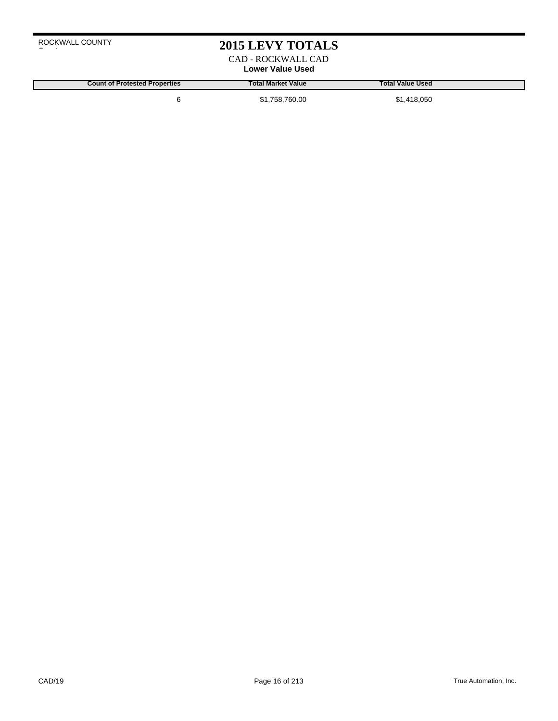### **2015 LEVY TOTALS**

CAD - ROCKWALL CAD **Lower Value Used**

**Count of Protested Properties Total Market Value Total Value Used**

6 \$1,758,760.00 \$1,418,050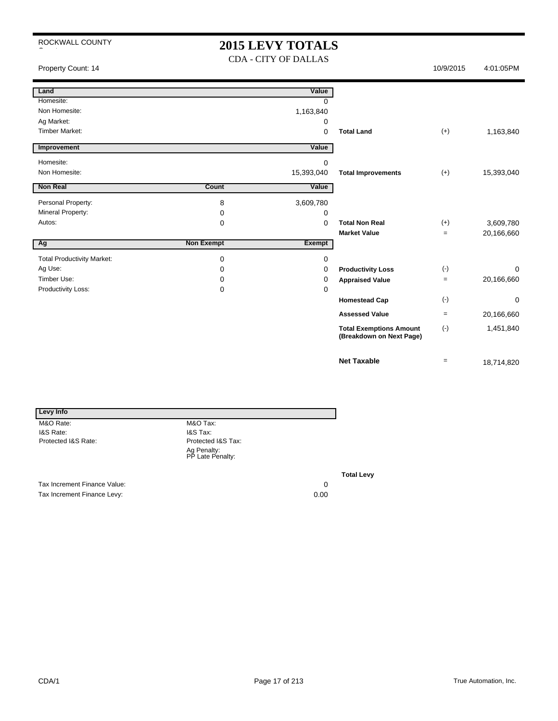### **2015 LEVY TOTALS** CDA - CITY OF DALLAS

| Property Count: 14                |                   |               |                                                            | 10/9/2015         | 4:01:05PM   |
|-----------------------------------|-------------------|---------------|------------------------------------------------------------|-------------------|-------------|
| Land                              |                   | Value         |                                                            |                   |             |
| Homesite:                         |                   | $\Omega$      |                                                            |                   |             |
| Non Homesite:                     |                   | 1,163,840     |                                                            |                   |             |
| Ag Market:                        |                   | 0             |                                                            |                   |             |
| <b>Timber Market:</b>             |                   | 0             | <b>Total Land</b>                                          | $(+)$             | 1,163,840   |
| Improvement                       |                   | Value         |                                                            |                   |             |
| Homesite:                         |                   | 0             |                                                            |                   |             |
| Non Homesite:                     |                   | 15,393,040    | <b>Total Improvements</b>                                  | $(+)$             | 15,393,040  |
| <b>Non Real</b>                   | Count             | Value         |                                                            |                   |             |
| Personal Property:                | 8                 | 3,609,780     |                                                            |                   |             |
| <b>Mineral Property:</b>          | 0                 | 0             |                                                            |                   |             |
| Autos:                            | 0                 | 0             | <b>Total Non Real</b>                                      | $(+)$             | 3,609,780   |
|                                   |                   |               | <b>Market Value</b>                                        | $\equiv$          | 20,166,660  |
| Ag                                | <b>Non Exempt</b> | <b>Exempt</b> |                                                            |                   |             |
| <b>Total Productivity Market:</b> | 0                 | 0             |                                                            |                   |             |
| Ag Use:                           | 0                 | 0             | <b>Productivity Loss</b>                                   | $(\cdot)$         | $\mathbf 0$ |
| Timber Use:                       | 0                 | 0             | <b>Appraised Value</b>                                     | $\qquad \qquad =$ | 20,166,660  |
| Productivity Loss:                | 0                 | 0             |                                                            |                   |             |
|                                   |                   |               | <b>Homestead Cap</b>                                       | $(\cdot)$         | $\mathbf 0$ |
|                                   |                   |               | <b>Assessed Value</b>                                      | $=$               | 20,166,660  |
|                                   |                   |               | <b>Total Exemptions Amount</b><br>(Breakdown on Next Page) | $(\cdot)$         | 1,451,840   |
|                                   |                   |               | <b>Net Taxable</b>                                         | $\equiv$          | 18,714,820  |

| Levy Info                    |                                 |    |
|------------------------------|---------------------------------|----|
| M&O Rate:                    | M&O Tax:                        |    |
| I&S Rate:                    | <b>I&amp;S Tax:</b>             |    |
| Protected I&S Rate:          | Protected I&S Tax:              |    |
|                              | Ag Penalty:<br>PP Late Penalty: |    |
|                              |                                 | Тα |
| Tax Increment Finance Value: |                                 | 0  |

Tax Increment Finance Levy: 0.00

**Total Levy**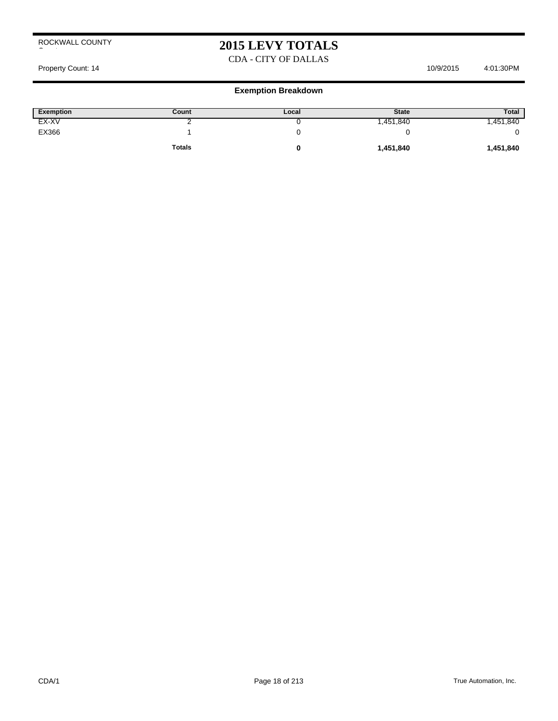## **2015 LEVY TOTALS**

### CDA - CITY OF DALLAS

Property Count: 14 10/9/2015 4:01:30PM

| <b>Exemption</b> | Count         | Local | <b>State</b> | <b>Total</b> |
|------------------|---------------|-------|--------------|--------------|
| EX-XV            |               |       | ,451,840     | ,451,840     |
| EX366            |               | u     |              |              |
|                  | <b>Totals</b> |       | 1,451,840    | 1,451,840    |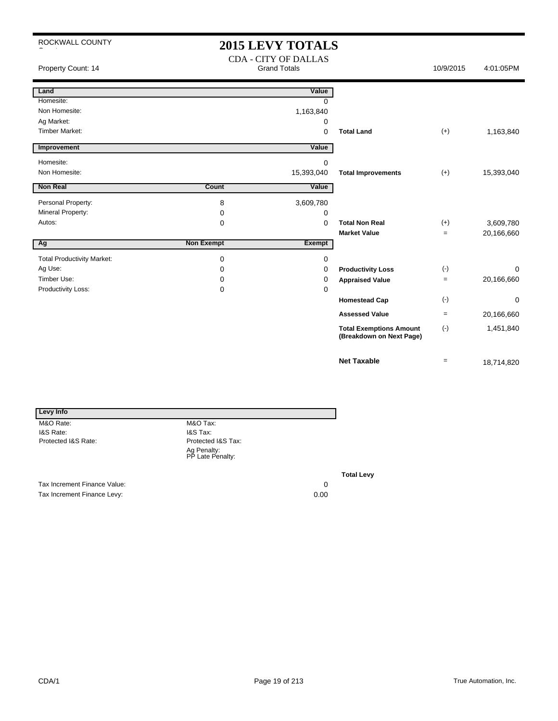## **2015 LEVY TOTALS**

| Property Count: 14                |                   | <b>CDA - CITY OF DALLAS</b><br><b>Grand Totals</b> |                                                            | 10/9/2015    | 4:01:05PM  |
|-----------------------------------|-------------------|----------------------------------------------------|------------------------------------------------------------|--------------|------------|
| Land                              |                   | Value                                              |                                                            |              |            |
| Homesite:                         |                   | $\Omega$                                           |                                                            |              |            |
| Non Homesite:                     |                   | 1,163,840                                          |                                                            |              |            |
| Ag Market:                        |                   | 0                                                  |                                                            |              |            |
| <b>Timber Market:</b>             |                   | 0                                                  | <b>Total Land</b>                                          | $(+)$        | 1,163,840  |
| Improvement                       |                   | Value                                              |                                                            |              |            |
| Homesite:                         |                   | $\Omega$                                           |                                                            |              |            |
| Non Homesite:                     |                   | 15,393,040                                         | <b>Total Improvements</b>                                  | $(+)$        | 15,393,040 |
| <b>Non Real</b>                   | <b>Count</b>      | Value                                              |                                                            |              |            |
| Personal Property:                | 8                 | 3,609,780                                          |                                                            |              |            |
| Mineral Property:                 | 0                 | 0                                                  |                                                            |              |            |
| Autos:                            | 0                 | $\mathbf 0$                                        | <b>Total Non Real</b>                                      | $(+)$        | 3,609,780  |
|                                   |                   |                                                    | <b>Market Value</b>                                        | $=$          | 20,166,660 |
| Ag                                | <b>Non Exempt</b> | Exempt                                             |                                                            |              |            |
| <b>Total Productivity Market:</b> | 0                 | 0                                                  |                                                            |              |            |
| Ag Use:                           | 0                 | 0                                                  | <b>Productivity Loss</b>                                   | $(\text{-})$ | $\Omega$   |
| Timber Use:                       | 0                 | 0                                                  | <b>Appraised Value</b>                                     | $=$          | 20,166,660 |
| Productivity Loss:                | 0                 | $\Omega$                                           |                                                            |              |            |
|                                   |                   |                                                    | <b>Homestead Cap</b>                                       | $(-)$        | 0          |
|                                   |                   |                                                    | <b>Assessed Value</b>                                      | $=$          | 20,166,660 |
|                                   |                   |                                                    | <b>Total Exemptions Amount</b><br>(Breakdown on Next Page) | $(-)$        | 1,451,840  |
|                                   |                   |                                                    | <b>Net Taxable</b>                                         | $=$          | 18,714,820 |

| Levy Info                   |                                 |        |
|-----------------------------|---------------------------------|--------|
| M&O Rate:                   | M&O Tax:                        |        |
| I&S Rate:                   | <b>I&amp;S Tax:</b>             |        |
| Protected I&S Rate:         | Protected I&S Tax:              |        |
|                             | Ag Penalty:<br>PP Late Penalty: |        |
|                             |                                 | To     |
| Toy Ingramont Eingnee Value |                                 | $\sim$ |

Tax Increment Finance Value: 0<br>
Tax Increment Finance Levy: 0.00<br>
0.00 Tax Increment Finance Levy:

**Total Levy**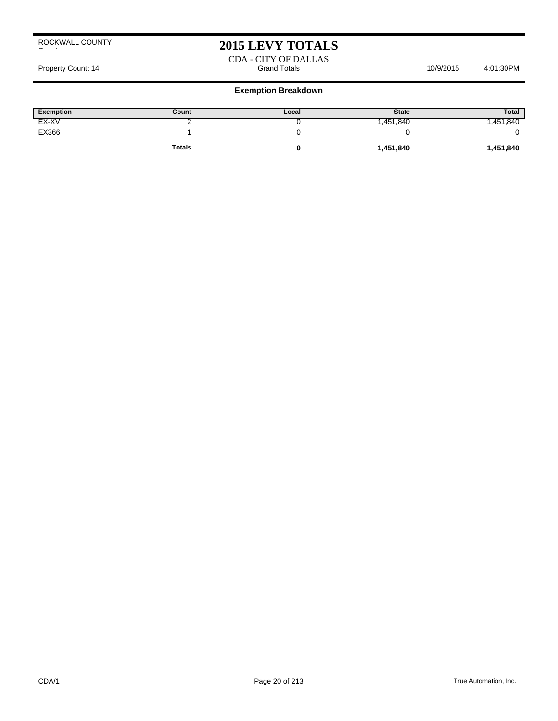## **2015 LEVY TOTALS**

CDA - CITY OF DALLAS Property Count: 14 **Access 10/9/2015** 4:01:30PM Grand Totals 10/9/2015 4:01:30PM

| Exemption | Count         | Local | <b>State</b> | <b>Total</b> |
|-----------|---------------|-------|--------------|--------------|
| EX-XV     |               |       | .451,840     | ,451,840     |
| EX366     |               |       |              |              |
|           | <b>Totals</b> |       | 1,451,840    | 1,451,840    |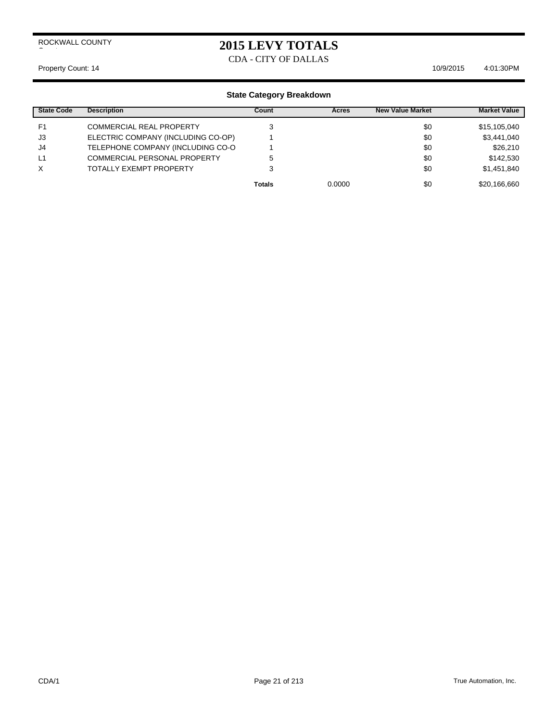### **2015 LEVY TOTALS**

CDA - CITY OF DALLAS

Property Count: 14 10/9/2015 4:01:30 PM

| <b>State Code</b> | <b>Description</b>                  | Count         | Acres  | <b>New Value Market</b> | <b>Market Value</b> |
|-------------------|-------------------------------------|---------------|--------|-------------------------|---------------------|
| F <sub>1</sub>    | <b>COMMERCIAL REAL PROPERTY</b>     |               |        | \$0                     | \$15,105,040        |
| J3                | ELECTRIC COMPANY (INCLUDING CO-OP)  |               |        | \$0                     | \$3,441,040         |
| J4                | TELEPHONE COMPANY (INCLUDING CO-O   |               |        | \$0                     | \$26,210            |
| L1                | <b>COMMERCIAL PERSONAL PROPERTY</b> | 5             |        | \$0                     | \$142,530           |
| X                 | TOTALLY EXEMPT PROPERTY             |               |        | \$0                     | \$1,451,840         |
|                   |                                     | <b>Totals</b> | 0.0000 | \$0                     | \$20,166,660        |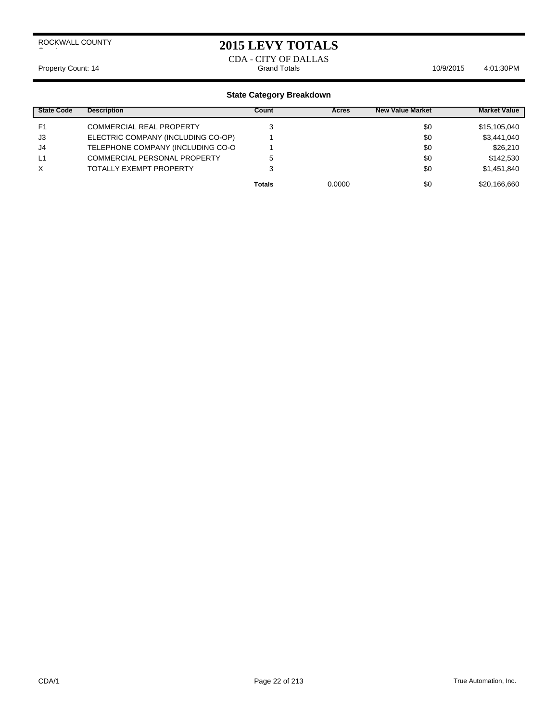### **2015 LEVY TOTALS**

#### CDA - CITY OF DALLAS Property Count: 14 **Count: 14** Crand Totals Count: 14 Count: 14 Count: 14 Count: 14 Count: 14 Count: 14 Count: 14 Count: 14 Count: 14 Count: 14 Count: 14 Count: 14 Count: 15 Count: 16 Count: 16 Count: 16 Count: 16 Count: 1

| <b>State Code</b> | <b>Description</b>                  | Count         | <b>Acres</b> | <b>New Value Market</b> | <b>Market Value</b> |
|-------------------|-------------------------------------|---------------|--------------|-------------------------|---------------------|
| F <sub>1</sub>    | <b>COMMERCIAL REAL PROPERTY</b>     |               |              | \$0                     | \$15,105,040        |
| J3                | ELECTRIC COMPANY (INCLUDING CO-OP)  |               |              | \$0                     | \$3,441,040         |
| J4                | TELEPHONE COMPANY (INCLUDING CO-O   |               |              | \$0                     | \$26,210            |
| L1                | <b>COMMERCIAL PERSONAL PROPERTY</b> | 5             |              | \$0                     | \$142,530           |
| X                 | <b>TOTALLY EXEMPT PROPERTY</b>      | 3             |              | \$0                     | \$1,451,840         |
|                   |                                     | <b>Totals</b> | 0.0000       | \$0                     | \$20,166,660        |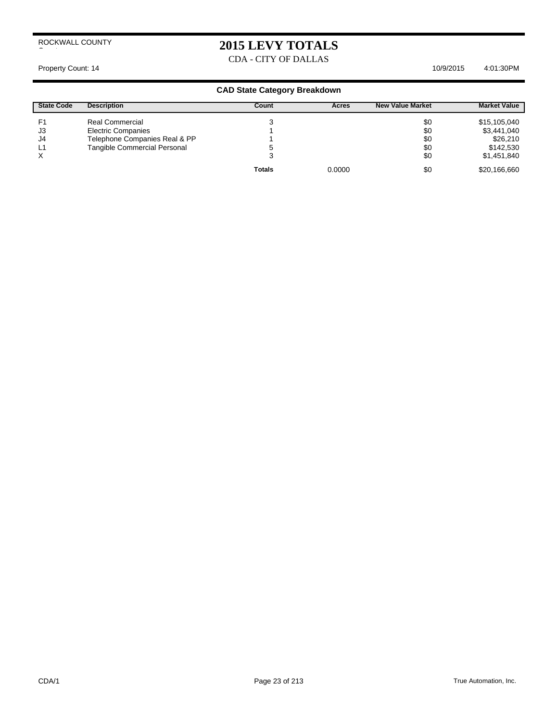### **2015 LEVY TOTALS**

CDA - CITY OF DALLAS

#### Property Count: 14 10/9/2015 4:01:30 PM

| <b>State Code</b> | <b>Description</b>            | Count         | Acres  | <b>New Value Market</b> | <b>Market Value</b> |
|-------------------|-------------------------------|---------------|--------|-------------------------|---------------------|
| F1                | Real Commercial               |               |        | \$0                     | \$15,105,040        |
| J3                | <b>Electric Companies</b>     |               |        | \$0                     | \$3,441,040         |
| J4                | Telephone Companies Real & PP |               |        | \$0                     | \$26,210            |
| L1                | Tangible Commercial Personal  | C             |        | \$0                     | \$142,530           |
| X                 |                               | J             |        | \$0                     | \$1,451,840         |
|                   |                               | <b>Totals</b> | 0.0000 | \$0                     | \$20,166,660        |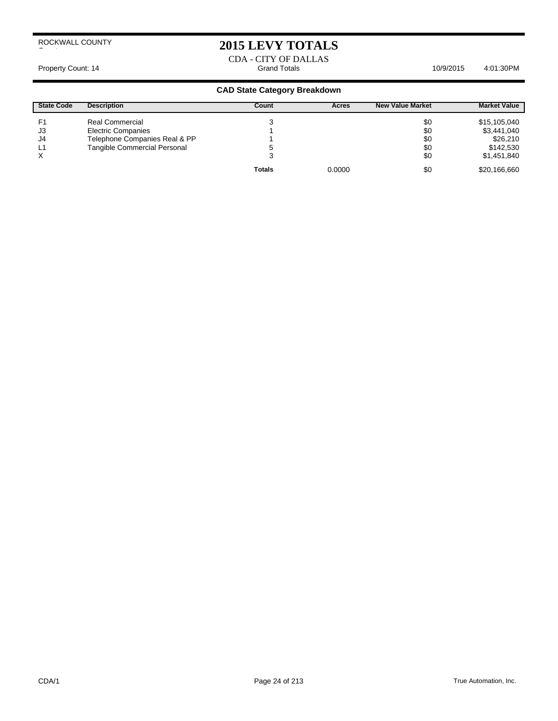### **2015 LEVY TOTALS**

CDA - CITY OF DALLAS Property Count: 14 **Accord 2:01:30PM** Grand Totals **4:01:30PM** 10/9/2015 4:01:30PM

| <b>State Code</b> | <b>Description</b>            | Count         | Acres  | <b>New Value Market</b> | <b>Market Value</b> |
|-------------------|-------------------------------|---------------|--------|-------------------------|---------------------|
| F <sub>1</sub>    | Real Commercial               |               |        | \$0                     | \$15,105,040        |
| J3                | <b>Electric Companies</b>     |               |        | \$0                     | \$3,441,040         |
| J4                | Telephone Companies Real & PP |               |        | \$0                     | \$26,210            |
| L1                | Tangible Commercial Personal  |               |        | \$0                     | \$142,530           |
| X                 |                               |               |        | \$0                     | \$1,451,840         |
|                   |                               | <b>Totals</b> | 0.0000 | \$0                     | \$20,166,660        |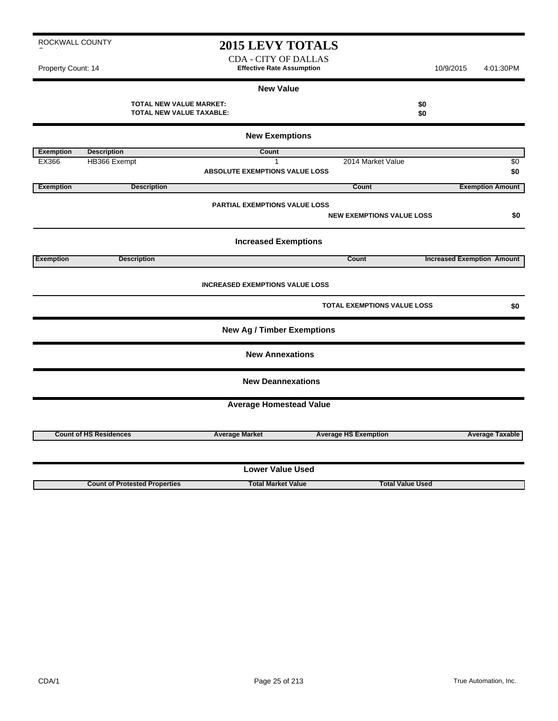### **2015 LEVY TOTALS**

CDA - CITY OF DALLAS Property Count: 14 **Effective Rate Assumption Effective Rate Assumption** 10/9/2015 4:01:30PM

#### **New Value**

**TOTAL NEW VALUE MARKET: \$0 TOTAL NEW VALUE TAXABLE: \$0**

| <b>New Exemptions</b>   |                                      |                                        |                                    |                                   |  |  |
|-------------------------|--------------------------------------|----------------------------------------|------------------------------------|-----------------------------------|--|--|
| <b>Exemption</b>        | <b>Description</b>                   | <b>Count</b>                           |                                    |                                   |  |  |
| EX366                   | HB366 Exempt                         | 1                                      | 2014 Market Value                  | \$0                               |  |  |
|                         |                                      | <b>ABSOLUTE EXEMPTIONS VALUE LOSS</b>  |                                    | \$0                               |  |  |
| <b>Exemption</b>        | <b>Description</b>                   |                                        | Count                              | <b>Exemption Amount</b>           |  |  |
|                         |                                      | PARTIAL EXEMPTIONS VALUE LOSS          |                                    |                                   |  |  |
|                         |                                      |                                        | <b>NEW EXEMPTIONS VALUE LOSS</b>   | \$0                               |  |  |
|                         |                                      | <b>Increased Exemptions</b>            |                                    |                                   |  |  |
| <b>Exemption</b>        | <b>Description</b>                   |                                        | Count                              | <b>Increased Exemption Amount</b> |  |  |
|                         |                                      | <b>INCREASED EXEMPTIONS VALUE LOSS</b> | <b>TOTAL EXEMPTIONS VALUE LOSS</b> | \$0                               |  |  |
|                         |                                      | <b>New Ag / Timber Exemptions</b>      |                                    |                                   |  |  |
|                         |                                      | <b>New Annexations</b>                 |                                    |                                   |  |  |
|                         |                                      | <b>New Deannexations</b>               |                                    |                                   |  |  |
|                         |                                      | <b>Average Homestead Value</b>         |                                    |                                   |  |  |
|                         | <b>Count of HS Residences</b>        | <b>Average Market</b>                  | <b>Average HS Exemption</b>        | <b>Average Taxable</b>            |  |  |
| <b>Lower Value Used</b> |                                      |                                        |                                    |                                   |  |  |
|                         | <b>Count of Protested Properties</b> | <b>Total Market Value</b>              | <b>Total Value Used</b>            |                                   |  |  |

# ROCKWALL COUNTY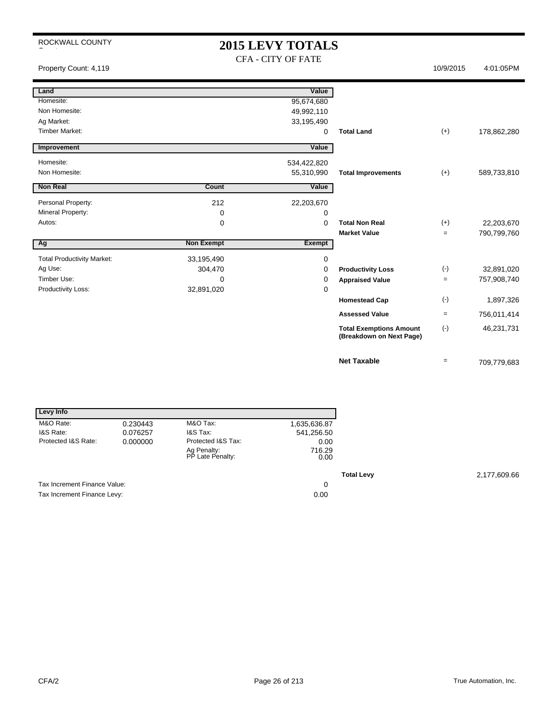### **2015 LEVY TOTALS** CFA - CITY OF FATE

Property Count: 4,119 10/9/2015 4:01:05PM

| Land                              |                   | Value         |                                                            |                   |             |
|-----------------------------------|-------------------|---------------|------------------------------------------------------------|-------------------|-------------|
| Homesite:                         |                   | 95,674,680    |                                                            |                   |             |
| Non Homesite:                     |                   | 49,992,110    |                                                            |                   |             |
| Ag Market:                        |                   | 33,195,490    |                                                            |                   |             |
| <b>Timber Market:</b>             |                   | 0             | <b>Total Land</b>                                          | $(+)$             | 178,862,280 |
| Improvement                       |                   | Value         |                                                            |                   |             |
|                                   |                   |               |                                                            |                   |             |
| Homesite:                         |                   | 534,422,820   |                                                            |                   |             |
| Non Homesite:                     |                   | 55,310,990    | <b>Total Improvements</b>                                  | $(+)$             | 589,733,810 |
| <b>Non Real</b>                   | Count             | Value         |                                                            |                   |             |
|                                   |                   |               |                                                            |                   |             |
| Personal Property:                | 212               | 22,203,670    |                                                            |                   |             |
| Mineral Property:                 | 0                 | 0             |                                                            |                   |             |
| Autos:                            | 0                 | 0             | <b>Total Non Real</b>                                      | $(+)$             | 22,203,670  |
|                                   |                   |               | <b>Market Value</b>                                        | $\qquad \qquad =$ | 790,799,760 |
| Ag                                | <b>Non Exempt</b> | <b>Exempt</b> |                                                            |                   |             |
| <b>Total Productivity Market:</b> | 33,195,490        | 0             |                                                            |                   |             |
| Ag Use:                           | 304,470           | 0             | <b>Productivity Loss</b>                                   | $(-)$             | 32,891,020  |
| Timber Use:                       | $\Omega$          | 0             | <b>Appraised Value</b>                                     | $=$               | 757,908,740 |
| Productivity Loss:                | 32,891,020        | 0             |                                                            |                   |             |
|                                   |                   |               | <b>Homestead Cap</b>                                       | $(\cdot)$         | 1,897,326   |
|                                   |                   |               | <b>Assessed Value</b>                                      | $\qquad \qquad =$ | 756,011,414 |
|                                   |                   |               | <b>Total Exemptions Amount</b><br>(Breakdown on Next Page) | $(-)$             | 46,231,731  |
|                                   |                   |               | <b>Net Taxable</b>                                         | $\equiv$          | 709,779,683 |

| Levy Info                    |          |                                 |                |
|------------------------------|----------|---------------------------------|----------------|
| M&O Rate:                    | 0.230443 | M&O Tax:                        | 1,635,636.87   |
| I&S Rate:                    | 0.076257 | I&S Tax:                        | 541,256.50     |
| Protected I&S Rate:          | 0.000000 | Protected I&S Tax:              | 0.00           |
|                              |          | Ag Penalty:<br>PP Late Penalty: | 716.29<br>0.00 |
|                              |          |                                 |                |
| Tax Increment Finance Value: |          |                                 | 0              |
| Tax Increment Finance Levy:  |          |                                 | 0.00           |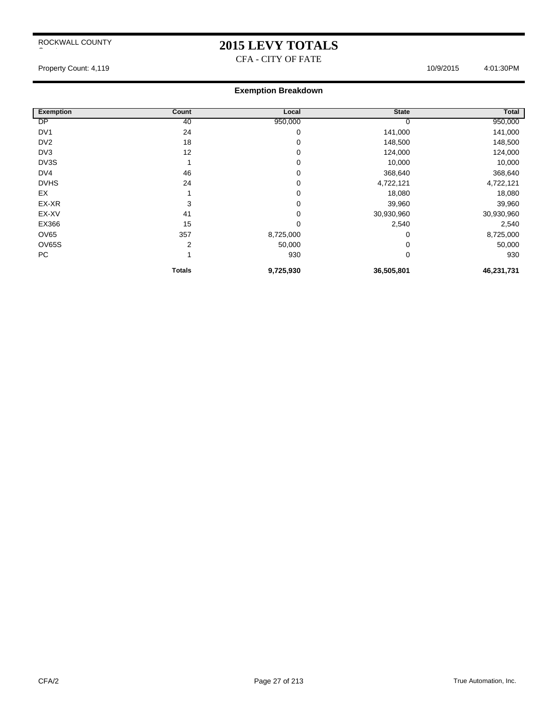## **2015 LEVY TOTALS**

CFA - CITY OF FATE

Property Count: 4,119 4:01:30PM

| <b>Exemption</b> | Count          | Local     | <b>State</b> | Total      |
|------------------|----------------|-----------|--------------|------------|
| <b>DP</b>        | 40             | 950,000   | O            | 950,000    |
| DV <sub>1</sub>  | 24             | 0         | 141,000      | 141,000    |
| DV <sub>2</sub>  | 18             | 0         | 148,500      | 148,500    |
| DV3              | 12             | 0         | 124,000      | 124,000    |
| DV3S             |                | 0         | 10,000       | 10,000     |
| DV4              | 46             | 0         | 368,640      | 368,640    |
| <b>DVHS</b>      | 24             | 0         | 4,722,121    | 4,722,121  |
| EX               |                | 0         | 18,080       | 18,080     |
| EX-XR            | 3              | 0         | 39,960       | 39,960     |
| EX-XV            | 41             | 0         | 30,930,960   | 30,930,960 |
| EX366            | 15             | 0         | 2,540        | 2,540      |
| <b>OV65</b>      | 357            | 8,725,000 | 0            | 8,725,000  |
| OV65S            | $\overline{2}$ | 50,000    | 0            | 50,000     |
| PC               |                | 930       | 0            | 930        |
|                  | <b>Totals</b>  | 9,725,930 | 36,505,801   | 46,231,731 |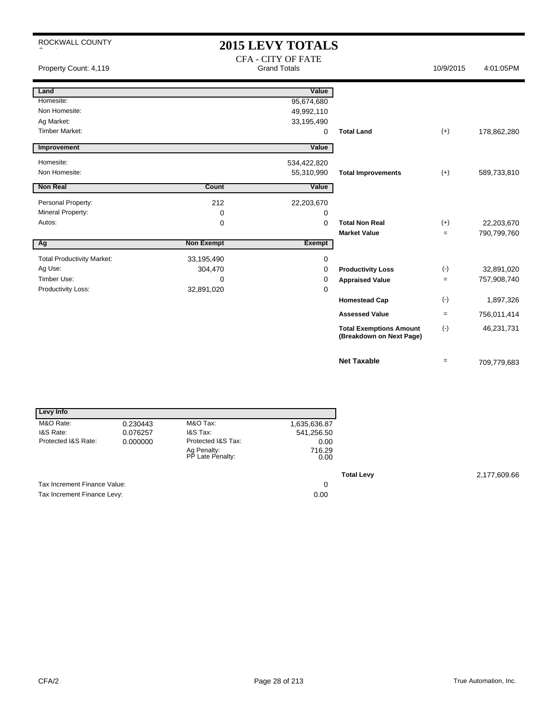# **2015 LEVY TOTALS**

| Property Count: 4,119             |                   | <b>CFA - CITY OF FATE</b><br><b>Grand Totals</b> |                                                            | 10/9/2015 | 4:01:05PM   |
|-----------------------------------|-------------------|--------------------------------------------------|------------------------------------------------------------|-----------|-------------|
| Land                              |                   | Value                                            |                                                            |           |             |
| Homesite:                         |                   | 95,674,680                                       |                                                            |           |             |
| Non Homesite:                     |                   | 49,992,110                                       |                                                            |           |             |
| Ag Market:                        |                   | 33,195,490                                       |                                                            |           |             |
| <b>Timber Market:</b>             |                   | 0                                                | <b>Total Land</b>                                          | $(+)$     | 178,862,280 |
| Improvement                       |                   | Value                                            |                                                            |           |             |
| Homesite:                         |                   | 534,422,820                                      |                                                            |           |             |
| Non Homesite:                     |                   | 55,310,990                                       | <b>Total Improvements</b>                                  | $(+)$     | 589,733,810 |
| <b>Non Real</b>                   | Count             | Value                                            |                                                            |           |             |
| Personal Property:                | 212               | 22,203,670                                       |                                                            |           |             |
| Mineral Property:                 | 0                 | 0                                                |                                                            |           |             |
| Autos:                            | 0                 | $\Omega$                                         | <b>Total Non Real</b>                                      | $(+)$     | 22,203,670  |
|                                   |                   |                                                  | <b>Market Value</b>                                        | $=$       | 790,799,760 |
| Ag                                | <b>Non Exempt</b> | <b>Exempt</b>                                    |                                                            |           |             |
| <b>Total Productivity Market:</b> | 33,195,490        | 0                                                |                                                            |           |             |
| Ag Use:                           | 304,470           | 0                                                | <b>Productivity Loss</b>                                   | $(-)$     | 32,891,020  |
| Timber Use:                       | 0                 | 0                                                | <b>Appraised Value</b>                                     | $=$       | 757,908,740 |
| Productivity Loss:                | 32,891,020        | 0                                                |                                                            |           |             |
|                                   |                   |                                                  | <b>Homestead Cap</b>                                       | $(\cdot)$ | 1,897,326   |
|                                   |                   |                                                  | <b>Assessed Value</b>                                      | $\equiv$  | 756,011,414 |
|                                   |                   |                                                  | <b>Total Exemptions Amount</b><br>(Breakdown on Next Page) | $(-)$     | 46,231,731  |
|                                   |                   |                                                  | <b>Net Taxable</b>                                         | $=$       | 709,779,683 |

| Levy Info                    |          |                                 |                |
|------------------------------|----------|---------------------------------|----------------|
| M&O Rate:                    | 0.230443 | M&O Tax:                        | 1,635,636.87   |
| I&S Rate:                    | 0.076257 | I&S Tax:                        | 541,256.50     |
| Protected I&S Rate:          | 0.000000 | Protected I&S Tax:              | 0.00           |
|                              |          | Ag Penalty:<br>PP Late Penalty: | 716.29<br>0.00 |
|                              |          |                                 |                |
| Tax Increment Finance Value: |          |                                 | 0              |
| Tax Increment Finance Levy:  |          |                                 | 0.00           |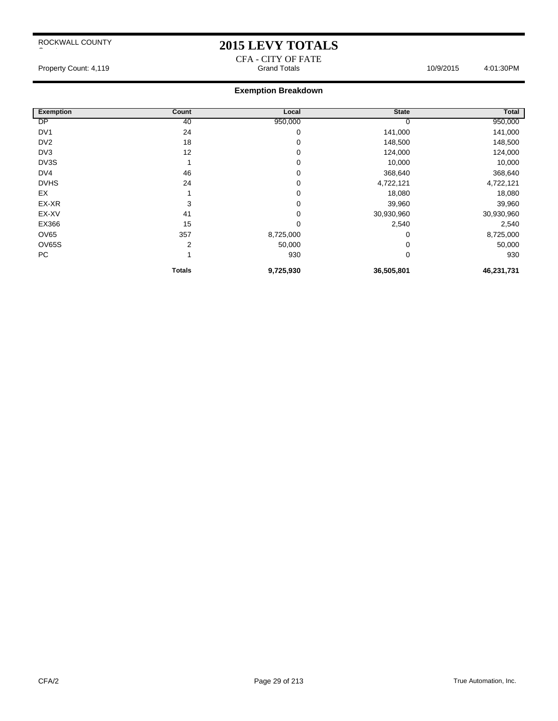### **2015 LEVY TOTALS**

CFA - CITY OF FATE Property Count: 4,119 **Accord Totals 10/9/2015** 4:01:30PM 4:01:30PM

| <b>Exemption</b> | Count         | Local       | <b>State</b> | Total      |
|------------------|---------------|-------------|--------------|------------|
| DP               | 40            | 950,000     |              | 950,000    |
| DV <sub>1</sub>  | 24            | 0           | 141,000      | 141,000    |
| DV <sub>2</sub>  | 18            | 0           | 148,500      | 148,500    |
| DV3              | 12            | 0           | 124,000      | 124,000    |
| DV3S             |               | 0           | 10,000       | 10,000     |
| DV4              | 46            | 0           | 368,640      | 368,640    |
| <b>DVHS</b>      | 24            | $\mathbf 0$ | 4,722,121    | 4,722,121  |
| EX               |               | 0           | 18,080       | 18,080     |
| EX-XR            | 3             | 0           | 39,960       | 39,960     |
| EX-XV            | 41            | 0           | 30,930,960   | 30,930,960 |
| EX366            | 15            | $\mathbf 0$ | 2,540        | 2,540      |
| <b>OV65</b>      | 357           | 8,725,000   | 0            | 8,725,000  |
| <b>OV65S</b>     | 2             | 50,000      | 0            | 50,000     |
| PC               |               | 930         | 0            | 930        |
|                  | <b>Totals</b> | 9,725,930   | 36,505,801   | 46,231,731 |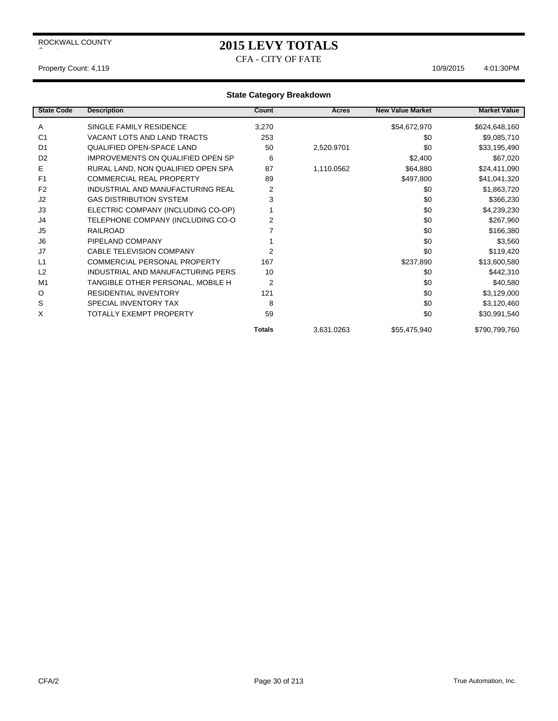## **2015 LEVY TOTALS**

CFA - CITY OF FATE

#### Property Count: 4,119 10/9/2015 4:01:30PM

| <b>State Code</b> | <b>Description</b>                  | Count          | Acres      | <b>New Value Market</b> | <b>Market Value</b> |
|-------------------|-------------------------------------|----------------|------------|-------------------------|---------------------|
| Α                 | SINGLE FAMILY RESIDENCE             | 3,270          |            | \$54,672,970            | \$624,648,160       |
| C <sub>1</sub>    | VACANT LOTS AND LAND TRACTS         | 253            |            | \$0                     | \$9,085,710         |
| D <sub>1</sub>    | QUALIFIED OPEN-SPACE LAND           | 50             | 2,520.9701 | \$0                     | \$33,195,490        |
| D <sub>2</sub>    | IMPROVEMENTS ON QUALIFIED OPEN SP   | 6              |            | \$2,400                 | \$67,020            |
| Е                 | RURAL LAND, NON QUALIFIED OPEN SPA  | 87             | 1,110.0562 | \$64,880                | \$24,411,090        |
| F <sub>1</sub>    | <b>COMMERCIAL REAL PROPERTY</b>     | 89             |            | \$497,800               | \$41,041,320        |
| F <sub>2</sub>    | INDUSTRIAL AND MANUFACTURING REAL   | 2              |            | \$0                     | \$1,863,720         |
| J2                | <b>GAS DISTRIBUTION SYSTEM</b>      | 3              |            | \$0                     | \$366,230           |
| J3                | ELECTRIC COMPANY (INCLUDING CO-OP)  |                |            | \$0                     | \$4,239,230         |
| J4                | TELEPHONE COMPANY (INCLUDING CO-O   | 2              |            | \$0                     | \$267,960           |
| J5                | <b>RAILROAD</b>                     |                |            | \$0                     | \$166,380           |
| J6                | PIPELAND COMPANY                    |                |            | \$0                     | \$3,560             |
| J7                | CABLE TELEVISION COMPANY            | 2              |            | \$0                     | \$119,420           |
| L1                | <b>COMMERCIAL PERSONAL PROPERTY</b> | 167            |            | \$237,890               | \$13,600,580        |
| L2                | INDUSTRIAL AND MANUFACTURING PERS   | 10             |            | \$0                     | \$442,310           |
| M <sub>1</sub>    | TANGIBLE OTHER PERSONAL, MOBILE H   | $\overline{2}$ |            | \$0                     | \$40,580            |
| $\circ$           | <b>RESIDENTIAL INVENTORY</b>        | 121            |            | \$0                     | \$3,129,000         |
| S                 | SPECIAL INVENTORY TAX               | 8              |            | \$0                     | \$3,120,460         |
| X                 | TOTALLY EXEMPT PROPERTY             | 59             |            | \$0                     | \$30,991,540        |
|                   |                                     | <b>Totals</b>  | 3,631.0263 | \$55,475,940            | \$790,799,760       |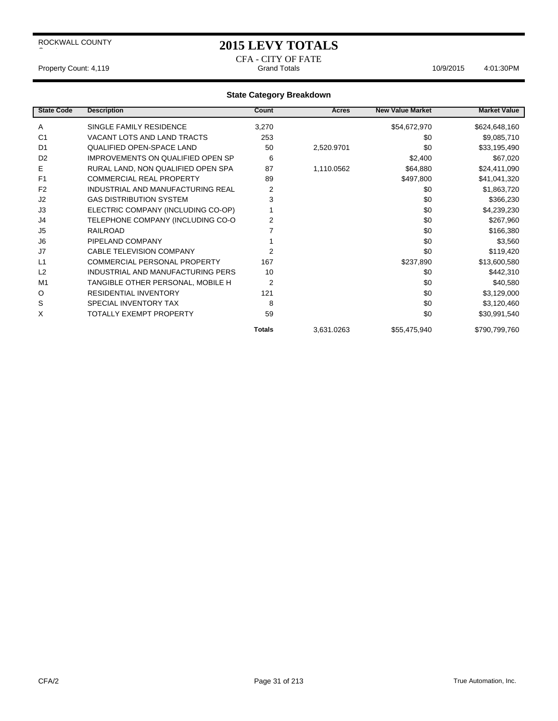### **2015 LEVY TOTALS**

CFA - CITY OF FATE

Property Count: 4,119 **Accord Totals** 10/9/2015 4:01:30PM

| <b>State Code</b> | <b>Description</b>                  | Count          | Acres      | <b>New Value Market</b> | <b>Market Value</b> |
|-------------------|-------------------------------------|----------------|------------|-------------------------|---------------------|
| Α                 | SINGLE FAMILY RESIDENCE             | 3,270          |            | \$54,672,970            | \$624,648,160       |
| C <sub>1</sub>    | VACANT LOTS AND LAND TRACTS         | 253            |            | \$0                     | \$9,085,710         |
| D <sub>1</sub>    | QUALIFIED OPEN-SPACE LAND           | 50             | 2,520.9701 | \$0                     | \$33,195,490        |
| D <sub>2</sub>    | IMPROVEMENTS ON QUALIFIED OPEN SP   | 6              |            | \$2,400                 | \$67,020            |
| E.                | RURAL LAND, NON QUALIFIED OPEN SPA  | 87             | 1,110.0562 | \$64,880                | \$24,411,090        |
| F <sub>1</sub>    | <b>COMMERCIAL REAL PROPERTY</b>     | 89             |            | \$497,800               | \$41,041,320        |
| F <sub>2</sub>    | INDUSTRIAL AND MANUFACTURING REAL   | 2              |            | \$0                     | \$1,863,720         |
| J2                | <b>GAS DISTRIBUTION SYSTEM</b>      | 3              |            | \$0                     | \$366,230           |
| J3                | ELECTRIC COMPANY (INCLUDING CO-OP)  |                |            | \$0                     | \$4,239,230         |
| J4                | TELEPHONE COMPANY (INCLUDING CO-O   | 2              |            | \$0                     | \$267,960           |
| J5                | <b>RAILROAD</b>                     | 7              |            | \$0                     | \$166,380           |
| J <sub>6</sub>    | PIPELAND COMPANY                    |                |            | \$0                     | \$3,560             |
| J7                | CABLE TELEVISION COMPANY            | 2              |            | \$0                     | \$119,420           |
| L1                | <b>COMMERCIAL PERSONAL PROPERTY</b> | 167            |            | \$237,890               | \$13,600,580        |
| L2                | INDUSTRIAL AND MANUFACTURING PERS   | 10             |            | \$0                     | \$442,310           |
| M1                | TANGIBLE OTHER PERSONAL, MOBILE H   | $\overline{2}$ |            | \$0                     | \$40,580            |
| $\circ$           | <b>RESIDENTIAL INVENTORY</b>        | 121            |            | \$0                     | \$3,129,000         |
| S                 | SPECIAL INVENTORY TAX               | 8              |            | \$0                     | \$3,120,460         |
| X                 | <b>TOTALLY EXEMPT PROPERTY</b>      | 59             |            | \$0                     | \$30,991,540        |
|                   |                                     | <b>Totals</b>  | 3,631.0263 | \$55,475,940            | \$790,799,760       |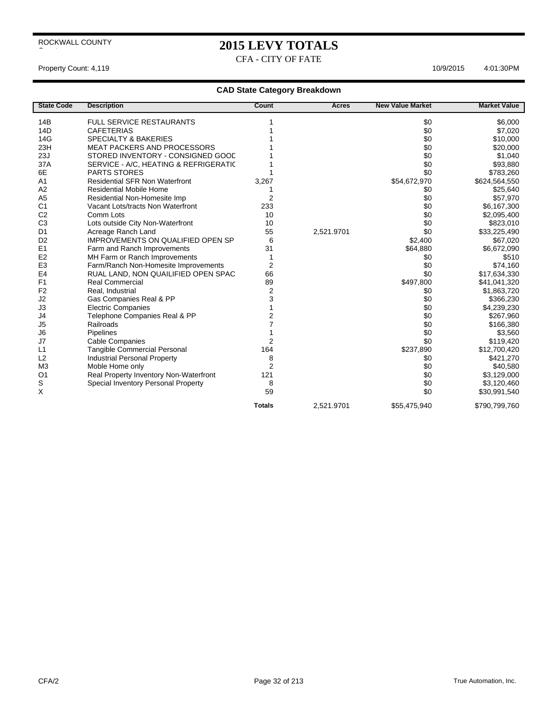# **2015 LEVY TOTALS**

CFA - CITY OF FATE

#### Property Count: 4,119 10/9/2015 4:01:30PM

| <b>State Code</b> | <b>Description</b>                       | Count          | Acres      | <b>New Value Market</b> | <b>Market Value</b> |
|-------------------|------------------------------------------|----------------|------------|-------------------------|---------------------|
| 14B               | <b>FULL SERVICE RESTAURANTS</b>          |                |            | \$0                     | \$6,000             |
| 14D               | <b>CAFETERIAS</b>                        |                |            | \$0                     | \$7,020             |
| 14G               | <b>SPECIALTY &amp; BAKERIES</b>          |                |            | \$0                     | \$10,000            |
| 23H               | <b>MEAT PACKERS AND PROCESSORS</b>       |                |            | \$0                     | \$20,000            |
| 23J               | STORED INVENTORY - CONSIGNED GOOD        |                |            | \$0                     | \$1,040             |
| 37A               | SERVICE - A/C, HEATING & REFRIGERATIC    |                |            | \$0                     | \$93,880            |
| 6E                | <b>PARTS STORES</b>                      |                |            | \$0                     | \$783,260           |
| A <sub>1</sub>    | <b>Residential SFR Non Waterfront</b>    | 3,267          |            | \$54,672,970            | \$624,564,550       |
| A2                | <b>Residential Mobile Home</b>           |                |            | \$0                     | \$25,640            |
| A <sub>5</sub>    | Residential Non-Homesite Imp             | $\overline{2}$ |            | \$0                     | \$57,970            |
| C <sub>1</sub>    | Vacant Lots/tracts Non Waterfront        | 233            |            | \$0                     | \$6,167,300         |
| C <sub>2</sub>    | Comm Lots                                | 10             |            | \$0                     | \$2,095,400         |
| C <sub>3</sub>    | Lots outside City Non-Waterfront         | 10             |            | \$0                     | \$823,010           |
| D <sub>1</sub>    | Acreage Ranch Land                       | 55             | 2,521.9701 | \$0                     | \$33,225,490        |
| D <sub>2</sub>    | <b>IMPROVEMENTS ON QUALIFIED OPEN SP</b> | 6              |            | \$2.400                 | \$67,020            |
| E1                | Farm and Ranch Improvements              | 31             |            | \$64,880                | \$6,672,090         |
| E2                | MH Farm or Ranch Improvements            |                |            | \$0                     | \$510               |
| E <sub>3</sub>    | Farm/Ranch Non-Homesite Improvements     | 2              |            | \$0                     | \$74,160            |
| E <sub>4</sub>    | RUAL LAND, NON QUAILIFIED OPEN SPAC      | 66             |            | \$0                     | \$17,634,330        |
| F1                | <b>Real Commercial</b>                   | 89             |            | \$497,800               | \$41,041,320        |
| F <sub>2</sub>    | Real, Industrial                         | $\overline{2}$ |            | \$0                     | \$1,863,720         |
| J2                | Gas Companies Real & PP                  | 3              |            | \$0                     | \$366,230           |
| J3                | <b>Electric Companies</b>                |                |            | \$0                     | \$4,239,230         |
| J4                | Telephone Companies Real & PP            | 2              |            | \$0                     | \$267,960           |
| J <sub>5</sub>    | Railroads                                |                |            | \$0                     | \$166,380           |
| J6                | Pipelines                                |                |            | \$0                     | \$3,560             |
| J7                | <b>Cable Companies</b>                   | 2              |            | \$0                     | \$119,420           |
| L1                | Tangible Commercial Personal             | 164            |            | \$237,890               | \$12,700,420        |
| L2                | <b>Industrial Personal Property</b>      | 8              |            | \$0                     | \$421,270           |
| M <sub>3</sub>    | Moble Home only                          | $\overline{2}$ |            | \$0                     | \$40,580            |
| O <sub>1</sub>    | Real Property Inventory Non-Waterfront   | 121            |            | \$0                     | \$3,129,000         |
| S                 | Special Inventory Personal Property      | 8              |            | \$0                     | \$3,120,460         |
| X                 |                                          | 59             |            | \$0                     | \$30,991,540        |
|                   |                                          | <b>Totals</b>  | 2,521.9701 | \$55,475,940            | \$790,799,760       |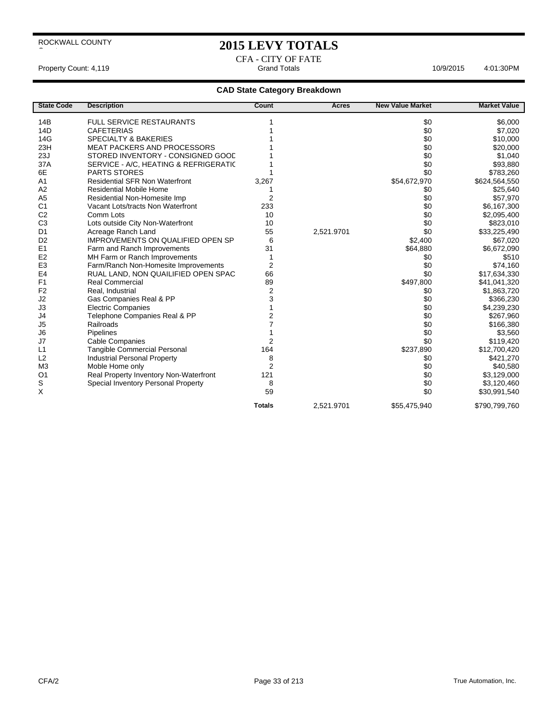### **2015 LEVY TOTALS**

CFA - CITY OF FATE Property Count: 4,119 **Accord 2012 10/9/2015** 4:01:30PM 10/9/2015 4:01:30PM

| <b>State Code</b> | <b>Description</b>                       | Count          | Acres      | <b>New Value Market</b> | <b>Market Value</b> |
|-------------------|------------------------------------------|----------------|------------|-------------------------|---------------------|
| 14B               | <b>FULL SERVICE RESTAURANTS</b>          |                |            | \$0                     | \$6,000             |
| 14D               | <b>CAFETERIAS</b>                        |                |            | \$0                     | \$7,020             |
| 14G               | <b>SPECIALTY &amp; BAKERIES</b>          |                |            | \$0                     | \$10,000            |
| 23H               | MEAT PACKERS AND PROCESSORS              |                |            | \$0                     | \$20,000            |
| 23J               | STORED INVENTORY - CONSIGNED GOOD        |                |            | \$0                     | \$1,040             |
| 37A               | SERVICE - A/C, HEATING & REFRIGERATIC    |                |            | \$0                     | \$93,880            |
| 6E                | PARTS STORES                             |                |            | \$0                     | \$783,260           |
| A <sub>1</sub>    | <b>Residential SFR Non Waterfront</b>    | 3,267          |            | \$54,672,970            | \$624,564,550       |
| A2                | <b>Residential Mobile Home</b>           |                |            | \$0                     | \$25,640            |
| A <sub>5</sub>    | Residential Non-Homesite Imp             | $\overline{2}$ |            | \$0                     | \$57,970            |
| C <sub>1</sub>    | Vacant Lots/tracts Non Waterfront        | 233            |            | \$0                     | \$6,167,300         |
| C <sub>2</sub>    | Comm Lots                                | 10             |            | \$0                     | \$2,095,400         |
| C <sub>3</sub>    | Lots outside City Non-Waterfront         | 10             |            | \$0                     | \$823,010           |
| D <sub>1</sub>    | Acreage Ranch Land                       | 55             | 2,521.9701 | \$0                     | \$33,225,490        |
| D <sub>2</sub>    | <b>IMPROVEMENTS ON QUALIFIED OPEN SP</b> | 6              |            | \$2,400                 | \$67,020            |
| E1                | Farm and Ranch Improvements              | 31             |            | \$64,880                | \$6,672,090         |
| E <sub>2</sub>    | MH Farm or Ranch Improvements            |                |            | \$0                     | \$510               |
| E <sub>3</sub>    | Farm/Ranch Non-Homesite Improvements     | 2              |            | \$0                     | \$74,160            |
| E <sub>4</sub>    | RUAL LAND, NON QUAILIFIED OPEN SPAC      | 66             |            | \$0                     | \$17,634,330        |
| F <sub>1</sub>    | <b>Real Commercial</b>                   | 89             |            | \$497,800               | \$41,041,320        |
| F <sub>2</sub>    | Real, Industrial                         | $\overline{2}$ |            | \$0                     | \$1,863,720         |
| J2                | Gas Companies Real & PP                  | 3              |            | \$0                     | \$366,230           |
| J3                | <b>Electric Companies</b>                |                |            | \$0                     | \$4,239,230         |
| J4                | Telephone Companies Real & PP            | 2              |            | \$0                     | \$267,960           |
| J <sub>5</sub>    | Railroads                                |                |            | \$0                     | \$166,380           |
| J6                | Pipelines                                |                |            | \$0                     | \$3,560             |
| J7                | <b>Cable Companies</b>                   | $\overline{2}$ |            | \$0                     | \$119,420           |
| L1                | Tangible Commercial Personal             | 164            |            | \$237,890               | \$12,700,420        |
| L2                | <b>Industrial Personal Property</b>      | 8              |            | \$0                     | \$421,270           |
| M <sub>3</sub>    | Moble Home only                          | 2              |            | \$0                     | \$40,580            |
| O <sub>1</sub>    | Real Property Inventory Non-Waterfront   | 121            |            | \$0                     | \$3,129,000         |
| S                 | Special Inventory Personal Property      | 8              |            | \$0                     | \$3,120,460         |
| X                 |                                          | 59             |            | \$0                     | \$30,991,540        |
|                   |                                          | <b>Totals</b>  | 2,521.9701 | \$55,475,940            | \$790,799,760       |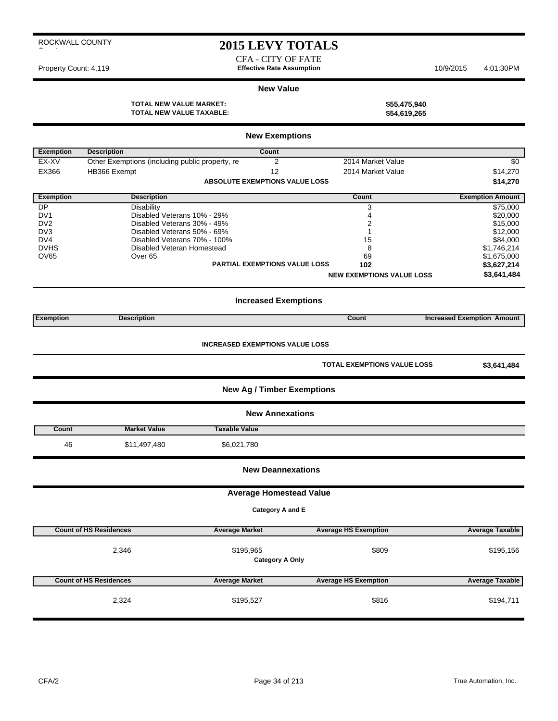|  | ROCKWALL COUNTY |
|--|-----------------|
|  |                 |

### **2015 LEVY TOTALS**

CFA - CITY OF FATE Property Count: 4,119 **Effective Rate Assumption** 10/9/2015 4:01:30PM

#### **New Value**

**TOTAL NEW VALUE MARKET: \$55,475,940 TOTAL NEW VALUE TAXABLE: \$54,619,265**

|                        |                                                             | <b>New Exemptions</b>                  |                                    |                                   |
|------------------------|-------------------------------------------------------------|----------------------------------------|------------------------------------|-----------------------------------|
| <b>Exemption</b>       | <b>Description</b>                                          | Count                                  |                                    |                                   |
| EX-XV                  | Other Exemptions (including public property, re             | 2                                      | 2014 Market Value                  | $\sqrt{6}$                        |
| EX366                  | HB366 Exempt                                                | 12                                     | 2014 Market Value                  | \$14,270                          |
|                        |                                                             | <b>ABSOLUTE EXEMPTIONS VALUE LOSS</b>  |                                    | \$14,270                          |
| <b>Exemption</b>       | <b>Description</b>                                          |                                        | Count                              | <b>Exemption Amount</b>           |
| <b>DP</b>              | <b>Disability</b>                                           |                                        | 3                                  | \$75,000                          |
| DV <sub>1</sub>        | Disabled Veterans 10% - 29%                                 |                                        | 4                                  | \$20,000                          |
| D <sub>V2</sub>        | Disabled Veterans 30% - 49%                                 |                                        | 2                                  | \$15,000                          |
| DV <sub>3</sub><br>DV4 | Disabled Veterans 50% - 69%<br>Disabled Veterans 70% - 100% |                                        | 1<br>15                            | \$12,000<br>\$84,000              |
| <b>DVHS</b>            | Disabled Veteran Homestead                                  |                                        | 8                                  | \$1,746,214                       |
| OV65                   | Over <sub>65</sub>                                          |                                        | 69                                 | \$1,675,000                       |
|                        |                                                             | <b>PARTIAL EXEMPTIONS VALUE LOSS</b>   | 102                                | \$3,627,214                       |
|                        |                                                             |                                        | <b>NEW EXEMPTIONS VALUE LOSS</b>   | \$3,641,484                       |
|                        |                                                             |                                        |                                    |                                   |
|                        |                                                             | <b>Increased Exemptions</b>            |                                    |                                   |
| <b>Exemption</b>       | <b>Description</b>                                          |                                        | Count                              | <b>Increased Exemption Amount</b> |
|                        |                                                             |                                        |                                    |                                   |
|                        |                                                             | <b>INCREASED EXEMPTIONS VALUE LOSS</b> |                                    |                                   |
|                        |                                                             |                                        | <b>TOTAL EXEMPTIONS VALUE LOSS</b> | \$3,641,484                       |
|                        |                                                             | <b>New Ag / Timber Exemptions</b>      |                                    |                                   |
|                        |                                                             | <b>New Annexations</b>                 |                                    |                                   |
| Count                  | <b>Market Value</b>                                         | <b>Taxable Value</b>                   |                                    |                                   |
| 46                     | \$11,497,480                                                | \$6,021,780                            |                                    |                                   |
|                        |                                                             | <b>New Deannexations</b>               |                                    |                                   |
|                        |                                                             | <b>Average Homestead Value</b>         |                                    |                                   |
|                        |                                                             | Category A and E                       |                                    |                                   |
|                        |                                                             |                                        |                                    |                                   |
|                        | <b>Count of HS Residences</b>                               | <b>Average Market</b>                  | <b>Average HS Exemption</b>        | <b>Average Taxable</b>            |
|                        | 2,346                                                       | \$195,965                              | \$809                              | \$195,156                         |
|                        |                                                             | <b>Category A Only</b>                 |                                    |                                   |
|                        | <b>Count of HS Residences</b>                               | <b>Average Market</b>                  | <b>Average HS Exemption</b>        | <b>Average Taxable</b>            |
|                        | 2,324                                                       | \$195,527                              | \$816                              | \$194,711                         |
|                        |                                                             |                                        |                                    |                                   |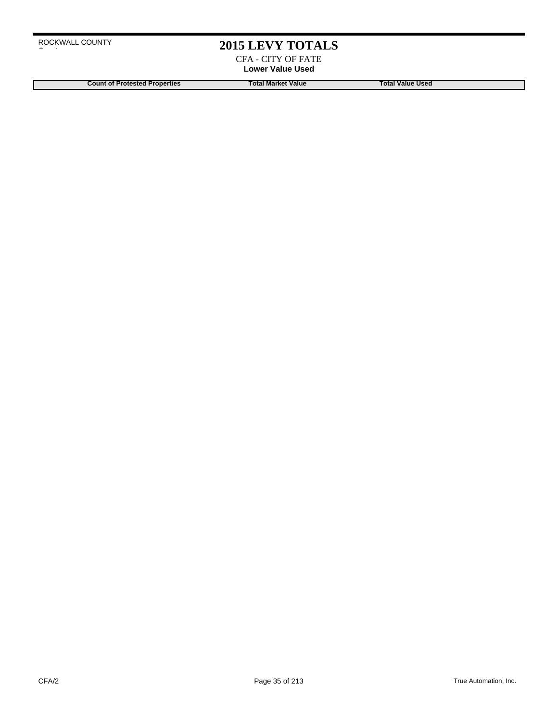### **2015 LEVY TOTALS**

CFA - CITY OF FATE **Lower Value Used**

**Count of Protested Properties Total Market Value Count of Protested Properties Count of Protested Properties**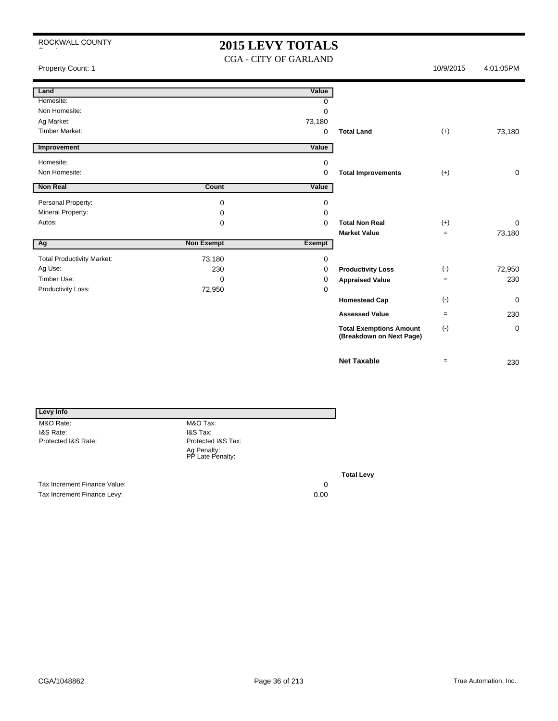### **2015 LEVY TOTALS**

CGA - CITY OF GARLAND

Property Count: 1 10/9/2015 10/9/2015 4:01:05PM

| г<br>Land                         |                   | Value    |                                |           |             |
|-----------------------------------|-------------------|----------|--------------------------------|-----------|-------------|
| Homesite:                         |                   | 0        |                                |           |             |
| Non Homesite:                     |                   | 0        |                                |           |             |
| Ag Market:                        |                   | 73,180   |                                |           |             |
| <b>Timber Market:</b>             |                   | 0        | <b>Total Land</b>              | $(+)$     | 73,180      |
|                                   |                   |          |                                |           |             |
| Improvement                       |                   | Value    |                                |           |             |
| Homesite:                         |                   | 0        |                                |           |             |
| Non Homesite:                     |                   | $\Omega$ | <b>Total Improvements</b>      | $(+)$     | 0           |
| <b>Non Real</b><br>Г              | Count             | Value    |                                |           |             |
| Personal Property:                | 0                 | 0        |                                |           |             |
| Mineral Property:                 | 0                 | 0        |                                |           |             |
| Autos:                            | 0                 | 0        | <b>Total Non Real</b>          | $(+)$     | 0           |
|                                   |                   |          | <b>Market Value</b>            | $=$       | 73,180      |
|                                   | <b>Non Exempt</b> | Exempt   |                                |           |             |
| Ag                                |                   |          |                                |           |             |
| <b>Total Productivity Market:</b> | 73,180            | 0        |                                |           |             |
| Ag Use:                           | 230               | 0        | <b>Productivity Loss</b>       | $(\cdot)$ | 72,950      |
| Timber Use:                       | 0                 | 0        | <b>Appraised Value</b>         | $\equiv$  | 230         |
| Productivity Loss:                | 72,950            | 0        |                                |           |             |
|                                   |                   |          | <b>Homestead Cap</b>           | $(\cdot)$ | $\mathbf 0$ |
|                                   |                   |          | <b>Assessed Value</b>          | $=$       | 230         |
|                                   |                   |          | <b>Total Exemptions Amount</b> | $(-)$     | 0           |
|                                   |                   |          | (Breakdown on Next Page)       |           |             |

| Levy Info                   |                                 |        |
|-----------------------------|---------------------------------|--------|
| M&O Rate:                   | M&O Tax:                        |        |
| I&S Rate:                   | <b>I&amp;S Tax:</b>             |        |
| Protected I&S Rate:         | Protected I&S Tax:              |        |
|                             | Ag Penalty:<br>PP Late Penalty: |        |
|                             |                                 | Τо     |
| Toy Increment Einenge Value |                                 | $\sim$ |

Tax Increment Finance Value: 0<br>
Tax Increment Finance Levy: 0.00<br>
0.00 Tax Increment Finance Levy:

**Total Levy**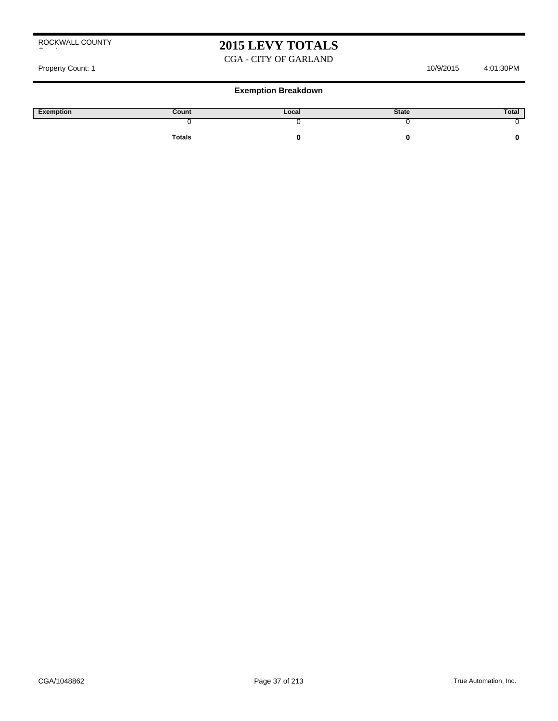### **2015 LEVY TOTALS**

#### CGA - CITY OF GARLAND

Property Count: 1 10/9/2015 4:01:30PM

| Exemption | Count         | Local | <b>State</b> | Total |
|-----------|---------------|-------|--------------|-------|
|           |               |       |              |       |
|           | <b>Totals</b> |       |              |       |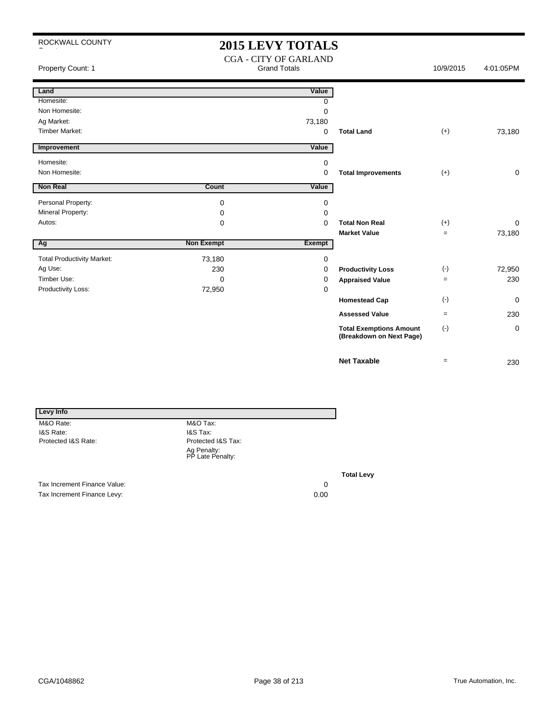### **2015 LEVY TOTALS**

| Property Count: 1                 | <b>CGA - CITY OF GARLAND</b><br><b>Grand Totals</b> |             |                                                            | 10/9/2015 | 4:01:05PM   |
|-----------------------------------|-----------------------------------------------------|-------------|------------------------------------------------------------|-----------|-------------|
| Land                              |                                                     | Value       |                                                            |           |             |
| Homesite:                         |                                                     | 0           |                                                            |           |             |
| Non Homesite:                     |                                                     | 0           |                                                            |           |             |
| Ag Market:                        |                                                     | 73,180      |                                                            |           |             |
| <b>Timber Market:</b>             |                                                     | $\mathbf 0$ | <b>Total Land</b>                                          | $(+)$     | 73,180      |
| Improvement                       |                                                     | Value       |                                                            |           |             |
| Homesite:                         |                                                     | 0           |                                                            |           |             |
| Non Homesite:                     |                                                     | 0           | <b>Total Improvements</b>                                  | $(+)$     | 0           |
| Non Real                          | Count                                               | Value       |                                                            |           |             |
| Personal Property:                | 0                                                   | 0           |                                                            |           |             |
| Mineral Property:                 | 0                                                   | $\Omega$    |                                                            |           |             |
| Autos:                            | 0                                                   | $\Omega$    | <b>Total Non Real</b>                                      | $(+)$     | 0           |
|                                   |                                                     |             | <b>Market Value</b>                                        | $=$       | 73,180      |
| Ag                                | <b>Non Exempt</b>                                   | Exempt      |                                                            |           |             |
| <b>Total Productivity Market:</b> | 73,180                                              | 0           |                                                            |           |             |
| Ag Use:                           | 230                                                 | 0           | <b>Productivity Loss</b>                                   | $(-)$     | 72,950      |
| Timber Use:                       | 0                                                   | 0           | <b>Appraised Value</b>                                     | $=$       | 230         |
| Productivity Loss:                | 72,950                                              | 0           |                                                            |           |             |
|                                   |                                                     |             | <b>Homestead Cap</b>                                       | $(-)$     | $\mathbf 0$ |
|                                   |                                                     |             | <b>Assessed Value</b>                                      | $=$       | 230         |
|                                   |                                                     |             | <b>Total Exemptions Amount</b><br>(Breakdown on Next Page) | $(-)$     | 0           |
|                                   |                                                     |             | <b>Net Taxable</b>                                         | $=$       | 230         |

| Levy Info                    |                                 |    |
|------------------------------|---------------------------------|----|
| M&O Rate:                    | M&O Tax:                        |    |
| I&S Rate:                    | <b>I&amp;S Tax:</b>             |    |
| Protected I&S Rate:          | Protected I&S Tax:              |    |
|                              | Ag Penalty:<br>PP Late Penalty: |    |
|                              |                                 | To |
| Tax Increment Finance Value: |                                 | 0  |

Tax Increment Finance Levy: 0.00

**Total Levy**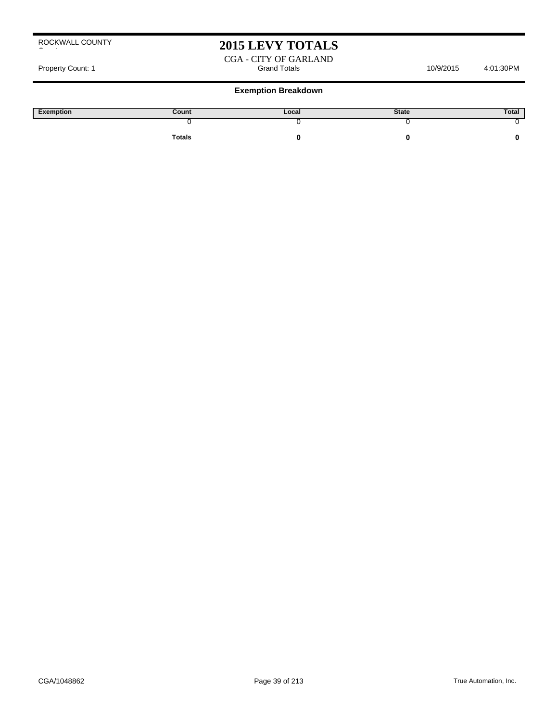### **2015 LEVY TOTALS**

CGA - CITY OF GARLAND<br>Grand Totals Property Count: 1 Count: 1 Count: 1 Count: 1 Count: 1 Count: 1 Count: 1 Count: 1 Count: 1 Count: 1 Count: 1 Count: 1 Count: 1 Count: 1 Count: 1 Count: 1 Count: 1 Count: 1 Count: 1 Count: 1 Count: 1 Count: 1 Count: 1 Count:

| Exemption | Count         | Local | <b>State</b> | Total |
|-----------|---------------|-------|--------------|-------|
|           |               |       |              |       |
|           | <b>Totals</b> |       |              |       |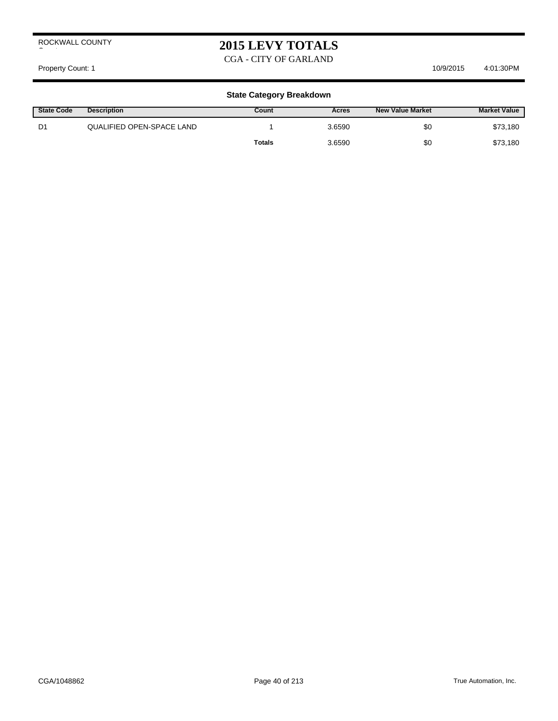### **2015 LEVY TOTALS**

CGA - CITY OF GARLAND

Property Count: 1 10/9/2015 10/9/2015 4:01:30PM

| <b>State Code</b> | <b>Description</b>        | Count  | Acres  | <b>New Value Market</b> | <b>Market Value</b> |
|-------------------|---------------------------|--------|--------|-------------------------|---------------------|
| D1                | QUALIFIED OPEN-SPACE LAND |        | 3.6590 | \$0                     | \$73,180            |
|                   |                           | Totals | 3.6590 | \$0                     | \$73,180            |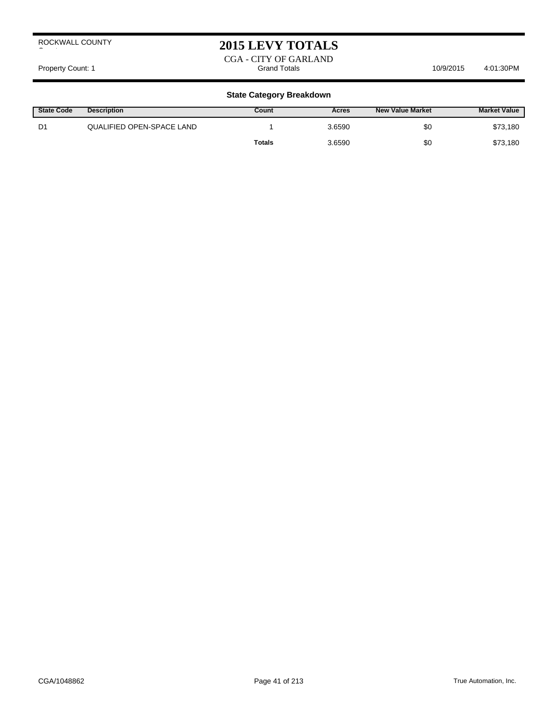### **2015 LEVY TOTALS**

CGA - CITY OF GARLAND<br>Grand Totals Property Count: 1 Count: 1 Count: 1 Count: 1 Count: 1 Count: 1 Count: 1 Count: 1 Count: 1 Count: 1 Count: 1 Count: 1 Count: 1 Count: 1 Count: 1 Count: 1 Count: 1 Count: 1 Count: 1 Count: 1 Count: 1 Count: 1 Count: 1 Count:

| <b>State Code</b> | <b>Description</b>        | Count         | Acres  | New Value Market | <b>Market Value</b> |
|-------------------|---------------------------|---------------|--------|------------------|---------------------|
| D1                | QUALIFIED OPEN-SPACE LAND |               | 3.6590 | \$0              | \$73,180            |
|                   |                           | <b>Totals</b> | 3.6590 | \$0              | \$73,180            |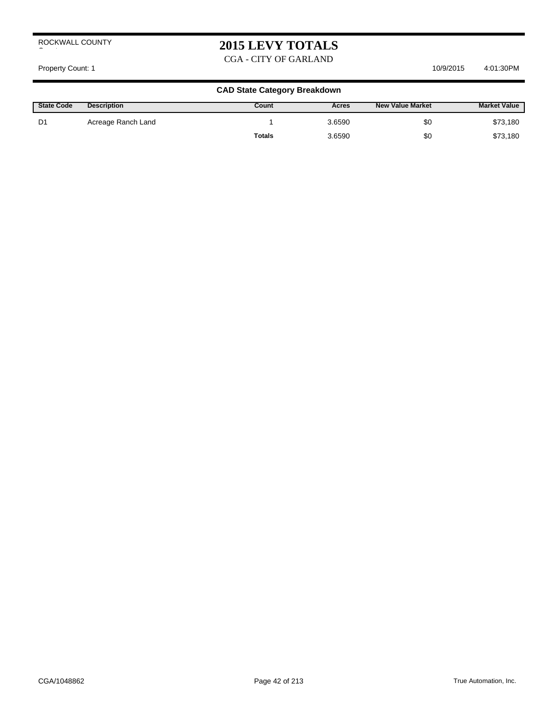## **2015 LEVY TOTALS**

CGA - CITY OF GARLAND

#### Property Count: 1 10/9/2015 10/9/2015 4:01:30 PM

| <b>State Code</b> | <b>Description</b> | Count         | Acres  | <b>New Value Market</b> | <b>Market Value</b> |
|-------------------|--------------------|---------------|--------|-------------------------|---------------------|
| D1                | Acreage Ranch Land |               | 3.6590 | \$0                     | \$73,180            |
|                   |                    | <b>Totals</b> | 3.6590 | \$0                     | \$73,180            |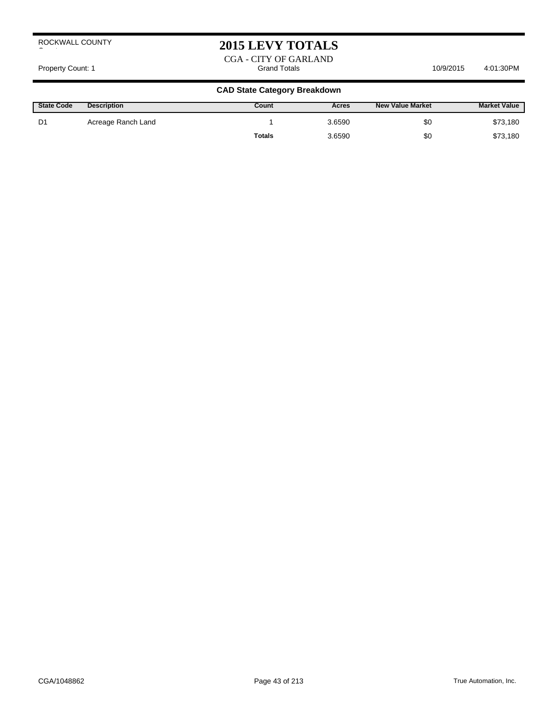### **2015 LEVY TOTALS**

CGA - CITY OF GARLAND<br>Grand Totals Property Count: 1 Count: 1 Count: 1 Count: 1 Count: 1 Count: 1 Count: 1 Count: 1 Count: 1 Count: 1 Count: 1 Count: 1 Count: 1 Count: 1 Count: 1 Count: 1 Count: 1 Count: 1 Count: 1 Count: 1 Count: 1 Count: 1 Count: 1 Count:

| <b>State Code</b> | <b>Description</b> | Count         | Acres  | <b>New Value Market</b> | <b>Market Value</b> |
|-------------------|--------------------|---------------|--------|-------------------------|---------------------|
| D1                | Acreage Ranch Land |               | 3.6590 | \$0                     | \$73,180            |
|                   |                    | <b>Totals</b> | 3.6590 | \$0                     | \$73,180            |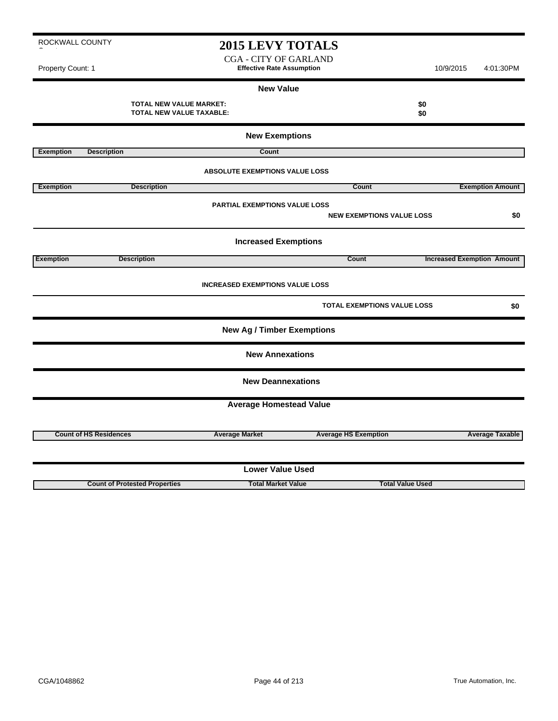CGA - CITY OF GARLAND Property Count: 1 **Effective Rate Assumption Effective Rate Assumption** 10/9/2015 4:01:30PM

#### **New Value**

**TOTAL NEW VALUE MARKET: \$0 TOTAL NEW VALUE TAXABLE: \$0**

|                  |                                      | <b>New Exemptions</b>                  |                                    |                                   |  |  |
|------------------|--------------------------------------|----------------------------------------|------------------------------------|-----------------------------------|--|--|
| <b>Exemption</b> | <b>Description</b>                   | Count                                  |                                    |                                   |  |  |
|                  |                                      | <b>ABSOLUTE EXEMPTIONS VALUE LOSS</b>  |                                    |                                   |  |  |
| <b>Exemption</b> | <b>Description</b>                   |                                        | <b>Count</b>                       | <b>Exemption Amount</b>           |  |  |
|                  |                                      | <b>PARTIAL EXEMPTIONS VALUE LOSS</b>   | <b>NEW EXEMPTIONS VALUE LOSS</b>   | \$0                               |  |  |
|                  |                                      | <b>Increased Exemptions</b>            |                                    |                                   |  |  |
| <b>Exemption</b> | <b>Description</b>                   |                                        | Count                              | <b>Increased Exemption Amount</b> |  |  |
|                  |                                      | <b>INCREASED EXEMPTIONS VALUE LOSS</b> |                                    |                                   |  |  |
|                  |                                      |                                        | <b>TOTAL EXEMPTIONS VALUE LOSS</b> | \$0                               |  |  |
|                  |                                      | <b>New Ag / Timber Exemptions</b>      |                                    |                                   |  |  |
|                  |                                      | <b>New Annexations</b>                 |                                    |                                   |  |  |
|                  |                                      | <b>New Deannexations</b>               |                                    |                                   |  |  |
|                  |                                      | <b>Average Homestead Value</b>         |                                    |                                   |  |  |
|                  | <b>Count of HS Residences</b>        | <b>Average Market</b>                  | <b>Average HS Exemption</b>        | <b>Average Taxable</b>            |  |  |
|                  |                                      |                                        |                                    |                                   |  |  |
|                  | <b>Lower Value Used</b>              |                                        |                                    |                                   |  |  |
|                  | <b>Count of Protested Properties</b> | <b>Total Market Value</b>              | <b>Total Value Used</b>            |                                   |  |  |

ROCKWALL COUNTY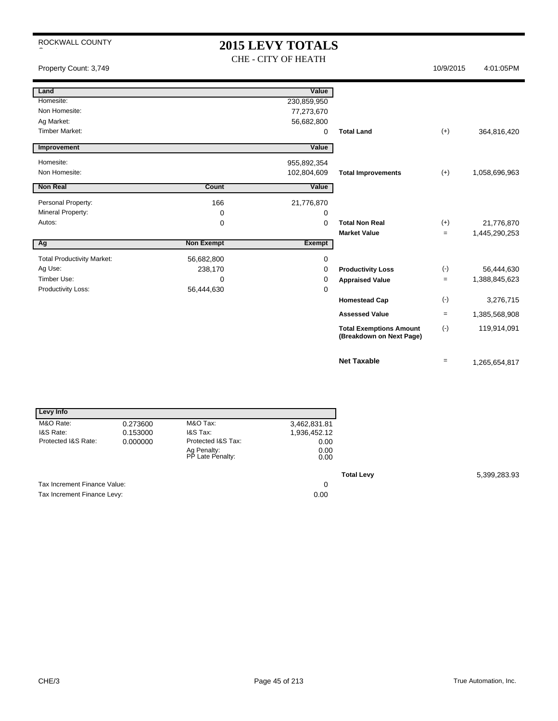### **2015 LEVY TOTALS** CHE - CITY OF HEATH

Property Count: 3,749 10/9/2015 4:01:05PM

| Land                              |                   | Value         |                                                            |                   |               |
|-----------------------------------|-------------------|---------------|------------------------------------------------------------|-------------------|---------------|
| Homesite:                         |                   | 230,859,950   |                                                            |                   |               |
| Non Homesite:                     |                   | 77,273,670    |                                                            |                   |               |
| Ag Market:                        |                   | 56,682,800    |                                                            |                   |               |
| <b>Timber Market:</b>             |                   | 0             | <b>Total Land</b>                                          | $(+)$             | 364,816,420   |
| Improvement                       |                   | Value         |                                                            |                   |               |
|                                   |                   |               |                                                            |                   |               |
| Homesite:                         |                   | 955,892,354   |                                                            |                   |               |
| Non Homesite:                     |                   | 102,804,609   | <b>Total Improvements</b>                                  | $(+)$             | 1,058,696,963 |
| <b>Non Real</b>                   | Count             | Value         |                                                            |                   |               |
|                                   |                   |               |                                                            |                   |               |
| Personal Property:                | 166               | 21,776,870    |                                                            |                   |               |
| Mineral Property:                 | 0                 | 0             |                                                            |                   |               |
| Autos:                            | 0                 | $\Omega$      | <b>Total Non Real</b>                                      | $(+)$             | 21,776,870    |
|                                   |                   |               | <b>Market Value</b>                                        | $=$               | 1,445,290,253 |
| Ag                                | <b>Non Exempt</b> | <b>Exempt</b> |                                                            |                   |               |
| <b>Total Productivity Market:</b> | 56,682,800        | 0             |                                                            |                   |               |
| Ag Use:                           | 238,170           | 0             | <b>Productivity Loss</b>                                   | $(-)$             | 56,444,630    |
| Timber Use:                       | 0                 | 0             | <b>Appraised Value</b>                                     | $\qquad \qquad =$ | 1,388,845,623 |
| Productivity Loss:                | 56,444,630        | 0             |                                                            |                   |               |
|                                   |                   |               | <b>Homestead Cap</b>                                       | $(\cdot)$         | 3,276,715     |
|                                   |                   |               | <b>Assessed Value</b>                                      | $\qquad \qquad =$ | 1,385,568,908 |
|                                   |                   |               |                                                            |                   |               |
|                                   |                   |               | <b>Total Exemptions Amount</b><br>(Breakdown on Next Page) | $(-)$             | 119,914,091   |
|                                   |                   |               | <b>Net Taxable</b>                                         | $\qquad \qquad =$ | 1,265,654,817 |

| Levy Info                    |          |                                 |              |
|------------------------------|----------|---------------------------------|--------------|
| M&O Rate:                    | 0.273600 | M&O Tax:                        | 3,462,831.81 |
| I&S Rate:                    | 0.153000 | <b>I&amp;S Tax:</b>             | 1,936,452.12 |
| Protected I&S Rate:          | 0.000000 | Protected I&S Tax:              | 0.00         |
|                              |          | Ag Penalty:<br>PP Late Penalty: | 0.00<br>0.00 |
|                              |          |                                 |              |
| Tax Increment Finance Value: |          |                                 | 0            |
| Tax Increment Finance Levy:  |          |                                 | 0.00         |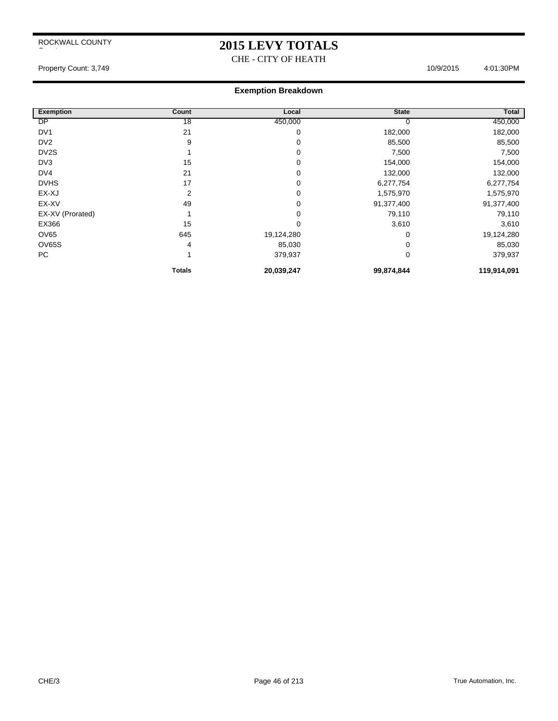### **2015 LEVY TOTALS**

CHE - CITY OF HEATH

#### Property Count: 3,749 4:01:30PM

| <b>Exemption</b>  | Count           | Local      | <b>State</b> | Total       |
|-------------------|-----------------|------------|--------------|-------------|
| <b>DP</b>         | $\overline{18}$ | 450,000    | υ            | 450,000     |
| DV <sub>1</sub>   | 21              | 0          | 182,000      | 182,000     |
| DV <sub>2</sub>   | 9               | 0          | 85,500       | 85,500      |
| DV <sub>2</sub> S |                 | 0          | 7,500        | 7,500       |
| DV3               | 15              | 0          | 154,000      | 154,000     |
| DV4               | 21              | 0          | 132,000      | 132,000     |
| <b>DVHS</b>       | 17              | 0          | 6,277,754    | 6,277,754   |
| EX-XJ             | $\overline{2}$  | 0          | 1,575,970    | 1,575,970   |
| EX-XV             | 49              | 0          | 91,377,400   | 91,377,400  |
| EX-XV (Prorated)  |                 | 0          | 79,110       | 79,110      |
| EX366             | 15              | 0          | 3,610        | 3,610       |
| OV65              | 645             | 19,124,280 | 0            | 19,124,280  |
| <b>OV65S</b>      | 4               | 85,030     | 0            | 85,030      |
| PC                |                 | 379,937    | 0            | 379,937     |
|                   | <b>Totals</b>   | 20,039,247 | 99,874,844   | 119,914,091 |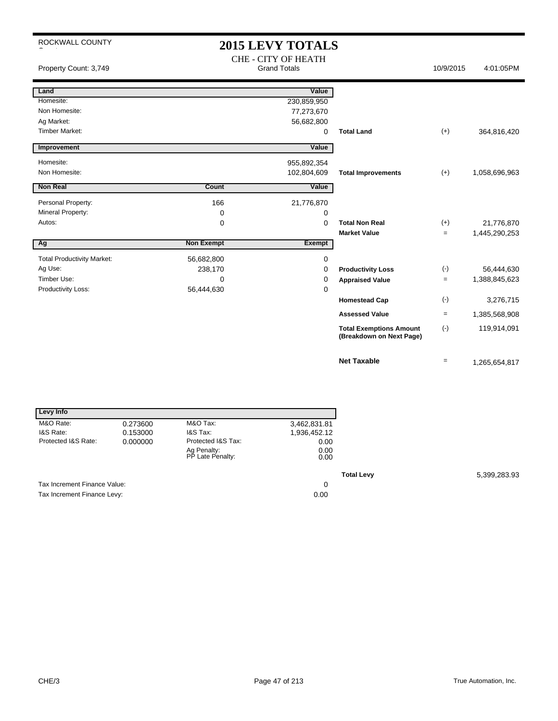# **2015 LEVY TOTALS**

| Property Count: 3,749             | <b>CHE - CITY OF HEATH</b><br><b>Grand Totals</b> |             |                                                            | 10/9/2015 | 4:01:05PM     |
|-----------------------------------|---------------------------------------------------|-------------|------------------------------------------------------------|-----------|---------------|
| Land                              |                                                   | Value       |                                                            |           |               |
| Homesite:                         |                                                   | 230,859,950 |                                                            |           |               |
| Non Homesite:                     |                                                   | 77,273,670  |                                                            |           |               |
| Ag Market:                        |                                                   | 56,682,800  |                                                            |           |               |
| <b>Timber Market:</b>             |                                                   | 0           | <b>Total Land</b>                                          | $(+)$     | 364,816,420   |
| Improvement                       |                                                   | Value       |                                                            |           |               |
| Homesite:                         |                                                   | 955,892,354 |                                                            |           |               |
| Non Homesite:                     |                                                   | 102,804,609 | <b>Total Improvements</b>                                  | $(+)$     | 1,058,696,963 |
| <b>Non Real</b>                   | <b>Count</b>                                      | Value       |                                                            |           |               |
| Personal Property:                | 166                                               | 21,776,870  |                                                            |           |               |
| Mineral Property:                 | 0                                                 | 0           |                                                            |           |               |
| Autos:                            | 0                                                 | $\Omega$    | <b>Total Non Real</b>                                      | $(+)$     | 21,776,870    |
|                                   |                                                   |             | <b>Market Value</b>                                        | $=$       | 1,445,290,253 |
| Ag                                | <b>Non Exempt</b>                                 | Exempt      |                                                            |           |               |
| <b>Total Productivity Market:</b> | 56,682,800                                        | 0           |                                                            |           |               |
| Ag Use:                           | 238,170                                           | 0           | <b>Productivity Loss</b>                                   | $(\cdot)$ | 56,444,630    |
| Timber Use:                       | 0                                                 | 0           | <b>Appraised Value</b>                                     | $=$       | 1,388,845,623 |
| Productivity Loss:                | 56,444,630                                        | 0           |                                                            |           |               |
|                                   |                                                   |             | <b>Homestead Cap</b>                                       | $(-)$     | 3,276,715     |
|                                   |                                                   |             | <b>Assessed Value</b>                                      | $=$       | 1,385,568,908 |
|                                   |                                                   |             | <b>Total Exemptions Amount</b><br>(Breakdown on Next Page) | $(-)$     | 119,914,091   |
|                                   |                                                   |             | <b>Net Taxable</b>                                         | $=$       | 1,265,654,817 |

| Levy Info                    |          |                                 |              |
|------------------------------|----------|---------------------------------|--------------|
| M&O Rate:                    | 0.273600 | M&O Tax:                        | 3,462,831.81 |
| I&S Rate:                    | 0.153000 | I&S Tax:                        | 1,936,452.12 |
| Protected I&S Rate:          | 0.000000 | Protected I&S Tax:              | 0.00         |
|                              |          | Ag Penalty:<br>PP Late Penalty: | 0.00<br>0.00 |
|                              |          |                                 |              |
| Tax Increment Finance Value: |          |                                 | 0            |
| Tax Increment Finance Levy:  |          |                                 | 0.00         |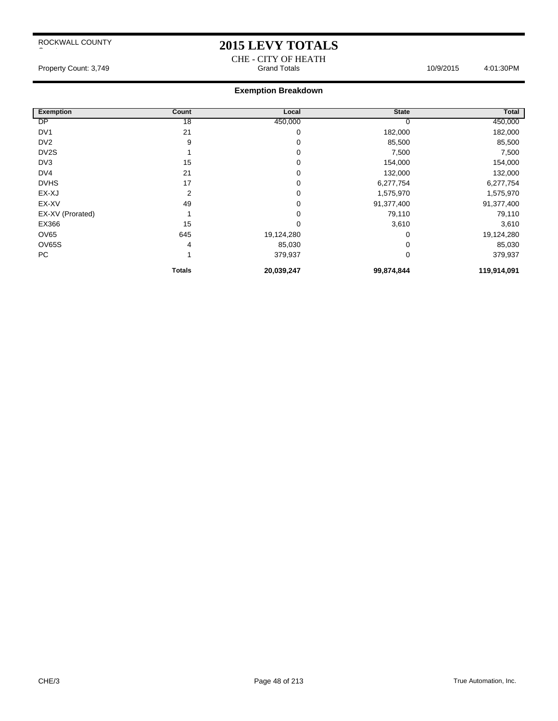### **2015 LEVY TOTALS**

CHE - CITY OF HEATH Property Count: 3,749 **Access 10:03:00 Property Count: 3,749** Grand Totals 10/9/2015 4:01:30PM

| <b>Exemption</b>  | Count           | Local      | <b>State</b> | Total       |
|-------------------|-----------------|------------|--------------|-------------|
| DP                | $\overline{18}$ | 450,000    | υ            | 450,000     |
| DV <sub>1</sub>   | 21              | 0          | 182,000      | 182,000     |
| DV <sub>2</sub>   | 9               | 0          | 85,500       | 85,500      |
| DV <sub>2</sub> S |                 | 0          | 7,500        | 7,500       |
| DV3               | 15              | 0          | 154,000      | 154,000     |
| DV4               | 21              | 0          | 132,000      | 132,000     |
| <b>DVHS</b>       | 17              | 0          | 6,277,754    | 6,277,754   |
| EX-XJ             | 2               | 0          | 1,575,970    | 1,575,970   |
| EX-XV             | 49              | 0          | 91,377,400   | 91,377,400  |
| EX-XV (Prorated)  |                 | 0          | 79,110       | 79,110      |
| EX366             | 15              | 0          | 3,610        | 3,610       |
| OV65              | 645             | 19,124,280 | 0            | 19,124,280  |
| OV65S             | 4               | 85,030     | 0            | 85,030      |
| PC                |                 | 379,937    | 0            | 379,937     |
|                   | <b>Totals</b>   | 20,039,247 | 99,874,844   | 119,914,091 |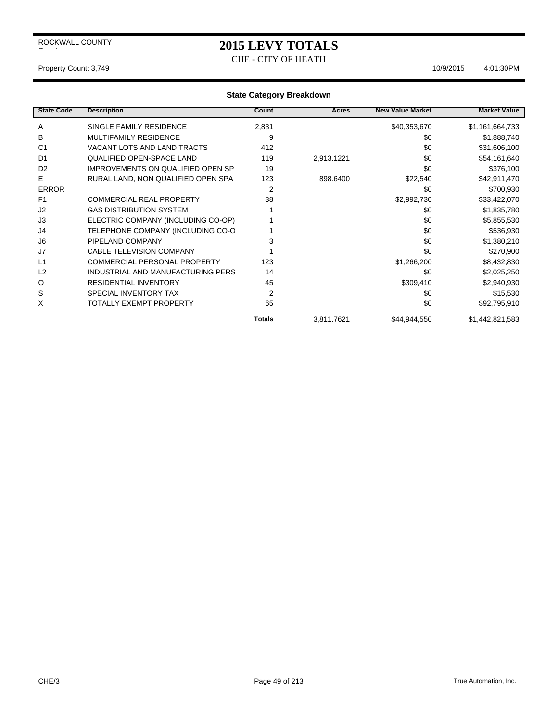CHE - CITY OF HEATH

Property Count: 3,749 10/9/2015 4:01:30 PM

| <b>State Code</b> | <b>Description</b>                       | Count         | Acres      | <b>New Value Market</b> | <b>Market Value</b> |
|-------------------|------------------------------------------|---------------|------------|-------------------------|---------------------|
| A                 | SINGLE FAMILY RESIDENCE                  | 2,831         |            | \$40,353,670            | \$1,161,664,733     |
| B                 | <b>MULTIFAMILY RESIDENCE</b>             | 9             |            | \$0                     | \$1,888,740         |
| C <sub>1</sub>    | VACANT LOTS AND LAND TRACTS              | 412           |            | \$0                     | \$31,606,100        |
| D <sub>1</sub>    | <b>QUALIFIED OPEN-SPACE LAND</b>         | 119           | 2,913.1221 | \$0                     | \$54,161,640        |
| D <sub>2</sub>    | <b>IMPROVEMENTS ON QUALIFIED OPEN SP</b> | 19            |            | \$0                     | \$376,100           |
| E.                | RURAL LAND, NON QUALIFIED OPEN SPA       | 123           | 898.6400   | \$22,540                | \$42,911,470        |
| <b>ERROR</b>      |                                          | 2             |            | \$0                     | \$700,930           |
| F1                | <b>COMMERCIAL REAL PROPERTY</b>          | 38            |            | \$2,992,730             | \$33,422,070        |
| J2                | <b>GAS DISTRIBUTION SYSTEM</b>           |               |            | \$0                     | \$1,835,780         |
| J3                | ELECTRIC COMPANY (INCLUDING CO-OP)       |               |            | \$0                     | \$5,855,530         |
| J4                | TELEPHONE COMPANY (INCLUDING CO-O        |               |            | \$0                     | \$536,930           |
| J <sub>6</sub>    | PIPELAND COMPANY                         | 3             |            | \$0                     | \$1,380,210         |
| J7                | <b>CABLE TELEVISION COMPANY</b>          |               |            | \$0                     | \$270,900           |
| L1                | <b>COMMERCIAL PERSONAL PROPERTY</b>      | 123           |            | \$1,266,200             | \$8,432,830         |
| L2                | INDUSTRIAL AND MANUFACTURING PERS        | 14            |            | \$0                     | \$2,025,250         |
| O                 | <b>RESIDENTIAL INVENTORY</b>             | 45            |            | \$309,410               | \$2,940,930         |
| S                 | SPECIAL INVENTORY TAX                    | 2             |            | \$0                     | \$15,530            |
| X                 | <b>TOTALLY EXEMPT PROPERTY</b>           | 65            |            | \$0                     | \$92,795,910        |
|                   |                                          | <b>Totals</b> | 3,811.7621 | \$44,944,550            | \$1,442,821,583     |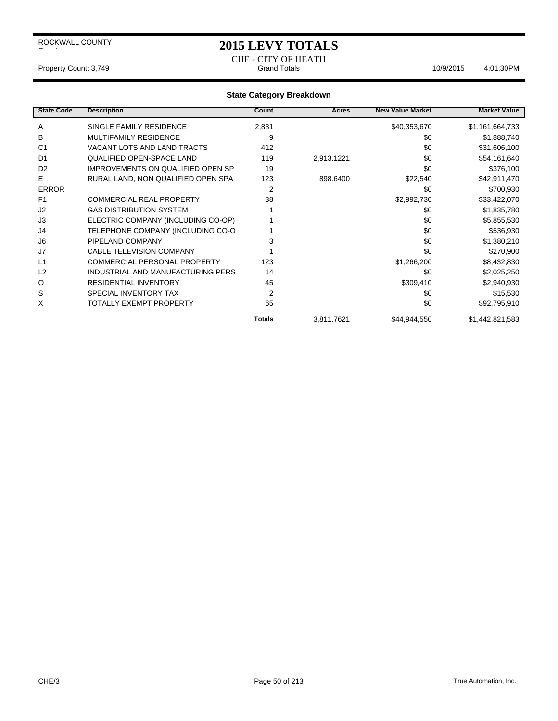### **2015 LEVY TOTALS**

CHE - CITY OF HEATH<br>Grand Totals Property Count: 3,749 **Count: 3,749** Crand Totals Crand Totals 10/9/2015 4:01:30PM

| <b>State Code</b> | <b>Description</b>                       | Count          | Acres      | <b>New Value Market</b> | <b>Market Value</b> |
|-------------------|------------------------------------------|----------------|------------|-------------------------|---------------------|
| A                 | SINGLE FAMILY RESIDENCE                  | 2,831          |            | \$40,353,670            | \$1,161,664,733     |
| B                 | <b>MULTIFAMILY RESIDENCE</b>             | 9              |            | \$0                     | \$1,888,740         |
| C <sub>1</sub>    | VACANT LOTS AND LAND TRACTS              | 412            |            | \$0                     | \$31,606,100        |
| D <sub>1</sub>    | <b>QUALIFIED OPEN-SPACE LAND</b>         | 119            | 2,913.1221 | \$0                     | \$54,161,640        |
| D <sub>2</sub>    | <b>IMPROVEMENTS ON QUALIFIED OPEN SP</b> | 19             |            | \$0                     | \$376,100           |
| E.                | RURAL LAND, NON QUALIFIED OPEN SPA       | 123            | 898.6400   | \$22,540                | \$42,911,470        |
| <b>ERROR</b>      |                                          | $\overline{2}$ |            | \$0                     | \$700,930           |
| F <sub>1</sub>    | <b>COMMERCIAL REAL PROPERTY</b>          | 38             |            | \$2,992,730             | \$33,422,070        |
| J <sub>2</sub>    | <b>GAS DISTRIBUTION SYSTEM</b>           |                |            | \$0                     | \$1,835,780         |
| J3                | ELECTRIC COMPANY (INCLUDING CO-OP)       |                |            | \$0                     | \$5,855,530         |
| J4                | TELEPHONE COMPANY (INCLUDING CO-O        |                |            | \$0                     | \$536,930           |
| J6                | PIPELAND COMPANY                         | 3              |            | \$0                     | \$1,380,210         |
| J7                | <b>CABLE TELEVISION COMPANY</b>          |                |            | \$0                     | \$270,900           |
| L1                | COMMERCIAL PERSONAL PROPERTY             | 123            |            | \$1,266,200             | \$8,432,830         |
| L2                | INDUSTRIAL AND MANUFACTURING PERS        | 14             |            | \$0                     | \$2,025,250         |
| O                 | <b>RESIDENTIAL INVENTORY</b>             | 45             |            | \$309,410               | \$2,940,930         |
| S                 | SPECIAL INVENTORY TAX                    | $\overline{2}$ |            | \$0                     | \$15,530            |
| X                 | <b>TOTALLY EXEMPT PROPERTY</b>           | 65             |            | \$0                     | \$92,795,910        |
|                   |                                          | <b>Totals</b>  | 3,811.7621 | \$44,944,550            | \$1,442,821,583     |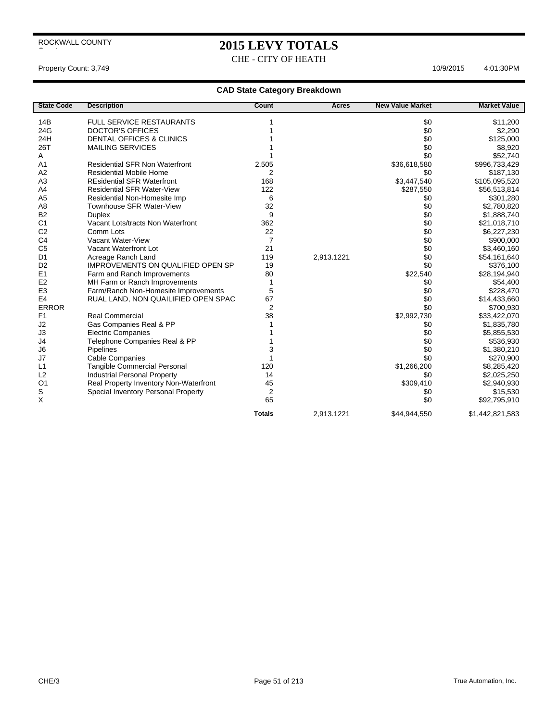CHE - CITY OF HEATH

Property Count: 3,749 10/9/2015 4:01:30 PM

| <b>State Code</b> | <b>Description</b>                       | Count          | <b>Acres</b> | <b>New Value Market</b> | <b>Market Value</b> |
|-------------------|------------------------------------------|----------------|--------------|-------------------------|---------------------|
| 14B               | <b>FULL SERVICE RESTAURANTS</b>          |                |              | \$0                     | \$11,200            |
| 24G               | <b>DOCTOR'S OFFICES</b>                  |                |              | \$0                     | \$2,290             |
| 24H               | <b>DENTAL OFFICES &amp; CLINICS</b>      |                |              | \$0                     | \$125,000           |
| 26T               | <b>MAILING SERVICES</b>                  |                |              | \$0                     | \$8,920             |
| A                 |                                          |                |              | \$0                     | \$52,740            |
| A <sub>1</sub>    | <b>Residential SFR Non Waterfront</b>    | 2,505          |              | \$36,618,580            | \$996,733,429       |
| A2                | <b>Residential Mobile Home</b>           | 2              |              | \$0                     | \$187,130           |
| A3                | <b>REsidential SFR Waterfront</b>        | 168            |              | \$3,447,540             | \$105,095,520       |
| A <sub>4</sub>    | <b>Residential SFR Water-View</b>        | 122            |              | \$287,550               | \$56,513,814        |
| A <sub>5</sub>    | Residential Non-Homesite Imp             | 6              |              | \$0                     | \$301,280           |
| A <sub>8</sub>    | Townhouse SFR Water-View                 | 32             |              | \$0                     | \$2,780,820         |
| <b>B2</b>         | <b>Duplex</b>                            | 9              |              | \$0                     | \$1,888,740         |
| C <sub>1</sub>    | Vacant Lots/tracts Non Waterfront        | 362            |              | \$0                     | \$21,018,710        |
| C <sub>2</sub>    | Comm Lots                                | 22             |              | \$0                     | \$6,227,230         |
| C <sub>4</sub>    | Vacant Water-View                        | $\overline{7}$ |              | \$0                     | \$900,000           |
| C <sub>5</sub>    | Vacant Waterfront Lot                    | 21             |              | \$0                     | \$3,460,160         |
| D <sub>1</sub>    | Acreage Ranch Land                       | 119            | 2,913.1221   | \$0                     | \$54,161,640        |
| D <sub>2</sub>    | <b>IMPROVEMENTS ON QUALIFIED OPEN SP</b> | 19             |              | \$0                     | \$376,100           |
| E <sub>1</sub>    | Farm and Ranch Improvements              | 80             |              | \$22,540                | \$28,194,940        |
| E <sub>2</sub>    | MH Farm or Ranch Improvements            | 1              |              | \$0                     | \$54,400            |
| E <sub>3</sub>    | Farm/Ranch Non-Homesite Improvements     | 5              |              | \$0                     | \$228,470           |
| E <sub>4</sub>    | RUAL LAND, NON QUAILIFIED OPEN SPAC      | 67             |              | \$0                     | \$14,433,660        |
| <b>ERROR</b>      |                                          | $\overline{2}$ |              | \$0                     | \$700,930           |
| F <sub>1</sub>    | <b>Real Commercial</b>                   | 38             |              | \$2,992,730             | \$33,422,070        |
| J2                | Gas Companies Real & PP                  |                |              | \$0                     | \$1,835,780         |
| J3                | <b>Electric Companies</b>                |                |              | \$0                     | \$5,855,530         |
| J4                | Telephone Companies Real & PP            |                |              | \$0                     | \$536,930           |
| J6                | Pipelines                                | 3              |              | \$0                     | \$1,380,210         |
| J7                | <b>Cable Companies</b>                   | 1              |              | \$0                     | \$270,900           |
| L1                | <b>Tangible Commercial Personal</b>      | 120            |              | \$1,266,200             | \$8,285,420         |
| L2                | <b>Industrial Personal Property</b>      | 14             |              | \$0                     | \$2,025,250         |
| O <sub>1</sub>    | Real Property Inventory Non-Waterfront   | 45             |              | \$309,410               | \$2,940,930         |
| S                 | Special Inventory Personal Property      | 2              |              | \$0                     | \$15,530            |
| X                 |                                          | 65             |              | \$0                     | \$92,795,910        |
|                   |                                          | <b>Totals</b>  | 2,913.1221   | \$44,944,550            | \$1,442,821,583     |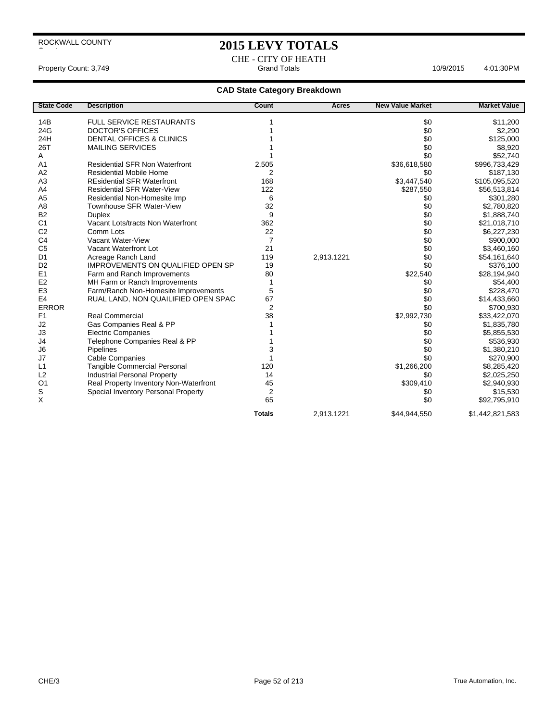CHE - CITY OF HEATH<br>Grand Totals Property Count: 3,749 **Accord Property Count: 3,749** Grand Totals **Grand Totals Accord Property Count: 3,749 Accord Property Count: 3,749 Accord Property Count: 3,749 Accord Property Count: 3,749 Accord Property** 

| <b>State Code</b> | <b>Description</b>                       | Count          | <b>Acres</b> | <b>New Value Market</b> | <b>Market Value</b> |
|-------------------|------------------------------------------|----------------|--------------|-------------------------|---------------------|
| 14B               | <b>FULL SERVICE RESTAURANTS</b>          |                |              | \$0                     | \$11,200            |
| 24G               | <b>DOCTOR'S OFFICES</b>                  |                |              | \$0                     | \$2,290             |
| 24H               | <b>DENTAL OFFICES &amp; CLINICS</b>      |                |              | \$0                     | \$125,000           |
| 26T               | <b>MAILING SERVICES</b>                  |                |              | \$0                     | \$8,920             |
| Α                 |                                          |                |              | \$0                     | \$52,740            |
| A <sub>1</sub>    | <b>Residential SFR Non Waterfront</b>    | 2,505          |              | \$36,618,580            | \$996,733,429       |
| A2                | <b>Residential Mobile Home</b>           | 2              |              | \$0                     | \$187,130           |
| A <sub>3</sub>    | <b>REsidential SFR Waterfront</b>        | 168            |              | \$3,447,540             | \$105,095,520       |
| A <sub>4</sub>    | <b>Residential SFR Water-View</b>        | 122            |              | \$287,550               | \$56,513,814        |
| A <sub>5</sub>    | Residential Non-Homesite Imp             | 6              |              | \$0                     | \$301,280           |
| A <sub>8</sub>    | Townhouse SFR Water-View                 | 32             |              | \$0                     | \$2,780,820         |
| B <sub>2</sub>    | <b>Duplex</b>                            | 9              |              | \$0                     | \$1,888,740         |
| C <sub>1</sub>    | Vacant Lots/tracts Non Waterfront        | 362            |              | \$0                     | \$21,018,710        |
| C <sub>2</sub>    | Comm Lots                                | 22             |              | \$0                     | \$6,227,230         |
| C <sub>4</sub>    | Vacant Water-View                        | $\overline{7}$ |              | \$0                     | \$900,000           |
| C <sub>5</sub>    | Vacant Waterfront Lot                    | 21             |              | \$0                     | \$3,460,160         |
| D <sub>1</sub>    | Acreage Ranch Land                       | 119            | 2,913.1221   | \$0                     | \$54,161,640        |
| D <sub>2</sub>    | <b>IMPROVEMENTS ON QUALIFIED OPEN SP</b> | 19             |              | \$0                     | \$376,100           |
| E1                | Farm and Ranch Improvements              | 80             |              | \$22,540                | \$28,194,940        |
| E <sub>2</sub>    | MH Farm or Ranch Improvements            | 1              |              | \$0                     | \$54,400            |
| E <sub>3</sub>    | Farm/Ranch Non-Homesite Improvements     | 5              |              | \$0                     | \$228,470           |
| E <sub>4</sub>    | RUAL LAND, NON QUAILIFIED OPEN SPAC      | 67             |              | \$0                     | \$14,433,660        |
| <b>ERROR</b>      |                                          | 2              |              | \$0                     | \$700,930           |
| F <sub>1</sub>    | <b>Real Commercial</b>                   | 38             |              | \$2,992,730             | \$33,422,070        |
| J2                | Gas Companies Real & PP                  |                |              | \$0                     | \$1,835,780         |
| J3                | <b>Electric Companies</b>                |                |              | \$0                     | \$5,855,530         |
| J4                | Telephone Companies Real & PP            |                |              | \$0                     | \$536,930           |
| J6                | Pipelines                                | 3              |              | \$0                     | \$1,380,210         |
| J7                | <b>Cable Companies</b>                   |                |              | \$0                     | \$270,900           |
| L1                | <b>Tangible Commercial Personal</b>      | 120            |              | \$1,266,200             | \$8,285,420         |
| L2                | <b>Industrial Personal Property</b>      | 14             |              | \$0                     | \$2,025,250         |
| O <sub>1</sub>    | Real Property Inventory Non-Waterfront   | 45             |              | \$309,410               | \$2,940,930         |
| S                 | Special Inventory Personal Property      | 2              |              | \$0                     | \$15,530            |
| X                 |                                          | 65             |              | \$0                     | \$92,795,910        |
|                   |                                          | <b>Totals</b>  | 2.913.1221   | \$44,944,550            | \$1,442,821,583     |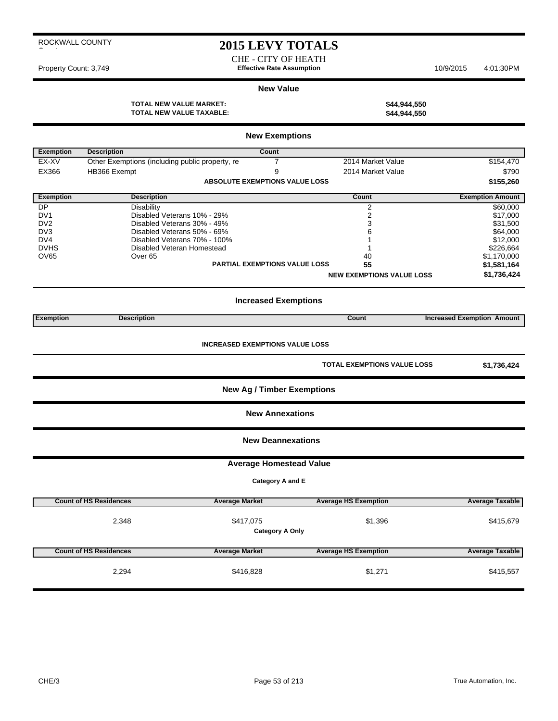CHE - CITY OF HEATH Property Count: 3,749 **Effective Rate Assumption** 10/9/2015 4:01:30PM

#### **New Value**

**TOTAL NEW VALUE MARKET: \$44,944,550 TOTAL NEW VALUE TAXABLE: \$44,944,550**

| \$44,944,55 |
|-------------|
| \$44,944,55 |

|                  | <b>New Exemptions</b>                                                                       |                                       |                                  |                                   |  |  |  |
|------------------|---------------------------------------------------------------------------------------------|---------------------------------------|----------------------------------|-----------------------------------|--|--|--|
| Exemption        | <b>Description</b>                                                                          | Count                                 |                                  |                                   |  |  |  |
| EX-XV            | Other Exemptions (including public property, re                                             | $\overline{7}$                        | 2014 Market Value                | \$154,470                         |  |  |  |
| EX366            | HB366 Exempt                                                                                | 9                                     | 2014 Market Value                | \$790                             |  |  |  |
|                  |                                                                                             | <b>ABSOLUTE EXEMPTIONS VALUE LOSS</b> |                                  | \$155,260                         |  |  |  |
|                  |                                                                                             |                                       |                                  |                                   |  |  |  |
| <b>Exemption</b> | <b>Description</b>                                                                          |                                       | Count                            | <b>Exemption Amount</b>           |  |  |  |
| DP               | <b>Disability</b>                                                                           |                                       | $\overline{2}$                   | \$60,000                          |  |  |  |
| DV <sub>1</sub>  | Disabled Veterans 10% - 29%                                                                 |                                       | $\overline{2}$                   | \$17,000                          |  |  |  |
| DV <sub>2</sub>  | Disabled Veterans 30% - 49%                                                                 |                                       | 3                                | \$31,500                          |  |  |  |
| DV <sub>3</sub>  | Disabled Veterans 50% - 69%                                                                 |                                       | 6                                | \$64,000                          |  |  |  |
| DV4              | Disabled Veterans 70% - 100%                                                                |                                       | 1                                | \$12,000                          |  |  |  |
| <b>DVHS</b>      | Disabled Veteran Homestead                                                                  |                                       | 1                                | \$226,664                         |  |  |  |
| OV65             | Over <sub>65</sub>                                                                          |                                       | 40                               | \$1,170,000                       |  |  |  |
|                  |                                                                                             | PARTIAL EXEMPTIONS VALUE LOSS         | 55                               | \$1,581,164                       |  |  |  |
|                  |                                                                                             |                                       | <b>NEW EXEMPTIONS VALUE LOSS</b> | \$1,736,424                       |  |  |  |
|                  | <b>Increased Exemptions</b>                                                                 |                                       |                                  |                                   |  |  |  |
|                  |                                                                                             |                                       | Count                            |                                   |  |  |  |
| <b>Exemption</b> | <b>Description</b>                                                                          |                                       |                                  | <b>Increased Exemption Amount</b> |  |  |  |
|                  | <b>INCREASED EXEMPTIONS VALUE LOSS</b><br><b>TOTAL EXEMPTIONS VALUE LOSS</b><br>\$1,736,424 |                                       |                                  |                                   |  |  |  |
|                  |                                                                                             | <b>New Ag / Timber Exemptions</b>     |                                  |                                   |  |  |  |
|                  |                                                                                             | <b>New Annexations</b>                |                                  |                                   |  |  |  |
|                  |                                                                                             | <b>New Deannexations</b>              |                                  |                                   |  |  |  |
|                  |                                                                                             | <b>Average Homestead Value</b>        |                                  |                                   |  |  |  |
|                  |                                                                                             | Category A and E                      |                                  |                                   |  |  |  |
|                  | <b>Count of HS Residences</b>                                                               | <b>Average Market</b>                 | <b>Average HS Exemption</b>      | <b>Average Taxable</b>            |  |  |  |
|                  |                                                                                             |                                       |                                  |                                   |  |  |  |
|                  | 2,348                                                                                       | \$417,075<br><b>Category A Only</b>   | \$1,396                          | \$415,679                         |  |  |  |
|                  | <b>Count of HS Residences</b>                                                               | <b>Average Market</b>                 | <b>Average HS Exemption</b>      | <b>Average Taxable</b>            |  |  |  |
|                  | 2,294                                                                                       | \$416,828                             | \$1,271                          | \$415,557                         |  |  |  |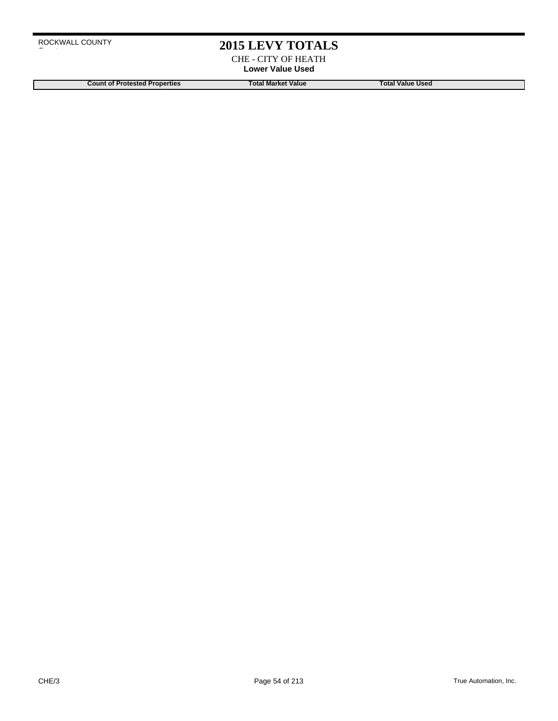CHE - CITY OF HEATH **Lower Value Used**

**Count of Protested Properties Total Market Value Count of Protested Properties Count of Protested Properties**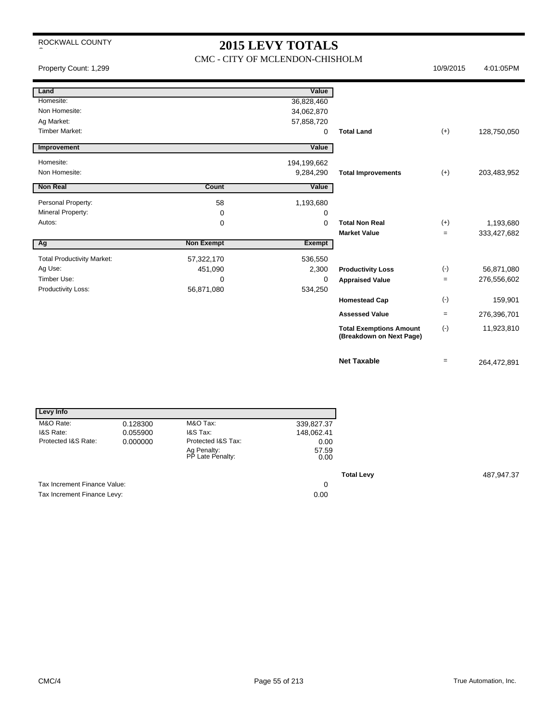## **2015 LEVY TOTALS**

#### CMC - CITY OF MCLENDON-CHISHOLM

Property Count: 1,299 10/9/2015 4:01:05PM

| Land                              |                   | Value         |                                                            |           |             |
|-----------------------------------|-------------------|---------------|------------------------------------------------------------|-----------|-------------|
| Homesite:                         |                   | 36,828,460    |                                                            |           |             |
| Non Homesite:                     |                   | 34,062,870    |                                                            |           |             |
| Ag Market:                        |                   | 57,858,720    |                                                            |           |             |
| <b>Timber Market:</b>             |                   | 0             | <b>Total Land</b>                                          | $(+)$     | 128,750,050 |
| Improvement                       |                   | Value         |                                                            |           |             |
| Homesite:                         |                   | 194,199,662   |                                                            |           |             |
| Non Homesite:                     |                   | 9,284,290     | <b>Total Improvements</b>                                  | $(+)$     | 203,483,952 |
| <b>Non Real</b>                   | Count             | Value         |                                                            |           |             |
| Personal Property:                | 58                | 1,193,680     |                                                            |           |             |
| Mineral Property:                 | 0                 | 0             |                                                            |           |             |
| Autos:                            | 0                 | 0             | <b>Total Non Real</b>                                      | $(+)$     | 1,193,680   |
|                                   |                   |               | <b>Market Value</b>                                        | $\equiv$  | 333,427,682 |
| Ag                                | <b>Non Exempt</b> | <b>Exempt</b> |                                                            |           |             |
| <b>Total Productivity Market:</b> | 57,322,170        | 536,550       |                                                            |           |             |
| Ag Use:                           | 451,090           | 2,300         | <b>Productivity Loss</b>                                   | $(\cdot)$ | 56,871,080  |
| Timber Use:                       | 0                 | 0             | <b>Appraised Value</b>                                     | $=$       | 276,556,602 |
| Productivity Loss:                | 56,871,080        | 534,250       |                                                            |           |             |
|                                   |                   |               | <b>Homestead Cap</b>                                       | $(-)$     | 159,901     |
|                                   |                   |               | <b>Assessed Value</b>                                      | $=$       | 276,396,701 |
|                                   |                   |               | <b>Total Exemptions Amount</b><br>(Breakdown on Next Page) | $(-)$     | 11,923,810  |
|                                   |                   |               | <b>Net Taxable</b>                                         | $=$       | 264,472,891 |

| Levy Info                    |          |                                 |               |
|------------------------------|----------|---------------------------------|---------------|
| M&O Rate:                    | 0.128300 | M&O Tax:                        | 339,827.37    |
| I&S Rate:                    | 0.055900 | I&S Tax:                        | 148,062.41    |
| Protected I&S Rate:          | 0.000000 | Protected I&S Tax:              | 0.00          |
|                              |          | Ag Penalty:<br>PP Late Penalty: | 57.59<br>0.00 |
|                              |          |                                 |               |
| Tax Increment Finance Value: |          |                                 | 0             |
| Tax Increment Finance Levy:  |          |                                 | 0.00          |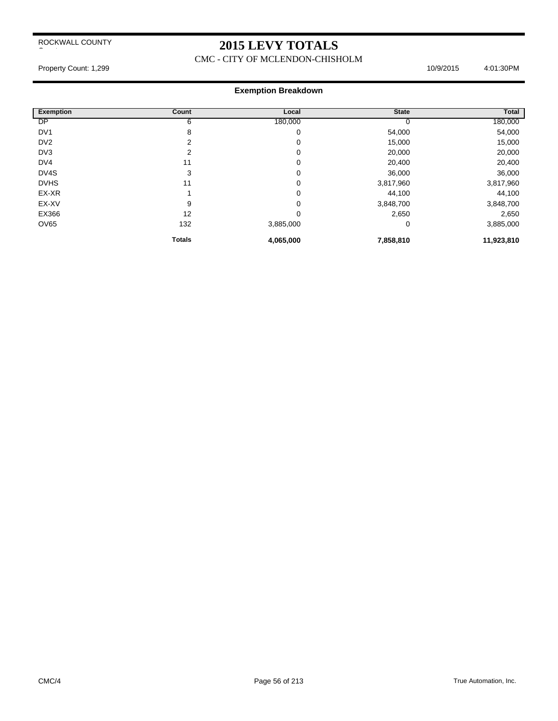### **2015 LEVY TOTALS**

CMC - CITY OF MCLENDON-CHISHOLM

Property Count: 1,299 10/9/2015 4:01:30PM

| <b>Exemption</b> | Count         | Local     | <b>State</b> | Total      |
|------------------|---------------|-----------|--------------|------------|
| DP               | 6             | 180,000   |              | 180,000    |
| DV <sub>1</sub>  | 8             | 0         | 54,000       | 54,000     |
| D <sub>V2</sub>  | 2             | 0         | 15,000       | 15,000     |
| DV <sub>3</sub>  | 2             | 0         | 20,000       | 20,000     |
| DV4              | 11            | 0         | 20,400       | 20,400     |
| DV4S             | 3             | 0         | 36,000       | 36,000     |
| <b>DVHS</b>      | 11            | 0         | 3,817,960    | 3,817,960  |
| EX-XR            |               | 0         | 44,100       | 44,100     |
| EX-XV            | 9             | 0         | 3,848,700    | 3,848,700  |
| EX366            | 12            | 0         | 2,650        | 2,650      |
| OV65             | 132           | 3,885,000 | 0            | 3,885,000  |
|                  | <b>Totals</b> | 4,065,000 | 7,858,810    | 11,923,810 |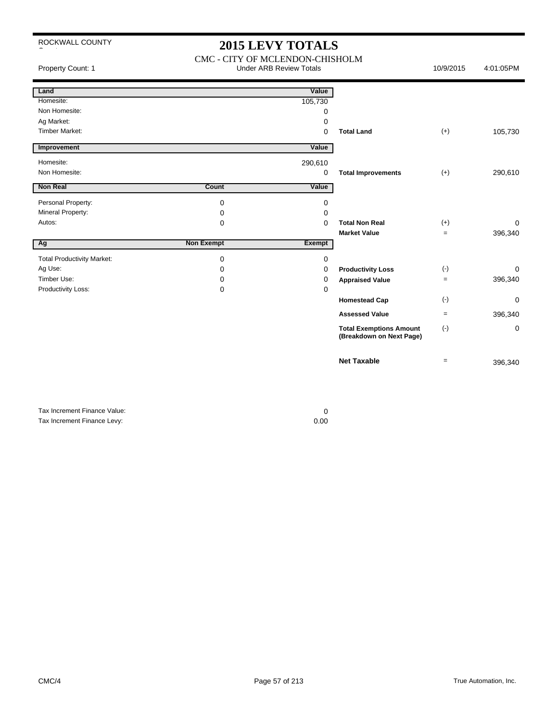### **2015 LEVY TOTALS**

CMC - CITY OF MCLENDON-CHISHOLM Property Count: 1 **Accord 2013** Count: 1 Count: 1 Count: 1 Count: 1 Count: 1 Count: 1 Count: 1 Count: 1 Count: 1 Count: 1 Count: 1 Count: 1 Count: 1 Count: 1 Count: 1 Count: 1 Count: 1 Count: 1 Count: 1 Count: 1 Count: 1 C

| Land                              |                   | Value       |                                                            |           |             |
|-----------------------------------|-------------------|-------------|------------------------------------------------------------|-----------|-------------|
| Homesite:                         |                   | 105,730     |                                                            |           |             |
| Non Homesite:                     |                   | 0           |                                                            |           |             |
| Ag Market:                        |                   | 0           |                                                            |           |             |
| <b>Timber Market:</b>             |                   | $\Omega$    | <b>Total Land</b>                                          | $(+)$     | 105,730     |
| Improvement                       |                   | Value       |                                                            |           |             |
| Homesite:                         |                   | 290,610     |                                                            |           |             |
| Non Homesite:                     |                   | $\mathbf 0$ | <b>Total Improvements</b>                                  | $(+)$     | 290,610     |
| <b>Non Real</b>                   | Count             | Value       |                                                            |           |             |
| Personal Property:                | 0                 | 0           |                                                            |           |             |
| Mineral Property:                 | 0                 | $\Omega$    |                                                            |           |             |
| Autos:                            | 0                 | $\Omega$    | <b>Total Non Real</b>                                      | $(+)$     | $\Omega$    |
|                                   |                   |             | <b>Market Value</b>                                        | $=$       | 396,340     |
| Ag                                | <b>Non Exempt</b> | Exempt      |                                                            |           |             |
| <b>Total Productivity Market:</b> | 0                 | $\Omega$    |                                                            |           |             |
| Ag Use:                           | 0                 | 0           | <b>Productivity Loss</b>                                   | $(-)$     | $\mathbf 0$ |
| Timber Use:                       | 0                 | $\Omega$    | <b>Appraised Value</b>                                     | $=$       | 396,340     |
| Productivity Loss:                | 0                 | $\Omega$    |                                                            |           |             |
|                                   |                   |             | <b>Homestead Cap</b>                                       | $(\cdot)$ | $\mathbf 0$ |
|                                   |                   |             | <b>Assessed Value</b>                                      | $=$       | 396,340     |
|                                   |                   |             | <b>Total Exemptions Amount</b><br>(Breakdown on Next Page) | $(-)$     | $\mathbf 0$ |
|                                   |                   |             | <b>Net Taxable</b>                                         | $=$       | 396,340     |

Tax Increment Finance Value: 0 Tax Increment Finance Levy: 0.00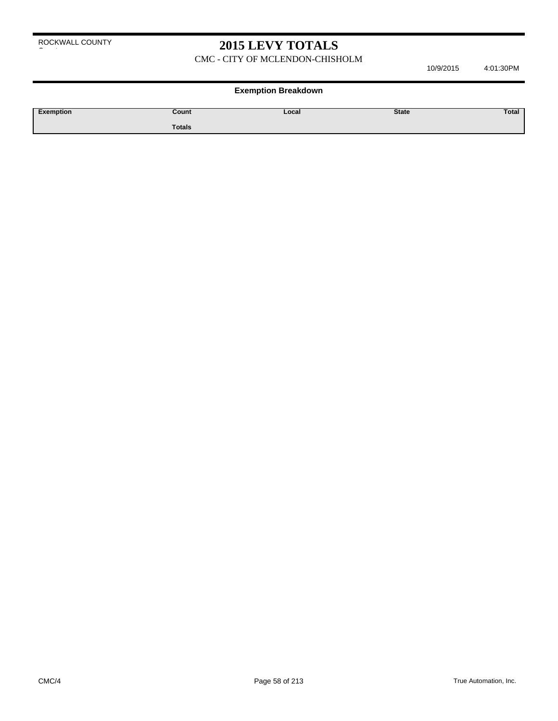CMC - CITY OF MCLENDON-CHISHOLM

10/9/2015 4:01:30PM

| Exemption | Count  | Local | <b>State</b> | , otal |
|-----------|--------|-------|--------------|--------|
|           | Totals |       |              |        |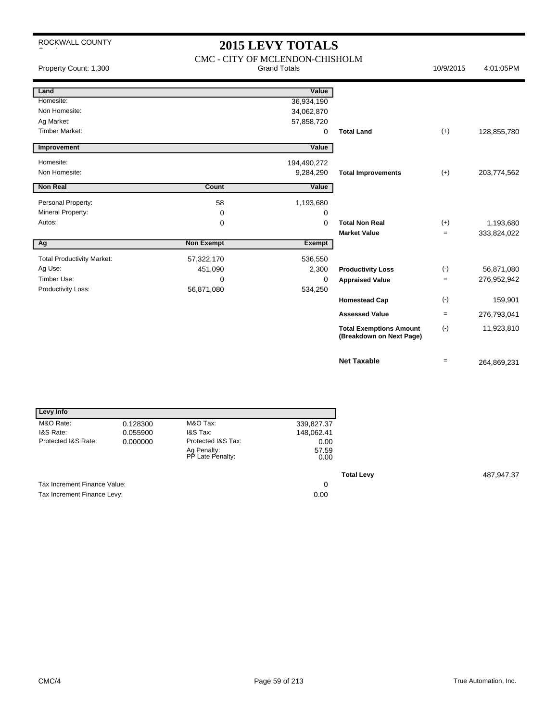## **2015 LEVY TOTALS**

| Property Count: 1,300             |                   | CMC - CITY OF MCLENDON-CHISHOLM<br><b>Grand Totals</b> |                                                            | 10/9/2015 | 4:01:05PM   |
|-----------------------------------|-------------------|--------------------------------------------------------|------------------------------------------------------------|-----------|-------------|
| Land                              |                   | Value                                                  |                                                            |           |             |
| Homesite:                         |                   | 36,934,190                                             |                                                            |           |             |
| Non Homesite:                     |                   | 34,062,870                                             |                                                            |           |             |
| Ag Market:                        |                   | 57,858,720                                             |                                                            |           |             |
| <b>Timber Market:</b>             |                   | 0                                                      | <b>Total Land</b>                                          | $(+)$     | 128,855,780 |
| Improvement                       |                   | Value                                                  |                                                            |           |             |
| Homesite:                         |                   | 194,490,272                                            |                                                            |           |             |
| Non Homesite:                     |                   | 9,284,290                                              | <b>Total Improvements</b>                                  | $(+)$     | 203,774,562 |
| <b>Non Real</b>                   | Count             | Value                                                  |                                                            |           |             |
| Personal Property:                | 58                | 1,193,680                                              |                                                            |           |             |
| Mineral Property:                 | 0                 | 0                                                      |                                                            |           |             |
| Autos:                            | 0                 | 0                                                      | <b>Total Non Real</b>                                      | $(+)$     | 1,193,680   |
|                                   |                   |                                                        | <b>Market Value</b>                                        | $=$       | 333,824,022 |
| Ag                                | <b>Non Exempt</b> | Exempt                                                 |                                                            |           |             |
| <b>Total Productivity Market:</b> | 57,322,170        | 536,550                                                |                                                            |           |             |
| Ag Use:                           | 451,090           | 2,300                                                  | <b>Productivity Loss</b>                                   | $(-)$     | 56,871,080  |
| Timber Use:                       | $\Omega$          | 0                                                      | <b>Appraised Value</b>                                     | $=$       | 276,952,942 |
| Productivity Loss:                | 56,871,080        | 534,250                                                |                                                            |           |             |
|                                   |                   |                                                        | <b>Homestead Cap</b>                                       | $(\cdot)$ | 159,901     |
|                                   |                   |                                                        | <b>Assessed Value</b>                                      | $=$       | 276,793,041 |
|                                   |                   |                                                        | <b>Total Exemptions Amount</b><br>(Breakdown on Next Page) | $(\cdot)$ | 11,923,810  |
|                                   |                   |                                                        | <b>Net Taxable</b>                                         | $=$       | 264,869,231 |

| Levy Info                    |          |                                 |               |                   |            |
|------------------------------|----------|---------------------------------|---------------|-------------------|------------|
| M&O Rate:                    | 0.128300 | M&O Tax:                        | 339,827.37    |                   |            |
| I&S Rate:                    | 0.055900 | I&S Tax:                        | 148,062.41    |                   |            |
| Protected I&S Rate:          | 0.000000 | Protected I&S Tax:              | 0.00          |                   |            |
|                              |          | Ag Penalty:<br>PP Late Penalty: | 57.59<br>0.00 |                   |            |
|                              |          |                                 |               | <b>Total Levy</b> | 487,947.37 |
| Tax Increment Finance Value: |          |                                 | 0             |                   |            |
| Tax Increment Finance Levy:  |          |                                 | 0.00          |                   |            |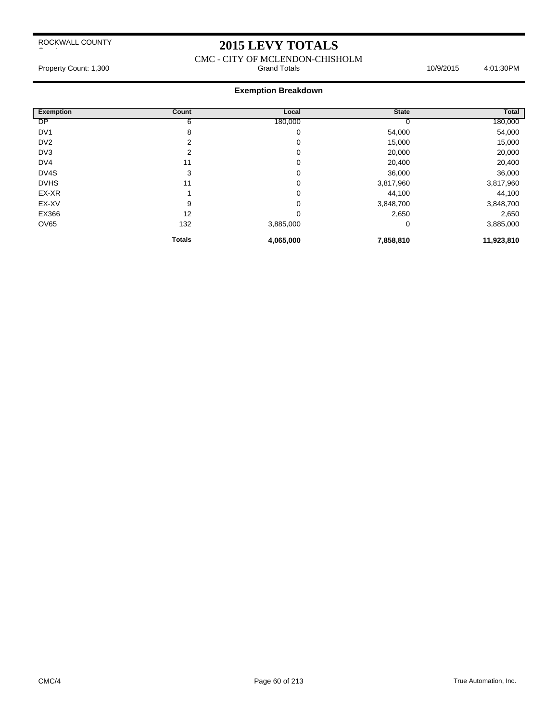### **2015 LEVY TOTALS**

CMC - CITY OF MCLENDON-CHISHOLM Property Count: 1,300 **Stand Totals** 10/9/2015 4:01:30PM

| <b>Exemption</b> | Count         | Local     | <b>State</b> | <b>Total</b> |
|------------------|---------------|-----------|--------------|--------------|
| <b>DP</b>        | 6             | 180,000   |              | 180,000      |
| DV <sub>1</sub>  | 8             | 0         | 54,000       | 54,000       |
| DV <sub>2</sub>  | 2             | 0         | 15,000       | 15,000       |
| DV3              | 2             | 0         | 20,000       | 20,000       |
| DV4              | 11            | 0         | 20,400       | 20,400       |
| DV4S             | 3             | 0         | 36,000       | 36,000       |
| <b>DVHS</b>      | 11            | 0         | 3,817,960    | 3,817,960    |
| EX-XR            |               | 0         | 44,100       | 44,100       |
| EX-XV            | 9             | 0         | 3,848,700    | 3,848,700    |
| EX366            | 12            | 0         | 2,650        | 2,650        |
| <b>OV65</b>      | 132           | 3,885,000 | 0            | 3,885,000    |
|                  | <b>Totals</b> | 4,065,000 | 7,858,810    | 11,923,810   |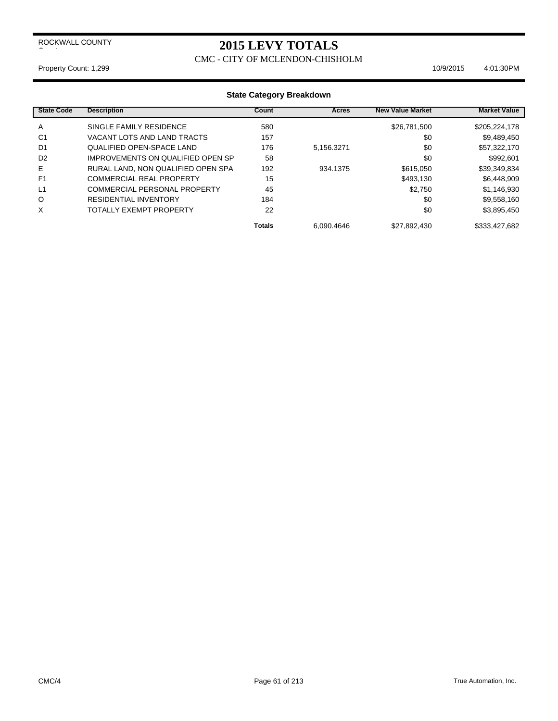### **2015 LEVY TOTALS**

#### CMC - CITY OF MCLENDON-CHISHOLM

Property Count: 1,299 10/9/2015 4:01:30PM

| <b>State Code</b> | <b>Description</b>                 | Count         | Acres      | <b>New Value Market</b> | <b>Market Value</b> |
|-------------------|------------------------------------|---------------|------------|-------------------------|---------------------|
| A                 | SINGLE FAMILY RESIDENCE            | 580           |            | \$26,781,500            | \$205,224,178       |
| C <sub>1</sub>    | VACANT LOTS AND LAND TRACTS        | 157           |            | \$0                     | \$9,489,450         |
| D <sub>1</sub>    | <b>QUALIFIED OPEN-SPACE LAND</b>   | 176           | 5.156.3271 | \$0                     | \$57,322,170        |
| D <sub>2</sub>    | IMPROVEMENTS ON QUALIFIED OPEN SP  | 58            |            | \$0                     | \$992,601           |
| Е                 | RURAL LAND, NON QUALIFIED OPEN SPA | 192           | 934.1375   | \$615,050               | \$39,349,834        |
| F <sub>1</sub>    | <b>COMMERCIAL REAL PROPERTY</b>    | 15            |            | \$493.130               | \$6,448,909         |
| L1                | COMMERCIAL PERSONAL PROPERTY       | 45            |            | \$2.750                 | \$1,146,930         |
| O                 | RESIDENTIAL INVENTORY              | 184           |            | \$0                     | \$9,558,160         |
| X                 | <b>TOTALLY EXEMPT PROPERTY</b>     | 22            |            | \$0                     | \$3,895,450         |
|                   |                                    | <b>Totals</b> | 6.090.4646 | \$27,892,430            | \$333,427,682       |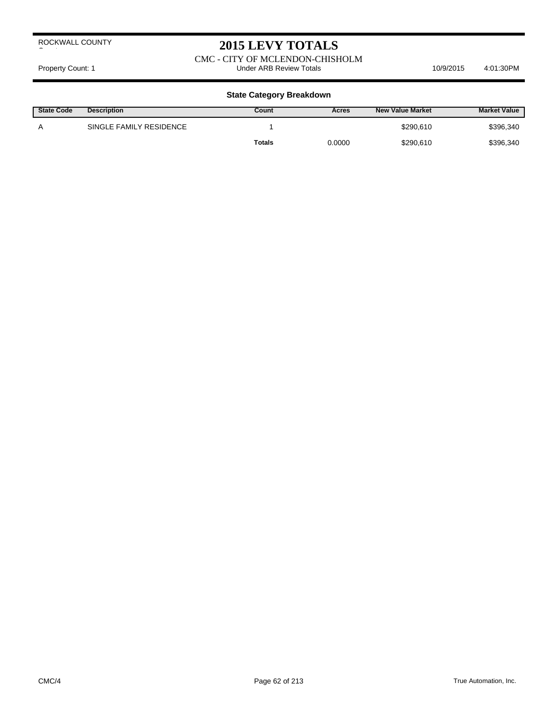### **2015 LEVY TOTALS**

#### CMC - CITY OF MCLENDON-CHISHOLM Property Count: 1 **Accord 2018** Under ARB Review Totals **10/9/2015** 4:01:30PM

| <b>State Code</b> | <b>Description</b>      | Count         | Acres  | <b>New Value Market</b> | <b>Market Value</b> |
|-------------------|-------------------------|---------------|--------|-------------------------|---------------------|
| Α                 | SINGLE FAMILY RESIDENCE |               |        | \$290.610               | \$396,340           |
|                   |                         | <b>Totals</b> | 0.0000 | \$290,610               | \$396,340           |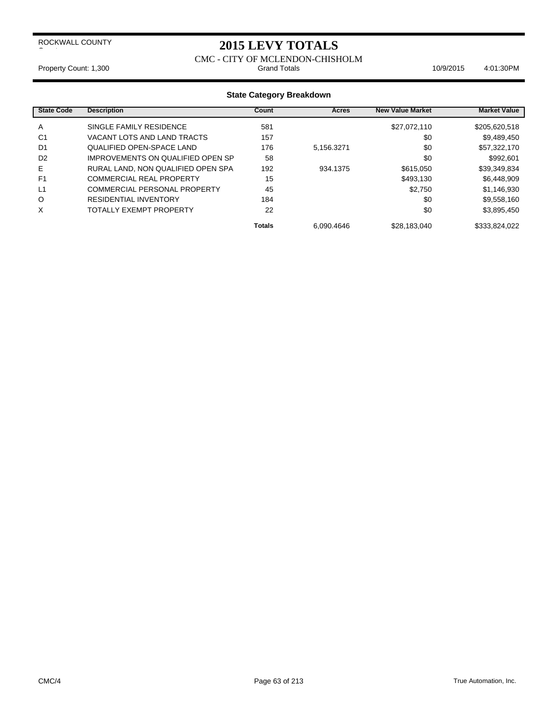### **2015 LEVY TOTALS**

# CMC - CITY OF MCLENDON-CHISHOLM

Property Count: 1,300 **Stand Totals** 10/9/2015 4:01:30PM

| <b>State Code</b> | <b>Description</b>                 | Count         | Acres      | <b>New Value Market</b> | <b>Market Value</b> |
|-------------------|------------------------------------|---------------|------------|-------------------------|---------------------|
| A                 | SINGLE FAMILY RESIDENCE            | 581           |            | \$27,072,110            | \$205,620,518       |
| C <sub>1</sub>    | VACANT LOTS AND LAND TRACTS        | 157           |            | \$0                     | \$9,489,450         |
| D <sub>1</sub>    | QUALIFIED OPEN-SPACE LAND          | 176           | 5.156.3271 | \$0                     | \$57,322,170        |
| D <sub>2</sub>    | IMPROVEMENTS ON QUALIFIED OPEN SP  | 58            |            | \$0                     | \$992.601           |
| Е                 | RURAL LAND, NON QUALIFIED OPEN SPA | 192           | 934.1375   | \$615,050               | \$39,349,834        |
| F <sub>1</sub>    | COMMERCIAL REAL PROPERTY           | 15            |            | \$493,130               | \$6,448,909         |
| L1                | COMMERCIAL PERSONAL PROPERTY       | 45            |            | \$2.750                 | \$1,146,930         |
| O                 | <b>RESIDENTIAL INVENTORY</b>       | 184           |            | \$0                     | \$9,558,160         |
| X                 | TOTALLY EXEMPT PROPERTY            | 22            |            | \$0                     | \$3.895.450         |
|                   |                                    | <b>Totals</b> | 6.090.4646 | \$28,183,040            | \$333,824,022       |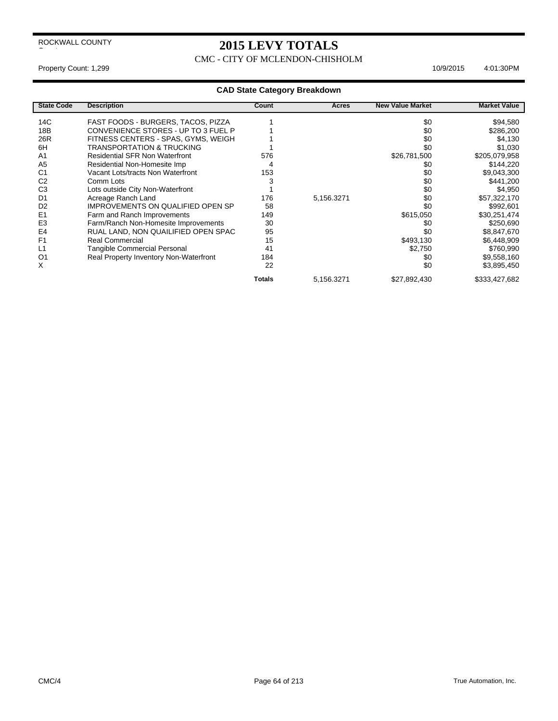CMC - CITY OF MCLENDON-CHISHOLM

 $\overline{\phantom{a}}$ 

#### Property Count: 1,299 10/9/2015 4:01:30PM

| <b>State Code</b> | <b>Description</b>                       | Count         | Acres      | <b>New Value Market</b> | <b>Market Value</b> |
|-------------------|------------------------------------------|---------------|------------|-------------------------|---------------------|
| 14C               | FAST FOODS - BURGERS, TACOS, PIZZA       |               |            | \$0                     | \$94,580            |
| 18 <sub>B</sub>   | CONVENIENCE STORES - UP TO 3 FUEL P      |               |            | \$0                     | \$286,200           |
| 26R               | FITNESS CENTERS - SPAS, GYMS, WEIGH      |               |            | \$0                     | \$4,130             |
| 6H                | <b>TRANSPORTATION &amp; TRUCKING</b>     |               |            | \$0                     | \$1,030             |
| A <sub>1</sub>    | <b>Residential SFR Non Waterfront</b>    | 576           |            | \$26,781,500            | \$205,079,958       |
| A <sub>5</sub>    | Residential Non-Homesite Imp             | 4             |            | \$0                     | \$144,220           |
| C <sub>1</sub>    | Vacant Lots/tracts Non Waterfront        | 153           |            | \$0                     | \$9,043,300         |
| C <sub>2</sub>    | Comm Lots                                | 3             |            | \$0                     | \$441,200           |
| C <sub>3</sub>    | Lots outside City Non-Waterfront         |               |            | \$0                     | \$4,950             |
| D <sub>1</sub>    | Acreage Ranch Land                       | 176           | 5,156.3271 | \$0                     | \$57,322,170        |
| D <sub>2</sub>    | <b>IMPROVEMENTS ON QUALIFIED OPEN SP</b> | 58            |            | \$0                     | \$992,601           |
| E <sub>1</sub>    | Farm and Ranch Improvements              | 149           |            | \$615,050               | \$30,251,474        |
| E <sub>3</sub>    | Farm/Ranch Non-Homesite Improvements     | 30            |            | \$0                     | \$250,690           |
| E4                | RUAL LAND, NON QUAILIFIED OPEN SPAC      | 95            |            | \$0                     | \$8,847,670         |
| F <sub>1</sub>    | <b>Real Commercial</b>                   | 15            |            | \$493,130               | \$6,448,909         |
| L1                | <b>Tangible Commercial Personal</b>      | 41            |            | \$2,750                 | \$760,990           |
| O <sub>1</sub>    | Real Property Inventory Non-Waterfront   | 184           |            | \$0                     | \$9,558,160         |
| X                 |                                          | 22            |            | \$0                     | \$3,895,450         |
|                   |                                          | <b>Totals</b> | 5,156.3271 | \$27,892,430            | \$333,427,682       |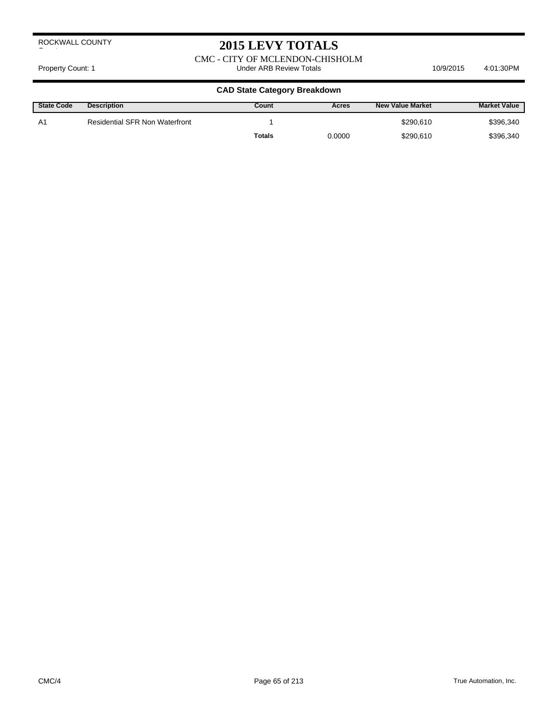# **2015 LEVY TOTALS**

CMC - CITY OF MCLENDON-CHISHOLM Property Count: 1 **Accord 2011** Under ARB Review Totals **10/9/2015** 4:01:30PM

| <b>State Code</b> | <b>Description</b>                    | Count  | Acres  | <b>New Value Market</b> | <b>Market Value</b> |
|-------------------|---------------------------------------|--------|--------|-------------------------|---------------------|
| A1                | <b>Residential SFR Non Waterfront</b> |        |        | \$290.610               | \$396,340           |
|                   |                                       | Totals | 0.0000 | \$290,610               | \$396,340           |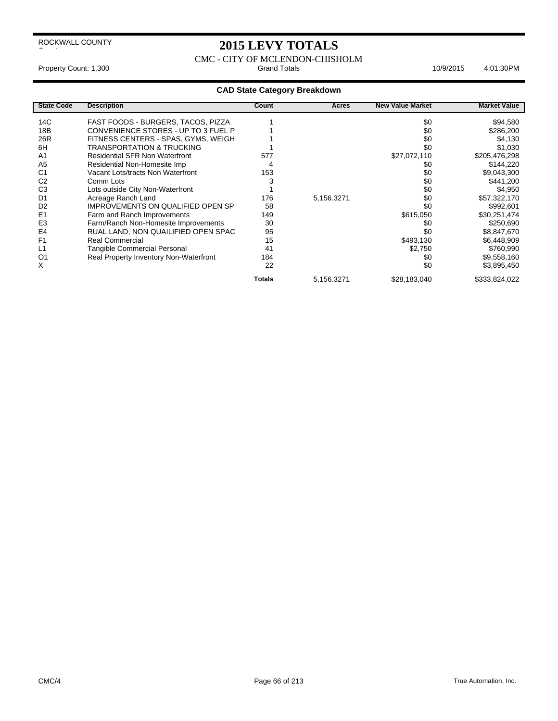### **2015 LEVY TOTALS**

 $\overline{\phantom{a}}$ 

CMC - CITY OF MCLENDON-CHISHOLM Property Count: 1,300 **Accord Property Count: 1,300** Crand Totals **4:01:30PM** 10/9/2015 4:01:30PM

| <b>State Code</b> | <b>Description</b>                     | Count         | Acres      | <b>New Value Market</b> | <b>Market Value</b> |
|-------------------|----------------------------------------|---------------|------------|-------------------------|---------------------|
| 14C               | FAST FOODS - BURGERS, TACOS, PIZZA     |               |            | \$0                     | \$94,580            |
| 18 <sub>B</sub>   | CONVENIENCE STORES - UP TO 3 FUEL P    |               |            | \$0                     | \$286,200           |
| 26R               | FITNESS CENTERS - SPAS, GYMS, WEIGH    |               |            | \$0                     | \$4,130             |
| 6H                | <b>TRANSPORTATION &amp; TRUCKING</b>   |               |            | \$0                     | \$1,030             |
| A <sub>1</sub>    | <b>Residential SFR Non Waterfront</b>  | 577           |            | \$27,072,110            | \$205,476,298       |
| A <sub>5</sub>    | Residential Non-Homesite Imp           | 4             |            | \$0                     | \$144,220           |
| C <sub>1</sub>    | Vacant Lots/tracts Non Waterfront      | 153           |            | \$0                     | \$9,043,300         |
| C <sub>2</sub>    | Comm Lots                              |               |            | \$0                     | \$441,200           |
| C <sub>3</sub>    | Lots outside City Non-Waterfront       |               |            | \$0                     | \$4,950             |
| D <sub>1</sub>    | Acreage Ranch Land                     | 176           | 5,156.3271 | \$0                     | \$57,322,170        |
| D <sub>2</sub>    | IMPROVEMENTS ON QUALIFIED OPEN SP      | 58            |            | \$0                     | \$992,601           |
| E <sub>1</sub>    | Farm and Ranch Improvements            | 149           |            | \$615,050               | \$30,251,474        |
| E <sub>3</sub>    | Farm/Ranch Non-Homesite Improvements   | 30            |            | \$0                     | \$250,690           |
| E4                | RUAL LAND, NON QUAILIFIED OPEN SPAC    | 95            |            | \$0                     | \$8,847,670         |
| F <sub>1</sub>    | <b>Real Commercial</b>                 | 15            |            | \$493,130               | \$6,448,909         |
| L1                | <b>Tangible Commercial Personal</b>    | 41            |            | \$2,750                 | \$760,990           |
| O <sub>1</sub>    | Real Property Inventory Non-Waterfront | 184           |            | \$0                     | \$9,558,160         |
| X                 |                                        | 22            |            | \$0                     | \$3,895,450         |
|                   |                                        | <b>Totals</b> | 5,156.3271 | \$28,183,040            | \$333,824,022       |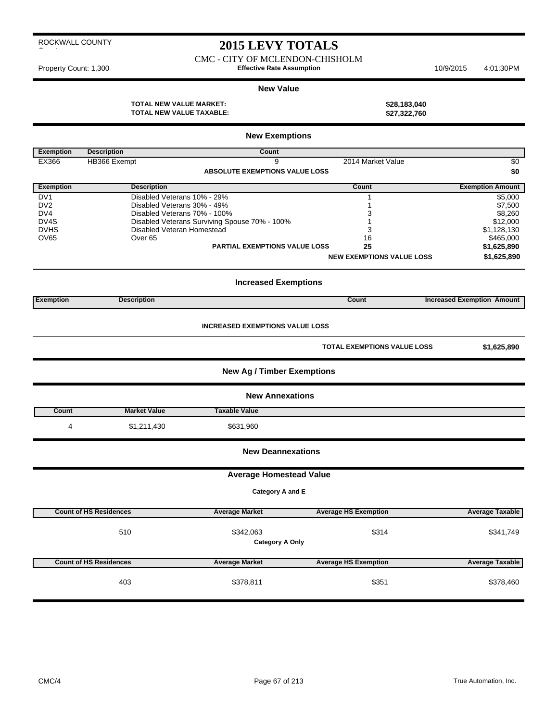CMC - CITY OF MCLENDON-CHISHOLM Property Count: 1,300 **Effective Rate Assumption** 10/9/2015 4:01:30PM

#### **New Value**

**TOTAL NEW VALUE MARKET: \$28,183,040 TOTAL NEW VALUE TAXABLE: \$27,322,760**

|                   |                               | <b>New Exemptions</b>                         |                                  |                                   |
|-------------------|-------------------------------|-----------------------------------------------|----------------------------------|-----------------------------------|
| <b>Exemption</b>  | <b>Description</b>            | Count                                         |                                  |                                   |
| EX366             | HB366 Exempt                  | 9                                             | 2014 Market Value                | \$0                               |
|                   |                               | <b>ABSOLUTE EXEMPTIONS VALUE LOSS</b>         |                                  | \$0                               |
| <b>Exemption</b>  | <b>Description</b>            |                                               | Count                            | <b>Exemption Amount</b>           |
| DV <sub>1</sub>   | Disabled Veterans 10% - 29%   |                                               | 1                                | \$5,000                           |
| DV <sub>2</sub>   | Disabled Veterans 30% - 49%   |                                               | 1                                | \$7,500                           |
| DV4               | Disabled Veterans 70% - 100%  |                                               | 3                                | \$8,260                           |
| DV <sub>4</sub> S |                               | Disabled Veterans Surviving Spouse 70% - 100% | $\mathbf{1}$                     | \$12,000                          |
| <b>DVHS</b>       | Disabled Veteran Homestead    |                                               | 3                                | \$1,128,130                       |
| <b>OV65</b>       | Over <sub>65</sub>            | <b>PARTIAL EXEMPTIONS VALUE LOSS</b>          | 16                               | \$465,000                         |
|                   |                               |                                               | 25                               | \$1,625,890                       |
|                   |                               |                                               | <b>NEW EXEMPTIONS VALUE LOSS</b> | \$1,625,890                       |
|                   |                               | <b>Increased Exemptions</b>                   |                                  |                                   |
| <b>Exemption</b>  | <b>Description</b>            |                                               | Count                            | <b>Increased Exemption Amount</b> |
|                   |                               | <b>INCREASED EXEMPTIONS VALUE LOSS</b>        |                                  |                                   |
|                   |                               |                                               | TOTAL EXEMPTIONS VALUE LOSS      | \$1,625,890                       |
|                   |                               | <b>New Ag / Timber Exemptions</b>             |                                  |                                   |
|                   |                               | <b>New Annexations</b>                        |                                  |                                   |
| Count             | <b>Market Value</b>           | <b>Taxable Value</b>                          |                                  |                                   |
| 4                 | \$1,211,430                   | \$631,960                                     |                                  |                                   |
|                   |                               | <b>New Deannexations</b>                      |                                  |                                   |
|                   |                               | <b>Average Homestead Value</b>                |                                  |                                   |
|                   |                               | Category A and E                              |                                  |                                   |
|                   |                               |                                               |                                  |                                   |
|                   | <b>Count of HS Residences</b> | <b>Average Market</b>                         | <b>Average HS Exemption</b>      | <b>Average Taxable</b>            |
|                   | 510                           | \$342,063                                     | \$314                            | \$341,749                         |
|                   |                               | <b>Category A Only</b>                        |                                  |                                   |
|                   |                               |                                               |                                  |                                   |
|                   | <b>Count of HS Residences</b> | <b>Average Market</b>                         | <b>Average HS Exemption</b>      | <b>Average Taxable</b>            |
|                   |                               |                                               |                                  |                                   |
|                   | 403                           | \$378,811                                     | \$351                            | \$378,460                         |
|                   |                               |                                               |                                  |                                   |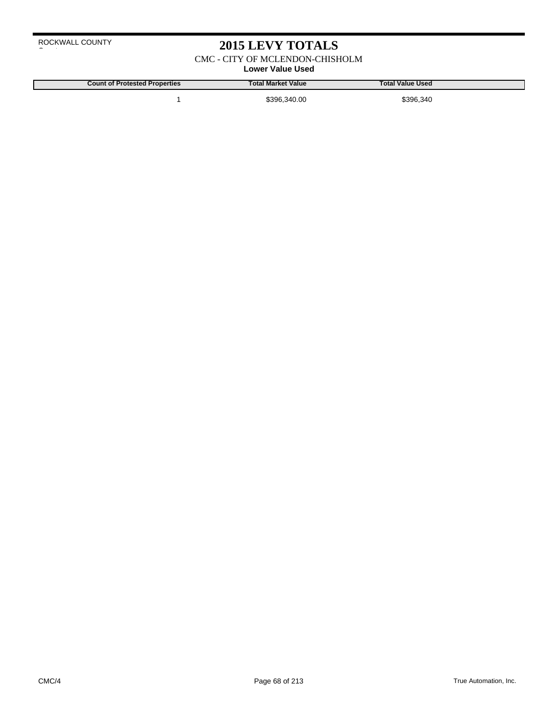### **2015 LEVY TOTALS**

CMC - CITY OF MCLENDON-CHISHOLM

**Lower Value Used**

**Count of Protested Properties Total Market Value Total Value Used**

1 \$396,340.00 \$396,340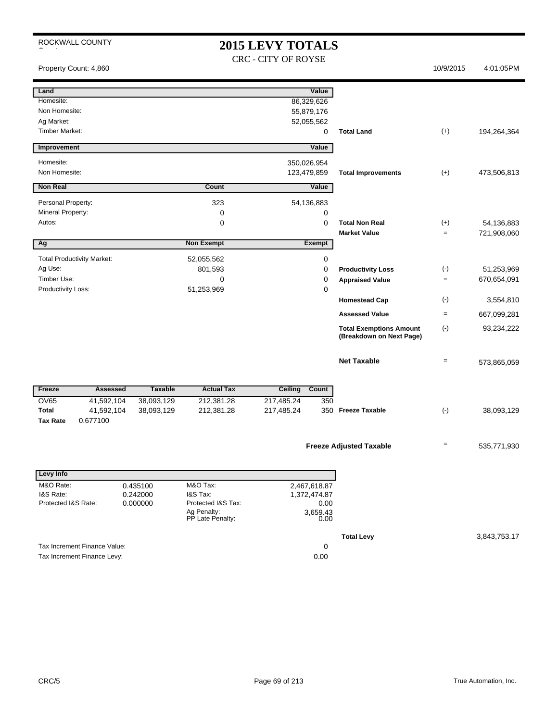### **2015 LEVY TOTALS** CRC - CITY OF ROYSE

Property Count: 4,860 10/9/2015 4:01:05PM

| Land                                          |                      |                                 | Value                        |      |                                                            |                   |             |
|-----------------------------------------------|----------------------|---------------------------------|------------------------------|------|------------------------------------------------------------|-------------------|-------------|
| Homesite:                                     |                      |                                 | 86,329,626                   |      |                                                            |                   |             |
| Non Homesite:                                 |                      |                                 | 55,879,176                   |      |                                                            |                   |             |
| Ag Market:                                    |                      |                                 | 52,055,562                   |      |                                                            |                   |             |
| <b>Timber Market:</b>                         |                      |                                 |                              | 0    | <b>Total Land</b>                                          | $(+)$             | 194,264,364 |
| Improvement                                   |                      |                                 | Value                        |      |                                                            |                   |             |
| Homesite:                                     |                      |                                 | 350,026,954                  |      |                                                            |                   |             |
| Non Homesite:                                 |                      |                                 | 123,479,859                  |      | <b>Total Improvements</b>                                  | $(+)$             | 473,506,813 |
| <b>Non Real</b>                               |                      | Count                           | Value                        |      |                                                            |                   |             |
| Personal Property:                            |                      | 323                             | 54,136,883                   |      |                                                            |                   |             |
| Mineral Property:                             |                      | $\mathbf 0$                     |                              | 0    |                                                            |                   |             |
| Autos:                                        |                      | $\mathbf 0$                     |                              | 0    | <b>Total Non Real</b>                                      | $(+)$             | 54,136,883  |
|                                               |                      |                                 |                              |      | <b>Market Value</b>                                        | $=$               | 721,908,060 |
| Ag                                            |                      | <b>Non Exempt</b>               | <b>Exempt</b>                |      |                                                            |                   |             |
| <b>Total Productivity Market:</b>             |                      | 52,055,562                      |                              | 0    |                                                            |                   |             |
| Ag Use:                                       |                      | 801,593                         |                              | 0    | <b>Productivity Loss</b>                                   | $(\cdot)$         | 51,253,969  |
| Timber Use:                                   |                      | $\mathbf 0$                     |                              | 0    | <b>Appraised Value</b>                                     | $=$               | 670,654,091 |
| Productivity Loss:                            |                      |                                 |                              | 0    |                                                            |                   |             |
|                                               |                      |                                 |                              |      | <b>Homestead Cap</b>                                       | $(-)$             | 3,554,810   |
|                                               |                      |                                 |                              |      | <b>Assessed Value</b>                                      | $=$               | 667,099,281 |
|                                               |                      |                                 |                              |      | <b>Total Exemptions Amount</b><br>(Breakdown on Next Page) | $(\cdot)$         | 93,234,222  |
|                                               |                      |                                 |                              |      | <b>Net Taxable</b>                                         | $=$               | 573,865,059 |
|                                               |                      |                                 |                              |      |                                                            |                   |             |
| Freeze<br><b>Assessed</b>                     | <b>Taxable</b>       | <b>Actual Tax</b>               | Ceiling<br>Count             |      |                                                            |                   |             |
| <b>OV65</b><br>41,592,104                     | 38,093,129           | 212,381.28                      | 217,485.24                   | 350  |                                                            |                   |             |
| <b>Total</b><br>41,592,104<br><b>Tax Rate</b> | 38,093,129           | 212,381.28                      | 217,485.24                   |      | 350 Freeze Taxable                                         | $(-)$             | 38,093,129  |
| 0.677100                                      |                      |                                 |                              |      |                                                            |                   |             |
|                                               |                      |                                 |                              |      |                                                            | $\qquad \qquad =$ |             |
|                                               |                      |                                 |                              |      | <b>Freeze Adjusted Taxable</b>                             |                   | 535,771,930 |
| Levy Info                                     |                      |                                 |                              |      |                                                            |                   |             |
| M&O Rate:                                     |                      | M&O Tax:                        |                              |      |                                                            |                   |             |
| I&S Rate:                                     | 0.435100<br>0.242000 | I&S Tax:                        | 2,467,618.87<br>1,372,474.87 |      |                                                            |                   |             |
| Protected I&S Rate:                           | 0.000000             | Protected I&S Tax:              |                              | 0.00 |                                                            |                   |             |
|                                               |                      | Ag Penalty:<br>PP Late Penalty: | 3,659.43                     | 0.00 |                                                            |                   |             |
|                                               |                      |                                 |                              |      |                                                            |                   |             |

Tax Increment Finance Value: 0<br>
Tax Increment Finance Levy: 0.00

Tax Increment Finance Levy:

**Total Levy** 3,843,753.17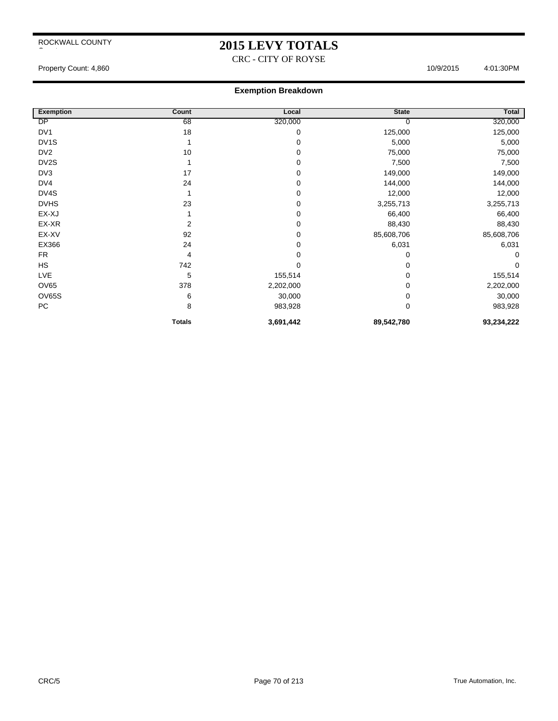### **2015 LEVY TOTALS**

CRC - CITY OF ROYSE

Property Count: 4,860 4:01:30PM

| <b>Exemption</b>  | Count          | Local     | <b>State</b> | Total      |
|-------------------|----------------|-----------|--------------|------------|
| DP                | 68             | 320,000   | 0            | 320,000    |
| DV <sub>1</sub>   | 18             | 0         | 125,000      | 125,000    |
| DV <sub>1</sub> S |                | 0         | 5,000        | 5,000      |
| DV <sub>2</sub>   | 10             | 0         | 75,000       | 75,000     |
| DV2S              |                | 0         | 7,500        | 7,500      |
| DV3               | 17             | 0         | 149,000      | 149,000    |
| DV4               | 24             | 0         | 144,000      | 144,000    |
| DV4S              |                | 0         | 12,000       | 12,000     |
| <b>DVHS</b>       | 23             | 0         | 3,255,713    | 3,255,713  |
| EX-XJ             |                | 0         | 66,400       | 66,400     |
| EX-XR             | $\overline{2}$ | 0         | 88,430       | 88,430     |
| EX-XV             | 92             | 0         | 85,608,706   | 85,608,706 |
| EX366             | 24             | 0         | 6,031        | 6,031      |
| <b>FR</b>         | 4              | 0         | 0            | 0          |
| <b>HS</b>         | 742            | 0         | 0            | $\Omega$   |
| <b>LVE</b>        | 5              | 155,514   | 0            | 155,514    |
| <b>OV65</b>       | 378            | 2,202,000 | 0            | 2,202,000  |
| <b>OV65S</b>      | 6              | 30,000    | 0            | 30,000     |
| PC                | 8              | 983,928   | 0            | 983,928    |
|                   | <b>Totals</b>  | 3,691,442 | 89,542,780   | 93,234,222 |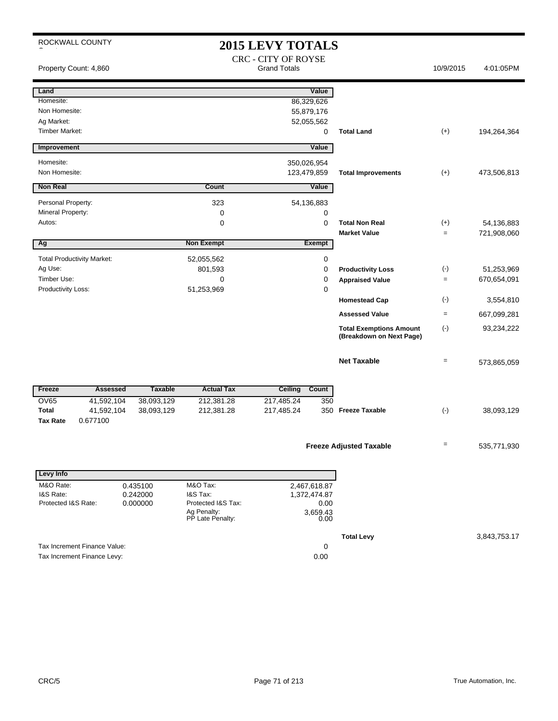| ROCKWALL COUNTY                   |                |                                 | <b>2015 LEVY TOTALS</b><br><b>CRC - CITY OF ROYSE</b> |                                                            |           |              |
|-----------------------------------|----------------|---------------------------------|-------------------------------------------------------|------------------------------------------------------------|-----------|--------------|
| Property Count: 4,860             |                |                                 | <b>Grand Totals</b>                                   |                                                            | 10/9/2015 | 4:01:05PM    |
| Land                              |                |                                 | Value                                                 |                                                            |           |              |
| Homesite:                         |                |                                 | 86,329,626                                            |                                                            |           |              |
| Non Homesite:                     |                |                                 | 55,879,176                                            |                                                            |           |              |
| Ag Market:                        |                |                                 | 52,055,562                                            |                                                            |           |              |
| <b>Timber Market:</b>             |                |                                 | 0                                                     | <b>Total Land</b>                                          | $(+)$     | 194,264,364  |
| Improvement                       |                |                                 | Value                                                 |                                                            |           |              |
| Homesite:                         |                |                                 | 350,026,954                                           |                                                            |           |              |
| Non Homesite:                     |                |                                 | 123,479,859                                           | <b>Total Improvements</b>                                  | $(+)$     | 473,506,813  |
| <b>Non Real</b>                   |                | <b>Count</b>                    | Value                                                 |                                                            |           |              |
| Personal Property:                |                | 323                             | 54,136,883                                            |                                                            |           |              |
| Mineral Property:                 |                | 0                               | 0                                                     |                                                            |           |              |
| Autos:                            |                | 0                               | $\mathbf 0$                                           | <b>Total Non Real</b>                                      | $(+)$     | 54,136,883   |
|                                   |                |                                 |                                                       | <b>Market Value</b>                                        | $=$       | 721,908,060  |
| Ag                                |                | <b>Non Exempt</b>               | <b>Exempt</b>                                         |                                                            |           |              |
| <b>Total Productivity Market:</b> |                | 52,055,562                      | 0                                                     |                                                            |           |              |
| Ag Use:                           |                | 801,593                         | 0                                                     | <b>Productivity Loss</b>                                   | $(\cdot)$ | 51,253,969   |
| Timber Use:                       |                | $\mathbf 0$                     | 0                                                     | <b>Appraised Value</b>                                     | $=$       | 670,654,091  |
| Productivity Loss:                |                | 51,253,969                      | 0                                                     |                                                            |           |              |
|                                   |                |                                 |                                                       | <b>Homestead Cap</b>                                       | $(\cdot)$ | 3,554,810    |
|                                   |                |                                 |                                                       | <b>Assessed Value</b>                                      | $\equiv$  | 667,099,281  |
|                                   |                |                                 |                                                       | <b>Total Exemptions Amount</b><br>(Breakdown on Next Page) | $(\cdot)$ | 93,234,222   |
|                                   |                |                                 |                                                       | <b>Net Taxable</b>                                         | $=$       | 573,865,059  |
| Freeze<br><b>Assessed</b>         | <b>Taxable</b> | <b>Actual Tax</b>               | <b>Ceiling</b><br>Count                               |                                                            |           |              |
| <b>OV65</b><br>41,592,104         | 38,093,129     | 212,381.28                      | 217,485.24<br>350                                     |                                                            |           |              |
| <b>Total</b><br>41,592,104        | 38,093,129     | 212,381.28                      | 217,485.24                                            | 350 Freeze Taxable                                         | $(-)$     | 38,093,129   |
| <b>Tax Rate</b><br>0.677100       |                |                                 |                                                       |                                                            |           |              |
|                                   |                |                                 |                                                       |                                                            |           |              |
|                                   |                |                                 |                                                       | <b>Freeze Adjusted Taxable</b>                             | $=$       | 535,771,930  |
|                                   |                |                                 |                                                       |                                                            |           |              |
| <b>Levy Info</b>                  |                |                                 |                                                       |                                                            |           |              |
| M&O Rate:                         | 0.435100       | M&O Tax:                        | 2,467,618.87                                          |                                                            |           |              |
| I&S Rate:                         | 0.242000       | I&S Tax:                        | 1,372,474.87                                          |                                                            |           |              |
| Protected I&S Rate:               | 0.000000       | Protected I&S Tax:              | 0.00<br>3,659.43                                      |                                                            |           |              |
|                                   |                | Ag Penalty:<br>PP Late Penalty: | 0.00                                                  |                                                            |           |              |
|                                   |                |                                 |                                                       | <b>Total Levy</b>                                          |           | 3,843,753.17 |

Tax Increment Finance Value: 0<br>
Tax Increment Finance Levy: 0.00

Tax Increment Finance Levy: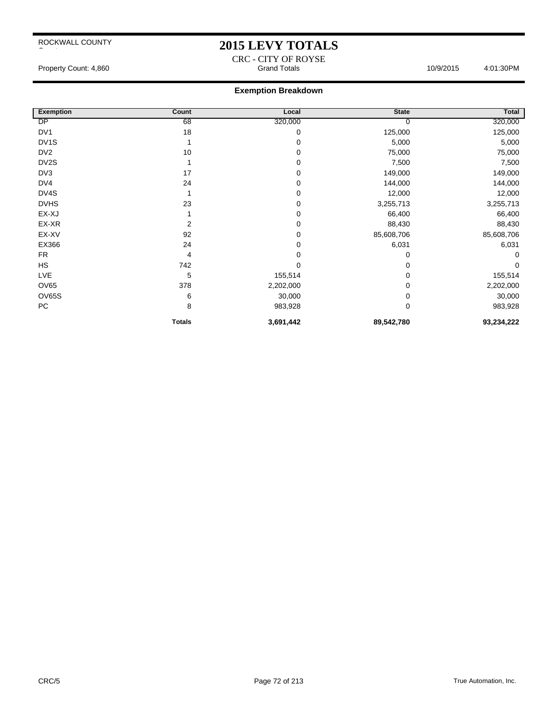### **2015 LEVY TOTALS**

CRC - CITY OF ROYSE Property Count: 4,860 **Accord Totals 10/9/2015** 4:01:30PM Grand Totals 10/9/2015 4:01:30PM

| <b>Exemption</b>  | Count         | Local     | <b>State</b> | <b>Total</b> |
|-------------------|---------------|-----------|--------------|--------------|
| DP                | 68            | 320,000   | 0            | 320,000      |
| DV1               | 18            | 0         | 125,000      | 125,000      |
| DV <sub>1</sub> S |               | 0         | 5,000        | 5,000        |
| DV <sub>2</sub>   | 10            | 0         | 75,000       | 75,000       |
| DV2S              |               | 0         | 7,500        | 7,500        |
| DV3               | 17            | 0         | 149,000      | 149,000      |
| DV4               | 24            | 0         | 144,000      | 144,000      |
| DV4S              |               | 0         | 12,000       | 12,000       |
| <b>DVHS</b>       | 23            | 0         | 3,255,713    | 3,255,713    |
| EX-XJ             |               | 0         | 66,400       | 66,400       |
| EX-XR             | 2             | 0         | 88,430       | 88,430       |
| EX-XV             | 92            | 0         | 85,608,706   | 85,608,706   |
| EX366             | 24            | 0         | 6,031        | 6,031        |
| <b>FR</b>         | 4             | 0         | 0            | $\Omega$     |
| HS                | 742           | 0         | 0            | $\Omega$     |
| LVE               | 5             | 155,514   | 0            | 155,514      |
| OV65              | 378           | 2,202,000 | 0            | 2,202,000    |
| OV65S             | 6             | 30,000    | 0            | 30,000       |
| PC                | 8             | 983,928   | 0            | 983,928      |
|                   | <b>Totals</b> | 3,691,442 | 89,542,780   | 93,234,222   |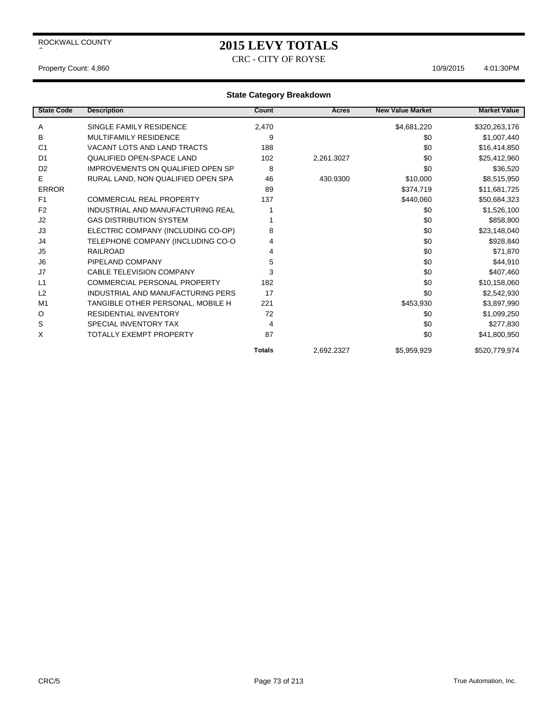# **2015 LEVY TOTALS**

CRC - CITY OF ROYSE

#### Property Count: 4,860 10/9/2015 4:01:30PM

| <b>State Code</b> | <b>Description</b>                       | Count         | <b>Acres</b> | <b>New Value Market</b> | <b>Market Value</b> |
|-------------------|------------------------------------------|---------------|--------------|-------------------------|---------------------|
| A                 | SINGLE FAMILY RESIDENCE                  | 2,470         |              | \$4,681,220             | \$320,263,176       |
| В                 | <b>MULTIFAMILY RESIDENCE</b>             | 9             |              | \$0                     | \$1,007,440         |
| C <sub>1</sub>    | VACANT LOTS AND LAND TRACTS              | 188           |              | \$0                     | \$16,414,850        |
| D <sub>1</sub>    | <b>QUALIFIED OPEN-SPACE LAND</b>         | 102           | 2,261.3027   | \$0                     | \$25,412,960        |
| D <sub>2</sub>    | <b>IMPROVEMENTS ON QUALIFIED OPEN SP</b> | 8             |              | \$0                     | \$36,520            |
| E                 | RURAL LAND, NON QUALIFIED OPEN SPA       | 46            | 430.9300     | \$10,000                | \$8,515,950         |
| <b>ERROR</b>      |                                          | 89            |              | \$374,719               | \$11,681,725        |
| F <sub>1</sub>    | <b>COMMERCIAL REAL PROPERTY</b>          | 137           |              | \$440,060               | \$50,684,323        |
| F <sub>2</sub>    | INDUSTRIAL AND MANUFACTURING REAL        |               |              | \$0                     | \$1,526,100         |
| J2                | <b>GAS DISTRIBUTION SYSTEM</b>           |               |              | \$0                     | \$858,800           |
| J3                | ELECTRIC COMPANY (INCLUDING CO-OP)       | 8             |              | \$0                     | \$23,148,040        |
| J4                | TELEPHONE COMPANY (INCLUDING CO-O        | 4             |              | \$0                     | \$928,840           |
| J <sub>5</sub>    | RAILROAD                                 | 4             |              | \$0                     | \$71,870            |
| J6                | PIPELAND COMPANY                         | 5             |              | \$0                     | \$44,910            |
| J7                | <b>CABLE TELEVISION COMPANY</b>          | 3             |              | \$0                     | \$407,460           |
| L1                | COMMERCIAL PERSONAL PROPERTY             | 182           |              | \$0                     | \$10,158,060        |
| L2                | INDUSTRIAL AND MANUFACTURING PERS        | 17            |              | \$0                     | \$2,542,930         |
| M <sub>1</sub>    | TANGIBLE OTHER PERSONAL, MOBILE H        | 221           |              | \$453,930               | \$3,897,990         |
| O                 | <b>RESIDENTIAL INVENTORY</b>             | 72            |              | \$0                     | \$1,099,250         |
| S                 | SPECIAL INVENTORY TAX                    | 4             |              | \$0                     | \$277,830           |
| X                 | TOTALLY EXEMPT PROPERTY                  | 87            |              | \$0                     | \$41,800,950        |
|                   |                                          | <b>Totals</b> | 2,692.2327   | \$5,959,929             | \$520,779,974       |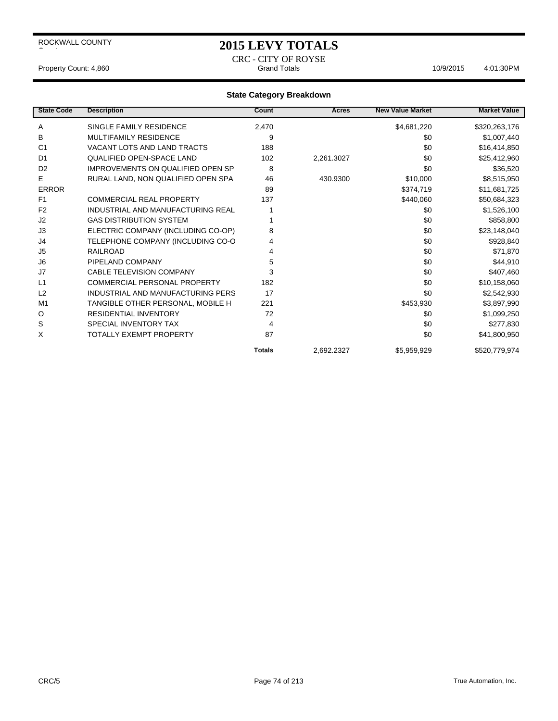## **2015 LEVY TOTALS**

CRC - CITY OF ROYSE Property Count: 4,860 Crand Totals Count: 4,860 Crand Totals 10/9/2015 4:01:30PM

| <b>State Code</b> | <b>Description</b>                       | Count         | <b>Acres</b> | <b>New Value Market</b> | <b>Market Value</b> |
|-------------------|------------------------------------------|---------------|--------------|-------------------------|---------------------|
| Α                 | SINGLE FAMILY RESIDENCE                  | 2,470         |              | \$4,681,220             | \$320,263,176       |
| В                 | <b>MULTIFAMILY RESIDENCE</b>             | 9             |              | \$0                     | \$1,007,440         |
| C <sub>1</sub>    | <b>VACANT LOTS AND LAND TRACTS</b>       | 188           |              | \$0                     | \$16,414,850        |
| D <sub>1</sub>    | <b>QUALIFIED OPEN-SPACE LAND</b>         | 102           | 2,261.3027   | \$0                     | \$25,412,960        |
| D <sub>2</sub>    | <b>IMPROVEMENTS ON QUALIFIED OPEN SP</b> | 8             |              | \$0                     | \$36,520            |
| E                 | RURAL LAND, NON QUALIFIED OPEN SPA       | 46            | 430.9300     | \$10,000                | \$8,515,950         |
| <b>ERROR</b>      |                                          | 89            |              | \$374,719               | \$11,681,725        |
| F <sub>1</sub>    | <b>COMMERCIAL REAL PROPERTY</b>          | 137           |              | \$440,060               | \$50,684,323        |
| F <sub>2</sub>    | INDUSTRIAL AND MANUFACTURING REAL        |               |              | \$0                     | \$1,526,100         |
| J <sub>2</sub>    | <b>GAS DISTRIBUTION SYSTEM</b>           |               |              | \$0                     | \$858,800           |
| J3                | ELECTRIC COMPANY (INCLUDING CO-OP)       | 8             |              | \$0                     | \$23,148,040        |
| J4                | TELEPHONE COMPANY (INCLUDING CO-O        | 4             |              | \$0                     | \$928,840           |
| J <sub>5</sub>    | <b>RAILROAD</b>                          | 4             |              | \$0                     | \$71,870            |
| J <sub>6</sub>    | PIPELAND COMPANY                         | 5             |              | \$0                     | \$44,910            |
| J7                | <b>CABLE TELEVISION COMPANY</b>          | 3             |              | \$0                     | \$407,460           |
| L1                | COMMERCIAL PERSONAL PROPERTY             | 182           |              | \$0                     | \$10,158,060        |
| L2                | INDUSTRIAL AND MANUFACTURING PERS        | 17            |              | \$0                     | \$2,542,930         |
| M <sub>1</sub>    | TANGIBLE OTHER PERSONAL, MOBILE H        | 221           |              | \$453,930               | \$3,897,990         |
| O                 | <b>RESIDENTIAL INVENTORY</b>             | 72            |              | \$0                     | \$1,099,250         |
| S                 | SPECIAL INVENTORY TAX                    | 4             |              | \$0                     | \$277,830           |
| X                 | TOTALLY EXEMPT PROPERTY                  | 87            |              | \$0                     | \$41,800,950        |
|                   |                                          | <b>Totals</b> | 2,692.2327   | \$5,959,929             | \$520,779,974       |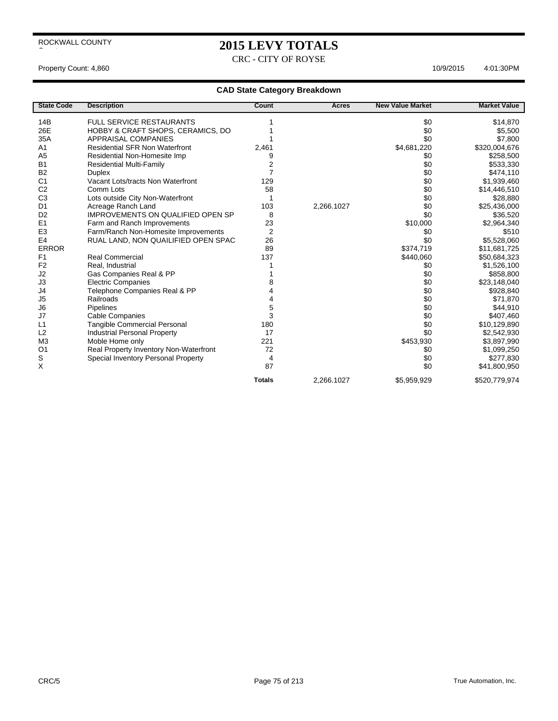# **2015 LEVY TOTALS**

CRC - CITY OF ROYSE

Property Count: 4,860 10/9/2015 4:01:30PM

| <b>State Code</b> | <b>Description</b>                       | Count          | <b>Acres</b> | <b>New Value Market</b> | <b>Market Value</b> |
|-------------------|------------------------------------------|----------------|--------------|-------------------------|---------------------|
| 14B               | <b>FULL SERVICE RESTAURANTS</b>          |                |              | \$0                     | \$14,870            |
| 26E               | HOBBY & CRAFT SHOPS, CERAMICS, DO        |                |              | \$0                     | \$5,500             |
| 35A               | <b>APPRAISAL COMPANIES</b>               |                |              | \$0                     | \$7,800             |
| A <sub>1</sub>    | <b>Residential SFR Non Waterfront</b>    | 2,461          |              | \$4,681,220             | \$320,004,676       |
| A <sub>5</sub>    | Residential Non-Homesite Imp             | 9              |              | \$0                     | \$258,500           |
| <b>B1</b>         | <b>Residential Multi-Family</b>          | 2              |              | \$0                     | \$533,330           |
| <b>B2</b>         | <b>Duplex</b>                            | 7              |              | \$0                     | \$474,110           |
| C <sub>1</sub>    | Vacant Lots/tracts Non Waterfront        | 129            |              | \$0                     | \$1,939,460         |
| C <sub>2</sub>    | Comm Lots                                | 58             |              | \$0                     | \$14,446,510        |
| C <sub>3</sub>    | Lots outside City Non-Waterfront         |                |              | \$0                     | \$28,880            |
| D <sub>1</sub>    | Acreage Ranch Land                       | 103            | 2,266.1027   | \$0                     | \$25,436,000        |
| D <sub>2</sub>    | <b>IMPROVEMENTS ON QUALIFIED OPEN SP</b> | 8              |              | \$0                     | \$36,520            |
| E1                | Farm and Ranch Improvements              | 23             |              | \$10,000                | \$2,964,340         |
| E <sub>3</sub>    | Farm/Ranch Non-Homesite Improvements     | $\overline{2}$ |              | \$0                     | \$510               |
| E <sub>4</sub>    | RUAL LAND, NON QUAILIFIED OPEN SPAC      | 26             |              | \$0                     | \$5,528,060         |
| <b>ERROR</b>      |                                          | 89             |              | \$374,719               | \$11,681,725        |
| F <sub>1</sub>    | <b>Real Commercial</b>                   | 137            |              | \$440,060               | \$50,684,323        |
| F <sub>2</sub>    | Real, Industrial                         |                |              | \$0                     | \$1,526,100         |
| J2                | Gas Companies Real & PP                  |                |              | \$0                     | \$858,800           |
| J3                | <b>Electric Companies</b>                | 8              |              | \$0                     | \$23,148,040        |
| J4                | Telephone Companies Real & PP            | 4              |              | \$0                     | \$928,840           |
| J <sub>5</sub>    | Railroads                                | 4              |              | \$0                     | \$71,870            |
| J6                | Pipelines                                | 5              |              | \$0                     | \$44,910            |
| J7                | Cable Companies                          | 3              |              | \$0                     | \$407,460           |
| L1                | <b>Tangible Commercial Personal</b>      | 180            |              | \$0                     | \$10,129,890        |
| L2                | <b>Industrial Personal Property</b>      | 17             |              | \$0                     | \$2,542,930         |
| M <sub>3</sub>    | Moble Home only                          | 221            |              | \$453,930               | \$3,897,990         |
| O <sub>1</sub>    | Real Property Inventory Non-Waterfront   | 72             |              | \$0                     | \$1,099,250         |
| S                 | Special Inventory Personal Property      | 4              |              | \$0                     | \$277,830           |
| Χ                 |                                          | 87             |              | \$0                     | \$41,800,950        |
|                   |                                          | <b>Totals</b>  | 2,266.1027   | \$5,959,929             | \$520,779,974       |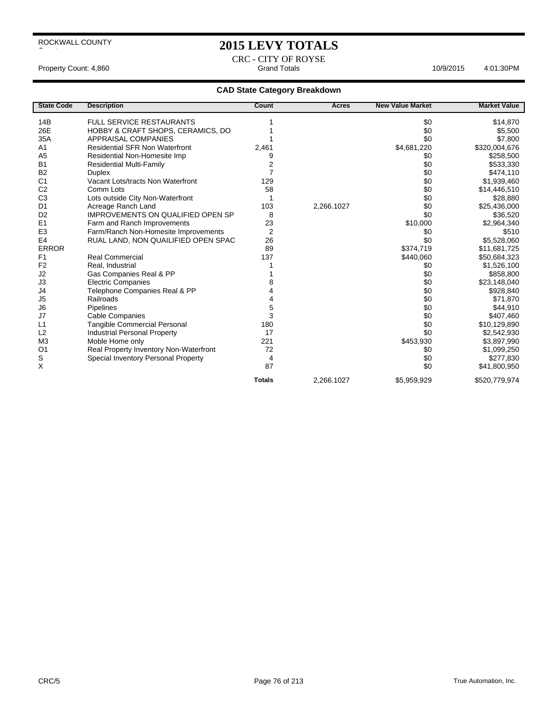## **2015 LEVY TOTALS**

CRC - CITY OF ROYSE Property Count: 4,860 **Accord Property Count: 4,860** Accord Property Count: 4,860 Accord Property Count: 4,860

| <b>State Code</b> | <b>Description</b>                       | <b>Count</b>  | Acres      | <b>New Value Market</b> | <b>Market Value</b> |
|-------------------|------------------------------------------|---------------|------------|-------------------------|---------------------|
| 14B               | <b>FULL SERVICE RESTAURANTS</b>          |               |            | \$0                     | \$14,870            |
| 26E               | HOBBY & CRAFT SHOPS, CERAMICS, DO        |               |            | \$0                     | \$5,500             |
| 35A               | <b>APPRAISAL COMPANIES</b>               |               |            | \$0                     | \$7,800             |
| A <sub>1</sub>    | <b>Residential SFR Non Waterfront</b>    | 2,461         |            | \$4,681,220             | \$320,004,676       |
| A <sub>5</sub>    | Residential Non-Homesite Imp             | 9             |            | \$0                     | \$258,500           |
| <b>B1</b>         | <b>Residential Multi-Family</b>          | 2             |            | \$0                     | \$533,330           |
| <b>B2</b>         | <b>Duplex</b>                            | 7             |            | \$0                     | \$474,110           |
| C <sub>1</sub>    | Vacant Lots/tracts Non Waterfront        | 129           |            | \$0                     | \$1,939,460         |
| C <sub>2</sub>    | Comm Lots                                | 58            |            | \$0                     | \$14,446,510        |
| C <sub>3</sub>    | Lots outside City Non-Waterfront         |               |            | \$0                     | \$28,880            |
| D <sub>1</sub>    | Acreage Ranch Land                       | 103           | 2,266.1027 | \$0                     | \$25,436,000        |
| D <sub>2</sub>    | <b>IMPROVEMENTS ON QUALIFIED OPEN SP</b> | 8             |            | \$0                     | \$36,520            |
| E1                | Farm and Ranch Improvements              | 23            |            | \$10,000                | \$2,964,340         |
| E <sub>3</sub>    | Farm/Ranch Non-Homesite Improvements     | 2             |            | \$0                     | \$510               |
| E <sub>4</sub>    | RUAL LAND, NON QUAILIFIED OPEN SPAC      | 26            |            | \$0                     | \$5,528,060         |
| <b>ERROR</b>      |                                          | 89            |            | \$374,719               | \$11,681,725        |
| F <sub>1</sub>    | <b>Real Commercial</b>                   | 137           |            | \$440,060               | \$50,684,323        |
| F <sub>2</sub>    | Real, Industrial                         |               |            | \$0                     | \$1,526,100         |
| J2                | Gas Companies Real & PP                  |               |            | \$0                     | \$858,800           |
| J3                | <b>Electric Companies</b>                |               |            | \$0                     | \$23,148,040        |
| J4                | Telephone Companies Real & PP            |               |            | \$0                     | \$928,840           |
| J <sub>5</sub>    | Railroads                                |               |            | \$0                     | \$71,870            |
| J6                | Pipelines                                | 5             |            | \$0                     | \$44,910            |
| J7                | <b>Cable Companies</b>                   | 3             |            | \$0                     | \$407,460           |
| L1                | <b>Tangible Commercial Personal</b>      | 180           |            | \$0                     | \$10,129,890        |
| L2                | <b>Industrial Personal Property</b>      | 17            |            | \$0                     | \$2,542,930         |
| M <sub>3</sub>    | Moble Home only                          | 221           |            | \$453,930               | \$3,897,990         |
| O <sub>1</sub>    | Real Property Inventory Non-Waterfront   | 72            |            | \$0                     | \$1,099,250         |
| S                 | Special Inventory Personal Property      | 4             |            | \$0                     | \$277,830           |
| Χ                 |                                          | 87            |            | \$0                     | \$41,800,950        |
|                   |                                          | <b>Totals</b> | 2,266.1027 | \$5,959,929             | \$520,779,974       |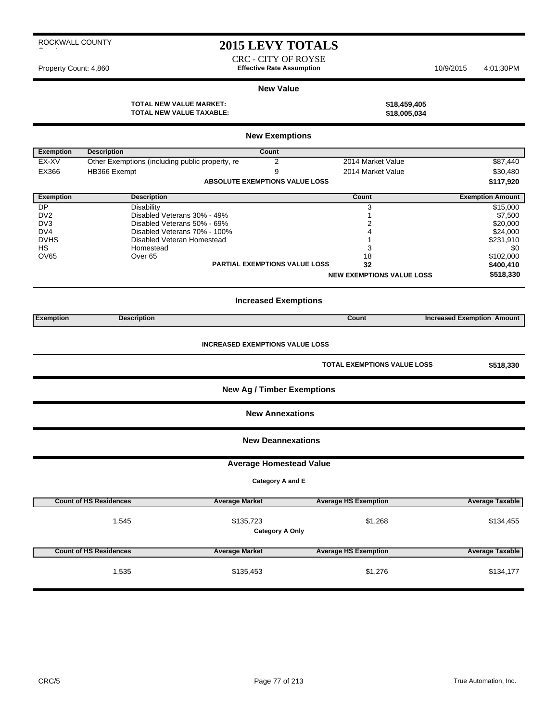# **2015 LEVY TOTALS**

CRC - CITY OF ROYSE Property Count: 4,860 **Effective Rate Assumption** 10/9/2015 4:01:30PM

#### **New Value**

**TOTAL NEW VALUE MARKET: \$18,459,405 TOTAL NEW VALUE TAXABLE: \$18,005,034**

| <b>New Exemptions</b> |                                                 |                                        |                                    |                                   |  |  |  |  |  |
|-----------------------|-------------------------------------------------|----------------------------------------|------------------------------------|-----------------------------------|--|--|--|--|--|
| <b>Exemption</b>      | <b>Description</b>                              | Count                                  |                                    |                                   |  |  |  |  |  |
| EX-XV                 | Other Exemptions (including public property, re | 2                                      | 2014 Market Value                  | \$87,440                          |  |  |  |  |  |
| EX366                 | HB366 Exempt                                    | 9                                      | 2014 Market Value                  | \$30,480                          |  |  |  |  |  |
|                       |                                                 | ABSOLUTE EXEMPTIONS VALUE LOSS         |                                    | \$117,920                         |  |  |  |  |  |
| <b>Exemption</b>      | <b>Description</b>                              |                                        | Count                              | <b>Exemption Amount</b>           |  |  |  |  |  |
| DP                    | <b>Disability</b>                               |                                        | 3                                  | \$15,000                          |  |  |  |  |  |
| DV <sub>2</sub>       | Disabled Veterans 30% - 49%                     |                                        | 1                                  | \$7,500                           |  |  |  |  |  |
| DV <sub>3</sub>       | Disabled Veterans 50% - 69%                     |                                        | 2                                  | \$20,000                          |  |  |  |  |  |
| DV4                   | Disabled Veterans 70% - 100%                    |                                        | 4                                  | \$24,000                          |  |  |  |  |  |
| <b>DVHS</b>           | Disabled Veteran Homestead                      |                                        |                                    | \$231,910                         |  |  |  |  |  |
| HS                    | Homestead                                       |                                        | 3                                  | \$0                               |  |  |  |  |  |
| <b>OV65</b>           | Over <sub>65</sub>                              |                                        | 18                                 | \$102,000                         |  |  |  |  |  |
|                       |                                                 | <b>PARTIAL EXEMPTIONS VALUE LOSS</b>   | 32                                 | \$400,410                         |  |  |  |  |  |
|                       |                                                 |                                        | <b>NEW EXEMPTIONS VALUE LOSS</b>   | \$518,330                         |  |  |  |  |  |
|                       | <b>Increased Exemptions</b>                     |                                        |                                    |                                   |  |  |  |  |  |
| <b>Exemption</b>      | <b>Description</b>                              |                                        | <b>Count</b>                       | <b>Increased Exemption Amount</b> |  |  |  |  |  |
|                       |                                                 | <b>INCREASED EXEMPTIONS VALUE LOSS</b> |                                    |                                   |  |  |  |  |  |
|                       |                                                 |                                        | <b>TOTAL EXEMPTIONS VALUE LOSS</b> | \$518,330                         |  |  |  |  |  |
|                       |                                                 | <b>New Ag / Timber Exemptions</b>      |                                    |                                   |  |  |  |  |  |
|                       |                                                 | <b>New Annexations</b>                 |                                    |                                   |  |  |  |  |  |
|                       |                                                 | <b>New Deannexations</b>               |                                    |                                   |  |  |  |  |  |

#### **Average Homestead Value**

**Category A and E**

| <b>Count of HS Residences</b> | <b>Average Market</b> | <b>Average HS Exemption</b> | <b>Average Taxable</b> |
|-------------------------------|-----------------------|-----------------------------|------------------------|
| .545                          | \$134,455             |                             |                        |
| <b>Count of HS Residences</b> | <b>Average Market</b> | <b>Average HS Exemption</b> | <b>Average Taxable</b> |
| 535.                          | \$135,453             | \$1,276                     | \$134,177              |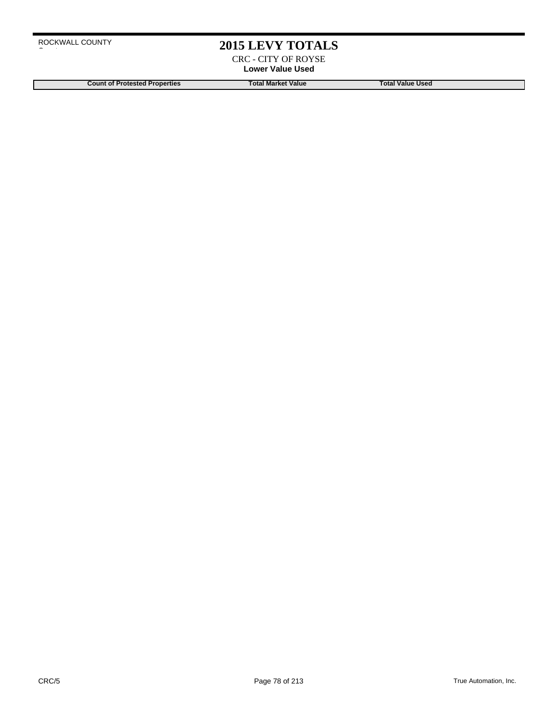## **2015 LEVY TOTALS**

CRC - CITY OF ROYSE **Lower Value Used**

**Count of Protested Properties Total Market Value Count of Protested Properties Count of Protested Properties**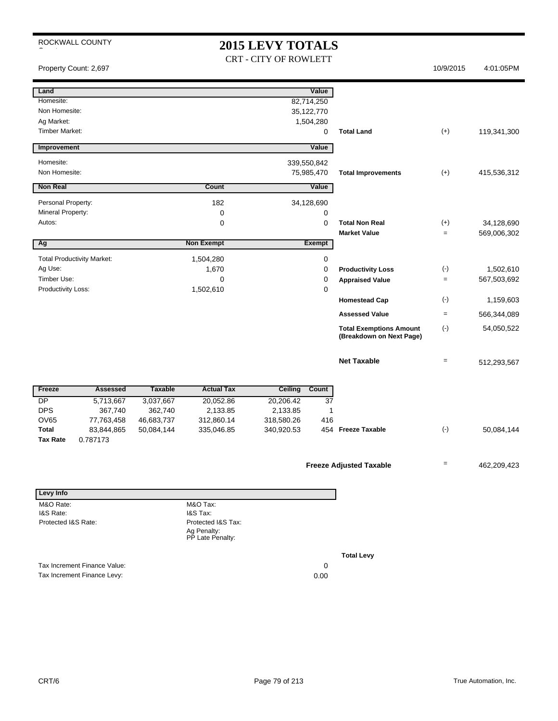## **2015 LEVY TOTALS** CRT - CITY OF ROWLETT

|                       | Property Count: 2,697             |                       |                                 |                        |               |                                                            | 10/9/2015         | 4:01:05PM   |
|-----------------------|-----------------------------------|-----------------------|---------------------------------|------------------------|---------------|------------------------------------------------------------|-------------------|-------------|
| Land                  |                                   |                       |                                 |                        | Value         |                                                            |                   |             |
| Homesite:             |                                   |                       |                                 |                        | 82,714,250    |                                                            |                   |             |
| Non Homesite:         |                                   |                       |                                 |                        | 35,122,770    |                                                            |                   |             |
| Ag Market:            |                                   |                       |                                 |                        | 1,504,280     |                                                            |                   |             |
| <b>Timber Market:</b> |                                   |                       |                                 |                        | 0             | <b>Total Land</b>                                          | $(+)$             | 119,341,300 |
| Improvement           |                                   |                       |                                 |                        | Value         |                                                            |                   |             |
| Homesite:             |                                   |                       |                                 | 339,550,842            |               |                                                            |                   |             |
| Non Homesite:         |                                   |                       |                                 | 75,985,470             |               | <b>Total Improvements</b>                                  | $(+)$             | 415,536,312 |
| <b>Non Real</b>       |                                   |                       | Count                           |                        | Value         |                                                            |                   |             |
| Personal Property:    |                                   |                       | 182                             | 34,128,690             |               |                                                            |                   |             |
| Mineral Property:     |                                   |                       | 0                               |                        | 0             |                                                            |                   |             |
| Autos:                |                                   |                       | 0                               |                        | $\mathbf 0$   | <b>Total Non Real</b>                                      | $(+)$             | 34,128,690  |
|                       |                                   |                       |                                 |                        |               | <b>Market Value</b>                                        | $\equiv$          | 569,006,302 |
| Ag                    |                                   |                       | <b>Non Exempt</b>               |                        | <b>Exempt</b> |                                                            |                   |             |
|                       | <b>Total Productivity Market:</b> |                       | 1,504,280                       |                        | 0             |                                                            |                   |             |
| Ag Use:               |                                   |                       | 1,670                           |                        | 0             | <b>Productivity Loss</b>                                   | $(\text{-})$      | 1,502,610   |
| Timber Use:           |                                   |                       | $\mathbf 0$                     |                        | $\mathbf 0$   | <b>Appraised Value</b>                                     | $\equiv$          | 567,503,692 |
| Productivity Loss:    |                                   |                       | 1,502,610                       |                        | $\mathbf 0$   | <b>Homestead Cap</b>                                       | $(\cdot)$         | 1,159,603   |
|                       |                                   |                       |                                 |                        |               | <b>Assessed Value</b>                                      | $\equiv$          | 566,344,089 |
|                       |                                   |                       |                                 |                        |               |                                                            |                   |             |
|                       |                                   |                       |                                 |                        |               | <b>Total Exemptions Amount</b><br>(Breakdown on Next Page) | $(-)$             | 54,050,522  |
|                       |                                   |                       |                                 |                        |               | <b>Net Taxable</b>                                         | $\qquad \qquad =$ | 512,293,567 |
|                       |                                   |                       |                                 |                        |               |                                                            |                   |             |
| Freeze                | <b>Assessed</b>                   | <b>Taxable</b>        | <b>Actual Tax</b>               | <b>Ceiling</b>         | Count         |                                                            |                   |             |
| DP                    | 5,713,667                         | 3,037,667             | 20,052.86                       | 20,206.42              | 37            |                                                            |                   |             |
| <b>DPS</b><br>OV65    | 367,740<br>77,763,458             | 362,740<br>46,683,737 | 2,133.85<br>312,860.14          | 2,133.85<br>318,580.26 | 1<br>416      |                                                            |                   |             |
| <b>Total</b>          | 83,844,865                        | 50,084,144            | 335,046.85                      | 340,920.53             |               | 454 Freeze Taxable                                         | $(-)$             | 50,084,144  |
| <b>Tax Rate</b>       | 0.787173                          |                       |                                 |                        |               |                                                            |                   |             |
|                       |                                   |                       |                                 |                        |               |                                                            |                   |             |
|                       |                                   |                       |                                 |                        |               | <b>Freeze Adjusted Taxable</b>                             | $\qquad \qquad =$ | 462,209,423 |
| Levy Info             |                                   |                       |                                 |                        |               |                                                            |                   |             |
| M&O Rate:             |                                   |                       | M&O Tax:                        |                        |               |                                                            |                   |             |
| I&S Rate:             |                                   |                       | I&S Tax:                        |                        |               |                                                            |                   |             |
| Protected I&S Rate:   |                                   |                       | Protected I&S Tax:              |                        |               |                                                            |                   |             |
|                       |                                   |                       | Ag Penalty:<br>PP Late Penalty: |                        |               |                                                            |                   |             |
|                       |                                   |                       |                                 |                        |               | <b>Total Levy</b>                                          |                   |             |
|                       | Tax Increment Finance Value:      |                       |                                 |                        | 0             |                                                            |                   |             |
|                       | Tax Increment Finance Levy:       |                       |                                 |                        | 0.00          |                                                            |                   |             |
|                       |                                   |                       |                                 |                        |               |                                                            |                   |             |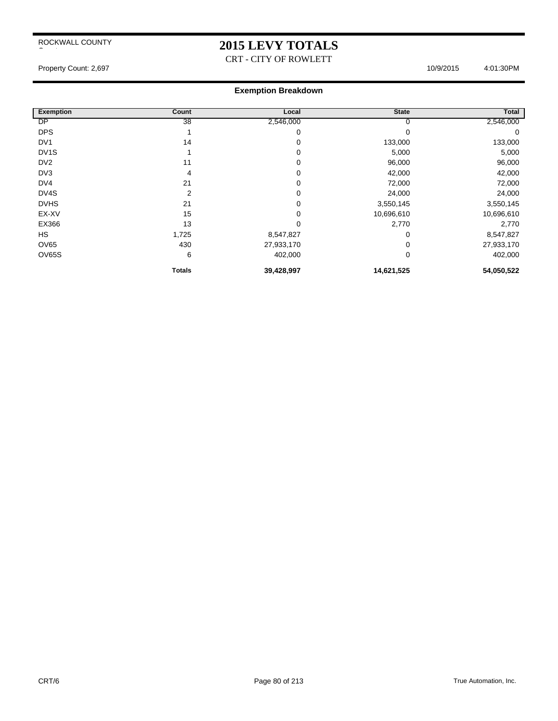# **2015 LEVY TOTALS**

CRT - CITY OF ROWLETT

### Property Count: 2,697 4:01:30PM

#### **Exemption Breakdown**

| <b>Exemption</b>  | Count          | Local      | <b>State</b> | Total      |
|-------------------|----------------|------------|--------------|------------|
| DP                | 38             | 2,546,000  | υ            | 2,546,000  |
| <b>DPS</b>        |                | 0          | 0            | 0          |
| DV <sub>1</sub>   | 14             | 0          | 133,000      | 133,000    |
| DV <sub>1</sub> S |                | 0          | 5,000        | 5,000      |
| DV <sub>2</sub>   | 11             | 0          | 96,000       | 96,000     |
| DV3               | 4              | 0          | 42,000       | 42,000     |
| DV4               | 21             | 0          | 72,000       | 72,000     |
| DV4S              | $\overline{2}$ | 0          | 24,000       | 24,000     |
| <b>DVHS</b>       | 21             | 0          | 3,550,145    | 3,550,145  |
| EX-XV             | 15             | 0          | 10,696,610   | 10,696,610 |
| EX366             | 13             | 0          | 2,770        | 2,770      |
| <b>HS</b>         | 1,725          | 8,547,827  |              | 8,547,827  |
| <b>OV65</b>       | 430            | 27,933,170 | 0            | 27,933,170 |
| OV65S             | 6              | 402,000    | 0            | 402,000    |
|                   | <b>Totals</b>  | 39,428,997 | 14,621,525   | 54,050,522 |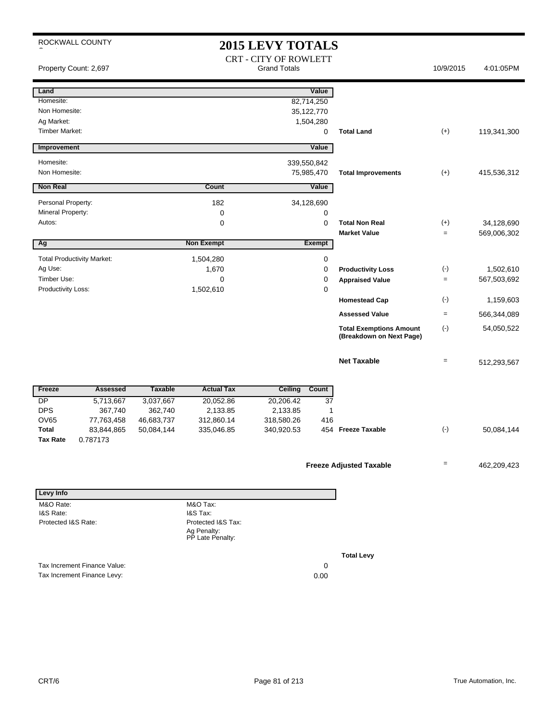ROCKWALL COUNTY **2015 LEVY TOTALS** CRT - CITY OF ROWLETT Property Count: 2,697 Count: 2,697 Crack 10/9/2015 4:01:05PM **Land Value** Homesite: 82,714,250 Non Homesite: 35,122,770 Ag Market: 1,504,280 Timber Market: 0 **Total Land** (+) 119,341,300 **Improvement Value** Homesite: 339,550,842 Non Homesite: 75,985,470 **Total Improvements** (+) 415,536,312 **Non Real Value Count Count Value** Personal Property: 182 34,128,690 Mineral Property: 0 0 Autos: 0 0 **Total Non Real** (+) 34,128,690 **Market Value**  $= 569,006,302$ **Ag CONFIDENTIAL CONSUMING THE CONFIDENTIAL CONSUMING THE CONFIDENTIAL CONFIDENTIAL CONFIDENTIAL CONFIDENTIAL CONFIDENTIAL CONFIDENTIAL CONFIDENTIAL CONFIDENTIAL CONFIDENTIAL CONFIDENTIAL CONFIDENTIAL CONFIDENTIAL CONFIDEN** Total Productivity Market: 1,504,280 0 Ag Use: 1,670 1,670 **Productivity Loss** (-) 1,502,610 Timber Use: 0 0 **Appraised Value** = 567,503,692 Productivity Loss: 1,502,610 0 **Homestead Cap** (-) 1,159,603 **Assessed Value** = 566,344,089 **Total Exemptions Amount** (-) **(Breakdown on Next Page)** 54,050,522 **Net Taxable**  $= 512,293,567$ Freeze Assessed Taxable Actual Tax Ceiling Count DP 5,713,667 3,037,667 20,052.86 20,206.42 37 DPS 367,740 362,740 2,133.85 2,133.85 1 OV65 77,763,458 46,683,737 312,860.14 318,580.26 416 **Total** 83,844,865 50,084,144 335,046.85 340,920.53 454 Freeze Taxable (-) 50,084,144 **Tax Rate** 0.787173 **Freeze Adjusted Taxable**  $\qquad \qquad =$  462,209,423 **Levy Info** M&O Rate: I&S Rate: M&O Tax: I&S Tax:

Protected I&S Rate: Protected I&S Tax: Ag Penalty: PP Late Penalty: Tax Increment Finance Value: 0 Tax Increment Finance Levy: 0.00

**Total Levy**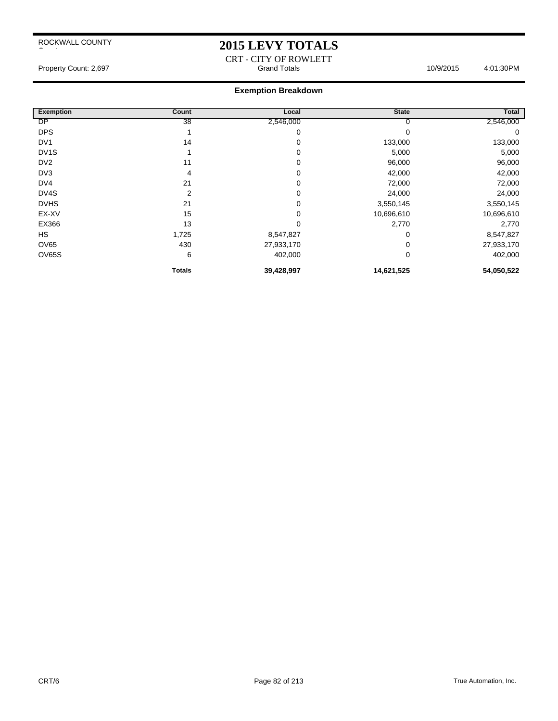## **2015 LEVY TOTALS**

CRT - CITY OF ROWLETT Property Count: 2,697 Count: 2,697 Count: 2,697 Count: 2,697 Count: 2,697 Count: 2,697 Count: 2,697 Count: 2,697 Count: 2,697 Count: 2,697 Count: 2,697 Count: 2,697 Count: 2,697 Count: 2,697 Count: 2,697 Count: 2,697 Count

#### **Exemption Breakdown**

| <b>Exemption</b>  | Count         | Local      | <b>State</b> | <b>Total</b> |
|-------------------|---------------|------------|--------------|--------------|
| DP                | 38            | 2,546,000  | 0            | 2,546,000    |
| <b>DPS</b>        |               | 0          | 0            | 0            |
| DV <sub>1</sub>   | 14            | 0          | 133,000      | 133,000      |
| DV <sub>1</sub> S |               | 0          | 5,000        | 5,000        |
| DV <sub>2</sub>   | 11            | 0          | 96,000       | 96,000       |
| DV3               | 4             | 0          | 42,000       | 42,000       |
| DV4               | 21            | 0          | 72,000       | 72,000       |
| DV4S              | 2             | 0          | 24,000       | 24,000       |
| <b>DVHS</b>       | 21            | 0          | 3,550,145    | 3,550,145    |
| EX-XV             | 15            | 0          | 10,696,610   | 10,696,610   |
| EX366             | 13            | 0          | 2,770        | 2,770        |
| <b>HS</b>         | 1,725         | 8,547,827  | 0            | 8,547,827    |
| <b>OV65</b>       | 430           | 27,933,170 | 0            | 27,933,170   |
| OV65S             | 6             | 402,000    | 0            | 402,000      |
|                   | <b>Totals</b> | 39,428,997 | 14,621,525   | 54,050,522   |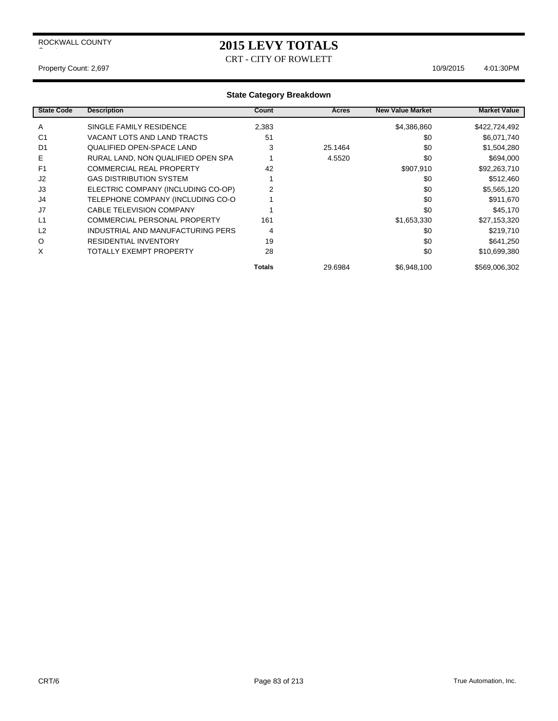# **2015 LEVY TOTALS**

CRT - CITY OF ROWLETT

#### Property Count: 2,697 10/9/2015 4:01:30PM

| <b>State Code</b> | <b>Description</b>                  | Count  | <b>Acres</b> | <b>New Value Market</b> | <b>Market Value</b> |
|-------------------|-------------------------------------|--------|--------------|-------------------------|---------------------|
| $\mathsf{A}$      | SINGLE FAMILY RESIDENCE             | 2,383  |              | \$4,386,860             | \$422,724,492       |
| C <sub>1</sub>    | VACANT LOTS AND LAND TRACTS         | 51     |              | \$0                     | \$6,071,740         |
| D <sub>1</sub>    | QUALIFIED OPEN-SPACE LAND           | 3      | 25.1464      | \$0                     | \$1,504,280         |
| Е                 | RURAL LAND, NON QUALIFIED OPEN SPA  |        | 4.5520       | \$0                     | \$694,000           |
| F <sub>1</sub>    | <b>COMMERCIAL REAL PROPERTY</b>     | 42     |              | \$907,910               | \$92,263,710        |
| J <sub>2</sub>    | <b>GAS DISTRIBUTION SYSTEM</b>      |        |              | \$0                     | \$512,460           |
| J3                | ELECTRIC COMPANY (INCLUDING CO-OP)  | 2      |              | \$0                     | \$5,565,120         |
| J4                | TELEPHONE COMPANY (INCLUDING CO-O   |        |              | \$0                     | \$911,670           |
| J7                | <b>CABLE TELEVISION COMPANY</b>     |        |              | \$0                     | \$45,170            |
| L1                | <b>COMMERCIAL PERSONAL PROPERTY</b> | 161    |              | \$1,653,330             | \$27,153,320        |
| L <sub>2</sub>    | INDUSTRIAL AND MANUFACTURING PERS   | 4      |              | \$0                     | \$219,710           |
| $\circ$           | <b>RESIDENTIAL INVENTORY</b>        | 19     |              | \$0                     | \$641,250           |
| X                 | TOTALLY EXEMPT PROPERTY             | 28     |              | \$0                     | \$10,699,380        |
|                   |                                     | Totals | 29.6984      | \$6,948,100             | \$569,006,302       |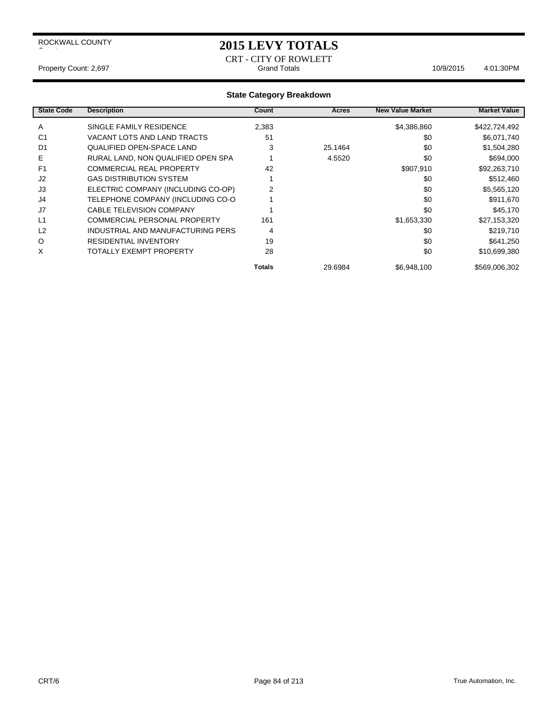## **2015 LEVY TOTALS**

CRT - CITY OF ROWLETT Property Count: 2,697 Count: 2,697 Count: 2,697 Count: 2,697 Count: 2,697 Count: 2,697 Count: 2,697 Count: 2,697 Count: 2,697 Count: 2,697 Count: 2,697 Count: 2,697 Count: 2,697 Count: 2,697 Count: 2,697 Count: 2,697 Count

| <b>State Code</b> | <b>Description</b>                  | Count  | <b>Acres</b> | <b>New Value Market</b> | <b>Market Value</b> |
|-------------------|-------------------------------------|--------|--------------|-------------------------|---------------------|
| A                 | SINGLE FAMILY RESIDENCE             | 2,383  |              | \$4,386,860             | \$422,724,492       |
| C <sub>1</sub>    | VACANT LOTS AND LAND TRACTS         | 51     |              | \$0                     | \$6,071,740         |
| D <sub>1</sub>    | QUALIFIED OPEN-SPACE LAND           | 3      | 25.1464      | \$0                     | \$1,504,280         |
| Е                 | RURAL LAND, NON QUALIFIED OPEN SPA  |        | 4.5520       | \$0                     | \$694,000           |
| F <sub>1</sub>    | <b>COMMERCIAL REAL PROPERTY</b>     | 42     |              | \$907,910               | \$92,263,710        |
| J <sub>2</sub>    | <b>GAS DISTRIBUTION SYSTEM</b>      |        |              | \$0                     | \$512,460           |
| J3                | ELECTRIC COMPANY (INCLUDING CO-OP)  | 2      |              | \$0                     | \$5,565,120         |
| J4                | TELEPHONE COMPANY (INCLUDING CO-O   |        |              | \$0                     | \$911,670           |
| J7                | <b>CABLE TELEVISION COMPANY</b>     |        |              | \$0                     | \$45,170            |
| L1                | <b>COMMERCIAL PERSONAL PROPERTY</b> | 161    |              | \$1,653,330             | \$27,153,320        |
| L <sub>2</sub>    | INDUSTRIAL AND MANUFACTURING PERS   | 4      |              | \$0                     | \$219,710           |
| $\circ$           | <b>RESIDENTIAL INVENTORY</b>        | 19     |              | \$0                     | \$641,250           |
| X                 | TOTALLY EXEMPT PROPERTY             | 28     |              | \$0                     | \$10,699,380        |
|                   |                                     | Totals | 29.6984      | \$6,948,100             | \$569,006,302       |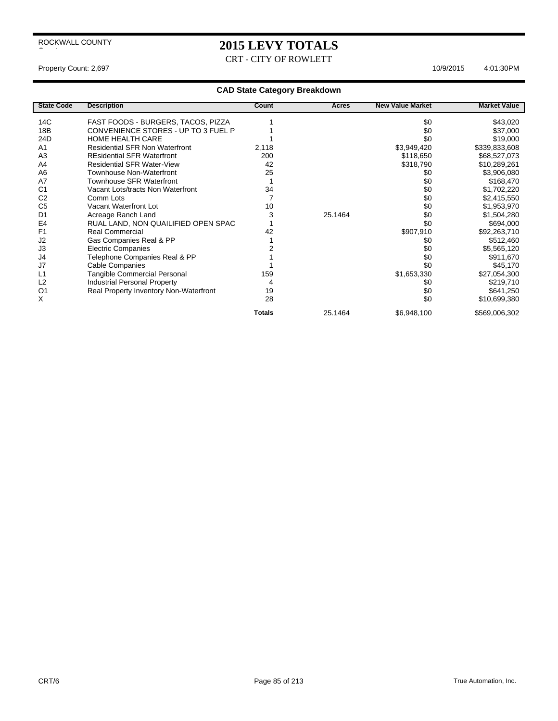# **2015 LEVY TOTALS**

CRT - CITY OF ROWLETT

## **CAD State Category Breakdown**

| <b>State Code</b> | <b>Description</b>                     | Count         | Acres   | <b>New Value Market</b> | <b>Market Value</b> |
|-------------------|----------------------------------------|---------------|---------|-------------------------|---------------------|
| 14C               | FAST FOODS - BURGERS, TACOS, PIZZA     |               |         | \$0                     | \$43,020            |
| 18 <sub>B</sub>   | CONVENIENCE STORES - UP TO 3 FUEL P    |               |         | \$0                     | \$37,000            |
| 24D               | <b>HOME HEALTH CARE</b>                |               |         | \$0                     | \$19,000            |
| A1                | <b>Residential SFR Non Waterfront</b>  | 2,118         |         | \$3,949,420             | \$339,833,608       |
| A <sub>3</sub>    | <b>REsidential SFR Waterfront</b>      | 200           |         | \$118,650               | \$68,527,073        |
| A4                | <b>Residential SFR Water-View</b>      | 42            |         | \$318,790               | \$10,289,261        |
| A <sub>6</sub>    | Townhouse Non-Waterfront               | 25            |         | \$0                     | \$3,906,080         |
| A7                | Townhouse SFR Waterfront               |               |         | \$0                     | \$168,470           |
| C <sub>1</sub>    | Vacant Lots/tracts Non Waterfront      | 34            |         | \$0                     | \$1,702,220         |
| C <sub>2</sub>    | Comm Lots                              |               |         | \$0                     | \$2,415,550         |
| C <sub>5</sub>    | Vacant Waterfront Lot                  | 10            |         | \$0                     | \$1,953,970         |
| D <sub>1</sub>    | Acreage Ranch Land                     | 3             | 25.1464 | \$0                     | \$1,504,280         |
| E4                | RUAL LAND, NON QUAILIFIED OPEN SPAC    |               |         | \$0                     | \$694,000           |
| F <sub>1</sub>    | <b>Real Commercial</b>                 | 42            |         | \$907,910               | \$92,263,710        |
| J2                | Gas Companies Real & PP                |               |         | \$0                     | \$512,460           |
| J3                | <b>Electric Companies</b>              |               |         | \$0                     | \$5,565,120         |
| J4                | Telephone Companies Real & PP          |               |         | \$0                     | \$911,670           |
| J7                | Cable Companies                        |               |         | \$0                     | \$45,170            |
| L1                | Tangible Commercial Personal           | 159           |         | \$1,653,330             | \$27,054,300        |
| L <sub>2</sub>    | <b>Industrial Personal Property</b>    | 4             |         | \$0                     | \$219,710           |
| O <sub>1</sub>    | Real Property Inventory Non-Waterfront | 19            |         | \$0                     | \$641,250           |
| X                 |                                        | 28            |         | \$0                     | \$10,699,380        |
|                   |                                        | <b>Totals</b> | 25.1464 | \$6,948,100             | \$569,006,302       |

Property Count: 2,697 10/9/2015 4:01:30PM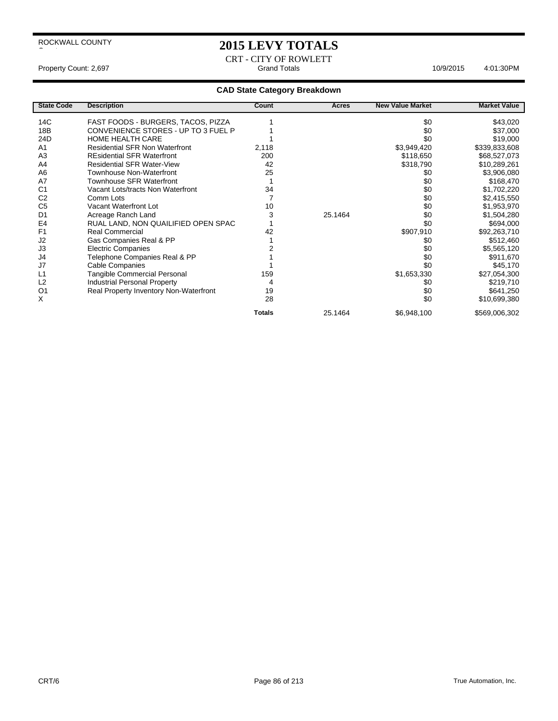$\overline{\phantom{a}}$ 

## **2015 LEVY TOTALS**

CRT - CITY OF ROWLETT Property Count: 2,697 **Accord 2013** Grand Totals **Grand Totals** 4:01:30PM

| <b>State Code</b> | <b>Description</b>                     | Count         | Acres   | <b>New Value Market</b> | <b>Market Value</b> |
|-------------------|----------------------------------------|---------------|---------|-------------------------|---------------------|
| 14C               | FAST FOODS - BURGERS, TACOS, PIZZA     |               |         | \$0                     | \$43,020            |
| 18B               | CONVENIENCE STORES - UP TO 3 FUEL P    |               |         | \$0                     | \$37,000            |
| 24D               | <b>HOME HEALTH CARE</b>                |               |         | \$0                     |                     |
|                   |                                        |               |         |                         | \$19,000            |
| A1                | <b>Residential SFR Non Waterfront</b>  | 2,118         |         | \$3,949,420             | \$339,833,608       |
| A <sub>3</sub>    | <b>REsidential SFR Waterfront</b>      | 200           |         | \$118,650               | \$68,527,073        |
| A <sub>4</sub>    | <b>Residential SFR Water-View</b>      | 42            |         | \$318,790               | \$10,289,261        |
| A <sub>6</sub>    | <b>Townhouse Non-Waterfront</b>        | 25            |         | \$0                     | \$3,906,080         |
| A7                | <b>Townhouse SFR Waterfront</b>        |               |         | \$0                     | \$168,470           |
| C <sub>1</sub>    | Vacant Lots/tracts Non Waterfront      | 34            |         | \$0                     | \$1,702,220         |
| C <sub>2</sub>    | Comm Lots                              | 7             |         | \$0                     | \$2,415,550         |
| C <sub>5</sub>    | Vacant Waterfront Lot                  | 10            |         | \$0                     | \$1,953,970         |
| D <sub>1</sub>    | Acreage Ranch Land                     | 3             | 25.1464 | \$0                     | \$1,504,280         |
| E <sub>4</sub>    | RUAL LAND, NON QUAILIFIED OPEN SPAC    |               |         | \$0                     | \$694,000           |
| F <sub>1</sub>    | <b>Real Commercial</b>                 | 42            |         | \$907,910               | \$92,263,710        |
| J <sub>2</sub>    | Gas Companies Real & PP                |               |         | \$0                     | \$512,460           |
| J3                | <b>Electric Companies</b>              |               |         | \$0                     | \$5,565,120         |
| J4                | Telephone Companies Real & PP          |               |         | \$0                     | \$911,670           |
| J7                | Cable Companies                        |               |         | \$0                     | \$45,170            |
| L <sub>1</sub>    | <b>Tangible Commercial Personal</b>    | 159           |         | \$1,653,330             | \$27,054,300        |
| L <sub>2</sub>    | Industrial Personal Property           | 4             |         | \$0                     | \$219,710           |
| O <sub>1</sub>    | Real Property Inventory Non-Waterfront | 19            |         | \$0                     | \$641,250           |
| X                 |                                        | 28            |         | \$0                     | \$10,699,380        |
|                   |                                        | <b>Totals</b> | 25.1464 | \$6,948,100             | \$569,006,302       |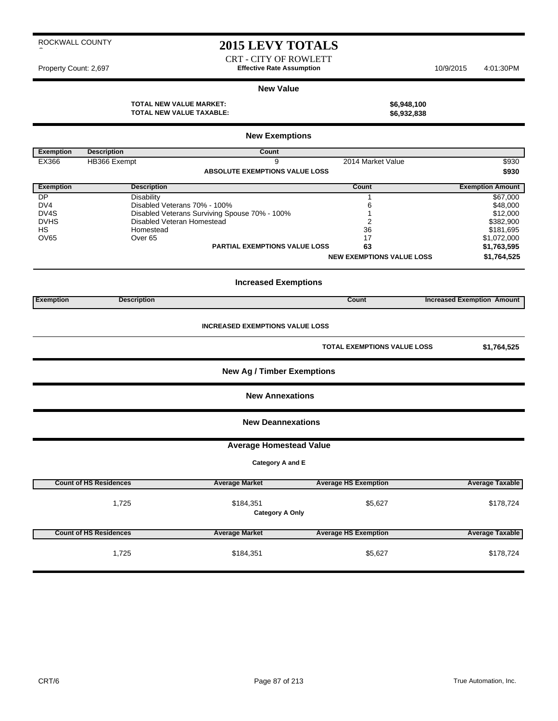## **2015 LEVY TOTALS**

CRT - CITY OF ROWLETT Property Count: 2,697 **Effective Rate Assumption** 10/9/2015 4:01:30PM

#### **New Value**

**TOTAL NEW VALUE MARKET: \$6,948,100 TOTAL NEW VALUE TAXABLE: \$6,932,838**

|                                        |                               | <b>New Exemptions</b>                         |                                  |                                   |  |  |  |
|----------------------------------------|-------------------------------|-----------------------------------------------|----------------------------------|-----------------------------------|--|--|--|
| <b>Exemption</b>                       | <b>Description</b>            | Count                                         |                                  |                                   |  |  |  |
| EX366                                  | HB366 Exempt                  | 9                                             | 2014 Market Value                | \$930                             |  |  |  |
|                                        |                               | <b>ABSOLUTE EXEMPTIONS VALUE LOSS</b>         |                                  |                                   |  |  |  |
|                                        |                               |                                               |                                  | \$930                             |  |  |  |
| <b>Exemption</b>                       | <b>Description</b>            |                                               | Count                            | <b>Exemption Amount</b>           |  |  |  |
| DP                                     | <b>Disability</b>             |                                               | $\mathbf{1}$                     | \$67,000                          |  |  |  |
| DV4                                    |                               | Disabled Veterans 70% - 100%                  | 6                                | \$48,000                          |  |  |  |
| DV4S                                   |                               | Disabled Veterans Surviving Spouse 70% - 100% | 1                                | \$12,000                          |  |  |  |
| <b>DVHS</b>                            |                               | Disabled Veteran Homestead                    | $\overline{2}$                   | \$382,900                         |  |  |  |
| HS                                     | Homestead                     |                                               | 36                               | \$181,695                         |  |  |  |
| <b>OV65</b>                            | Over <sub>65</sub>            |                                               | 17                               | \$1,072,000                       |  |  |  |
|                                        |                               | <b>PARTIAL EXEMPTIONS VALUE LOSS</b>          | 63                               |                                   |  |  |  |
|                                        |                               |                                               |                                  | \$1,763,595                       |  |  |  |
|                                        |                               |                                               | <b>NEW EXEMPTIONS VALUE LOSS</b> | \$1,764,525                       |  |  |  |
|                                        |                               | <b>Increased Exemptions</b>                   |                                  |                                   |  |  |  |
| <b>Exemption</b>                       | <b>Description</b>            |                                               | Count                            | <b>Increased Exemption Amount</b> |  |  |  |
| <b>INCREASED EXEMPTIONS VALUE LOSS</b> |                               |                                               |                                  |                                   |  |  |  |
|                                        |                               |                                               | TOTAL EXEMPTIONS VALUE LOSS      | \$1,764,525                       |  |  |  |
|                                        |                               | <b>New Ag / Timber Exemptions</b>             |                                  |                                   |  |  |  |
|                                        |                               | <b>New Annexations</b>                        |                                  |                                   |  |  |  |
|                                        |                               | <b>New Deannexations</b>                      |                                  |                                   |  |  |  |
|                                        |                               | <b>Average Homestead Value</b>                |                                  |                                   |  |  |  |
|                                        |                               | Category A and E                              |                                  |                                   |  |  |  |
|                                        |                               |                                               |                                  |                                   |  |  |  |
|                                        | <b>Count of HS Residences</b> | <b>Average Market</b>                         | <b>Average HS Exemption</b>      | <b>Average Taxable</b>            |  |  |  |
|                                        |                               |                                               |                                  |                                   |  |  |  |
|                                        | 1,725                         | \$184,351                                     | \$5,627                          | \$178,724                         |  |  |  |
|                                        |                               | <b>Category A Only</b>                        |                                  |                                   |  |  |  |
|                                        |                               |                                               |                                  |                                   |  |  |  |
|                                        |                               |                                               |                                  |                                   |  |  |  |
|                                        | <b>Count of HS Residences</b> | <b>Average Market</b>                         | <b>Average HS Exemption</b>      | <b>Average Taxable</b>            |  |  |  |
|                                        | 1,725                         | \$184,351                                     | \$5,627                          | \$178,724                         |  |  |  |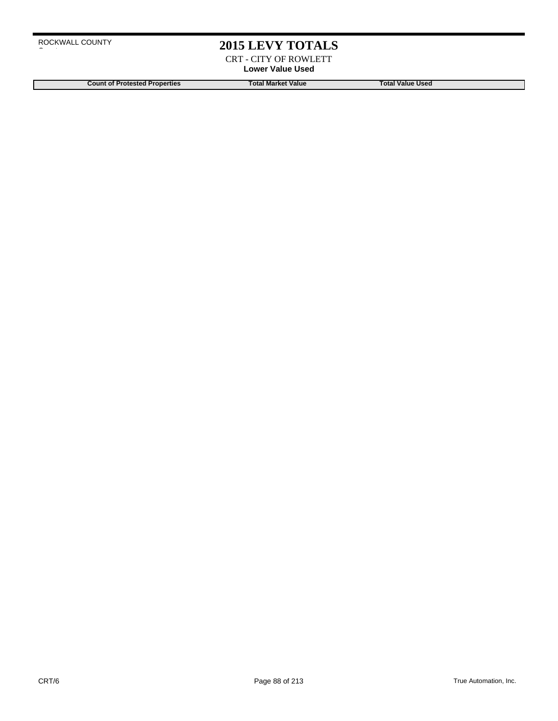## **2015 LEVY TOTALS**

CRT - CITY OF ROWLETT **Lower Value Used**

**Count of Protested Properties Total Market Value Count of Protested Properties Count of Protested Properties**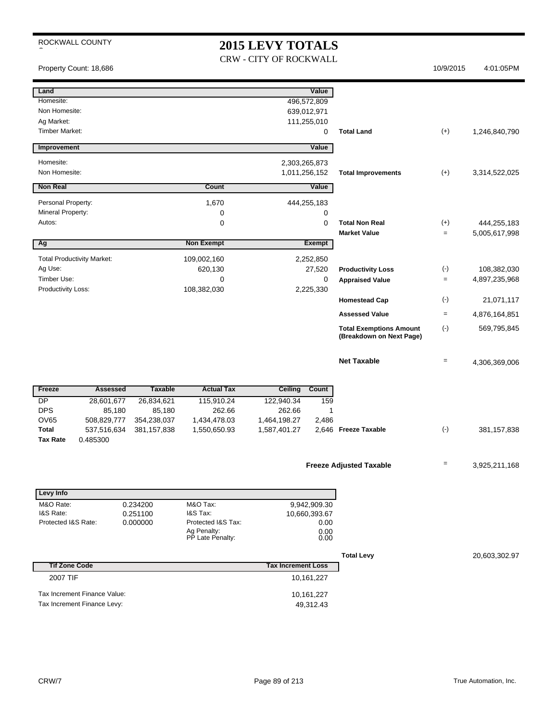# **2015 LEVY TOTALS**

CRW - CITY OF ROCKWALL

Property Count: 18,686 10/9/2015 4:01:05PM

| Land<br>Homesite:                 |                |                                 | 496,572,809               | Value         |                                |           |               |
|-----------------------------------|----------------|---------------------------------|---------------------------|---------------|--------------------------------|-----------|---------------|
| Non Homesite:                     |                |                                 |                           |               |                                |           |               |
| Ag Market:                        |                |                                 | 639,012,971               |               |                                |           |               |
| <b>Timber Market:</b>             |                |                                 | 111,255,010               | 0             | <b>Total Land</b>              | $(+)$     | 1,246,840,790 |
|                                   |                |                                 |                           |               |                                |           |               |
| Improvement                       |                |                                 |                           | Value         |                                |           |               |
| Homesite:                         |                |                                 | 2,303,265,873             |               |                                |           |               |
| Non Homesite:                     |                |                                 | 1,011,256,152             |               | <b>Total Improvements</b>      | $(+)$     | 3,314,522,025 |
| <b>Non Real</b>                   |                | Count                           |                           | Value         |                                |           |               |
| Personal Property:                |                | 1,670                           | 444,255,183               |               |                                |           |               |
| Mineral Property:                 |                | 0                               |                           | 0             |                                |           |               |
| Autos:                            |                | $\mathbf 0$                     |                           | 0             | <b>Total Non Real</b>          | $(+)$     | 444,255,183   |
|                                   |                |                                 |                           |               | <b>Market Value</b>            | $=$       | 5,005,617,998 |
| Ag                                |                | <b>Non Exempt</b>               |                           | <b>Exempt</b> |                                |           |               |
| <b>Total Productivity Market:</b> |                | 109,002,160                     |                           | 2,252,850     |                                |           |               |
| Ag Use:                           |                | 620,130                         |                           | 27,520        | <b>Productivity Loss</b>       | $(-)$     | 108,382,030   |
| Timber Use:                       |                | $\mathbf 0$                     |                           | 0             | <b>Appraised Value</b>         | $=$       | 4,897,235,968 |
| Productivity Loss:                |                | 108,382,030                     |                           | 2,225,330     | <b>Homestead Cap</b>           | $(\cdot)$ | 21,071,117    |
|                                   |                |                                 |                           |               | <b>Assessed Value</b>          | $=$       | 4,876,164,851 |
|                                   |                |                                 |                           |               | <b>Total Exemptions Amount</b> | $(-)$     | 569,795,845   |
|                                   |                |                                 |                           |               | (Breakdown on Next Page)       |           |               |
|                                   |                |                                 |                           |               |                                |           |               |
|                                   |                |                                 |                           |               | <b>Net Taxable</b>             | $=$       | 4,306,369,006 |
|                                   |                |                                 |                           |               |                                |           |               |
| Freeze<br><b>Assessed</b>         | <b>Taxable</b> | <b>Actual Tax</b>               | <b>Ceiling</b>            | Count         |                                |           |               |
| <b>DP</b><br>28,601,677           | 26,834,621     | 115,910.24                      | 122,940.34                | 159           |                                |           |               |
| <b>DPS</b><br>85,180              | 85,180         | 262.66                          | 262.66                    | 1             |                                |           |               |
| <b>OV65</b><br>508,829,777        | 354,238,037    | 1,434,478.03                    | 1,464,198.27              | 2,486         |                                |           |               |
| Total<br>537,516,634              | 381, 157, 838  | 1,550,650.93                    | 1,587,401.27              |               | 2,646 Freeze Taxable           | $(-)$     | 381, 157, 838 |
| <b>Tax Rate</b><br>0.485300       |                |                                 |                           |               |                                |           |               |
|                                   |                |                                 |                           |               |                                |           |               |
|                                   |                |                                 |                           |               | <b>Freeze Adjusted Taxable</b> | Ξ         | 3,925,211,168 |
|                                   |                |                                 |                           |               |                                |           |               |
| <b>Levy Info</b>                  |                |                                 |                           |               |                                |           |               |
| M&O Rate:                         | 0.234200       | M&O Tax:                        |                           | 9,942,909.30  |                                |           |               |
| I&S Rate:                         | 0.251100       | I&S Tax:                        |                           | 10,660,393.67 |                                |           |               |
| Protected I&S Rate:               | 0.000000       | Protected I&S Tax:              |                           | 0.00          |                                |           |               |
|                                   |                | Ag Penalty:<br>PP Late Penalty: |                           | 0.00<br>0.00  |                                |           |               |
|                                   |                |                                 |                           |               |                                |           |               |
| <b>Tif Zone Code</b>              |                |                                 | <b>Tax Increment Loss</b> |               | <b>Total Levy</b>              |           | 20,603,302.97 |
| 2007 TIF                          |                |                                 |                           | 10,161,227    |                                |           |               |
|                                   |                |                                 |                           |               |                                |           |               |
|                                   |                |                                 |                           |               |                                |           |               |
| Tax Increment Finance Value:      |                |                                 |                           | 10,161,227    |                                |           |               |
| Tax Increment Finance Levy:       |                |                                 |                           | 49,312.43     |                                |           |               |
|                                   |                |                                 |                           |               |                                |           |               |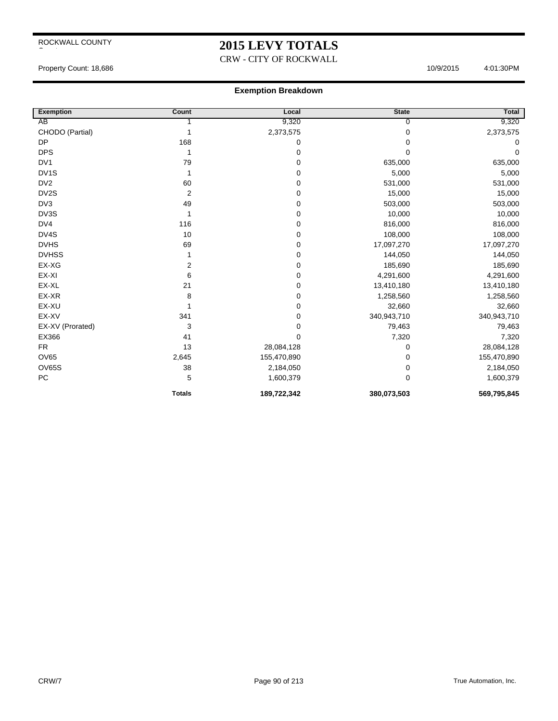# **2015 LEVY TOTALS**

CRW - CITY OF ROCKWALL

Property Count: 18,686 4:01:30PM

#### **Exemption Breakdown**

| <b>Exemption</b>  | Count                   | Local       | <b>State</b> | <b>Total</b> |
|-------------------|-------------------------|-------------|--------------|--------------|
| AB                |                         | 9,320       | 0            | 9,320        |
| CHODO (Partial)   | 1                       | 2,373,575   | 0            | 2,373,575    |
| <b>DP</b>         | 168                     | 0           | 0            | 0            |
| <b>DPS</b>        | 1                       | 0           | $\Omega$     | $\Omega$     |
| DV1               | 79                      | 0           | 635,000      | 635,000      |
| DV <sub>1</sub> S |                         | 0           | 5,000        | 5,000        |
| DV <sub>2</sub>   | 60                      | 0           | 531,000      | 531,000      |
| DV2S              | $\overline{\mathbf{c}}$ | 0           | 15,000       | 15,000       |
| DV3               | 49                      | 0           | 503,000      | 503,000      |
| DV3S              | 1                       | 0           | 10,000       | 10,000       |
| DV4               | 116                     | 0           | 816,000      | 816,000      |
| DV4S              | 10                      | 0           | 108,000      | 108,000      |
| <b>DVHS</b>       | 69                      | 0           | 17,097,270   | 17,097,270   |
| <b>DVHSS</b>      |                         | 0           | 144,050      | 144,050      |
| EX-XG             | $\overline{\mathbf{c}}$ | 0           | 185,690      | 185,690      |
| EX-XI             | 6                       | 0           | 4,291,600    | 4,291,600    |
| EX-XL             | 21                      | 0           | 13,410,180   | 13,410,180   |
| EX-XR             | 8                       | 0           | 1,258,560    | 1,258,560    |
| EX-XU             |                         | 0           | 32,660       | 32,660       |
| EX-XV             | 341                     | 0           | 340,943,710  | 340,943,710  |
| EX-XV (Prorated)  | 3                       | 0           | 79,463       | 79,463       |
| EX366             | 41                      | 0           | 7,320        | 7,320        |
| <b>FR</b>         | 13                      | 28,084,128  | 0            | 28,084,128   |
| <b>OV65</b>       | 2,645                   | 155,470,890 | 0            | 155,470,890  |
| <b>OV65S</b>      | 38                      | 2,184,050   | 0            | 2,184,050    |
| PC                | 5                       | 1,600,379   | 0            | 1,600,379    |
|                   | <b>Totals</b>           | 189,722,342 | 380,073,503  | 569,795,845  |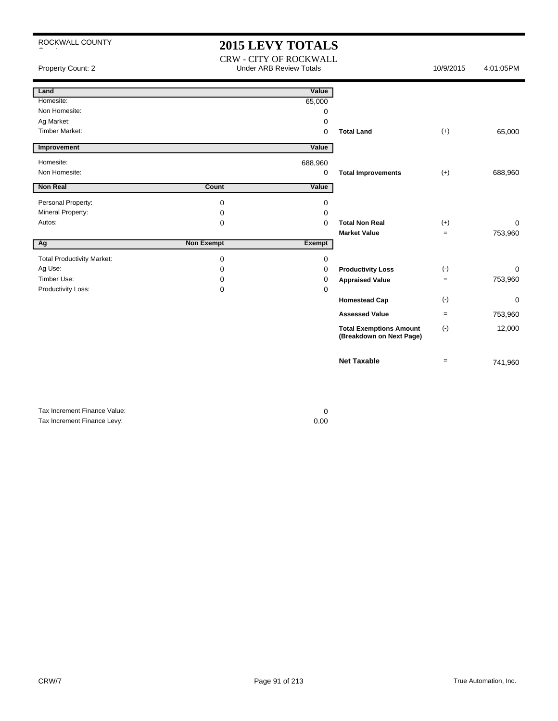# **2015 LEVY TOTALS**

CRW - CITY OF ROCKWALL

Property Count: 2 **Access 2** Under ARB Review Totals **10/9/2015** 4:01:05PM

| Land                              |                   | Value       |                                                            |           |          |
|-----------------------------------|-------------------|-------------|------------------------------------------------------------|-----------|----------|
| Homesite:                         |                   | 65,000      |                                                            |           |          |
| Non Homesite:                     |                   | 0           |                                                            |           |          |
| Ag Market:                        |                   | $\mathbf 0$ |                                                            |           |          |
| <b>Timber Market:</b>             |                   | $\Omega$    | <b>Total Land</b>                                          | $(+)$     | 65,000   |
| Improvement                       |                   | Value       |                                                            |           |          |
| Homesite:                         |                   | 688,960     |                                                            |           |          |
| Non Homesite:                     |                   | $\mathbf 0$ | <b>Total Improvements</b>                                  | $(+)$     | 688,960  |
| <b>Non Real</b>                   | Count             | Value       |                                                            |           |          |
| Personal Property:                | $\mathbf 0$       | 0           |                                                            |           |          |
| Mineral Property:                 | 0                 | 0           |                                                            |           |          |
| Autos:                            | 0                 | $\Omega$    | <b>Total Non Real</b>                                      | $(+)$     | 0        |
|                                   |                   |             | <b>Market Value</b>                                        | $\equiv$  | 753,960  |
| Ag                                | <b>Non Exempt</b> | Exempt      |                                                            |           |          |
| <b>Total Productivity Market:</b> | $\mathbf 0$       | $\mathbf 0$ |                                                            |           |          |
| Ag Use:                           | 0                 | 0           | <b>Productivity Loss</b>                                   | $(\cdot)$ | $\Omega$ |
| Timber Use:                       | 0                 | 0           | <b>Appraised Value</b>                                     | $=$       | 753,960  |
| Productivity Loss:                | 0                 | $\Omega$    |                                                            |           |          |
|                                   |                   |             | <b>Homestead Cap</b>                                       | $(\cdot)$ | 0        |
|                                   |                   |             | <b>Assessed Value</b>                                      | $=$       | 753,960  |
|                                   |                   |             | <b>Total Exemptions Amount</b><br>(Breakdown on Next Page) | $(\cdot)$ | 12,000   |
|                                   |                   |             | <b>Net Taxable</b>                                         | $=$       | 741,960  |

Tax Increment Finance Value: 0 Tax Increment Finance Levy: 0.00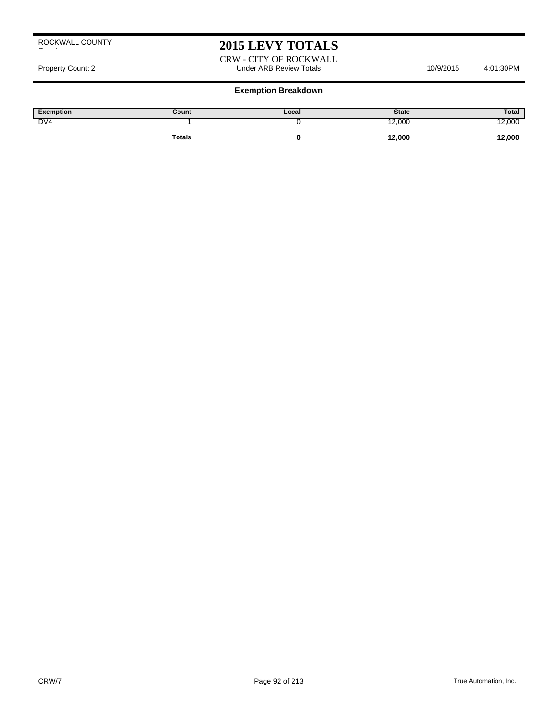# **2015 LEVY TOTALS**

CRW - CITY OF ROCKWALL Property Count: 2 **Accord 2** 201:30PM Under ARB Review Totals **10/9/2015** 4:01:30PM

#### **Exemption Breakdown**

| <b>Exemption</b> | Count         | Local | <b>State</b> | Total  |
|------------------|---------------|-------|--------------|--------|
| DV <sub>4</sub>  |               |       | 12,000       | 2,000  |
|                  | <b>Totals</b> |       | 12,000       | 12,000 |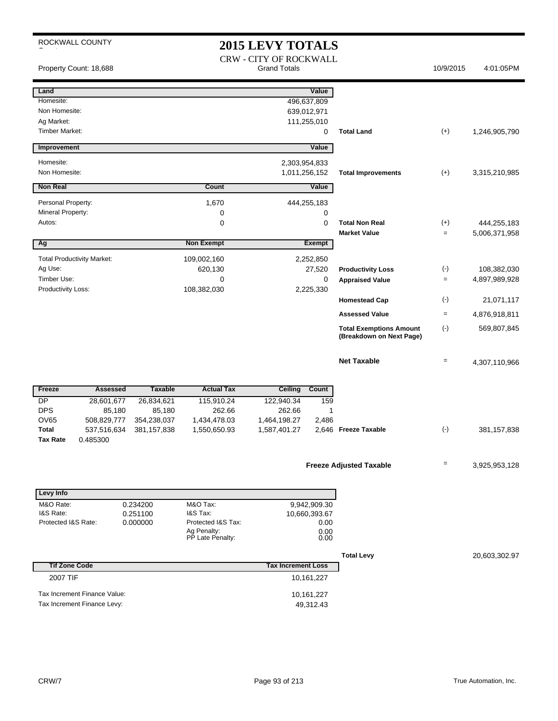# **2015 LEVY TOTALS**

|                                                                           | Property Count: 18,688                                      |                                     |                                                                               | 2010 111   1 1 10 1 1 1<br><b>CRW - CITY OF ROCKWALL</b><br><b>Grand Totals</b> |                                                         |                                                            | 10/9/2015         | 4:01:05PM                    |
|---------------------------------------------------------------------------|-------------------------------------------------------------|-------------------------------------|-------------------------------------------------------------------------------|---------------------------------------------------------------------------------|---------------------------------------------------------|------------------------------------------------------------|-------------------|------------------------------|
| Land<br>Homesite:<br>Non Homesite:<br>Ag Market:<br><b>Timber Market:</b> |                                                             |                                     |                                                                               |                                                                                 | Value<br>496,637,809<br>639,012,971<br>111,255,010<br>0 | <b>Total Land</b>                                          | $(+)$             | 1,246,905,790                |
| Improvement                                                               |                                                             |                                     |                                                                               |                                                                                 | Value                                                   |                                                            |                   |                              |
| Homesite:<br>Non Homesite:                                                |                                                             |                                     |                                                                               | 2,303,954,833<br>1,011,256,152                                                  |                                                         | <b>Total Improvements</b>                                  | $(+)$             | 3,315,210,985                |
| <b>Non Real</b>                                                           |                                                             |                                     | Count                                                                         |                                                                                 | Value                                                   |                                                            |                   |                              |
| Personal Property:<br>Mineral Property:<br>Autos:                         |                                                             |                                     | 1,670<br>0<br>0                                                               |                                                                                 | 444,255,183<br>0<br>0                                   | <b>Total Non Real</b>                                      | $(+)$             | 444,255,183                  |
|                                                                           |                                                             |                                     |                                                                               |                                                                                 |                                                         | <b>Market Value</b>                                        | $\equiv$          | 5,006,371,958                |
| Ag                                                                        | <b>Total Productivity Market:</b>                           |                                     | <b>Non Exempt</b><br>109,002,160                                              |                                                                                 | <b>Exempt</b><br>2,252,850                              |                                                            |                   |                              |
| Ag Use:<br>Timber Use:<br>Productivity Loss:                              |                                                             |                                     | 620,130<br>0<br>108,382,030                                                   |                                                                                 | 27,520<br>0<br>2,225,330                                | <b>Productivity Loss</b><br><b>Appraised Value</b>         | $(-)$<br>$\equiv$ | 108,382,030<br>4,897,989,928 |
|                                                                           |                                                             |                                     |                                                                               |                                                                                 |                                                         | <b>Homestead Cap</b>                                       | $(\cdot)$         | 21,071,117                   |
|                                                                           |                                                             |                                     |                                                                               |                                                                                 |                                                         | <b>Assessed Value</b>                                      | $=$               | 4,876,918,811                |
|                                                                           |                                                             |                                     |                                                                               |                                                                                 |                                                         | <b>Total Exemptions Amount</b><br>(Breakdown on Next Page) | $(-)$             | 569,807,845                  |
|                                                                           |                                                             |                                     |                                                                               |                                                                                 |                                                         | <b>Net Taxable</b>                                         | $\qquad \qquad =$ | 4,307,110,966                |
| Freeze                                                                    | <b>Assessed</b>                                             | <b>Taxable</b>                      | <b>Actual Tax</b>                                                             | <b>Ceiling</b>                                                                  | Count                                                   |                                                            |                   |                              |
| DP<br><b>DPS</b><br><b>OV65</b>                                           | 28,601,677<br>85,180<br>508,829,777                         | 26,834,621<br>85,180<br>354,238,037 | 115,910.24<br>262.66<br>1,434,478.03                                          | 122,940.34<br>262.66<br>1,464,198.27                                            | 159<br>1<br>2,486                                       |                                                            |                   |                              |
| Total<br><b>Tax Rate</b>                                                  | 537,516,634<br>0.485300                                     | 381, 157, 838                       | 1,550,650.93                                                                  | 1,587,401.27                                                                    |                                                         | 2,646 Freeze Taxable                                       | $(\cdot)$         | 381, 157, 838                |
|                                                                           |                                                             |                                     |                                                                               |                                                                                 |                                                         | <b>Freeze Adjusted Taxable</b>                             | $\qquad \qquad =$ | 3,925,953,128                |
| Levy Info                                                                 |                                                             |                                     |                                                                               |                                                                                 |                                                         |                                                            |                   |                              |
| M&O Rate:<br>I&S Rate:<br>Protected I&S Rate:                             |                                                             | 0.234200<br>0.251100<br>0.000000    | M&O Tax:<br>I&S Tax:<br>Protected I&S Tax:<br>Ag Penalty:<br>PP Late Penalty: |                                                                                 | 9,942,909.30<br>10,660,393.67<br>0.00<br>0.00<br>0.00   |                                                            |                   |                              |
|                                                                           |                                                             |                                     |                                                                               |                                                                                 |                                                         | <b>Total Levy</b>                                          |                   | 20,603,302.97                |
| <b>Tif Zone Code</b>                                                      |                                                             |                                     |                                                                               | <b>Tax Increment Loss</b>                                                       |                                                         |                                                            |                   |                              |
| 2007 TIF                                                                  |                                                             |                                     |                                                                               |                                                                                 | 10,161,227                                              |                                                            |                   |                              |
|                                                                           | Tax Increment Finance Value:<br>Tax Increment Finance Levy: |                                     |                                                                               |                                                                                 | 10,161,227<br>49,312.43                                 |                                                            |                   |                              |
|                                                                           |                                                             |                                     |                                                                               |                                                                                 |                                                         |                                                            |                   |                              |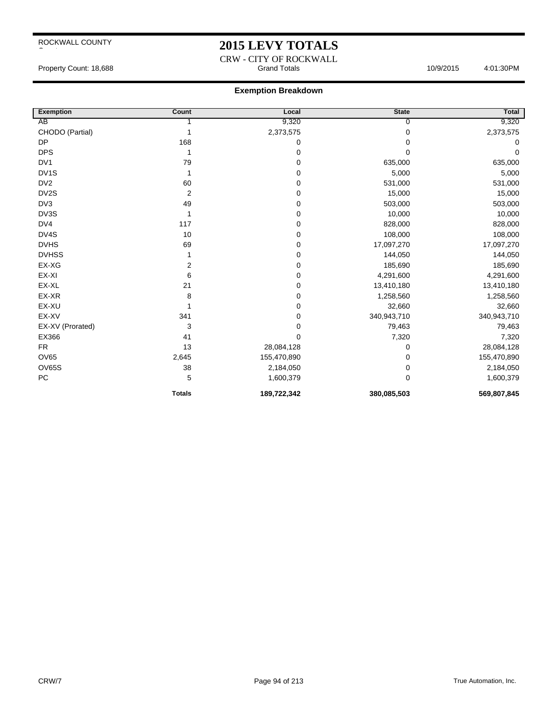## **2015 LEVY TOTALS**

#### CRW - CITY OF ROCKWALL Property Count: 18,688 **Accord Property Count: 18,688** Accord Property Count: 18,688 Accord Property Count: 18,688

#### **Exemption Breakdown**

| <b>Exemption</b>  | Count          | Local       | <b>State</b> | Total       |
|-------------------|----------------|-------------|--------------|-------------|
| AB                |                | 9,320       | 0            | 9,320       |
| CHODO (Partial)   |                | 2,373,575   | 0            | 2,373,575   |
| <b>DP</b>         | 168            | 0           | 0            | $\Omega$    |
| <b>DPS</b>        |                | 0           | 0            | 0           |
| DV1               | 79             | 0           | 635,000      | 635,000     |
| DV <sub>1</sub> S |                | 0           | 5,000        | 5,000       |
| DV <sub>2</sub>   | 60             | 0           | 531,000      | 531,000     |
| DV2S              | $\overline{2}$ | 0           | 15,000       | 15,000      |
| DV3               | 49             | 0           | 503,000      | 503,000     |
| DV3S              |                | 0           | 10,000       | 10,000      |
| DV4               | 117            | 0           | 828,000      | 828,000     |
| DV4S              | 10             | 0           | 108,000      | 108,000     |
| <b>DVHS</b>       | 69             | 0           | 17,097,270   | 17,097,270  |
| <b>DVHSS</b>      |                | 0           | 144,050      | 144,050     |
| EX-XG             | 2              | 0           | 185,690      | 185,690     |
| EX-XI             | 6              | 0           | 4,291,600    | 4,291,600   |
| EX-XL             | 21             | 0           | 13,410,180   | 13,410,180  |
| EX-XR             | 8              | 0           | 1,258,560    | 1,258,560   |
| EX-XU             |                | 0           | 32,660       | 32,660      |
| EX-XV             | 341            | 0           | 340,943,710  | 340,943,710 |
| EX-XV (Prorated)  | 3              | 0           | 79,463       | 79,463      |
| EX366             | 41             | 0           | 7,320        | 7,320       |
| <b>FR</b>         | 13             | 28,084,128  | 0            | 28,084,128  |
| <b>OV65</b>       | 2,645          | 155,470,890 | 0            | 155,470,890 |
| <b>OV65S</b>      | 38             | 2,184,050   | 0            | 2,184,050   |
| ${\sf PC}$        | 5              | 1,600,379   | 0            | 1,600,379   |
|                   | <b>Totals</b>  | 189,722,342 | 380,085,503  | 569,807,845 |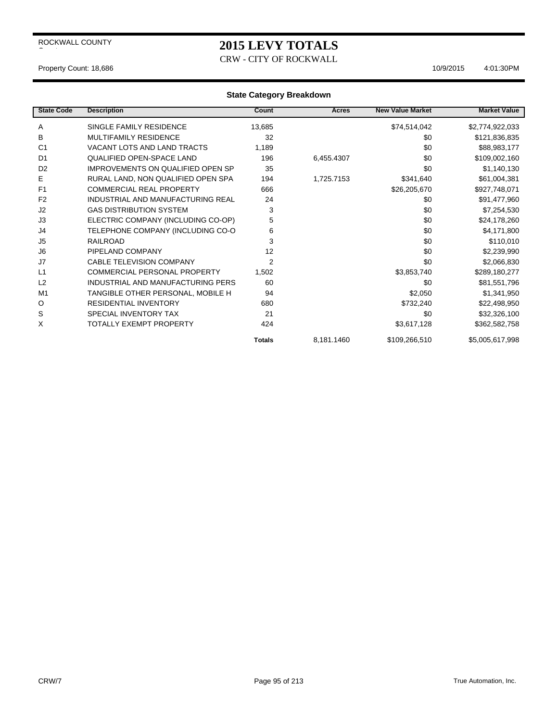# **2015 LEVY TOTALS**

CRW - CITY OF ROCKWALL

#### Property Count: 18,686 10/9/2015 4:01:30PM

| <b>State Code</b> | <b>Description</b>                       | Count         | Acres      | <b>New Value Market</b> | <b>Market Value</b> |
|-------------------|------------------------------------------|---------------|------------|-------------------------|---------------------|
| Α                 | SINGLE FAMILY RESIDENCE                  | 13,685        |            | \$74,514,042            | \$2,774,922,033     |
| B                 | <b>MULTIFAMILY RESIDENCE</b>             | 32            |            | \$0                     | \$121,836,835       |
| C <sub>1</sub>    | VACANT LOTS AND LAND TRACTS              | 1,189         |            | \$0                     | \$88,983,177        |
| D <sub>1</sub>    | <b>QUALIFIED OPEN-SPACE LAND</b>         | 196           | 6,455.4307 | \$0                     | \$109,002,160       |
| D <sub>2</sub>    | <b>IMPROVEMENTS ON QUALIFIED OPEN SP</b> | 35            |            | \$0                     | \$1,140,130         |
| Е                 | RURAL LAND, NON QUALIFIED OPEN SPA       | 194           | 1,725.7153 | \$341,640               | \$61,004,381        |
| F <sub>1</sub>    | <b>COMMERCIAL REAL PROPERTY</b>          | 666           |            | \$26,205,670            | \$927,748,071       |
| F <sub>2</sub>    | INDUSTRIAL AND MANUFACTURING REAL        | 24            |            | \$0                     | \$91,477,960        |
| J2                | <b>GAS DISTRIBUTION SYSTEM</b>           | 3             |            | \$0                     | \$7,254,530         |
| J3                | ELECTRIC COMPANY (INCLUDING CO-OP)       | 5             |            | \$0                     | \$24,178,260        |
| J4                | TELEPHONE COMPANY (INCLUDING CO-O        | 6             |            | \$0                     | \$4,171,800         |
| J <sub>5</sub>    | <b>RAILROAD</b>                          | 3             |            | \$0                     | \$110,010           |
| J <sub>6</sub>    | PIPELAND COMPANY                         | 12            |            | \$0                     | \$2,239,990         |
| J7                | <b>CABLE TELEVISION COMPANY</b>          | 2             |            | \$0                     | \$2,066,830         |
| L1                | COMMERCIAL PERSONAL PROPERTY             | 1,502         |            | \$3,853,740             | \$289,180,277       |
| L2                | INDUSTRIAL AND MANUFACTURING PERS        | 60            |            | \$0                     | \$81,551,796        |
| M <sub>1</sub>    | TANGIBLE OTHER PERSONAL, MOBILE H        | 94            |            | \$2,050                 | \$1,341,950         |
| O                 | <b>RESIDENTIAL INVENTORY</b>             | 680           |            | \$732,240               | \$22,498,950        |
| S                 | SPECIAL INVENTORY TAX                    | 21            |            | \$0                     | \$32,326,100        |
| X                 | <b>TOTALLY EXEMPT PROPERTY</b>           | 424           |            | \$3,617,128             | \$362,582,758       |
|                   |                                          | <b>Totals</b> | 8,181.1460 | \$109,266,510           | \$5,005,617,998     |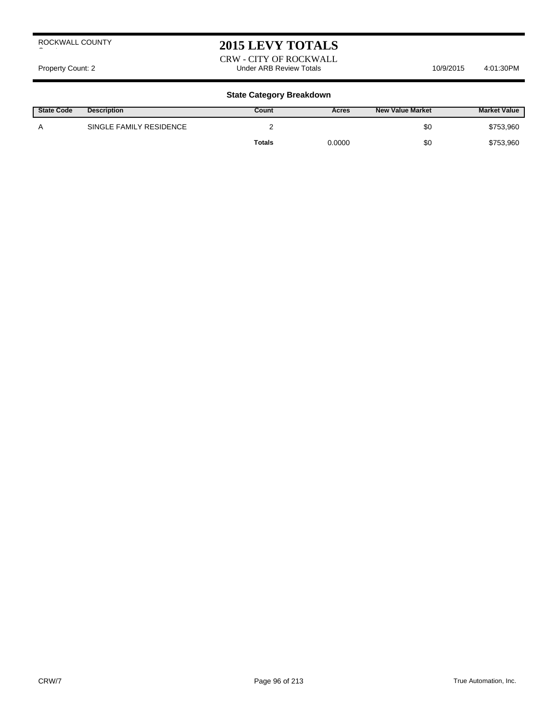## **2015 LEVY TOTALS**

CRW - CITY OF ROCKWALL Property Count: 2 **Accord 2** Under ARB Review Totals **10/9/2015** 4:01:30PM

| <b>State Code</b> | <b>Description</b>      | Count  | Acres  | <b>New Value Market</b> | <b>Market Value</b> |
|-------------------|-------------------------|--------|--------|-------------------------|---------------------|
| А                 | SINGLE FAMILY RESIDENCE |        |        | \$0                     | \$753,960           |
|                   |                         | Totals | 0.0000 | \$0                     | \$753,960           |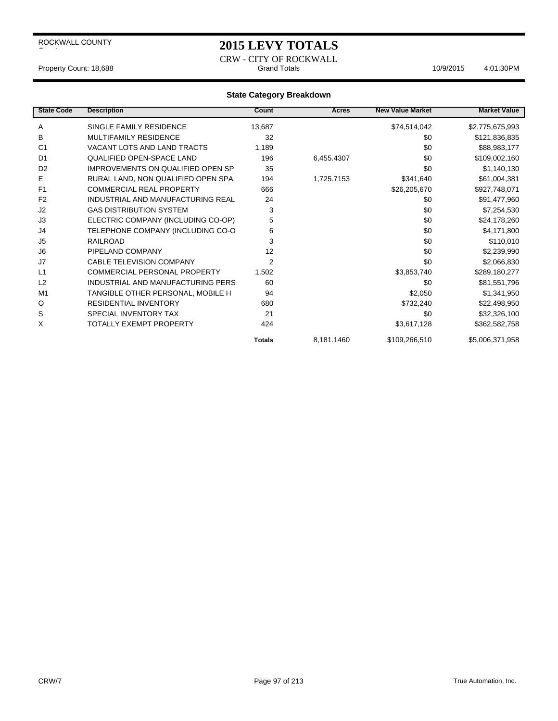## **2015 LEVY TOTALS**

CRW - CITY OF ROCKWALL Property Count: 18,688 **Accord Property Count: 18,688** Grand Totals 10/9/2015 4:01:30PM

| <b>State Code</b> | <b>Description</b>                  | Count          | Acres      | <b>New Value Market</b> | <b>Market Value</b> |
|-------------------|-------------------------------------|----------------|------------|-------------------------|---------------------|
| Α                 | SINGLE FAMILY RESIDENCE             | 13,687         |            | \$74,514,042            | \$2,775,675,993     |
| B                 | <b>MULTIFAMILY RESIDENCE</b>        | 32             |            | \$0                     | \$121,836,835       |
| C <sub>1</sub>    | VACANT LOTS AND LAND TRACTS         | 1,189          |            | \$0                     | \$88,983,177        |
| D <sub>1</sub>    | <b>QUALIFIED OPEN-SPACE LAND</b>    | 196            | 6,455.4307 | \$0                     | \$109,002,160       |
| D <sub>2</sub>    | IMPROVEMENTS ON QUALIFIED OPEN SP   | 35             |            | \$0                     | \$1,140,130         |
| Е                 | RURAL LAND, NON QUALIFIED OPEN SPA  | 194            | 1,725.7153 | \$341,640               | \$61,004,381        |
| F <sub>1</sub>    | <b>COMMERCIAL REAL PROPERTY</b>     | 666            |            | \$26,205,670            | \$927,748,071       |
| F <sub>2</sub>    | INDUSTRIAL AND MANUFACTURING REAL   | 24             |            | \$0                     | \$91,477,960        |
| J2                | <b>GAS DISTRIBUTION SYSTEM</b>      | 3              |            | \$0                     | \$7,254,530         |
| J3                | ELECTRIC COMPANY (INCLUDING CO-OP)  | 5              |            | \$0                     | \$24,178,260        |
| J4                | TELEPHONE COMPANY (INCLUDING CO-O   | 6              |            | \$0                     | \$4,171,800         |
| J <sub>5</sub>    | <b>RAILROAD</b>                     | 3              |            | \$0                     | \$110,010           |
| J <sub>6</sub>    | PIPELAND COMPANY                    | 12             |            | \$0                     | \$2,239,990         |
| J7                | <b>CABLE TELEVISION COMPANY</b>     | $\overline{2}$ |            | \$0                     | \$2,066,830         |
| L1                | <b>COMMERCIAL PERSONAL PROPERTY</b> | 1,502          |            | \$3,853,740             | \$289,180,277       |
| L2                | INDUSTRIAL AND MANUFACTURING PERS   | 60             |            | \$0                     | \$81,551,796        |
| M <sub>1</sub>    | TANGIBLE OTHER PERSONAL, MOBILE H   | 94             |            | \$2,050                 | \$1,341,950         |
| O                 | <b>RESIDENTIAL INVENTORY</b>        | 680            |            | \$732,240               | \$22,498,950        |
| S                 | <b>SPECIAL INVENTORY TAX</b>        | 21             |            | \$0                     | \$32,326,100        |
| X                 | TOTALLY EXEMPT PROPERTY             | 424            |            | \$3,617,128             | \$362,582,758       |
|                   |                                     | <b>Totals</b>  | 8,181.1460 | \$109,266,510           | \$5,006,371,958     |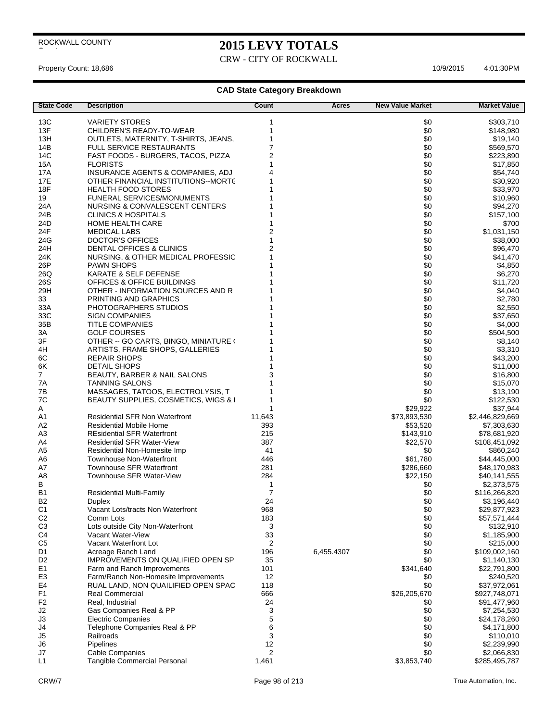# **2015 LEVY TOTALS**

CRW - CITY OF ROCKWALL

 $\overline{\phantom{a}}$ 

### Property Count: 18,686 10/9/2015 4:01:30 PM

| <b>State Code</b>                | <b>Description</b>                                         | Count               | Acres      | <b>New Value Market</b> | <b>Market Value</b>       |
|----------------------------------|------------------------------------------------------------|---------------------|------------|-------------------------|---------------------------|
| 13C                              | <b>VARIETY STORES</b>                                      | 1                   |            | \$0                     | \$303,710                 |
| 13F                              | CHILDREN'S READY-TO-WEAR                                   | 1                   |            | \$0                     | \$148,980                 |
| 13H                              | OUTLETS, MATERNITY, T-SHIRTS, JEANS,                       | 1                   |            | \$0                     | \$19,140                  |
| 14B                              | <b>FULL SERVICE RESTAURANTS</b>                            | $\overline{7}$      |            | \$0                     | \$569,570                 |
| 14C                              | FAST FOODS - BURGERS, TACOS, PIZZA                         | $\overline{c}$      |            | \$0                     | \$223,890                 |
| <b>15A</b>                       | <b>FLORISTS</b>                                            | 1                   |            | \$0                     | \$17,850                  |
| 17A                              | INSURANCE AGENTS & COMPANIES, ADJ                          | 4                   |            | \$0                     | \$54,740                  |
| 17E                              | OTHER FINANCIAL INSTITUTIONS--MORTC                        | 1                   |            | \$0                     | \$30,920                  |
| 18F                              | <b>HEALTH FOOD STORES</b>                                  |                     |            | \$0                     | \$33,970                  |
| 19                               | <b>FUNERAL SERVICES/MONUMENTS</b>                          |                     |            | \$0                     | \$10,960                  |
| 24A                              | NURSING & CONVALESCENT CENTERS                             |                     |            | \$0                     | \$94,270                  |
| 24B                              | <b>CLINICS &amp; HOSPITALS</b>                             | 1                   |            | \$0                     | \$157,100                 |
| 24D<br>24F                       | <b>HOME HEALTH CARE</b>                                    | 1<br>$\overline{2}$ |            | \$0<br>\$0              | \$700                     |
| 24G                              | <b>MEDICAL LABS</b><br>DOCTOR'S OFFICES                    | 1                   |            | \$0                     | \$1,031,150<br>\$38,000   |
| 24H                              | DENTAL OFFICES & CLINICS                                   | $\overline{2}$      |            | \$0                     | \$96,470                  |
| 24K                              | NURSING, & OTHER MEDICAL PROFESSIO                         | 1                   |            | \$0                     | \$41,470                  |
| 26P                              | <b>PAWN SHOPS</b>                                          |                     |            | \$0                     | \$4,850                   |
| 26Q                              | <b>KARATE &amp; SELF DEFENSE</b>                           |                     |            | \$0                     | \$6,270                   |
| 26S                              | OFFICES & OFFICE BUILDINGS                                 |                     |            | \$0                     | \$11,720                  |
| 29H                              | OTHER - INFORMATION SOURCES AND R                          |                     |            | \$0                     | \$4,040                   |
| 33                               | PRINTING AND GRAPHICS                                      |                     |            | \$0                     | \$2,780                   |
| 33A                              | PHOTOGRAPHERS STUDIOS                                      |                     |            | \$0                     | \$2,550                   |
| 33C                              | SIGN COMPANIES                                             |                     |            | \$0                     | \$37,650                  |
| 35B                              | <b>TITLE COMPANIES</b>                                     |                     |            | \$0                     | \$4,000                   |
| ЗA                               | <b>GOLF COURSES</b>                                        |                     |            | \$0                     | \$504,500                 |
| 3F                               | OTHER -- GO CARTS, BINGO, MINIATURE (                      |                     |            | \$0                     | \$8,140                   |
| 4H                               | ARTISTS, FRAME SHOPS, GALLERIES                            |                     |            | \$0                     | \$3,310                   |
| 6C                               | <b>REPAIR SHOPS</b>                                        |                     |            | \$0                     | \$43,200                  |
| 6K                               | <b>DETAIL SHOPS</b>                                        |                     |            | \$0                     | \$11,000                  |
| $\overline{7}$                   | BEAUTY, BARBER & NAIL SALONS                               | 3                   |            | \$0                     | \$16,800                  |
| 7A<br>7B                         | <b>TANNING SALONS</b><br>MASSAGES, TATOOS, ELECTROLYSIS, T | 1                   |            | \$0<br>\$0              | \$15,070<br>\$13,190      |
| 7C                               | BEAUTY SUPPLIES, COSMETICS, WIGS & I                       | 1                   |            | \$0                     | \$122,530                 |
| A                                |                                                            | 1                   |            | \$29,922                | \$37,944                  |
| A1                               | <b>Residential SFR Non Waterfront</b>                      | 11,643              |            | \$73,893,530            | \$2,446,829,669           |
| A <sub>2</sub>                   | <b>Residential Mobile Home</b>                             | 393                 |            | \$53,520                | \$7,303,630               |
| A <sub>3</sub>                   | <b>REsidential SFR Waterfront</b>                          | 215                 |            | \$143,910               | \$78,681,920              |
| A4                               | <b>Residential SFR Water-View</b>                          | 387                 |            | \$22,570                | \$108,451,092             |
| A <sub>5</sub>                   | Residential Non-Homesite Imp                               | 41                  |            | \$0                     | \$860,240                 |
| A6                               | <b>Townhouse Non-Waterfront</b>                            | 446                 |            | \$61,780                | \$44,445,000              |
| A7                               | <b>Townhouse SFR Waterfront</b>                            | 281                 |            | \$286,660               | \$48,170,983              |
| A <sub>8</sub>                   | Townhouse SFR Water-View                                   | 284                 |            | \$22,150                | \$40,141,555              |
| В                                |                                                            | 1                   |            | \$0                     | \$2,373,575               |
| B1                               | <b>Residential Multi-Family</b>                            | 7                   |            | \$0                     | \$116,266,820             |
| B <sub>2</sub>                   | Duplex                                                     | 24                  |            | \$0                     | \$3,196,440               |
| C1                               | Vacant Lots/tracts Non Waterfront                          | 968                 |            | \$0                     | \$29,877,923              |
| C <sub>2</sub><br>C <sub>3</sub> | Comm Lots<br>Lots outside City Non-Waterfront              | 183<br>3            |            | \$0<br>\$0              | \$57,571,444<br>\$132,910 |
| C <sub>4</sub>                   | Vacant Water-View                                          | 33                  |            | \$0                     | \$1,185,900               |
| C <sub>5</sub>                   | Vacant Waterfront Lot                                      | 2                   |            | \$0                     | \$215,000                 |
| D <sub>1</sub>                   | Acreage Ranch Land                                         | 196                 | 6,455.4307 | \$0                     | \$109,002,160             |
| D <sub>2</sub>                   | IMPROVEMENTS ON QUALIFIED OPEN SP                          | 35                  |            | \$0                     | \$1,140,130               |
| E <sub>1</sub>                   | Farm and Ranch Improvements                                | 101                 |            | \$341,640               | \$22,791,800              |
| E <sub>3</sub>                   | Farm/Ranch Non-Homesite Improvements                       | 12                  |            | \$0                     | \$240,520                 |
| E4                               | RUAL LAND, NON QUAILIFIED OPEN SPAC                        | 118                 |            | \$0                     | \$37,972,061              |
| F <sub>1</sub>                   | <b>Real Commercial</b>                                     | 666                 |            | \$26,205,670            | \$927,748,071             |
| F <sub>2</sub>                   | Real, Industrial                                           | 24                  |            | \$0                     | \$91,477,960              |
| J2                               | Gas Companies Real & PP                                    | 3                   |            | \$0                     | \$7,254,530               |
| J3                               | <b>Electric Companies</b>                                  | 5                   |            | \$0                     | \$24,178,260              |
| J4                               | Telephone Companies Real & PP                              | 6                   |            | \$0                     | \$4,171,800               |
| J5                               | Railroads                                                  | 3                   |            | \$0                     | \$110,010                 |
| J6                               | Pipelines                                                  | 12                  |            | \$0                     | \$2,239,990               |
| J7                               | <b>Cable Companies</b>                                     | 2                   |            | \$0                     | \$2,066,830               |
| L1                               | Tangible Commercial Personal                               | 1,461               |            | \$3,853,740             | \$285,495,787             |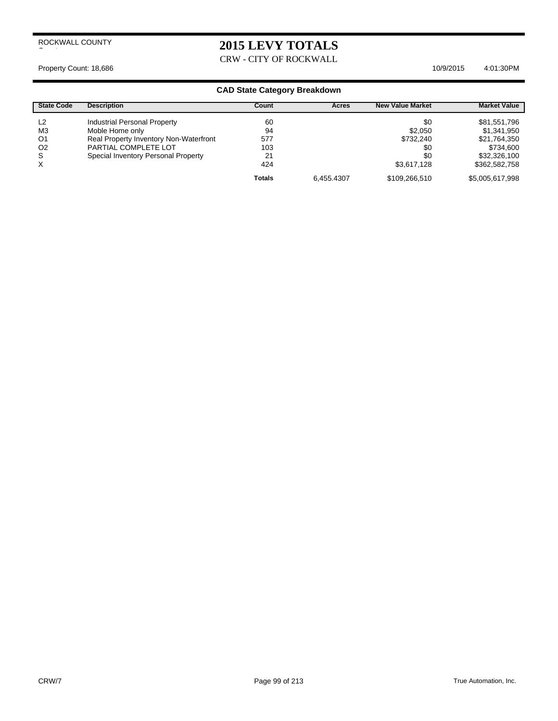# **2015 LEVY TOTALS**

CRW - CITY OF ROCKWALL

### Property Count: 18,686 10/9/2015 4:01:30 PM

| <b>State Code</b> | <b>Description</b>                     | Count         | Acres      | <b>New Value Market</b> | <b>Market Value</b> |
|-------------------|----------------------------------------|---------------|------------|-------------------------|---------------------|
| L <sub>2</sub>    | <b>Industrial Personal Property</b>    | 60            |            | \$0                     | \$81,551,796        |
| M <sub>3</sub>    | Moble Home only                        | 94            |            | \$2,050                 | \$1,341,950         |
| O <sub>1</sub>    | Real Property Inventory Non-Waterfront | 577           |            | \$732,240               | \$21,764,350        |
| O <sub>2</sub>    | PARTIAL COMPLETE LOT                   | 103           |            | \$0                     | \$734.600           |
| S                 | Special Inventory Personal Property    | 21            |            | \$0                     | \$32,326,100        |
| $\times$          |                                        | 424           |            | \$3.617.128             | \$362,582,758       |
|                   |                                        | <b>Totals</b> | 6.455.4307 | \$109,266,510           | \$5,005,617,998     |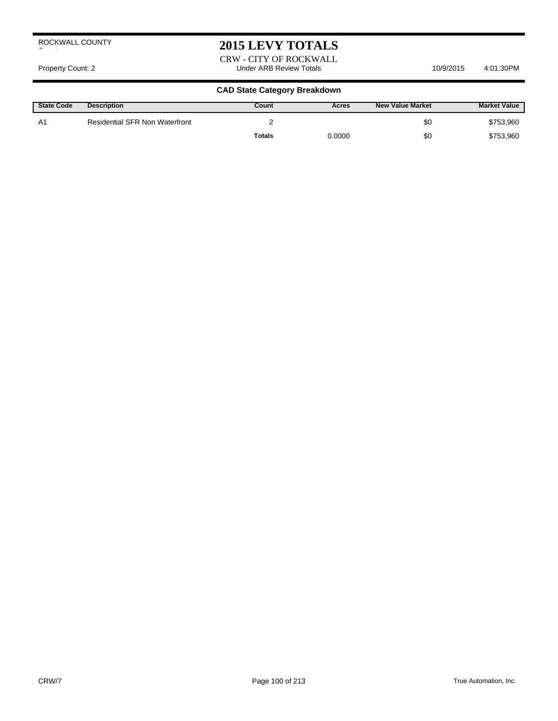# **2015 LEVY TOTALS**

CRW - CITY OF ROCKWALL Property Count: 2 **Access 2:01:30PM** Under ARB Review Totals **10/9/2015** 4:01:30PM

| <b>State Code</b> | <b>Description</b>                    | Count         | Acres  | New Value Market | <b>Market Value</b> |
|-------------------|---------------------------------------|---------------|--------|------------------|---------------------|
| A1                | <b>Residential SFR Non Waterfront</b> |               |        | \$0              | \$753,960           |
|                   |                                       | <b>Totals</b> | 0.0000 | \$0              | \$753,960           |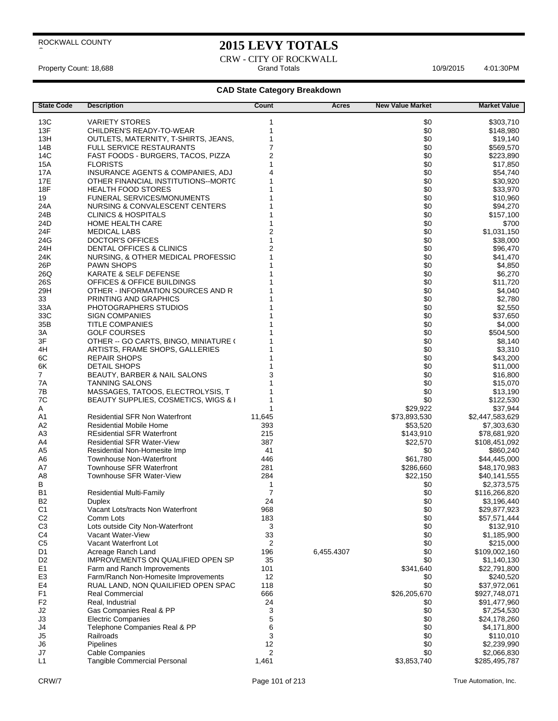## **2015 LEVY TOTALS**

CRW - CITY OF ROCKWALL Property Count: 18,688 **Accord Property Count: 18,688** Grand Totals **Grand Totals Accord Property Count: 18,688** Accord Property Count: 18,688 Accord Property Count: 18,688

| <b>State Code</b>    | <b>Description</b>                                             | Count          | Acres      | <b>New Value Market</b> | <b>Market Value</b>      |
|----------------------|----------------------------------------------------------------|----------------|------------|-------------------------|--------------------------|
| 13C                  | <b>VARIETY STORES</b>                                          | 1              |            | \$0                     | \$303,710                |
| 13F                  | CHILDREN'S READY-TO-WEAR                                       |                |            | \$0                     | \$148,980                |
| 13H                  | OUTLETS, MATERNITY, T-SHIRTS, JEANS,                           |                |            | \$0                     | \$19,140                 |
| 14B                  | <b>FULL SERVICE RESTAURANTS</b>                                |                |            | \$0                     | \$569,570                |
| 14C                  | FAST FOODS - BURGERS, TACOS, PIZZA                             |                |            | \$0                     | \$223,890                |
| 15A                  | <b>FLORISTS</b>                                                |                |            | \$0                     | \$17,850                 |
| 17A                  | INSURANCE AGENTS & COMPANIES, ADJ                              |                |            | \$0                     | \$54,740                 |
| 17E                  | OTHER FINANCIAL INSTITUTIONS--MORTC                            |                |            | \$0                     | \$30,920                 |
| <b>18F</b>           | <b>HEALTH FOOD STORES</b>                                      |                |            | \$0                     | \$33,970                 |
| 19                   | <b>FUNERAL SERVICES/MONUMENTS</b>                              |                |            | \$0                     | \$10,960                 |
| 24A                  | NURSING & CONVALESCENT CENTERS                                 |                |            | \$0                     | \$94,270                 |
| 24B                  | <b>CLINICS &amp; HOSPITALS</b>                                 |                |            | \$0                     | \$157,100                |
| 24D                  | <b>HOME HEALTH CARE</b>                                        |                |            | \$0                     | \$700                    |
| 24F                  | <b>MEDICAL LABS</b>                                            |                |            | \$0                     | \$1,031,150              |
| 24G                  | <b>DOCTOR'S OFFICES</b>                                        |                |            | \$0                     | \$38,000                 |
| 24H<br>24K           | DENTAL OFFICES & CLINICS<br>NURSING, & OTHER MEDICAL PROFESSIC |                |            | \$0<br>\$0              | \$96,470<br>\$41,470     |
| 26P                  | <b>PAWN SHOPS</b>                                              |                |            | \$0                     | \$4,850                  |
| 26Q                  | KARATE & SELF DEFENSE                                          |                |            | \$0                     | \$6,270                  |
| 26S                  | OFFICES & OFFICE BUILDINGS                                     |                |            | \$0                     | \$11,720                 |
| 29H                  | OTHER - INFORMATION SOURCES AND R                              |                |            | \$0                     | \$4,040                  |
| 33                   | PRINTING AND GRAPHICS                                          |                |            | \$0                     | \$2,780                  |
| 33A                  | PHOTOGRAPHERS STUDIOS                                          |                |            | \$0                     | \$2,550                  |
| 33C                  | <b>SIGN COMPANIES</b>                                          |                |            | \$0                     | \$37,650                 |
| 35B                  | <b>TITLE COMPANIES</b>                                         |                |            | \$0                     | \$4,000                  |
| 3A                   | <b>GOLF COURSES</b>                                            |                |            | \$0                     | \$504,500                |
| 3F                   | OTHER -- GO CARTS, BINGO, MINIATURE (                          |                |            | \$0                     | \$8,140                  |
| 4H                   | ARTISTS, FRAME SHOPS, GALLERIES                                |                |            | \$0                     | \$3,310                  |
| 6C                   | <b>REPAIR SHOPS</b>                                            |                |            | \$0                     | \$43,200                 |
| 6K                   | <b>DETAIL SHOPS</b>                                            |                |            | \$0                     | \$11,000                 |
| $\overline{7}$       | BEAUTY, BARBER & NAIL SALONS                                   |                |            | \$0                     | \$16,800                 |
| 7A                   | <b>TANNING SALONS</b>                                          |                |            | \$0                     | \$15,070                 |
| 7B                   | MASSAGES, TATOOS, ELECTROLYSIS, T                              |                |            | \$0                     | \$13,190                 |
| 7C<br>Α              | BEAUTY SUPPLIES, COSMETICS, WIGS & I                           | 1              |            | \$0<br>\$29,922         | \$122,530<br>\$37,944    |
| A1                   | <b>Residential SFR Non Waterfront</b>                          | 11,645         |            | \$73,893,530            | \$2,447,583,629          |
| A2                   | <b>Residential Mobile Home</b>                                 | 393            |            | \$53,520                | \$7,303,630              |
| A <sub>3</sub>       | <b>REsidential SFR Waterfront</b>                              | 215            |            | \$143,910               | \$78,681,920             |
| A4                   | <b>Residential SFR Water-View</b>                              | 387            |            | \$22,570                | \$108,451,092            |
| A5                   | Residential Non-Homesite Imp                                   | 41             |            | \$0                     | \$860.240                |
| A6                   | Townhouse Non-Waterfront                                       | 446            |            | \$61,780                | \$44,445,000             |
| A7                   | Townhouse SFR Waterfront                                       | 281            |            | \$286,660               | \$48,170,983             |
| A <sub>8</sub>       | Townhouse SFR Water-View                                       | 284            |            | \$22,150                | \$40,141,555             |
| В                    |                                                                | 1              |            | \$0                     | \$2,373,575              |
| B <sub>1</sub>       | <b>Residential Multi-Family</b>                                | 7              |            | \$0                     | \$116,266,820            |
| B <sub>2</sub>       | Duplex                                                         | 24             |            | \$0                     | \$3,196,440              |
| C <sub>1</sub>       | Vacant Lots/tracts Non Waterfront                              | 968            |            | \$0                     | \$29,877,923             |
| C <sub>2</sub>       | Comm Lots                                                      | 183            |            | \$0                     | \$57,571,444             |
| C <sub>3</sub>       | Lots outside City Non-Waterfront<br>Vacant Water-View          | 3              |            | \$0                     | \$132,910                |
| C4<br>C <sub>5</sub> | Vacant Waterfront Lot                                          | 33<br>2        |            | \$0<br>\$0              | \$1,185,900<br>\$215,000 |
| D <sub>1</sub>       | Acreage Ranch Land                                             | 196            | 6,455.4307 | \$0                     | \$109,002,160            |
| D <sub>2</sub>       | IMPROVEMENTS ON QUALIFIED OPEN SP                              | 35             |            | \$0                     | \$1,140,130              |
| E <sub>1</sub>       | Farm and Ranch Improvements                                    | 101            |            | \$341,640               | \$22,791,800             |
| E <sub>3</sub>       | Farm/Ranch Non-Homesite Improvements                           | 12             |            | \$0                     | \$240,520                |
| E4                   | RUAL LAND, NON QUAILIFIED OPEN SPAC                            | 118            |            | \$0                     | \$37,972,061             |
| F <sub>1</sub>       | <b>Real Commercial</b>                                         | 666            |            | \$26,205,670            | \$927,748,071            |
| F <sub>2</sub>       | Real, Industrial                                               | 24             |            | \$0                     | \$91,477,960             |
| J2                   | Gas Companies Real & PP                                        | 3              |            | \$0                     | \$7,254,530              |
| J3                   | <b>Electric Companies</b>                                      | 5              |            | \$0                     | \$24,178,260             |
| J4                   | Telephone Companies Real & PP                                  | 6              |            | \$0                     | \$4,171,800              |
| J5                   | Railroads                                                      | 3              |            | \$0                     | \$110,010                |
| J6                   | <b>Pipelines</b>                                               | 12             |            | \$0                     | \$2,239,990              |
| J7                   | <b>Cable Companies</b>                                         | $\overline{2}$ |            | \$0                     | \$2,066,830              |
| L1                   | <b>Tangible Commercial Personal</b>                            | 1,461          |            | \$3,853,740             | \$285,495,787            |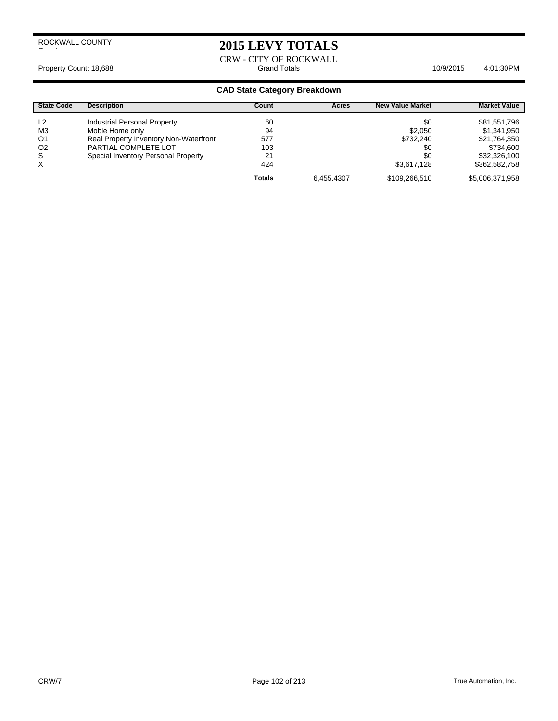# **2015 LEVY TOTALS**

CRW - CITY OF ROCKWALL Property Count: 18,688 **Accord Property Count: 18,688** Grand Totals **Grand Totals Accord Property Count: 18,688** Accord Property Count: 18,688 Accord Property Count: 18,688

| <b>State Code</b> | <b>Description</b>                     | Count         | <b>Acres</b> | <b>New Value Market</b> | <b>Market Value</b> |
|-------------------|----------------------------------------|---------------|--------------|-------------------------|---------------------|
| L <sub>2</sub>    | Industrial Personal Property           | 60            |              | \$0                     | \$81,551,796        |
| M <sub>3</sub>    | Moble Home only                        | 94            |              | \$2.050                 | \$1,341,950         |
| O <sub>1</sub>    | Real Property Inventory Non-Waterfront | 577           |              | \$732,240               | \$21,764,350        |
| O <sub>2</sub>    | PARTIAL COMPLETE LOT                   | 103           |              | \$0                     | \$734.600           |
| S                 | Special Inventory Personal Property    | 21            |              | \$0                     | \$32,326,100        |
| X                 |                                        | 424           |              | \$3.617.128             | \$362,582,758       |
|                   |                                        | <b>Totals</b> | 6.455.4307   | \$109,266,510           | \$5,006,371,958     |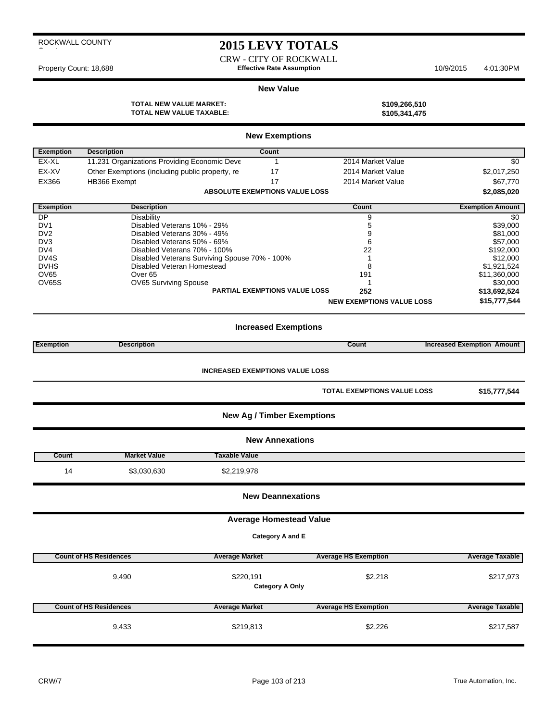|  | ROCKWALL COUNTY |
|--|-----------------|
|  |                 |

# **2015 LEVY TOTALS**

CRW - CITY OF ROCKWALL Property Count: 18,688 **Effective Rate Assumption** 10/9/2015 4:01:30PM

#### **New Value**

**TOTAL NEW VALUE MARKET: \$109,266,510 TOTAL NEW VALUE TAXABLE: \$105,341,475**

|                                  |                                                                             | <b>New Exemptions</b>                              |                                    |                                   |
|----------------------------------|-----------------------------------------------------------------------------|----------------------------------------------------|------------------------------------|-----------------------------------|
| <b>Exemption</b>                 | <b>Description</b>                                                          | Count                                              |                                    |                                   |
| EX-XL                            | 11.231 Organizations Providing Economic Deve                                | $\mathbf{1}$                                       | 2014 Market Value                  | \$0                               |
| EX-XV                            | Other Exemptions (including public property, re                             | 17                                                 | 2014 Market Value                  | \$2,017,250                       |
| EX366                            | HB366 Exempt                                                                | 17                                                 | 2014 Market Value                  | \$67,770                          |
|                                  |                                                                             | <b>ABSOLUTE EXEMPTIONS VALUE LOSS</b>              |                                    | \$2,085,020                       |
| <b>Exemption</b>                 | <b>Description</b>                                                          |                                                    | Count                              | <b>Exemption Amount</b>           |
| DP                               | <b>Disability</b>                                                           |                                                    | 9                                  | \$0                               |
| DV1                              | Disabled Veterans 10% - 29%                                                 |                                                    | 5                                  | \$39,000                          |
| DV <sub>2</sub>                  | Disabled Veterans 30% - 49%                                                 |                                                    | 9                                  | \$81,000                          |
| DV <sub>3</sub>                  | Disabled Veterans 50% - 69%                                                 |                                                    | 6                                  | \$57,000                          |
| DV4                              | Disabled Veterans 70% - 100%                                                |                                                    | 22<br>1                            | \$192,000                         |
| DV <sub>4</sub> S<br><b>DVHS</b> | Disabled Veterans Surviving Spouse 70% - 100%<br>Disabled Veteran Homestead |                                                    | 8                                  | \$12,000<br>\$1,921,524           |
| OV65                             | Over <sub>65</sub>                                                          |                                                    | 191                                | \$11,360,000                      |
| OV65S                            | OV65 Surviving Spouse                                                       |                                                    | 1                                  | \$30,000                          |
|                                  |                                                                             | <b>PARTIAL EXEMPTIONS VALUE LOSS</b>               | 252                                | \$13,692,524                      |
|                                  |                                                                             |                                                    | <b>NEW EXEMPTIONS VALUE LOSS</b>   | \$15,777,544                      |
|                                  |                                                                             |                                                    |                                    |                                   |
|                                  |                                                                             | <b>Increased Exemptions</b>                        |                                    |                                   |
| <b>Exemption</b>                 | <b>Description</b>                                                          |                                                    | Count                              | <b>Increased Exemption Amount</b> |
|                                  |                                                                             |                                                    | <b>TOTAL EXEMPTIONS VALUE LOSS</b> |                                   |
|                                  |                                                                             | <b>New Ag / Timber Exemptions</b>                  |                                    | \$15,777,544                      |
|                                  |                                                                             | <b>New Annexations</b>                             |                                    |                                   |
| Count                            | <b>Market Value</b>                                                         | <b>Taxable Value</b>                               |                                    |                                   |
| 14                               | \$3,030,630                                                                 | \$2,219,978                                        |                                    |                                   |
|                                  |                                                                             | <b>New Deannexations</b>                           |                                    |                                   |
|                                  |                                                                             |                                                    |                                    |                                   |
|                                  |                                                                             | <b>Average Homestead Value</b><br>Category A and E |                                    |                                   |
|                                  | <b>Count of HS Residences</b>                                               | <b>Average Market</b>                              | <b>Average HS Exemption</b>        | <b>Average Taxable</b>            |
|                                  | 9,490                                                                       | \$220,191<br><b>Category A Only</b>                | \$2,218                            | \$217,973                         |
|                                  | <b>Count of HS Residences</b>                                               | <b>Average Market</b>                              | <b>Average HS Exemption</b>        | <b>Average Taxable</b>            |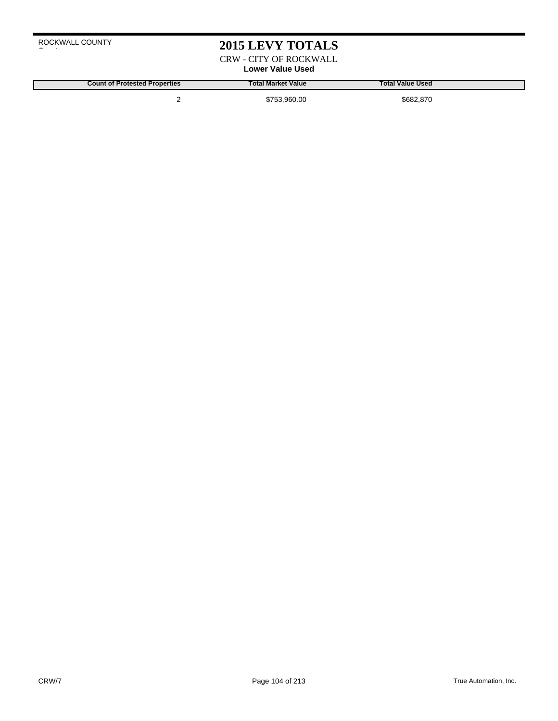# **2015 LEVY TOTALS**

CRW - CITY OF ROCKWALL **Lower Value Used**

**Count of Protested Properties Total Market Value Total Value Used**

2 \$753,960.00 \$682,870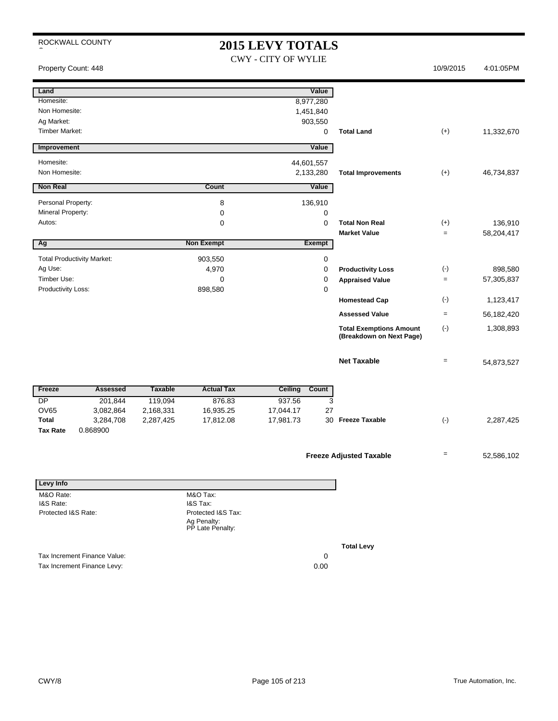# **2015 LEVY TOTALS**

CWY - CITY OF WYLIE

Property Count: 448 10/9/2015 4:01:05PM

| Land                            |                                   |                |                                 | Value                   |             |                                                            |           |            |
|---------------------------------|-----------------------------------|----------------|---------------------------------|-------------------------|-------------|------------------------------------------------------------|-----------|------------|
| Homesite:                       |                                   |                |                                 | 8,977,280               |             |                                                            |           |            |
| Non Homesite:                   |                                   |                |                                 | 1,451,840               |             |                                                            |           |            |
| Ag Market:                      |                                   |                |                                 | 903,550                 |             |                                                            |           |            |
| <b>Timber Market:</b>           |                                   |                |                                 |                         | 0           | <b>Total Land</b>                                          | $(+)$     | 11,332,670 |
|                                 |                                   |                |                                 |                         |             |                                                            |           |            |
| Improvement                     |                                   |                |                                 | Value                   |             |                                                            |           |            |
| Homesite:                       |                                   |                |                                 | 44,601,557              |             |                                                            |           |            |
| Non Homesite:                   |                                   |                |                                 | 2,133,280               |             | <b>Total Improvements</b>                                  | $(+)$     | 46,734,837 |
| Non Real                        |                                   |                | Count                           | Value                   |             |                                                            |           |            |
| Personal Property:              |                                   |                | 8                               | 136,910                 |             |                                                            |           |            |
| Mineral Property:               |                                   |                | 0                               |                         | 0           |                                                            |           |            |
| Autos:                          |                                   |                | 0                               |                         | $\mathbf 0$ | <b>Total Non Real</b>                                      | $(+)$     | 136,910    |
|                                 |                                   |                |                                 |                         |             | <b>Market Value</b>                                        | $\equiv$  | 58,204,417 |
| Ag                              |                                   |                | <b>Non Exempt</b>               | Exempt                  |             |                                                            |           |            |
|                                 | <b>Total Productivity Market:</b> |                |                                 |                         |             |                                                            |           |            |
|                                 |                                   |                | 903,550                         |                         | 0           |                                                            |           |            |
| Ag Use:                         |                                   |                | 4,970                           |                         | 0           | <b>Productivity Loss</b>                                   | $(\cdot)$ | 898,580    |
| Timber Use:                     |                                   |                | 0                               |                         | 0           | <b>Appraised Value</b>                                     | $\equiv$  | 57,305,837 |
| Productivity Loss:              |                                   |                | 898,580                         |                         | 0           | <b>Homestead Cap</b>                                       | $(\cdot)$ | 1,123,417  |
|                                 |                                   |                |                                 |                         |             | <b>Assessed Value</b>                                      | $\equiv$  | 56,182,420 |
|                                 |                                   |                |                                 |                         |             |                                                            |           |            |
|                                 |                                   |                |                                 |                         |             | <b>Total Exemptions Amount</b><br>(Breakdown on Next Page) | $(\cdot)$ | 1,308,893  |
|                                 |                                   |                |                                 |                         |             | <b>Net Taxable</b>                                         | $\equiv$  | 54,873,527 |
|                                 |                                   |                |                                 |                         |             |                                                            |           |            |
| Freeze                          | <b>Assessed</b>                   | <b>Taxable</b> | <b>Actual Tax</b>               | <b>Ceiling</b><br>Count |             |                                                            |           |            |
| DP                              | 201,844                           | 119,094        | 876.83                          | 937.56                  | 3           |                                                            |           |            |
| <b>OV65</b>                     | 3,082,864                         | 2,168,331      | 16,935.25                       | 17,044.17               | 27          |                                                            |           |            |
| <b>Total</b><br><b>Tax Rate</b> | 3,284,708<br>0.868900             | 2,287,425      | 17,812.08                       | 17,981.73               | 30          | <b>Freeze Taxable</b>                                      | $(\cdot)$ | 2,287,425  |
|                                 |                                   |                |                                 |                         |             |                                                            |           |            |
|                                 |                                   |                |                                 |                         |             | <b>Freeze Adjusted Taxable</b>                             | $=$       | 52,586,102 |
|                                 |                                   |                |                                 |                         |             |                                                            |           |            |
| <b>Levy Info</b>                |                                   |                |                                 |                         |             |                                                            |           |            |
| M&O Rate:                       |                                   |                | M&O Tax:                        |                         |             |                                                            |           |            |
| I&S Rate:                       |                                   |                | I&S Tax:                        |                         |             |                                                            |           |            |
| Protected I&S Rate:             |                                   |                | Protected I&S Tax:              |                         |             |                                                            |           |            |
|                                 |                                   |                | Ag Penalty:<br>PP Late Penalty: |                         |             |                                                            |           |            |
|                                 |                                   |                |                                 |                         |             |                                                            |           |            |
|                                 |                                   |                |                                 |                         |             | <b>Total Levy</b>                                          |           |            |
|                                 | Tax Increment Finance Value:      |                |                                 |                         | 0           |                                                            |           |            |
|                                 | Tax Increment Finance Levy:       |                |                                 |                         | 0.00        |                                                            |           |            |
|                                 |                                   |                |                                 |                         |             |                                                            |           |            |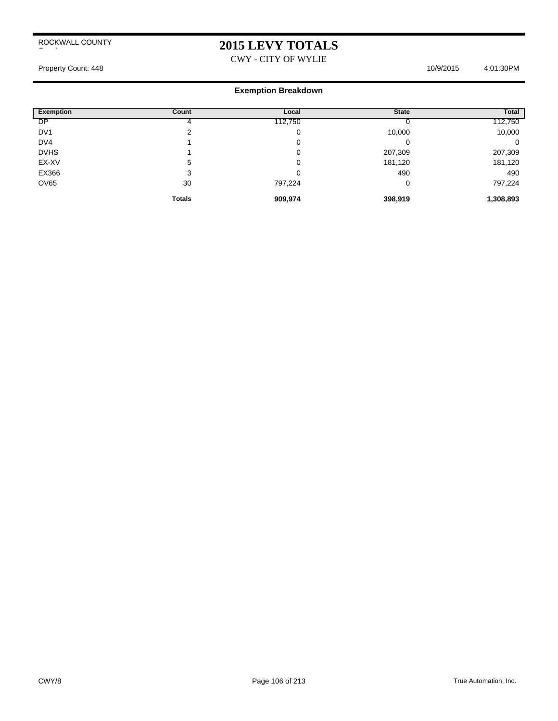# **2015 LEVY TOTALS**

CWY - CITY OF WYLIE

Property Count: 448 10/9/2015 4:01:30PM

#### **Exemption Breakdown**

| <b>Exemption</b> | Count         | Local   | <b>State</b> | <b>Total</b> |
|------------------|---------------|---------|--------------|--------------|
| DP               | 4             | 112,750 |              | 112,750      |
| DV <sub>1</sub>  | ◠             | 0       | 10,000       | 10,000       |
| DV4              |               | 0       |              | 0            |
| <b>DVHS</b>      |               | 0       | 207,309      | 207,309      |
| EX-XV            | 5             | 0       | 181,120      | 181,120      |
| EX366            | 3             | 0       | 490          | 490          |
| <b>OV65</b>      | 30            | 797,224 | 0            | 797,224      |
|                  | <b>Totals</b> | 909,974 | 398,919      | 1,308,893    |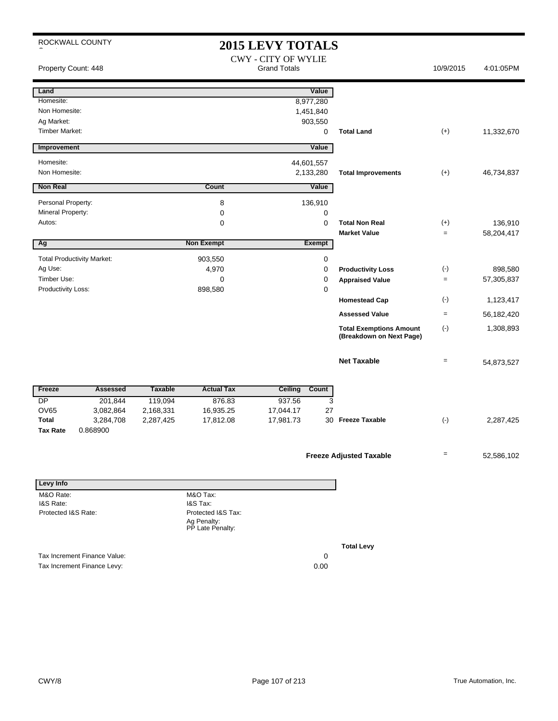ROCKWALL COUNTY **2015 LEVY TOTALS** CWY - CITY OF WYLIE Property Count: 448 **Property Count: 448** Crand Totals **Crand Totals** 10/9/2015 4:01:05PM **Land Value** Homesite: 8,977,280 Non Homesite: 1,451,840 Ag Market: 903,550 Timber Market: 0 **Total Land** (+) 11,332,670 **Improvement Value** Homesite: 44,601,557 Non Homesite: 2,133,280 **Total Improvements** (+) 46,734,837 **Non Real Value Count Count Value** Personal Property: 2002 136,910 Mineral Property: 0 0 Autos: 0 0 **Total Non Real** (+) 136,910 **Market Value**  $=$  58,204,417 **Ag CONFIDENTIAL CONSUMING THE CONFIDENTIAL CONSUMING THE CONFIDENTIAL CONFIDENTIAL CONFIDENTIAL CONFIDENTIAL CONFIDENTIAL CONFIDENTIAL CONFIDENTIAL CONFIDENTIAL CONFIDENTIAL CONFIDENTIAL CONFIDENTIAL CONFIDENTIAL CONFIDEN** Total Productivity Market: 903,550 0 Ag Use: 4,970 0 898,580 **Productivity Loss** (-) Timber Use: 0 0 **Appraised Value** = 57,305,837 Productivity Loss: 0 **Homestead Cap** (-) 1,123,417 **Assessed Value** = 56,182,420 **Total Exemptions Amount** (-) **(Breakdown on Next Page)** 1,308,893 **Net Taxable**  $= 54,873,527$ Freeze Assessed Taxable Actual Tax Ceiling Count DP 201,844 119,094 876.83 937.56 3 OV65 3,082,864 2,168,331 16,935.25 17,044.17 27 **Total** 3,284,708 2,287,425 17,981.73 17,812.08 30 2,287,425 **Freeze Taxable** (-) **Tax Rate** 0.868900 **Freeze Adjusted Taxable**  $\qquad \qquad = 52,586,102$ **Levy Info** M&O Rate: I&S Rate: Protected I&S Rate: M&O Tax: I&S Tax: Protected I&S Tax:

Tax Increment Finance Value: 0

Tax Increment Finance Levy: 0.00

**Total Levy**

Ag Penalty: PP Late Penalty: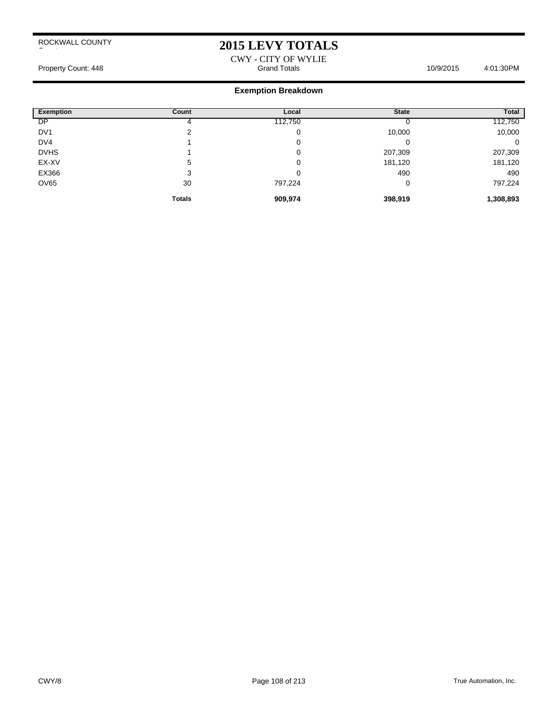## **2015 LEVY TOTALS**

#### CWY - CITY OF WYLIE Property Count: 448 **Accord Totals 10/9/2015** 4:01:30PM Grand Totals 10/9/2015 4:01:30PM

### **Exemption Breakdown**

| <b>Exemption</b> | Count         | Local   | <b>State</b> | <b>Total</b> |
|------------------|---------------|---------|--------------|--------------|
| <b>DP</b>        |               | 112,750 |              | 112,750      |
| DV <sub>1</sub>  | ◠             | 0       | 10,000       | 10,000       |
| DV <sub>4</sub>  |               | 0       |              | 0            |
| <b>DVHS</b>      |               | 0       | 207,309      | 207,309      |
| EX-XV            | 5             | 0       | 181,120      | 181,120      |
| EX366            | 3             | 0       | 490          | 490          |
| <b>OV65</b>      | 30            | 797,224 |              | 797,224      |
|                  | <b>Totals</b> | 909,974 | 398,919      | 1,308,893    |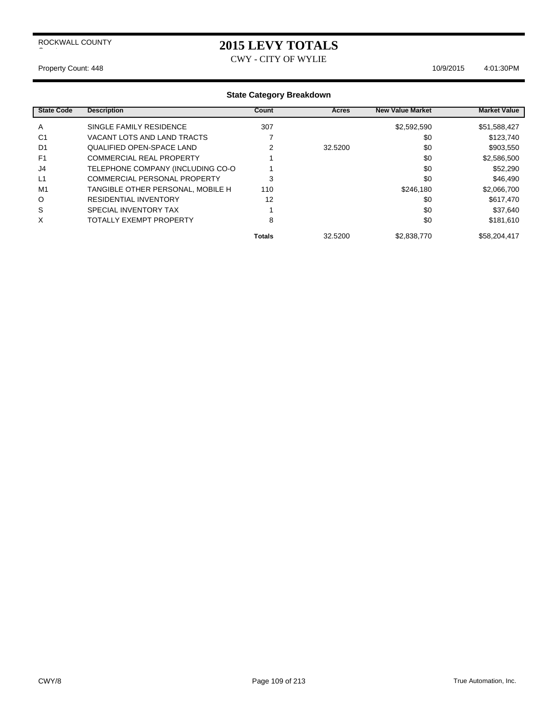## **2015 LEVY TOTALS**

CWY - CITY OF WYLIE

#### Property Count: 448 10/9/2015 4:01:30PM

| <b>State Code</b> | <b>Description</b>                | Count         | Acres   | <b>New Value Market</b> | <b>Market Value</b> |
|-------------------|-----------------------------------|---------------|---------|-------------------------|---------------------|
| A                 | SINGLE FAMILY RESIDENCE           | 307           |         | \$2,592,590             | \$51,588,427        |
| C <sub>1</sub>    | VACANT LOTS AND LAND TRACTS       |               |         | \$0                     | \$123,740           |
| D <sub>1</sub>    | QUALIFIED OPEN-SPACE LAND         | 2             | 32.5200 | \$0                     | \$903,550           |
| F <sub>1</sub>    | <b>COMMERCIAL REAL PROPERTY</b>   |               |         | \$0                     | \$2,586,500         |
| J4                | TELEPHONE COMPANY (INCLUDING CO-O |               |         | \$0                     | \$52,290            |
| L1                | COMMERCIAL PERSONAL PROPERTY      | 3             |         | \$0                     | \$46,490            |
| M1                | TANGIBLE OTHER PERSONAL, MOBILE H | 110           |         | \$246.180               | \$2,066,700         |
| $\circ$           | <b>RESIDENTIAL INVENTORY</b>      | 12            |         | \$0                     | \$617,470           |
| S                 | SPECIAL INVENTORY TAX             |               |         | \$0                     | \$37,640            |
| X                 | <b>TOTALLY EXEMPT PROPERTY</b>    | 8             |         | \$0                     | \$181,610           |
|                   |                                   | <b>Totals</b> | 32.5200 | \$2,838,770             | \$58,204,417        |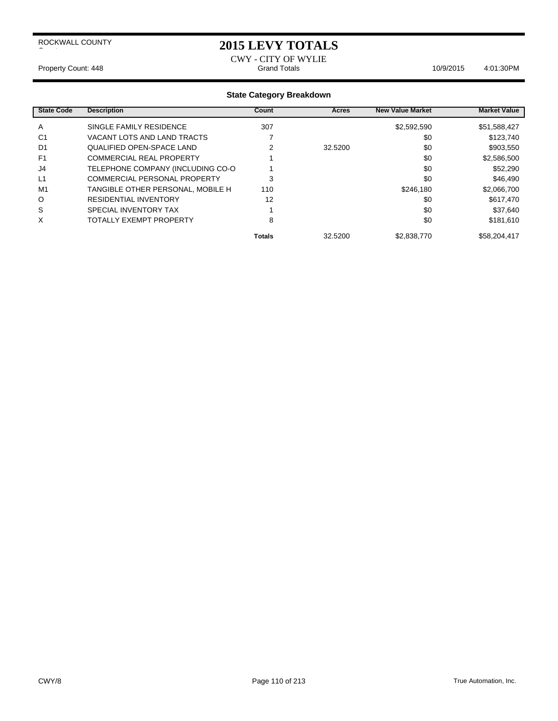### **2015 LEVY TOTALS**

CWY - CITY OF WYLIE Property Count: 448 **Property Count: 448** Crand Totals **Grand Totals** 10/9/2015 4:01:30PM

| <b>State Code</b> | <b>Description</b>                | Count         | Acres   | <b>New Value Market</b> | <b>Market Value</b> |
|-------------------|-----------------------------------|---------------|---------|-------------------------|---------------------|
| A                 | SINGLE FAMILY RESIDENCE           | 307           |         | \$2,592,590             | \$51,588,427        |
| C <sub>1</sub>    | VACANT LOTS AND LAND TRACTS       |               |         | \$0                     | \$123,740           |
| D <sub>1</sub>    | <b>QUALIFIED OPEN-SPACE LAND</b>  |               | 32.5200 | \$0                     | \$903,550           |
| F <sub>1</sub>    | <b>COMMERCIAL REAL PROPERTY</b>   |               |         | \$0                     | \$2,586,500         |
| J4                | TELEPHONE COMPANY (INCLUDING CO-O |               |         | \$0                     | \$52,290            |
| L1                | COMMERCIAL PERSONAL PROPERTY      | 3             |         | \$0                     | \$46,490            |
| M <sub>1</sub>    | TANGIBLE OTHER PERSONAL, MOBILE H | 110           |         | \$246.180               | \$2,066,700         |
| O                 | <b>RESIDENTIAL INVENTORY</b>      | 12            |         | \$0                     | \$617,470           |
| S                 | SPECIAL INVENTORY TAX             |               |         | \$0                     | \$37,640            |
| X                 | TOTALLY EXEMPT PROPERTY           | 8             |         | \$0                     | \$181,610           |
|                   |                                   | <b>Totals</b> | 32.5200 | \$2.838.770             | \$58,204,417        |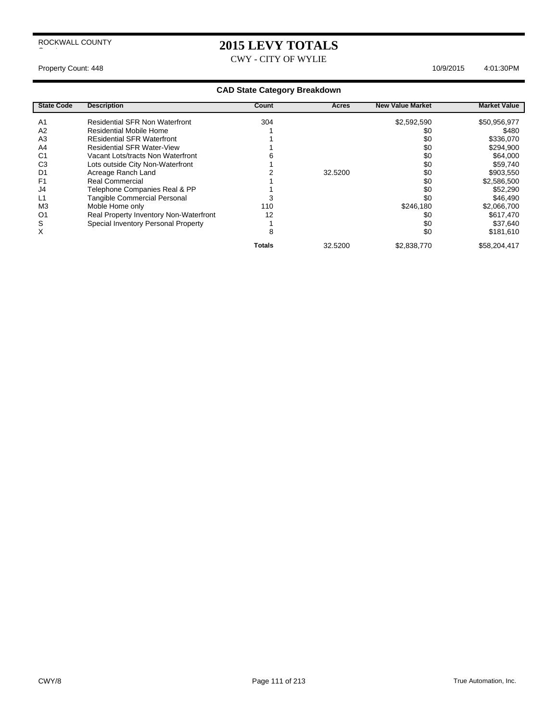## **2015 LEVY TOTALS**

CWY - CITY OF WYLIE

Property Count: 448 10/9/2015 4:01:30 PM

|  |  | <b>CAD State Category Breakdown</b> |
|--|--|-------------------------------------|
|--|--|-------------------------------------|

| <b>State Code</b> | <b>Description</b>                     | Count         | Acres   | <b>New Value Market</b> | <b>Market Value</b> |
|-------------------|----------------------------------------|---------------|---------|-------------------------|---------------------|
| A1                | <b>Residential SFR Non Waterfront</b>  | 304           |         | \$2,592,590             | \$50,956,977        |
| A <sub>2</sub>    | Residential Mobile Home                |               |         | \$0                     | \$480               |
| A <sub>3</sub>    | <b>REsidential SFR Waterfront</b>      |               |         | \$0                     | \$336,070           |
| A <sub>4</sub>    | <b>Residential SFR Water-View</b>      |               |         | \$0                     | \$294,900           |
| C1                | Vacant Lots/tracts Non Waterfront      |               |         | \$0                     | \$64,000            |
| C3                | Lots outside City Non-Waterfront       |               |         | \$0                     | \$59,740            |
| D1                | Acreage Ranch Land                     |               | 32.5200 | \$0                     | \$903,550           |
| F <sub>1</sub>    | Real Commercial                        |               |         | \$0                     | \$2,586,500         |
| J4                | Telephone Companies Real & PP          |               |         | \$0                     | \$52,290            |
|                   | <b>Tangible Commercial Personal</b>    |               |         | \$0                     | \$46,490            |
| M <sub>3</sub>    | Moble Home only                        | 110           |         | \$246,180               | \$2,066,700         |
| O1                | Real Property Inventory Non-Waterfront | 12            |         | \$0                     | \$617,470           |
| S                 | Special Inventory Personal Property    |               |         | \$0                     | \$37,640            |
| ⋏                 |                                        | 29            |         | \$0                     | \$181,610           |
|                   |                                        | <b>Totals</b> | 32.5200 | \$2,838,770             | \$58,204,417        |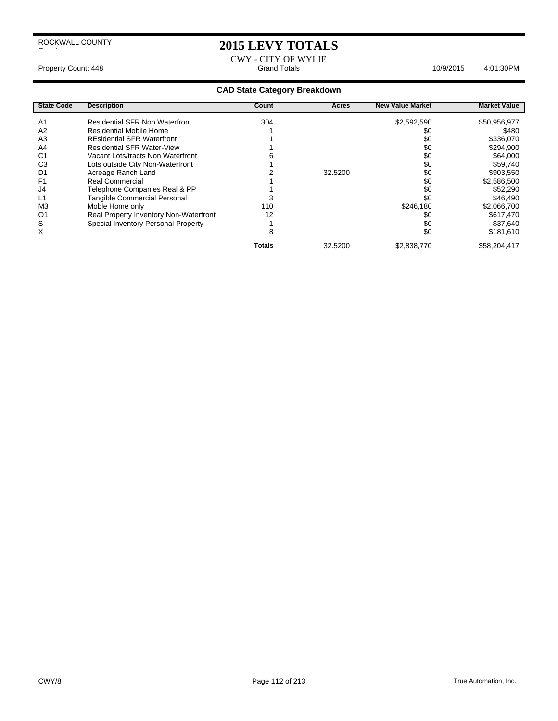$\overline{\phantom{a}}$ 

## **2015 LEVY TOTALS**

CWY - CITY OF WYLIE Property Count: 448 **Accord Property Count: 448** Accord Property Count: 448 Accord Property Count: 448 Accord Property Count: 448 Accord Property Count: 448 Accord Property Count: 448 Accord Property Count: 4501:30PM

| <b>State Code</b> | <b>Description</b>                     | Count         | Acres   | <b>New Value Market</b> | <b>Market Value</b> |
|-------------------|----------------------------------------|---------------|---------|-------------------------|---------------------|
| A <sub>1</sub>    | <b>Residential SFR Non Waterfront</b>  | 304           |         | \$2,592,590             | \$50,956,977        |
| A <sub>2</sub>    | <b>Residential Mobile Home</b>         |               |         | \$0                     | \$480               |
| A3                | <b>REsidential SFR Waterfront</b>      |               |         | \$0                     | \$336,070           |
| A4                | <b>Residential SFR Water-View</b>      |               |         | \$0                     | \$294,900           |
| C <sub>1</sub>    | Vacant Lots/tracts Non Waterfront      |               |         | \$0                     | \$64,000            |
| C <sub>3</sub>    | Lots outside City Non-Waterfront       |               |         | \$0                     | \$59,740            |
| D1                | Acreage Ranch Land                     |               | 32.5200 | \$0                     | \$903,550           |
| F <sub>1</sub>    | <b>Real Commercial</b>                 |               |         | \$0                     | \$2,586,500         |
| J4                | Telephone Companies Real & PP          |               |         | \$0                     | \$52,290            |
| L1                | <b>Tangible Commercial Personal</b>    |               |         | \$0                     | \$46,490            |
| M <sub>3</sub>    | Moble Home only                        | 110           |         | \$246,180               | \$2,066,700         |
| O <sub>1</sub>    | Real Property Inventory Non-Waterfront | 12            |         | \$0                     | \$617,470           |
| S                 | Special Inventory Personal Property    |               |         | \$0                     | \$37,640            |
| X                 |                                        | 8             |         | \$0                     | \$181,610           |
|                   |                                        | <b>Totals</b> | 32.5200 | \$2,838,770             | \$58,204,417        |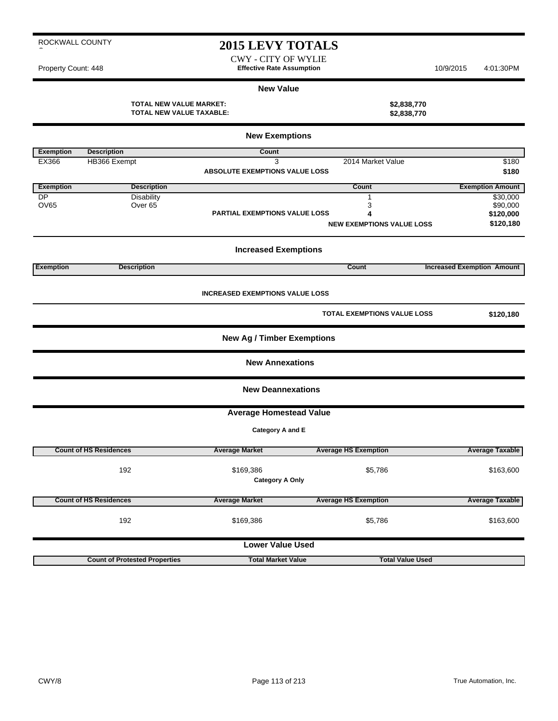## **2015 LEVY TOTALS**

CWY - CITY OF WYLIE Property Count: 448 **Effective Rate Assumption Effective Rate Assumption** 10/9/2015 4:01:30PM

#### **New Value**

**TOTAL NEW VALUE MARKET: \$2,838,770 TOTAL NEW VALUE TAXABLE: \$2,838,770**

|                  |                                      | <b>New Exemptions</b>                  |                                  |                                   |
|------------------|--------------------------------------|----------------------------------------|----------------------------------|-----------------------------------|
| <b>Exemption</b> | <b>Description</b>                   | <b>Count</b>                           |                                  |                                   |
| EX366            | HB366 Exempt                         | 3                                      | 2014 Market Value                | \$180                             |
|                  |                                      | <b>ABSOLUTE EXEMPTIONS VALUE LOSS</b>  |                                  | \$180                             |
| <b>Exemption</b> | <b>Description</b>                   |                                        | <b>Count</b>                     | <b>Exemption Amount</b>           |
| <b>DP</b>        | <b>Disability</b>                    |                                        | 1                                | \$30,000                          |
| <b>OV65</b>      | Over 65                              |                                        | 3                                | \$90,000                          |
|                  |                                      | PARTIAL EXEMPTIONS VALUE LOSS          | 4                                | \$120,000                         |
|                  |                                      |                                        | <b>NEW EXEMPTIONS VALUE LOSS</b> | \$120,180                         |
|                  |                                      | <b>Increased Exemptions</b>            |                                  |                                   |
| <b>Exemption</b> | <b>Description</b>                   |                                        | Count                            | <b>Increased Exemption Amount</b> |
|                  |                                      | <b>INCREASED EXEMPTIONS VALUE LOSS</b> |                                  |                                   |
|                  |                                      |                                        | TOTAL EXEMPTIONS VALUE LOSS      | \$120,180                         |
|                  |                                      | <b>New Ag / Timber Exemptions</b>      |                                  |                                   |
|                  |                                      | <b>New Annexations</b>                 |                                  |                                   |
|                  |                                      | <b>New Deannexations</b>               |                                  |                                   |
|                  |                                      | <b>Average Homestead Value</b>         |                                  |                                   |
|                  |                                      | Category A and E                       |                                  |                                   |
|                  | <b>Count of HS Residences</b>        | <b>Average Market</b>                  | <b>Average HS Exemption</b>      | <b>Average Taxable</b>            |
|                  | 192                                  |                                        |                                  |                                   |
|                  |                                      | \$169,386<br><b>Category A Only</b>    | \$5,786                          | \$163,600                         |
|                  |                                      |                                        |                                  |                                   |
|                  | <b>Count of HS Residences</b>        | <b>Average Market</b>                  | <b>Average HS Exemption</b>      | <b>Average Taxable</b>            |
|                  | 192                                  | \$169,386                              | \$5,786                          | \$163,600                         |
|                  |                                      | <b>Lower Value Used</b>                |                                  |                                   |
|                  | <b>Count of Protested Properties</b> | <b>Total Market Value</b>              | <b>Total Value Used</b>          |                                   |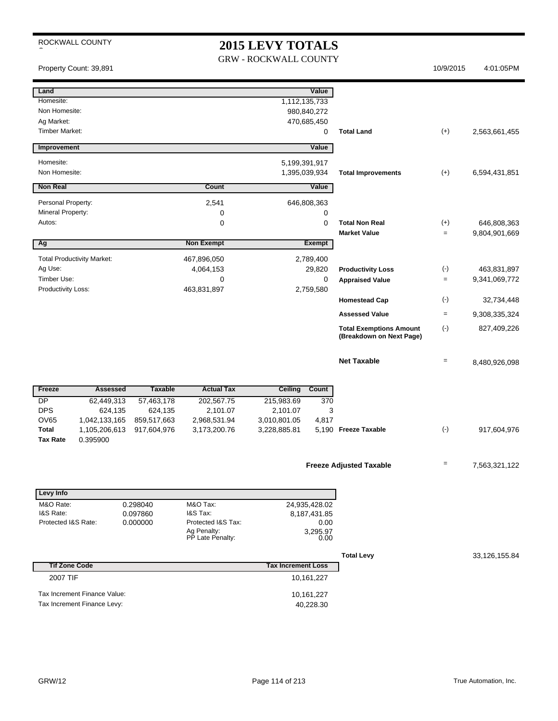# **2015 LEVY TOTALS**

GRW - ROCKWALL COUNTY

Property Count: 39,891 10/9/2015 4:01:05PM

| Land                                                         |                |                                 |                           | Value                    |                                |           |               |
|--------------------------------------------------------------|----------------|---------------------------------|---------------------------|--------------------------|--------------------------------|-----------|---------------|
| Homesite:                                                    |                |                                 | 1,112,135,733             |                          |                                |           |               |
| Non Homesite:                                                |                |                                 |                           | 980,840,272              |                                |           |               |
| Ag Market:                                                   |                |                                 |                           | 470,685,450              |                                |           |               |
| <b>Timber Market:</b>                                        |                |                                 |                           | 0                        | <b>Total Land</b>              | $(+)$     | 2,563,661,455 |
| Improvement                                                  |                |                                 |                           | Value                    |                                |           |               |
|                                                              |                |                                 |                           |                          |                                |           |               |
| Homesite:<br>Non Homesite:                                   |                |                                 | 5,199,391,917             |                          |                                |           |               |
|                                                              |                |                                 | 1,395,039,934             |                          | <b>Total Improvements</b>      | $(+)$     | 6,594,431,851 |
| <b>Non Real</b>                                              |                | Count                           |                           | Value                    |                                |           |               |
| Personal Property:                                           |                | 2,541                           |                           | 646,808,363              |                                |           |               |
| Mineral Property:                                            |                | 0                               |                           | 0                        |                                |           |               |
| Autos:                                                       |                | $\mathbf 0$                     |                           | 0                        | <b>Total Non Real</b>          | $(+)$     | 646,808,363   |
|                                                              |                |                                 |                           |                          | <b>Market Value</b>            | $=$       | 9,804,901,669 |
| Ag                                                           |                | <b>Non Exempt</b>               |                           | <b>Exempt</b>            |                                |           |               |
| <b>Total Productivity Market:</b>                            |                | 467,896,050                     |                           | 2,789,400                |                                |           |               |
| Ag Use:                                                      |                | 4,064,153                       |                           | 29,820                   | <b>Productivity Loss</b>       | $(\cdot)$ | 463,831,897   |
| Timber Use:<br>Productivity Loss:                            |                | $\mathbf 0$<br>463,831,897      |                           | $\mathbf 0$<br>2,759,580 | <b>Appraised Value</b>         | $=$       | 9,341,069,772 |
|                                                              |                |                                 |                           |                          | <b>Homestead Cap</b>           | $(\cdot)$ | 32,734,448    |
|                                                              |                |                                 |                           |                          | <b>Assessed Value</b>          | $=$       | 9,308,335,324 |
|                                                              |                |                                 |                           |                          | <b>Total Exemptions Amount</b> | $(-)$     | 827,409,226   |
|                                                              |                |                                 |                           |                          | (Breakdown on Next Page)       |           |               |
|                                                              |                |                                 |                           |                          | <b>Net Taxable</b>             | $=$       | 8,480,926,098 |
|                                                              |                |                                 |                           |                          |                                |           |               |
|                                                              |                |                                 |                           |                          |                                |           |               |
| Freeze<br>Assessed                                           | <b>Taxable</b> | <b>Actual Tax</b>               | Ceiling                   | Count                    |                                |           |               |
|                                                              |                |                                 |                           |                          |                                |           |               |
| <b>DP</b><br>62,449,313                                      | 57,463,178     | 202,567.75                      | 215,983.69                | 370                      |                                |           |               |
| <b>DPS</b><br>624,135                                        | 624,135        | 2,101.07                        | 2,101.07                  | 3                        |                                |           |               |
| <b>OV65</b><br>1,042,133,165                                 | 859,517,663    | 2,968,531.94                    | 3,010,801.05              | 4,817                    |                                |           |               |
| <b>Total</b><br>1,105,206,613<br><b>Tax Rate</b><br>0.395900 | 917,604,976    | 3,173,200.76                    | 3,228,885.81              |                          | 5,190 Freeze Taxable           | $(\cdot)$ | 917,604,976   |
|                                                              |                |                                 |                           |                          |                                |           |               |
|                                                              |                |                                 |                           |                          |                                | Ξ         |               |
|                                                              |                |                                 |                           |                          | <b>Freeze Adjusted Taxable</b> |           | 7,563,321,122 |
|                                                              |                |                                 |                           |                          |                                |           |               |
| <b>Levy Info</b>                                             |                |                                 |                           |                          |                                |           |               |
| M&O Rate:                                                    | 0.298040       | M&O Tax:                        |                           | 24,935,428.02            |                                |           |               |
| I&S Rate:                                                    | 0.097860       | I&S Tax:                        |                           | 8, 187, 431.85           |                                |           |               |
| Protected I&S Rate:                                          | 0.000000       | Protected I&S Tax:              |                           | 0.00<br>3,295.97         |                                |           |               |
|                                                              |                | Ag Penalty:<br>PP Late Penalty: |                           | 0.00                     |                                |           |               |
|                                                              |                |                                 |                           |                          | <b>Total Levy</b>              |           | 33,126,155.84 |
| <b>Tif Zone Code</b>                                         |                |                                 | <b>Tax Increment Loss</b> |                          |                                |           |               |
| 2007 TIF                                                     |                |                                 |                           | 10,161,227               |                                |           |               |
| Tax Increment Finance Value:                                 |                |                                 |                           |                          |                                |           |               |
| Tax Increment Finance Levy:                                  |                |                                 |                           | 10,161,227<br>40,228.30  |                                |           |               |
|                                                              |                |                                 |                           |                          |                                |           |               |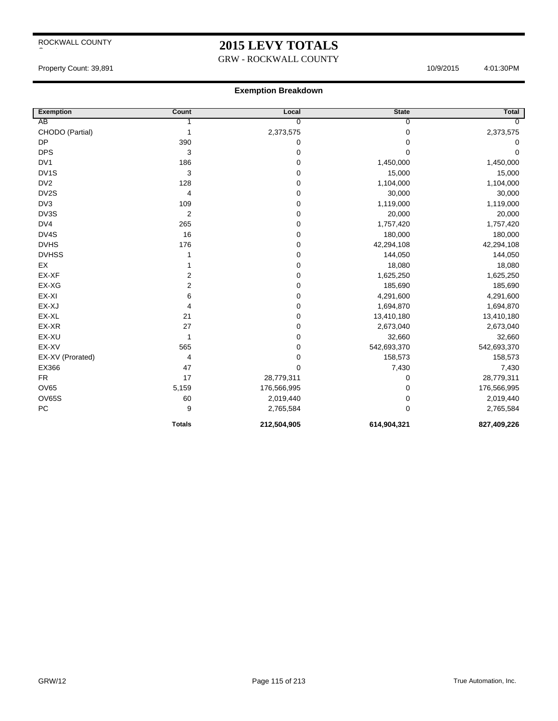## **2015 LEVY TOTALS**

#### GRW - ROCKWALL COUNTY

Property Count: 39,891 10/9/2015 4:01:30PM

| <b>Exemption</b>  | Count          | Local          | <b>State</b>   | <b>Total</b> |
|-------------------|----------------|----------------|----------------|--------------|
| AB                |                | $\overline{0}$ | $\overline{0}$ | $\Omega$     |
| CHODO (Partial)   | 1              | 2,373,575      | 0              | 2,373,575    |
| <b>DP</b>         | 390            | 0              | $\Omega$       | 0            |
| <b>DPS</b>        | 3              | $\pmb{0}$      | 0              | 0            |
| DV <sub>1</sub>   | 186            | 0              | 1,450,000      | 1,450,000    |
| DV <sub>1</sub> S | 3              | $\pmb{0}$      | 15,000         | 15,000       |
| DV <sub>2</sub>   | 128            | $\pmb{0}$      | 1,104,000      | 1,104,000    |
| DV2S              | 4              | 0              | 30,000         | 30,000       |
| DV3               | 109            | $\mathbf 0$    | 1,119,000      | 1,119,000    |
| DV3S              | $\overline{2}$ | $\mathbf 0$    | 20,000         | 20,000       |
| DV4               | 265            | $\pmb{0}$      | 1,757,420      | 1,757,420    |
| DV4S              | 16             | 0              | 180,000        | 180,000      |
| <b>DVHS</b>       | 176            | $\pmb{0}$      | 42,294,108     | 42,294,108   |
| <b>DVHSS</b>      | 1              | 0              | 144,050        | 144,050      |
| EX                |                | $\pmb{0}$      | 18,080         | 18,080       |
| EX-XF             | 2              | 0              | 1,625,250      | 1,625,250    |
| EX-XG             | 2              | 0              | 185,690        | 185,690      |
| EX-XI             | 6              | $\pmb{0}$      | 4,291,600      | 4,291,600    |
| EX-XJ             | 4              | $\pmb{0}$      | 1,694,870      | 1,694,870    |
| EX-XL             | 21             | $\pmb{0}$      | 13,410,180     | 13,410,180   |
| EX-XR             | 27             | $\pmb{0}$      | 2,673,040      | 2,673,040    |
| EX-XU             | 1              | $\mathbf 0$    | 32,660         | 32,660       |
| EX-XV             | 565            | 0              | 542,693,370    | 542,693,370  |
| EX-XV (Prorated)  | 4              | $\pmb{0}$      | 158,573        | 158,573      |
| EX366             | 47             | $\mathbf 0$    | 7,430          | 7,430        |
| <b>FR</b>         | 17             | 28,779,311     | 0              | 28,779,311   |
| <b>OV65</b>       | 5,159          | 176,566,995    | 0              | 176,566,995  |
| <b>OV65S</b>      | 60             | 2,019,440      | 0              | 2,019,440    |
| PC                | 9              | 2,765,584      | $\mathbf 0$    | 2,765,584    |
|                   | <b>Totals</b>  | 212,504,905    | 614,904,321    | 827,409,226  |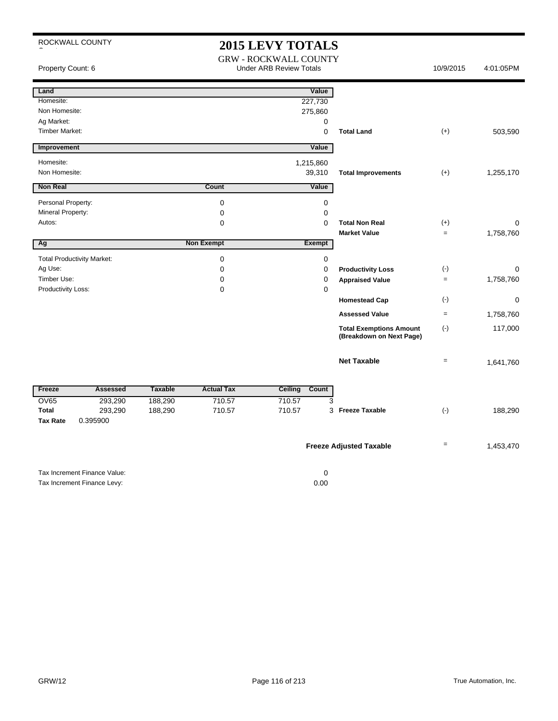|                             | ROCKWALL COUNTY                   |                |                     | <b>2015 LEVY TOTALS</b>                                        |                                                            |                   |           |
|-----------------------------|-----------------------------------|----------------|---------------------|----------------------------------------------------------------|------------------------------------------------------------|-------------------|-----------|
| Property Count: 6           |                                   |                |                     | <b>GRW - ROCKWALL COUNTY</b><br><b>Under ARB Review Totals</b> |                                                            | 10/9/2015         | 4:01:05PM |
| Land                        |                                   |                |                     | Value                                                          |                                                            |                   |           |
| Homesite:                   |                                   |                |                     | 227,730                                                        |                                                            |                   |           |
| Non Homesite:<br>Ag Market: |                                   |                |                     | 275,860<br>0                                                   |                                                            |                   |           |
| <b>Timber Market:</b>       |                                   |                |                     | 0                                                              | <b>Total Land</b>                                          | $(+)$             | 503,590   |
| Improvement                 |                                   |                |                     | Value                                                          |                                                            |                   |           |
| Homesite:                   |                                   |                |                     | 1,215,860                                                      |                                                            |                   |           |
| Non Homesite:               |                                   |                |                     | 39,310                                                         | <b>Total Improvements</b>                                  | $(+)$             | 1,255,170 |
| <b>Non Real</b>             |                                   |                | Count               | Value                                                          |                                                            |                   |           |
| Personal Property:          |                                   |                | $\mathbf 0$         | 0                                                              |                                                            |                   |           |
| Mineral Property:           |                                   |                | 0                   | 0                                                              |                                                            |                   |           |
| Autos:                      |                                   |                | 0                   | 0                                                              | <b>Total Non Real</b>                                      | $(+)$             | 0         |
| Ag                          |                                   |                | <b>Non Exempt</b>   | <b>Exempt</b>                                                  | <b>Market Value</b>                                        | $\quad =$         | 1,758,760 |
|                             |                                   |                |                     |                                                                |                                                            |                   |           |
| Ag Use:                     | <b>Total Productivity Market:</b> |                | 0<br>$\mathbf 0$    | 0<br>0                                                         | <b>Productivity Loss</b>                                   | $(\cdot)$         | 0         |
| Timber Use:                 |                                   |                | 0                   | 0                                                              | <b>Appraised Value</b>                                     | $\qquad \qquad =$ | 1,758,760 |
| Productivity Loss:          |                                   |                | $\mathbf 0$         | $\mathbf 0$                                                    |                                                            |                   |           |
|                             |                                   |                |                     |                                                                | <b>Homestead Cap</b>                                       | $(-)$             | 0         |
|                             |                                   |                |                     |                                                                | <b>Assessed Value</b>                                      | $\quad \  \, =$   | 1,758,760 |
|                             |                                   |                |                     |                                                                | <b>Total Exemptions Amount</b><br>(Breakdown on Next Page) | $(\cdot)$         | 117,000   |
|                             |                                   |                |                     |                                                                | <b>Net Taxable</b>                                         | $=$               | 1,641,760 |
| Freeze                      | <b>Assessed</b>                   | <b>Taxable</b> | <b>Actual Tax</b>   | <b>Ceiling</b><br>Count                                        |                                                            |                   |           |
| <b>OV65</b>                 | 293,290                           | 188,290        | $\overline{710.57}$ | 3<br>710.57                                                    |                                                            |                   |           |
| <b>Total</b>                | 293,290                           | 188,290        | 710.57              | 710.57                                                         | 3 Freeze Taxable                                           | $(\cdot)$         | 188,290   |
| <b>Tax Rate</b>             | 0.395900                          |                |                     |                                                                |                                                            |                   |           |
|                             |                                   |                |                     |                                                                | <b>Freeze Adjusted Taxable</b>                             | $=$               | 1,453,470 |
|                             | Tax Increment Finance Value:      |                |                     | $\mathbf 0$                                                    |                                                            |                   |           |
|                             | Tax Increment Finance Levy:       |                |                     | 0.00                                                           |                                                            |                   |           |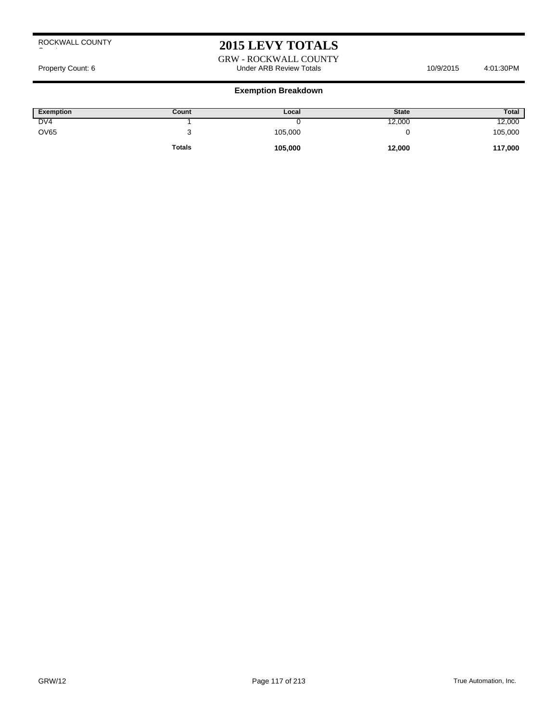## **2015 LEVY TOTALS**

GRW - ROCKWALL COUNTY Property Count: 6 and the Under ARB Review Totals 10/9/2015 4:01:30PM

| Exemption       | Count         | Local   | <b>State</b> | Total   |
|-----------------|---------------|---------|--------------|---------|
| DV <sub>4</sub> |               |         | 12,000       | 12,000  |
| <b>OV65</b>     |               | 105,000 |              | 105,000 |
|                 | <b>Totals</b> | 105,000 | 12,000       | 117,000 |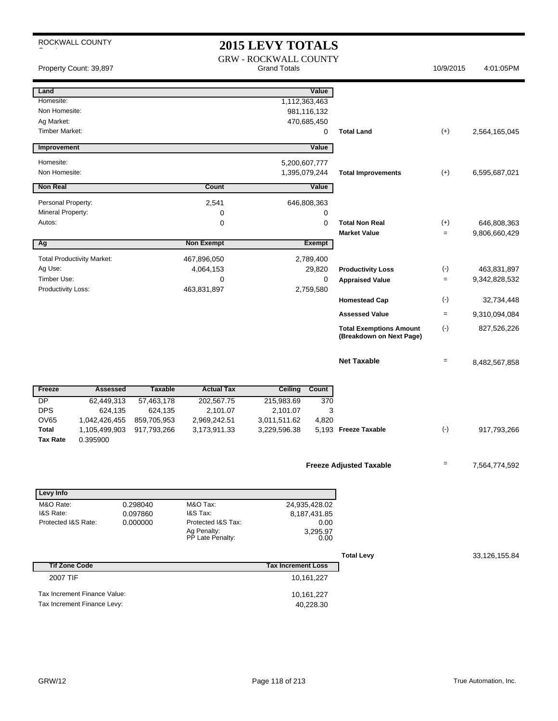## 2015 LEVY TOTALS

|                                                                           | Property Count: 39,897                                      |                        |                                 | $2013$ LEV I TOTALD<br><b>GRW - ROCKWALL COUNTY</b><br><b>Grand Totals</b> |                                          |                                              | 10/9/2015         | 4:01:05PM                    |
|---------------------------------------------------------------------------|-------------------------------------------------------------|------------------------|---------------------------------|----------------------------------------------------------------------------|------------------------------------------|----------------------------------------------|-------------------|------------------------------|
| Land<br>Homesite:<br>Non Homesite:<br>Ag Market:<br><b>Timber Market:</b> |                                                             |                        |                                 | 1,112,363,463                                                              | Value<br>981,116,132<br>470,685,450<br>0 | <b>Total Land</b>                            | $(+)$             | 2,564,165,045                |
| Improvement                                                               |                                                             |                        |                                 |                                                                            | Value                                    |                                              |                   |                              |
|                                                                           |                                                             |                        |                                 |                                                                            |                                          |                                              |                   |                              |
| Homesite:<br>Non Homesite:                                                |                                                             |                        |                                 | 5,200,607,777<br>1,395,079,244                                             |                                          | <b>Total Improvements</b>                    | $(+)$             | 6,595,687,021                |
| <b>Non Real</b>                                                           |                                                             |                        | <b>Count</b>                    |                                                                            | Value                                    |                                              |                   |                              |
| Personal Property:                                                        |                                                             |                        | 2,541                           |                                                                            | 646,808,363                              |                                              |                   |                              |
| Mineral Property:                                                         |                                                             |                        | 0                               |                                                                            | 0                                        |                                              |                   |                              |
| Autos:                                                                    |                                                             |                        | 0                               |                                                                            | 0                                        | <b>Total Non Real</b><br><b>Market Value</b> | $(+)$<br>$\equiv$ | 646,808,363<br>9,806,660,429 |
| Ag                                                                        |                                                             |                        | <b>Non Exempt</b>               |                                                                            | <b>Exempt</b>                            |                                              |                   |                              |
| <b>Total Productivity Market:</b>                                         |                                                             |                        | 467,896,050                     |                                                                            | 2,789,400                                |                                              |                   |                              |
| Ag Use:                                                                   |                                                             |                        | 4,064,153                       |                                                                            | 29,820                                   | <b>Productivity Loss</b>                     | $(\text{-})$      | 463,831,897                  |
| Timber Use:                                                               |                                                             |                        | 0                               |                                                                            | $\mathbf 0$                              | <b>Appraised Value</b>                       | $\equiv$          | 9,342,828,532                |
| Productivity Loss:                                                        |                                                             |                        | 463,831,897                     |                                                                            | 2,759,580                                | <b>Homestead Cap</b>                         | $(\cdot)$         | 32,734,448                   |
|                                                                           |                                                             |                        |                                 |                                                                            |                                          | <b>Assessed Value</b>                        | $=$               | 9,310,094,084                |
|                                                                           |                                                             |                        |                                 |                                                                            |                                          | <b>Total Exemptions Amount</b>               | $(\cdot)$         | 827,526,226                  |
|                                                                           |                                                             |                        |                                 |                                                                            |                                          | (Breakdown on Next Page)                     |                   |                              |
|                                                                           |                                                             |                        |                                 |                                                                            |                                          | <b>Net Taxable</b>                           | $\quad =$         | 8,482,567,858                |
| Freeze                                                                    | <b>Assessed</b>                                             | <b>Taxable</b>         | <b>Actual Tax</b>               | <b>Ceiling</b>                                                             | Count                                    |                                              |                   |                              |
| DP                                                                        | 62,449,313                                                  | 57,463,178             | 202,567.75                      | 215,983.69                                                                 | 370                                      |                                              |                   |                              |
| <b>DPS</b><br><b>OV65</b>                                                 | 624,135<br>1,042,426,455                                    | 624,135<br>859,705,953 | 2,101.07<br>2,969,242.51        | 2,101.07<br>3,011,511.62                                                   | 3<br>4,820                               |                                              |                   |                              |
| <b>Total</b>                                                              | 1,105,499,903                                               | 917,793,266            | 3,173,911.33                    | 3,229,596.38                                                               |                                          | 5,193 Freeze Taxable                         | $(\cdot)$         | 917,793,266                  |
| <b>Tax Rate</b>                                                           | 0.395900                                                    |                        |                                 |                                                                            |                                          |                                              |                   |                              |
|                                                                           |                                                             |                        |                                 |                                                                            |                                          |                                              | $\equiv$          |                              |
|                                                                           |                                                             |                        |                                 |                                                                            |                                          | <b>Freeze Adjusted Taxable</b>               |                   | 7,564,774,592                |
| <b>Levy Info</b>                                                          |                                                             |                        |                                 |                                                                            |                                          |                                              |                   |                              |
| M&O Rate:                                                                 |                                                             | 0.298040               | M&O Tax:                        |                                                                            | 24,935,428.02                            |                                              |                   |                              |
| I&S Rate:<br>Protected I&S Rate:                                          |                                                             | 0.097860<br>0.000000   | I&S Tax:<br>Protected I&S Tax:  |                                                                            | 8,187,431.85<br>0.00                     |                                              |                   |                              |
|                                                                           |                                                             |                        | Ag Penalty:<br>PP Late Penalty: |                                                                            | 3,295.97<br>0.00                         |                                              |                   |                              |
|                                                                           |                                                             |                        |                                 |                                                                            |                                          |                                              |                   |                              |
| <b>Tif Zone Code</b>                                                      |                                                             |                        |                                 | <b>Tax Increment Loss</b>                                                  |                                          | <b>Total Levy</b>                            |                   | 33,126,155.84                |
| 2007 TIF                                                                  |                                                             |                        |                                 |                                                                            | 10,161,227                               |                                              |                   |                              |
|                                                                           |                                                             |                        |                                 |                                                                            |                                          |                                              |                   |                              |
|                                                                           | Tax Increment Finance Value:<br>Tax Increment Finance Levy: |                        |                                 |                                                                            | 10,161,227<br>40,228.30                  |                                              |                   |                              |
|                                                                           |                                                             |                        |                                 |                                                                            |                                          |                                              |                   |                              |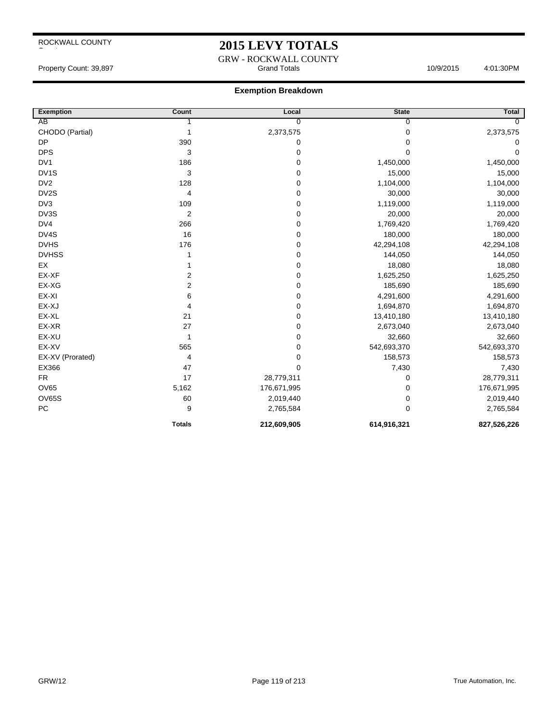## **2015 LEVY TOTALS**

GRW - ROCKWALL COUNTY Property Count: 39,897 **Access 10/9/2015** 10/9/2015 4:01:30PM

| <b>Exemption</b>  | Count            | Local          | <b>State</b> | <b>Total</b> |
|-------------------|------------------|----------------|--------------|--------------|
| AB                |                  | $\overline{0}$ | 0            | $\Omega$     |
| CHODO (Partial)   |                  | 2,373,575      | 0            | 2,373,575    |
| <b>DP</b>         | 390              | 0              | 0            | 0            |
| <b>DPS</b>        | 3                | 0              | 0            | 0            |
| DV <sub>1</sub>   | 186              | 0              | 1,450,000    | 1,450,000    |
| DV <sub>1</sub> S | 3                | 0              | 15,000       | 15,000       |
| DV <sub>2</sub>   | 128              | 0              | 1,104,000    | 1,104,000    |
| DV2S              | 4                | 0              | 30,000       | 30,000       |
| DV3               | 109              | $\mathbf 0$    | 1,119,000    | 1,119,000    |
| DV3S              | $\overline{2}$   | 0              | 20,000       | 20,000       |
| DV4               | 266              | 0              | 1,769,420    | 1,769,420    |
| DV4S              | 16               | $\pmb{0}$      | 180,000      | 180,000      |
| <b>DVHS</b>       | 176              | 0              | 42,294,108   | 42,294,108   |
| <b>DVHSS</b>      |                  | 0              | 144,050      | 144,050      |
| EX                |                  | 0              | 18,080       | 18,080       |
| EX-XF             | 2                | 0              | 1,625,250    | 1,625,250    |
| EX-XG             | $\boldsymbol{2}$ | 0              | 185,690      | 185,690      |
| EX-XI             | 6                | 0              | 4,291,600    | 4,291,600    |
| EX-XJ             | 4                | 0              | 1,694,870    | 1,694,870    |
| EX-XL             | 21               | $\pmb{0}$      | 13,410,180   | 13,410,180   |
| EX-XR             | 27               | 0              | 2,673,040    | 2,673,040    |
| EX-XU             | 1                | 0              | 32,660       | 32,660       |
| EX-XV             | 565              | $\pmb{0}$      | 542,693,370  | 542,693,370  |
| EX-XV (Prorated)  | 4                | 0              | 158,573      | 158,573      |
| EX366             | 47               | $\mathbf 0$    | 7,430        | 7,430        |
| <b>FR</b>         | 17               | 28,779,311     | 0            | 28,779,311   |
| <b>OV65</b>       | 5,162            | 176,671,995    | 0            | 176,671,995  |
| OV65S             | 60               | 2,019,440      | 0            | 2,019,440    |
| PC                | 9                | 2,765,584      | 0            | 2,765,584    |
|                   | <b>Totals</b>    | 212,609,905    | 614,916,321  | 827,526,226  |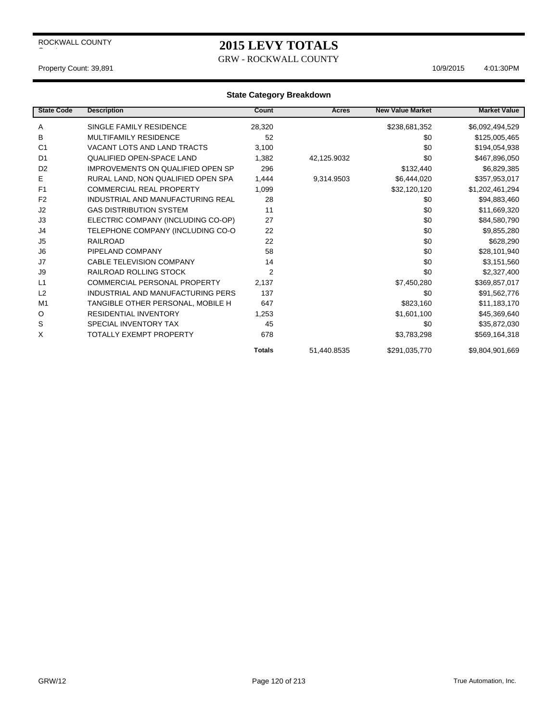## **2015 LEVY TOTALS**

GRW - ROCKWALL COUNTY

#### Property Count: 39,891 10/9/2015 4:01:30 PM

| <b>State Code</b> | <b>Description</b>                 | Count          | Acres       | <b>New Value Market</b> | <b>Market Value</b> |
|-------------------|------------------------------------|----------------|-------------|-------------------------|---------------------|
| A                 | SINGLE FAMILY RESIDENCE            | 28,320         |             | \$238,681,352           | \$6,092,494,529     |
| в                 | <b>MULTIFAMILY RESIDENCE</b>       | 52             |             | \$0                     | \$125,005,465       |
| C <sub>1</sub>    | <b>VACANT LOTS AND LAND TRACTS</b> | 3,100          |             | \$0                     | \$194,054,938       |
| D <sub>1</sub>    | <b>QUALIFIED OPEN-SPACE LAND</b>   | 1,382          | 42,125.9032 | \$0                     | \$467,896,050       |
| D <sub>2</sub>    | IMPROVEMENTS ON QUALIFIED OPEN SP  | 296            |             | \$132,440               | \$6,829,385         |
| Е                 | RURAL LAND, NON QUALIFIED OPEN SPA | 1,444          | 9,314.9503  | \$6,444,020             | \$357,953,017       |
| F <sub>1</sub>    | <b>COMMERCIAL REAL PROPERTY</b>    | 1,099          |             | \$32,120,120            | \$1,202,461,294     |
| F <sub>2</sub>    | INDUSTRIAL AND MANUFACTURING REAL  | 28             |             | \$0                     | \$94,883,460        |
| J2                | <b>GAS DISTRIBUTION SYSTEM</b>     | 11             |             | \$0                     | \$11,669,320        |
| J3                | ELECTRIC COMPANY (INCLUDING CO-OP) | 27             |             | \$0                     | \$84,580,790        |
| J4                | TELEPHONE COMPANY (INCLUDING CO-O  | 22             |             | \$0                     | \$9,855,280         |
| J <sub>5</sub>    | <b>RAILROAD</b>                    | 22             |             | \$0                     | \$628,290           |
| J <sub>6</sub>    | PIPELAND COMPANY                   | 58             |             | \$0                     | \$28,101,940        |
| J7                | <b>CABLE TELEVISION COMPANY</b>    | 14             |             | \$0                     | \$3,151,560         |
| J9                | RAILROAD ROLLING STOCK             | $\overline{2}$ |             | \$0                     | \$2,327,400         |
| L1                | COMMERCIAL PERSONAL PROPERTY       | 2,137          |             | \$7,450,280             | \$369,857,017       |
| L2                | INDUSTRIAL AND MANUFACTURING PERS  | 137            |             | \$0                     | \$91,562,776        |
| M <sub>1</sub>    | TANGIBLE OTHER PERSONAL, MOBILE H  | 647            |             | \$823,160               | \$11,183,170        |
| O                 | <b>RESIDENTIAL INVENTORY</b>       | 1,253          |             | \$1,601,100             | \$45,369,640        |
| S                 | SPECIAL INVENTORY TAX              | 45             |             | \$0                     | \$35,872,030        |
| X                 | TOTALLY EXEMPT PROPERTY            | 678            |             | \$3,783,298             | \$569,164,318       |
|                   |                                    | <b>Totals</b>  | 51,440.8535 | \$291,035,770           | \$9,804,901,669     |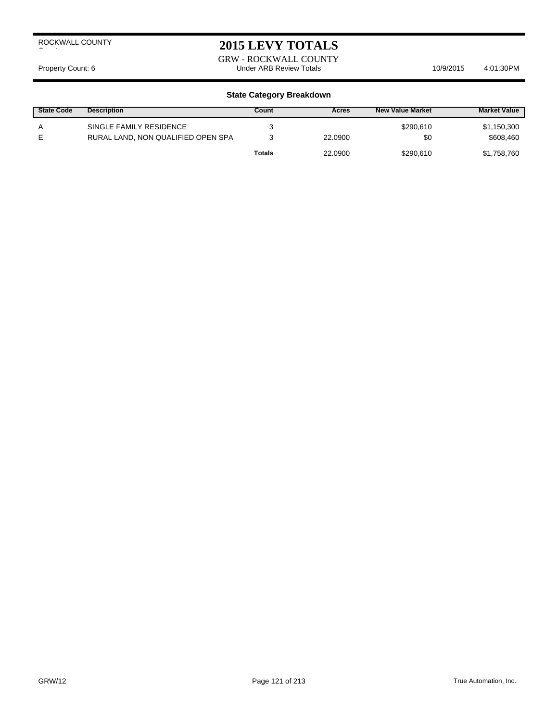## **2015 LEVY TOTALS**

GRW - ROCKWALL COUNTY Property Count: 6 Count: 6 Count: 6 Count: 6 Count: 6 Count: 6 Count: 6 Count: 6 Count: 6 Count: 10/9/2015 4:01:30PM

| <b>State Code</b> | <b>Description</b>                                            | Count         | Acres   | <b>New Value Market</b> | <b>Market Value</b>      |
|-------------------|---------------------------------------------------------------|---------------|---------|-------------------------|--------------------------|
| А<br>F            | SINGLE FAMILY RESIDENCE<br>RURAL LAND, NON QUALIFIED OPEN SPA |               | 22,0900 | \$290.610<br>\$0        | \$1,150,300<br>\$608,460 |
|                   |                                                               | <b>Totals</b> | 22,0900 | \$290.610               | \$1,758,760              |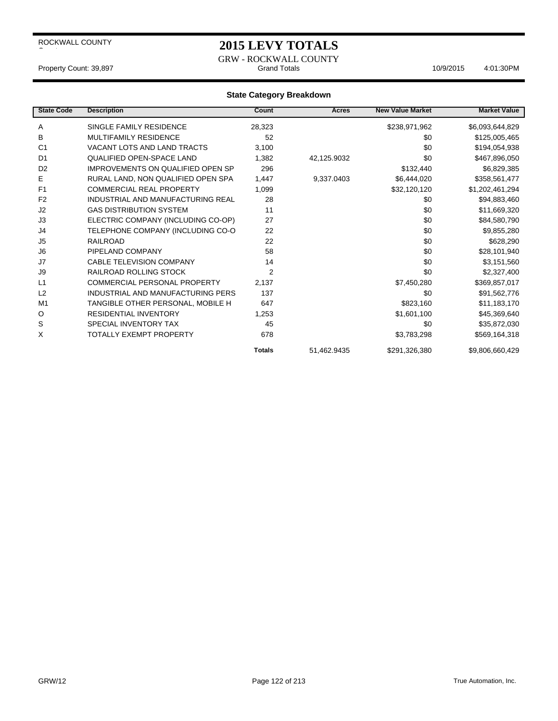### **2015 LEVY TOTALS**

GRW - ROCKWALL COUNTY Property Count: 39,897 **According to Accord Totals** 10/9/2015 4:01:30PM

| <b>State Code</b> | <b>Description</b>                       | Count          | Acres       | <b>New Value Market</b> | <b>Market Value</b> |
|-------------------|------------------------------------------|----------------|-------------|-------------------------|---------------------|
| Α                 | SINGLE FAMILY RESIDENCE                  | 28,323         |             | \$238,971,962           | \$6,093,644,829     |
| B                 | <b>MULTIFAMILY RESIDENCE</b>             | 52             |             | \$0                     | \$125,005,465       |
| C <sub>1</sub>    | VACANT LOTS AND LAND TRACTS              | 3,100          |             | \$0                     | \$194,054,938       |
| D <sub>1</sub>    | <b>QUALIFIED OPEN-SPACE LAND</b>         | 1,382          | 42,125.9032 | \$0                     | \$467,896,050       |
| D <sub>2</sub>    | <b>IMPROVEMENTS ON QUALIFIED OPEN SP</b> | 296            |             | \$132,440               | \$6,829,385         |
| Е                 | RURAL LAND, NON QUALIFIED OPEN SPA       | 1,447          | 9,337.0403  | \$6,444,020             | \$358,561,477       |
| F <sub>1</sub>    | <b>COMMERCIAL REAL PROPERTY</b>          | 1,099          |             | \$32,120,120            | \$1,202,461,294     |
| F <sub>2</sub>    | INDUSTRIAL AND MANUFACTURING REAL        | 28             |             | \$0                     | \$94,883,460        |
| J2                | <b>GAS DISTRIBUTION SYSTEM</b>           | 11             |             | \$0                     | \$11,669,320        |
| J3                | ELECTRIC COMPANY (INCLUDING CO-OP)       | 27             |             | \$0                     | \$84,580,790        |
| J4                | TELEPHONE COMPANY (INCLUDING CO-O        | 22             |             | \$0                     | \$9,855,280         |
| J <sub>5</sub>    | <b>RAILROAD</b>                          | 22             |             | \$0                     | \$628,290           |
| J <sub>6</sub>    | PIPELAND COMPANY                         | 58             |             | \$0                     | \$28,101,940        |
| J7                | <b>CABLE TELEVISION COMPANY</b>          | 14             |             | \$0                     | \$3,151,560         |
| J9                | RAILROAD ROLLING STOCK                   | $\overline{2}$ |             | \$0                     | \$2,327,400         |
| L1                | <b>COMMERCIAL PERSONAL PROPERTY</b>      | 2.137          |             | \$7,450,280             | \$369,857,017       |
| L2                | INDUSTRIAL AND MANUFACTURING PERS        | 137            |             | \$0                     | \$91,562,776        |
| M <sub>1</sub>    | TANGIBLE OTHER PERSONAL, MOBILE H        | 647            |             | \$823,160               | \$11,183,170        |
| O                 | <b>RESIDENTIAL INVENTORY</b>             | 1,253          |             | \$1,601,100             | \$45,369,640        |
| S                 | SPECIAL INVENTORY TAX                    | 45             |             | \$0                     | \$35,872,030        |
| X                 | <b>TOTALLY EXEMPT PROPERTY</b>           | 678            |             | \$3,783,298             | \$569,164,318       |
|                   |                                          | <b>Totals</b>  | 51,462.9435 | \$291,326,380           | \$9,806,660,429     |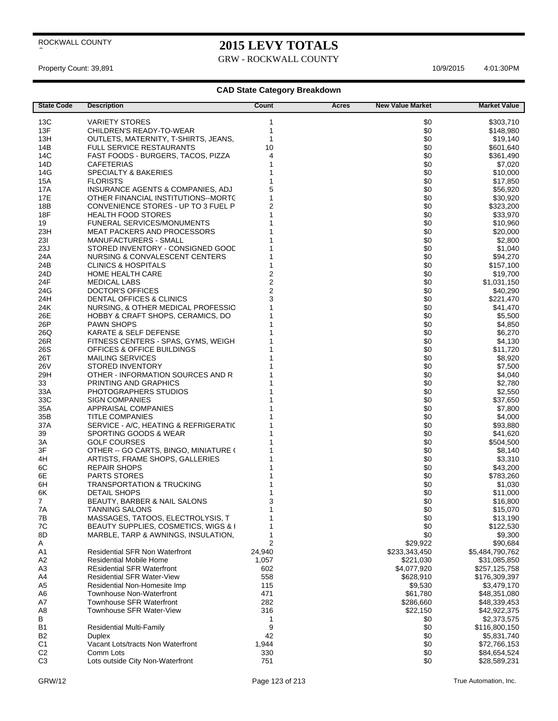$\overline{\phantom{a}}$ 

## **2015 LEVY TOTALS**

GRW - ROCKWALL COUNTY

Property Count: 39,891 10/9/2015 4:01:30PM

| <b>State Code</b>                | <b>Description</b>                                             | Count                        | Acres | <b>New Value Market</b> | <b>Market Value</b>  |
|----------------------------------|----------------------------------------------------------------|------------------------------|-------|-------------------------|----------------------|
| 13C                              | <b>VARIETY STORES</b>                                          | 1                            |       | \$0                     | \$303,710            |
| 13F                              | CHILDREN'S READY-TO-WEAR                                       | $\mathbf{1}$                 |       | \$0                     | \$148,980            |
| 13H                              | OUTLETS, MATERNITY, T-SHIRTS, JEANS,                           | $\mathbf{1}$                 |       | \$0                     | \$19,140             |
| 14B                              | <b>FULL SERVICE RESTAURANTS</b>                                | 10                           |       | \$0                     | \$601,640            |
| 14C                              | FAST FOODS - BURGERS, TACOS, PIZZA                             | 4                            |       | \$0                     | \$361,490            |
| 14D                              | <b>CAFETERIAS</b>                                              |                              |       | \$0                     | \$7,020              |
| 14G                              | <b>SPECIALTY &amp; BAKERIES</b>                                |                              |       | \$0                     | \$10,000             |
| 15A                              | <b>FLORISTS</b>                                                |                              |       | \$0                     | \$17,850             |
| 17A                              | INSURANCE AGENTS & COMPANIES, ADJ                              | 5                            |       | \$0                     | \$56,920             |
| 17E                              | OTHER FINANCIAL INSTITUTIONS--MORTC                            | 1                            |       | \$0                     | \$30,920             |
| 18B                              | CONVENIENCE STORES - UP TO 3 FUEL P                            | $\overline{c}$               |       | \$0                     | \$323,200            |
| 18F                              | HEALTH FOOD STORES                                             | 1                            |       | \$0                     | \$33,970             |
| 19                               | <b>FUNERAL SERVICES/MONUMENTS</b>                              |                              |       | \$0                     | \$10,960             |
| 23H                              | <b>MEAT PACKERS AND PROCESSORS</b>                             |                              |       | \$0                     | \$20,000             |
| 231                              | MANUFACTURERS - SMALL                                          |                              |       | \$0                     | \$2,800              |
| 23J                              | STORED INVENTORY - CONSIGNED GOOD                              |                              |       | \$0                     | \$1,040              |
| 24A                              | NURSING & CONVALESCENT CENTERS                                 |                              |       | \$0                     | \$94,270             |
| 24B                              | <b>CLINICS &amp; HOSPITALS</b>                                 |                              |       | \$0                     | \$157,100            |
| 24D                              | <b>HOME HEALTH CARE</b>                                        | 2                            |       | \$0                     | \$19,700             |
| 24F                              | <b>MEDICAL LABS</b>                                            | $\overline{\mathbf{c}}$      |       | \$0                     | \$1,031,150          |
| 24G                              | DOCTOR'S OFFICES                                               | $\overline{\mathbf{c}}$<br>3 |       | \$0                     | \$40,290             |
| 24H                              | DENTAL OFFICES & CLINICS<br>NURSING, & OTHER MEDICAL PROFESSIC | 1                            |       | \$0<br>\$0              | \$221,470            |
| 24K<br>26E                       | HOBBY & CRAFT SHOPS, CERAMICS, DO                              |                              |       | \$0                     | \$41,470             |
| 26P                              | <b>PAWN SHOPS</b>                                              |                              |       | \$0                     | \$5,500<br>\$4,850   |
| 26Q                              | KARATE & SELF DEFENSE                                          |                              |       | \$0                     | \$6,270              |
| 26R                              | FITNESS CENTERS - SPAS, GYMS, WEIGH                            |                              |       | \$0                     | \$4,130              |
| 26S                              | OFFICES & OFFICE BUILDINGS                                     |                              |       | \$0                     | \$11,720             |
| 26T                              | <b>MAILING SERVICES</b>                                        |                              |       | \$0                     | \$8,920              |
| 26V                              | STORED INVENTORY                                               |                              |       | \$0                     | \$7,500              |
| 29H                              | OTHER - INFORMATION SOURCES AND R                              |                              |       | \$0                     | \$4,040              |
| 33                               | PRINTING AND GRAPHICS                                          |                              |       | \$0                     | \$2,780              |
| 33A                              | PHOTOGRAPHERS STUDIOS                                          |                              |       | \$0                     | \$2,550              |
| 33C                              | <b>SIGN COMPANIES</b>                                          |                              |       | \$0                     | \$37,650             |
| 35A                              | APPRAISAL COMPANIES                                            |                              |       | \$0                     | \$7,800              |
| 35B                              | <b>TITLE COMPANIES</b>                                         |                              |       | \$0                     | \$4,000              |
| 37A                              | SERVICE - A/C, HEATING & REFRIGERATIC                          |                              |       | \$0                     | \$93,880             |
| 39                               | SPORTING GOODS & WEAR                                          |                              |       | \$0                     | \$41,620             |
| ЗA                               | <b>GOLF COURSES</b>                                            |                              |       | \$0                     | \$504,500            |
| 3F                               | OTHER -- GO CARTS, BINGO, MINIATURE (                          |                              |       | \$0                     | \$8,140              |
| 4H                               | ARTISTS, FRAME SHOPS, GALLERIES                                |                              |       | \$0                     | \$3,310              |
| 6C                               | <b>REPAIR SHOPS</b>                                            |                              |       | \$0                     | \$43,200             |
| 6E                               | <b>PARTS STORES</b>                                            |                              |       | \$0                     | \$783,260            |
| 6H<br>6K                         | <b>TRANSPORTATION &amp; TRUCKING</b><br><b>DETAIL SHOPS</b>    | 1                            |       | \$0<br>\$0              | \$1,030              |
| $\overline{7}$                   | BEAUTY, BARBER & NAIL SALONS                                   | 3                            |       | \$0                     | \$11,000<br>\$16,800 |
| 7A                               | <b>TANNING SALONS</b>                                          | 1                            |       | \$0                     | \$15,070             |
| 7B                               | MASSAGES, TATOOS, ELECTROLYSIS, T                              | 1                            |       | \$0                     | \$13,190             |
| 7C                               | BEAUTY SUPPLIES, COSMETICS, WIGS & I                           | 1                            |       | \$0                     | \$122,530            |
| 8D                               | MARBLE, TARP & AWNINGS, INSULATION,                            | 1                            |       | \$0                     | \$9,300              |
| A                                |                                                                | 2                            |       | \$29,922                | \$90,684             |
| A <sub>1</sub>                   | <b>Residential SFR Non Waterfront</b>                          | 24,940                       |       | \$233,343,450           | \$5,484,790,762      |
| A <sub>2</sub>                   | Residential Mobile Home                                        | 1,057                        |       | \$221,030               | \$31,085,850         |
| A <sub>3</sub>                   | <b>REsidential SFR Waterfront</b>                              | 602                          |       | \$4,077,920             | \$257,125,758        |
| A4                               | <b>Residential SFR Water-View</b>                              | 558                          |       | \$628,910               | \$176,309,397        |
| A <sub>5</sub>                   | Residential Non-Homesite Imp                                   | 115                          |       | \$9,530                 | \$3,479,170          |
| A <sub>6</sub>                   | <b>Townhouse Non-Waterfront</b>                                | 471                          |       | \$61,780                | \$48,351,080         |
| A7                               | <b>Townhouse SFR Waterfront</b>                                | 282                          |       | \$286,660               | \$48,339,453         |
| A <sub>8</sub>                   | Townhouse SFR Water-View                                       | 316                          |       | \$22,150                | \$42,922,375         |
| в                                |                                                                | 1                            |       | \$0                     | \$2,373,575          |
| B <sub>1</sub>                   | <b>Residential Multi-Family</b>                                | 9                            |       | \$0                     | \$116,800,150        |
| <b>B2</b>                        | <b>Duplex</b>                                                  | 42                           |       | \$0                     | \$5,831,740          |
| C <sub>1</sub>                   | Vacant Lots/tracts Non Waterfront                              | 1,944                        |       | \$0                     | \$72,766,153         |
| C <sub>2</sub><br>C <sub>3</sub> | Comm Lots                                                      | 330                          |       | \$0                     | \$84,654,524         |
|                                  | Lots outside City Non-Waterfront                               | 751                          |       | \$0                     | \$28,589,231         |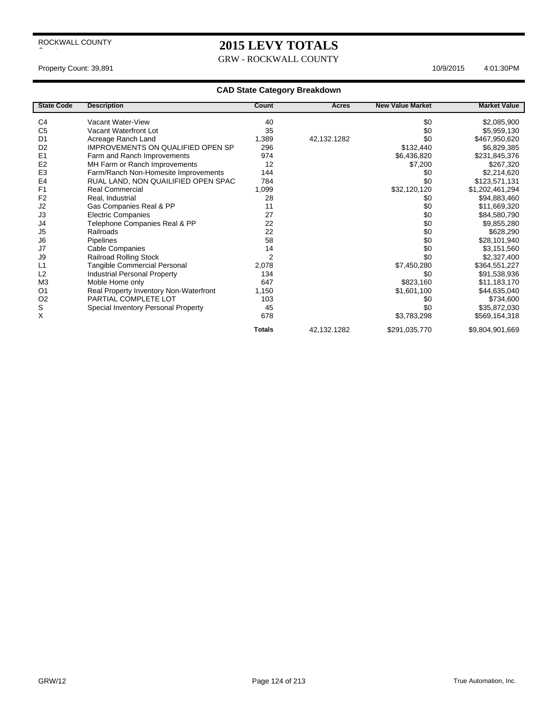## **2015 LEVY TOTALS**

GRW - ROCKWALL COUNTY

Property Count: 39,891 10/9/2015 4:01:30PM

| <b>State Code</b> | <b>Description</b>                       | Count          | <b>Acres</b> | <b>New Value Market</b> | <b>Market Value</b> |
|-------------------|------------------------------------------|----------------|--------------|-------------------------|---------------------|
| C <sub>4</sub>    | Vacant Water-View                        | 40             |              | \$0                     | \$2,085,900         |
| C <sub>5</sub>    | Vacant Waterfront Lot                    | 35             |              | \$0                     | \$5,959,130         |
| D <sub>1</sub>    | Acreage Ranch Land                       | 1,389          | 42,132.1282  | \$0                     | \$467,950,620       |
| D <sub>2</sub>    | <b>IMPROVEMENTS ON QUALIFIED OPEN SP</b> | 296            |              | \$132,440               | \$6,829,385         |
| E <sub>1</sub>    | Farm and Ranch Improvements              | 974            |              | \$6,436,820             | \$231,845,376       |
| E <sub>2</sub>    | MH Farm or Ranch Improvements            | 12             |              | \$7,200                 | \$267,320           |
| E <sub>3</sub>    | Farm/Ranch Non-Homesite Improvements     | 144            |              | \$0                     | \$2,214,620         |
| E <sub>4</sub>    | RUAL LAND, NON QUAILIFIED OPEN SPAC      | 784            |              | \$0                     | \$123,571,131       |
| F <sub>1</sub>    | <b>Real Commercial</b>                   | 1,099          |              | \$32,120,120            | \$1,202,461,294     |
| F <sub>2</sub>    | Real, Industrial                         | 28             |              | \$0                     | \$94,883,460        |
| J2                | Gas Companies Real & PP                  | 11             |              | \$0                     | \$11,669,320        |
| J3                | <b>Electric Companies</b>                | 27             |              | \$0                     | \$84,580,790        |
| J4                | Telephone Companies Real & PP            | 22             |              | \$0                     | \$9,855,280         |
| J <sub>5</sub>    | Railroads                                | 22             |              | \$0                     | \$628,290           |
| J6                | Pipelines                                | 58             |              | \$0                     | \$28,101,940        |
| J7                | Cable Companies                          | 14             |              | \$0                     | \$3,151,560         |
| J9                | <b>Railroad Rolling Stock</b>            | $\overline{2}$ |              | \$0                     | \$2,327,400         |
| L1                | <b>Tangible Commercial Personal</b>      | 2,078          |              | \$7,450,280             | \$364,551,227       |
| L2                | <b>Industrial Personal Property</b>      | 134            |              | \$0                     | \$91,538,936        |
| M <sub>3</sub>    | Moble Home only                          | 647            |              | \$823,160               | \$11,183,170        |
| O <sub>1</sub>    | Real Property Inventory Non-Waterfront   | 1,150          |              | \$1,601,100             | \$44,635,040        |
| O <sub>2</sub>    | PARTIAL COMPLETE LOT                     | 103            |              | \$0                     | \$734,600           |
| S                 | Special Inventory Personal Property      | 45             |              | \$0                     | \$35,872,030        |
| X                 |                                          | 678            |              | \$3,783,298             | \$569,164,318       |
|                   |                                          | <b>Totals</b>  | 42,132.1282  | \$291,035,770           | \$9,804,901,669     |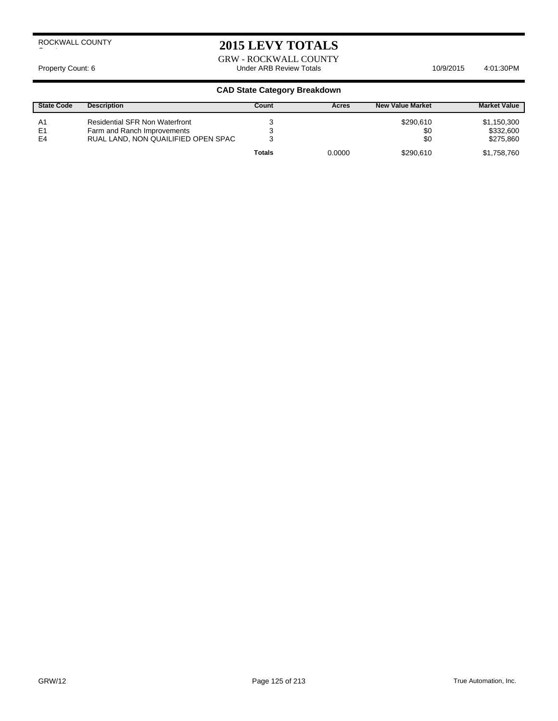## **2015 LEVY TOTALS**

GRW - ROCKWALL COUNTY Property Count: 6 **Archaeol Science 10/9/2015** Lunder ARB Review Totals **10/9/2015** 4:01:30PM

| <b>State Code</b>                      | <b>Description</b>                                                                                          | Count  | Acres  | <b>New Value Market</b> | <b>Market Value</b>                   |
|----------------------------------------|-------------------------------------------------------------------------------------------------------------|--------|--------|-------------------------|---------------------------------------|
| A <sub>1</sub><br>E1<br>E <sub>4</sub> | <b>Residential SFR Non Waterfront</b><br>Farm and Ranch Improvements<br>RUAL LAND. NON QUAILIFIED OPEN SPAC |        |        | \$290.610<br>\$0<br>\$0 | \$1,150,300<br>\$332,600<br>\$275,860 |
|                                        |                                                                                                             | Totals | 0.0000 | \$290.610               | \$1,758,760                           |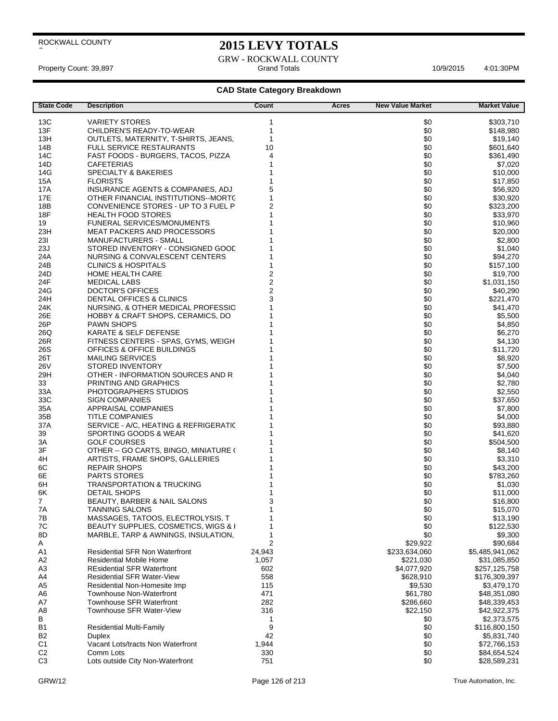$\overline{\phantom{a}}$ 

## **2015 LEVY TOTALS**

GRW - ROCKWALL COUNTY Property Count: 39,897 Grand Totals 4:01:30PM 10/9/2015

| <b>State Code</b> | Description                           | Count          | Acres | <b>New Value Market</b> | <b>Market Value</b> |
|-------------------|---------------------------------------|----------------|-------|-------------------------|---------------------|
| 13C               | <b>VARIETY STORES</b>                 | 1              |       | \$0                     | \$303,710           |
| 13F               | CHILDREN'S READY-TO-WEAR              | 1              |       | \$0                     | \$148,980           |
| 13H               | OUTLETS, MATERNITY, T-SHIRTS, JEANS,  | 1              |       | \$0                     | \$19,140            |
| 14B               | <b>FULL SERVICE RESTAURANTS</b>       | 10             |       | \$0                     | \$601,640           |
| 14C               | FAST FOODS - BURGERS, TACOS, PIZZA    | 4              |       | \$0                     | \$361,490           |
| 14D               | <b>CAFETERIAS</b>                     | 1              |       | \$0                     | \$7,020             |
| 14G               | <b>SPECIALTY &amp; BAKERIES</b>       | 1              |       | \$0                     | \$10,000            |
| 15A               | <b>FLORISTS</b>                       | 1              |       | \$0                     | \$17,850            |
| 17A               | INSURANCE AGENTS & COMPANIES, ADJ     | 5              |       | \$0                     | \$56,920            |
| 17E               | OTHER FINANCIAL INSTITUTIONS--MORTC   | 1              |       | \$0                     | \$30,920            |
| 18B               | CONVENIENCE STORES - UP TO 3 FUEL P   | $\overline{c}$ |       | \$0                     | \$323,200           |
| 18F               | <b>HEALTH FOOD STORES</b>             | 1              |       | \$0                     | \$33,970            |
| 19                | <b>FUNERAL SERVICES/MONUMENTS</b>     |                |       | \$0                     | \$10,960            |
| 23H               | <b>MEAT PACKERS AND PROCESSORS</b>    |                |       | \$0                     | \$20,000            |
| 23I               | MANUFACTURERS - SMALL                 |                |       | \$0                     | \$2,800             |
| 23J               | STORED INVENTORY - CONSIGNED GOOD     |                |       | \$0                     | \$1,040             |
| 24A               | NURSING & CONVALESCENT CENTERS        |                |       | \$0                     | \$94,270            |
| 24B               | <b>CLINICS &amp; HOSPITALS</b>        | 1              |       | \$0                     | \$157,100           |
| 24D               | <b>HOME HEALTH CARE</b>               | 2              |       | \$0                     | \$19,700            |
| 24F               | <b>MEDICAL LABS</b>                   | $\overline{c}$ |       | \$0                     | \$1,031,150         |
| 24G               | DOCTOR'S OFFICES                      | $\overline{c}$ |       | \$0                     | \$40,290            |
| 24H               | DENTAL OFFICES & CLINICS              | 3              |       | \$0                     | \$221,470           |
| 24K               | NURSING, & OTHER MEDICAL PROFESSIC    | 1              |       | \$0                     | \$41,470            |
| 26E               | HOBBY & CRAFT SHOPS, CERAMICS, DO     |                |       | \$0                     | \$5,500             |
| 26P               | <b>PAWN SHOPS</b>                     |                |       | \$0                     | \$4,850             |
| 26Q               | KARATE & SELF DEFENSE                 |                |       | \$0                     | \$6,270             |
| 26R               | FITNESS CENTERS - SPAS, GYMS, WEIGH   |                |       | \$0                     | \$4,130             |
| 26S               | OFFICES & OFFICE BUILDINGS            |                |       | \$0                     | \$11,720            |
| 26T               | <b>MAILING SERVICES</b>               |                |       | \$0                     | \$8,920             |
| 26V               | <b>STORED INVENTORY</b>               |                |       | \$0                     | \$7,500             |
| 29H               | OTHER - INFORMATION SOURCES AND R     |                |       | \$0                     | \$4,040             |
| 33                | PRINTING AND GRAPHICS                 |                |       | \$0                     | \$2,780             |
| 33A               | PHOTOGRAPHERS STUDIOS                 |                |       | \$0                     | \$2,550             |
| 33C               | <b>SIGN COMPANIES</b>                 |                |       | \$0                     | \$37,650            |
| 35A               | APPRAISAL COMPANIES                   |                |       | \$0                     | \$7,800             |
| 35B               | <b>TITLE COMPANIES</b>                |                |       | \$0                     | \$4,000             |
| 37A               | SERVICE - A/C, HEATING & REFRIGERATIC |                |       | \$0                     | \$93,880            |
| 39                | SPORTING GOODS & WEAR                 |                |       | \$0                     | \$41,620            |
| ЗA                | <b>GOLF COURSES</b>                   |                |       | \$0                     | \$504,500           |
| 3F                | OTHER -- GO CARTS, BINGO, MINIATURE ( | 1              |       | \$0                     | \$8,140             |
| 4H                | ARTISTS, FRAME SHOPS, GALLERIES       |                |       | \$0                     | \$3,310             |
| 6C                | <b>REPAIR SHOPS</b>                   |                |       | \$0                     | \$43,200            |
| 6E                | <b>PARTS STORES</b>                   |                |       | \$0                     | \$783,260           |
| 6H                | <b>TRANSPORTATION &amp; TRUCKING</b>  | 1              |       | \$0                     | \$1,030             |
| 6K                | <b>DETAIL SHOPS</b>                   | 1              |       | \$0                     | \$11,000            |
| 7                 | BEAUTY, BARBER & NAIL SALONS          | 3              |       | \$0                     | \$16,800            |
| 7A                | TANNING SALONS                        | 1              |       | \$0                     | \$15,070            |
| 7B                | MASSAGES, TATOOS, ELECTROLYSIS, T     | 1              |       | \$0                     | \$13,190            |
| 7C                | BEAUTY SUPPLIES, COSMETICS, WIGS & I  | 1              |       | \$0                     | \$122,530           |
| 8D                | MARBLE, TARP & AWNINGS, INSULATION,   | 1              |       | \$0                     | \$9,300             |
| A                 |                                       | 2              |       | \$29,922                | \$90,684            |
| A <sub>1</sub>    | <b>Residential SFR Non Waterfront</b> | 24,943         |       | \$233,634,060           | \$5,485,941,062     |
| A <sub>2</sub>    | <b>Residential Mobile Home</b>        | 1,057          |       | \$221,030               | \$31,085,850        |
| A <sub>3</sub>    | <b>REsidential SFR Waterfront</b>     | 602            |       | \$4,077,920             | \$257,125,758       |
| A4                | <b>Residential SFR Water-View</b>     | 558            |       | \$628,910               | \$176,309,397       |
| A <sub>5</sub>    | Residential Non-Homesite Imp          | 115            |       | \$9,530                 | \$3,479,170         |
| A6                | Townhouse Non-Waterfront              | 471            |       | \$61,780                | \$48,351,080        |
| A7                | <b>Townhouse SFR Waterfront</b>       | 282            |       | \$286,660               | \$48,339,453        |
| A8                | Townhouse SFR Water-View              | 316            |       | \$22,150                | \$42,922,375        |
| в                 |                                       | 1              |       | \$0                     | \$2,373,575         |
| B1                | <b>Residential Multi-Family</b>       | 9              |       | \$0                     | \$116,800,150       |
| <b>B2</b>         | <b>Duplex</b>                         | 42             |       | \$0                     | \$5,831,740         |
| C <sub>1</sub>    | Vacant Lots/tracts Non Waterfront     | 1,944          |       | \$0                     | \$72,766,153        |
| C <sub>2</sub>    | Comm Lots                             | 330            |       | \$0                     | \$84,654,524        |
| C <sub>3</sub>    | Lots outside City Non-Waterfront      | 751            |       | \$0                     | \$28,589,231        |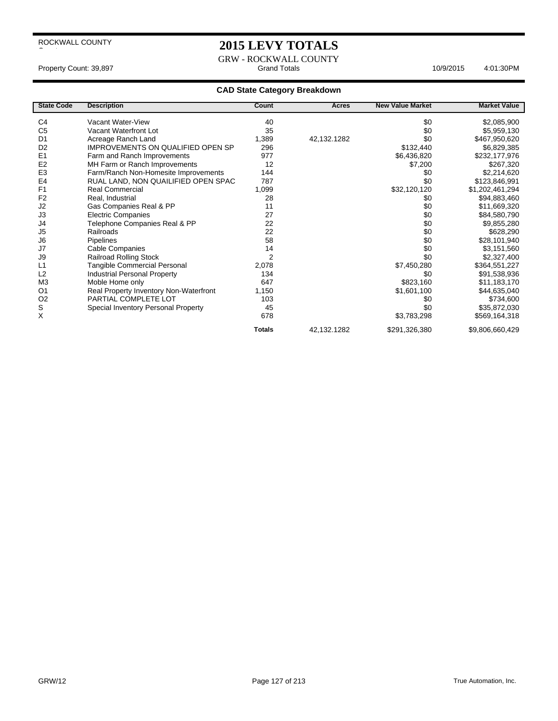$\overline{\phantom{a}}$ 

## **2015 LEVY TOTALS**

GRW - ROCKWALL COUNTY Property Count: 39,897 Grand Totals 4:01:30PM 10/9/2015

| <b>State Code</b> | <b>Description</b>                       | Count          | Acres       | <b>New Value Market</b> | <b>Market Value</b> |
|-------------------|------------------------------------------|----------------|-------------|-------------------------|---------------------|
| C <sub>4</sub>    | Vacant Water-View                        | 40             |             | \$0                     | \$2,085,900         |
| C <sub>5</sub>    | Vacant Waterfront Lot                    | 35             |             | \$0                     |                     |
|                   |                                          |                |             | \$0                     | \$5,959,130         |
| D <sub>1</sub>    | Acreage Ranch Land                       | 1,389          | 42,132.1282 |                         | \$467,950,620       |
| D <sub>2</sub>    | <b>IMPROVEMENTS ON QUALIFIED OPEN SP</b> | 296            |             | \$132,440               | \$6,829,385         |
| E <sub>1</sub>    | Farm and Ranch Improvements              | 977            |             | \$6,436,820             | \$232,177,976       |
| E <sub>2</sub>    | MH Farm or Ranch Improvements            | 12             |             | \$7,200                 | \$267,320           |
| E <sub>3</sub>    | Farm/Ranch Non-Homesite Improvements     | 144            |             | \$0                     | \$2,214,620         |
| E <sub>4</sub>    | RUAL LAND, NON QUAILIFIED OPEN SPAC      | 787            |             | \$0                     | \$123,846,991       |
| F <sub>1</sub>    | <b>Real Commercial</b>                   | 1,099          |             | \$32,120,120            | \$1,202,461,294     |
| F <sub>2</sub>    | Real, Industrial                         | 28             |             | \$0                     | \$94,883,460        |
| J2                | Gas Companies Real & PP                  | 11             |             | \$0                     | \$11,669,320        |
| J3                | <b>Electric Companies</b>                | 27             |             | \$0                     | \$84,580,790        |
| J4                | Telephone Companies Real & PP            | 22             |             | \$0                     | \$9,855,280         |
| J5                | Railroads                                | 22             |             | \$0                     | \$628,290           |
| J6                | Pipelines                                | 58             |             | \$0                     | \$28,101,940        |
| J7                | Cable Companies                          | 14             |             | \$0                     | \$3,151,560         |
| J9                | <b>Railroad Rolling Stock</b>            | $\overline{2}$ |             | \$0                     | \$2,327,400         |
| L1                | Tangible Commercial Personal             | 2,078          |             | \$7,450,280             | \$364,551,227       |
| L2                | <b>Industrial Personal Property</b>      | 134            |             | \$0                     | \$91,538,936        |
| M <sub>3</sub>    | Moble Home only                          | 647            |             | \$823,160               | \$11,183,170        |
| O <sub>1</sub>    | Real Property Inventory Non-Waterfront   | 1,150          |             | \$1,601,100             | \$44,635,040        |
| O <sub>2</sub>    | PARTIAL COMPLETE LOT                     | 103            |             | \$0                     | \$734,600           |
| $\mathsf S$       | Special Inventory Personal Property      | 45             |             | \$0                     | \$35,872,030        |
| X                 |                                          | 678            |             | \$3,783,298             | \$569,164,318       |
|                   |                                          | <b>Totals</b>  | 42,132.1282 | \$291,326,380           | \$9,806,660,429     |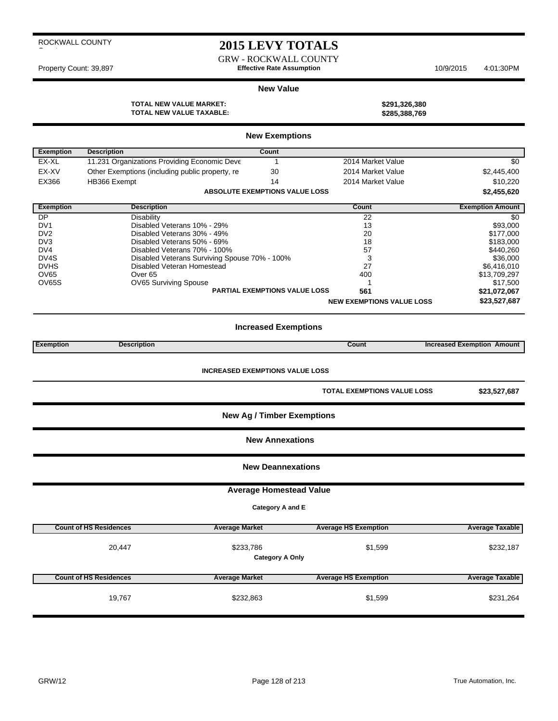|  | ROCKWALL COUNTY |
|--|-----------------|
|  |                 |

## **2015 LEVY TOTALS**

GRW - ROCKWALL COUNTY Property Count: 39,897 **Effective Rate Assumption** 10/9/2015 4:01:30PM

#### **New Value**

**TOTAL NEW VALUE MARKET: \$291,326,380 TOTAL NEW VALUE TAXABLE:** 

|                  |                                                 | <b>New Exemptions</b>                  |                                    |                                   |
|------------------|-------------------------------------------------|----------------------------------------|------------------------------------|-----------------------------------|
| <b>Exemption</b> | <b>Description</b>                              | Count                                  |                                    |                                   |
| EX-XL            | 11.231 Organizations Providing Economic Deve    | $\mathbf{1}$                           | 2014 Market Value                  | \$0                               |
| EX-XV            | Other Exemptions (including public property, re | 30                                     | 2014 Market Value                  | \$2,445,400                       |
| EX366            | HB366 Exempt                                    | 14                                     | 2014 Market Value                  | \$10,220                          |
|                  |                                                 | <b>ABSOLUTE EXEMPTIONS VALUE LOSS</b>  |                                    | \$2,455,620                       |
| <b>Exemption</b> | <b>Description</b>                              |                                        | Count                              | <b>Exemption Amount</b>           |
| <b>DP</b>        | <b>Disability</b>                               |                                        | 22                                 | \$0                               |
| DV <sub>1</sub>  | Disabled Veterans 10% - 29%                     |                                        | 13                                 | \$93,000                          |
| D <sub>V2</sub>  | Disabled Veterans 30% - 49%                     |                                        | 20                                 | \$177,000                         |
| DV <sub>3</sub>  | Disabled Veterans 50% - 69%                     |                                        | 18                                 | \$183,000                         |
| DV4              | Disabled Veterans 70% - 100%                    |                                        | 57                                 | \$440,260                         |
| DV4S             | Disabled Veterans Surviving Spouse 70% - 100%   |                                        | 3                                  | \$36,000                          |
| <b>DVHS</b>      | Disabled Veteran Homestead                      |                                        | 27                                 | \$6,416,010                       |
| OV65             | Over <sub>65</sub>                              |                                        | 400                                | \$13,709,297                      |
| OV65S            | OV65 Surviving Spouse                           |                                        | 1                                  | \$17,500                          |
|                  |                                                 | <b>PARTIAL EXEMPTIONS VALUE LOSS</b>   | 561                                | \$21,072,067                      |
|                  |                                                 |                                        | <b>NEW EXEMPTIONS VALUE LOSS</b>   | \$23,527,687                      |
|                  |                                                 | <b>Increased Exemptions</b>            |                                    |                                   |
| <b>Exemption</b> | <b>Description</b>                              |                                        | Count                              | <b>Increased Exemption Amount</b> |
|                  |                                                 |                                        |                                    |                                   |
|                  |                                                 | <b>INCREASED EXEMPTIONS VALUE LOSS</b> |                                    |                                   |
|                  |                                                 |                                        | <b>TOTAL EXEMPTIONS VALUE LOSS</b> | \$23,527,687                      |
|                  |                                                 | <b>New Ag / Timber Exemptions</b>      |                                    |                                   |
|                  |                                                 | <b>New Annexations</b>                 |                                    |                                   |
|                  |                                                 | <b>New Deannexations</b>               |                                    |                                   |
|                  |                                                 | <b>Average Homestead Value</b>         |                                    |                                   |
|                  |                                                 | Category A and E                       |                                    |                                   |
|                  |                                                 |                                        |                                    |                                   |
|                  | <b>Count of HS Residences</b>                   | <b>Average Market</b>                  | <b>Average HS Exemption</b>        | <b>Average Taxable</b>            |
|                  | 20,447                                          | \$233,786                              | \$1,599                            | \$232,187                         |
|                  |                                                 | <b>Category A Only</b>                 |                                    |                                   |
|                  | <b>Count of HS Residences</b>                   | <b>Average Market</b>                  | <b>Average HS Exemption</b>        | <b>Average Taxable</b>            |
|                  | 19,767                                          | \$232,863                              | \$1,599                            | \$231,264                         |
|                  |                                                 |                                        |                                    |                                   |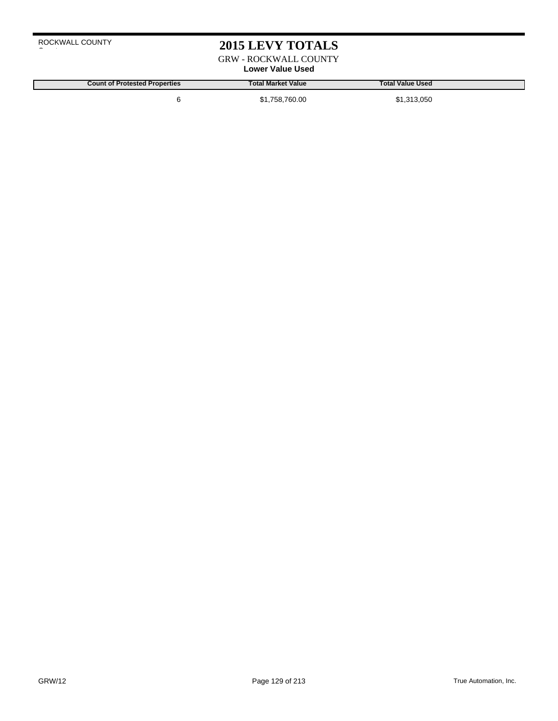## **2015 LEVY TOTALS**

GRW - ROCKWALL COUNTY

## **Lower Value Used**

**Count of Protested Properties Total Market Value Total Value Used** 6 \$1,758,760.00 \$1,313,050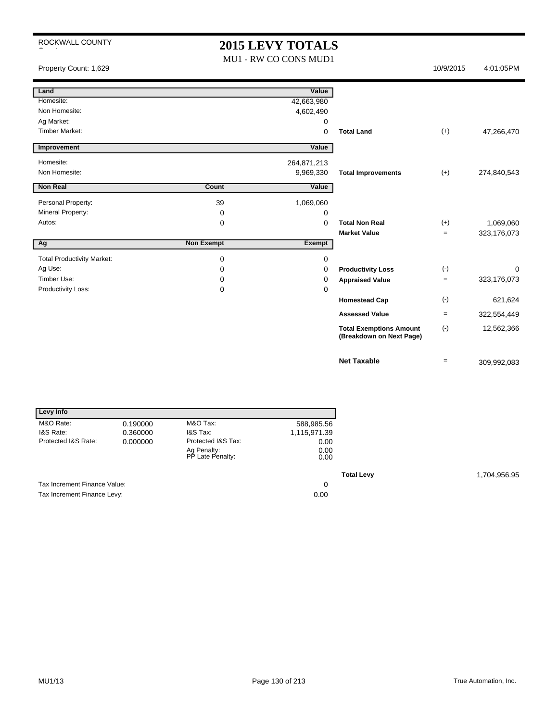## **2015 LEVY TOTALS**

MU1 - RW CO CONS MUD1

Property Count: 1,629 10/9/2015 4:01:05PM

| Land                              |                   | Value       |                                                            |       |             |
|-----------------------------------|-------------------|-------------|------------------------------------------------------------|-------|-------------|
| Homesite:                         |                   | 42,663,980  |                                                            |       |             |
| Non Homesite:                     |                   | 4,602,490   |                                                            |       |             |
| Ag Market:                        |                   | 0           |                                                            |       |             |
| <b>Timber Market:</b>             |                   | 0           | <b>Total Land</b>                                          | $(+)$ | 47,266,470  |
| Improvement                       |                   | Value       |                                                            |       |             |
| Homesite:                         |                   | 264,871,213 |                                                            |       |             |
| Non Homesite:                     |                   | 9,969,330   | <b>Total Improvements</b>                                  | $(+)$ | 274,840,543 |
| <b>Non Real</b>                   | Count             | Value       |                                                            |       |             |
| Personal Property:                | 39                | 1,069,060   |                                                            |       |             |
| Mineral Property:                 | 0                 | 0           |                                                            |       |             |
| Autos:                            | 0                 | $\Omega$    | <b>Total Non Real</b>                                      | $(+)$ | 1,069,060   |
|                                   |                   |             |                                                            |       |             |
|                                   |                   |             | <b>Market Value</b>                                        | $=$   | 323,176,073 |
| Ag                                | <b>Non Exempt</b> | Exempt      |                                                            |       |             |
| <b>Total Productivity Market:</b> | 0                 | 0           |                                                            |       |             |
| Ag Use:                           | 0                 | 0           | <b>Productivity Loss</b>                                   | $(-)$ | $\Omega$    |
| Timber Use:                       | 0                 | 0           | <b>Appraised Value</b>                                     | $=$   | 323,176,073 |
| Productivity Loss:                | 0                 | 0           |                                                            |       |             |
|                                   |                   |             | <b>Homestead Cap</b>                                       | $(-)$ | 621,624     |
|                                   |                   |             | <b>Assessed Value</b>                                      | $=$   | 322,554,449 |
|                                   |                   |             | <b>Total Exemptions Amount</b><br>(Breakdown on Next Page) | $(-)$ | 12,562,366  |

| Levy Info                    |          |                                 |              |
|------------------------------|----------|---------------------------------|--------------|
| M&O Rate:                    | 0.190000 | M&O Tax:                        | 588,985.56   |
| I&S Rate:                    | 0.360000 | I&S Tax:                        | 1,115,971.39 |
| Protected I&S Rate:          | 0.000000 | Protected I&S Tax:              | 0.00         |
|                              |          | Ag Penalty:<br>PP Late Penalty: | 0.00<br>0.00 |
|                              |          |                                 |              |
| Tax Increment Finance Value: |          |                                 | 0            |
| Tax Increment Finance Levy:  |          |                                 | 0.00         |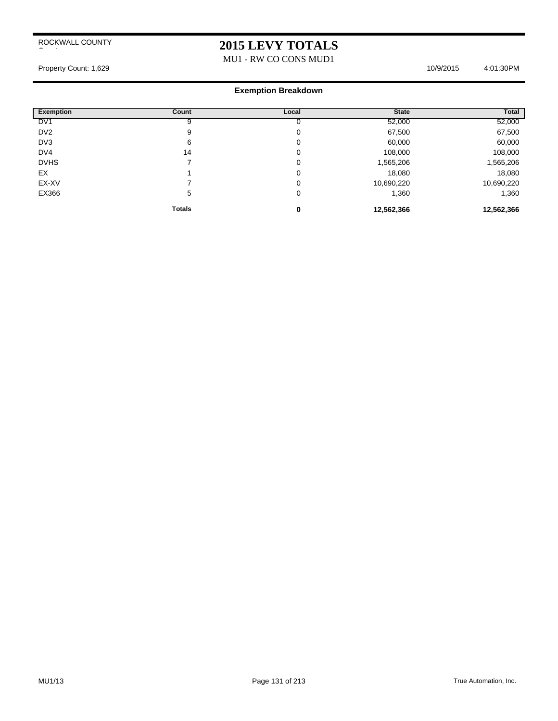## **2015 LEVY TOTALS**

MU1 - RW CO CONS MUD1

Property Count: 1,629 10/9/2015 4:01:30PM

| <b>Exemption</b> | Count         | Local | <b>State</b> | <b>Total</b> |
|------------------|---------------|-------|--------------|--------------|
| DV <sub>1</sub>  |               |       | 52,000       | 52,000       |
| DV <sub>2</sub>  | 9             | 0     | 67,500       | 67,500       |
| DV3              | 6             | 0     | 60,000       | 60,000       |
| DV4              | 14            | 0     | 108,000      | 108,000      |
| <b>DVHS</b>      |               | 0     | 1,565,206    | 1,565,206    |
| EX               |               | 0     | 18,080       | 18,080       |
| EX-XV            |               | 0     | 10,690,220   | 10,690,220   |
| EX366            | 5             | 0     | 1,360        | 1,360        |
|                  | <b>Totals</b> |       | 12,562,366   | 12,562,366   |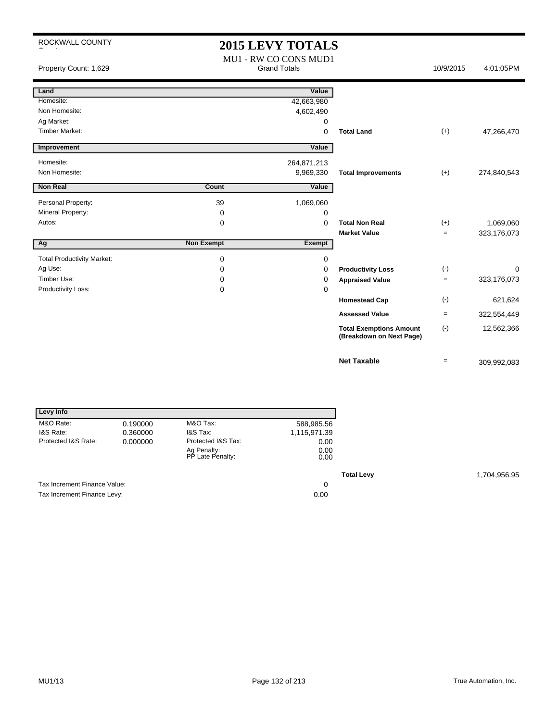| ROCKWALL COUNTY                   |                   | <b>2015 LEVY TOTALS</b>                      |                                                            |           |             |
|-----------------------------------|-------------------|----------------------------------------------|------------------------------------------------------------|-----------|-------------|
| Property Count: 1,629             |                   | MU1 - RW CO CONS MUD1<br><b>Grand Totals</b> |                                                            | 10/9/2015 | 4:01:05PM   |
| Land                              |                   | Value                                        |                                                            |           |             |
| Homesite:                         |                   | 42,663,980                                   |                                                            |           |             |
| Non Homesite:                     |                   | 4,602,490                                    |                                                            |           |             |
| Ag Market:                        |                   | 0                                            |                                                            |           |             |
| <b>Timber Market:</b>             |                   | $\Omega$                                     | <b>Total Land</b>                                          | $(+)$     | 47,266,470  |
| Improvement                       |                   | Value                                        |                                                            |           |             |
| Homesite:                         |                   | 264,871,213                                  |                                                            |           |             |
| Non Homesite:                     |                   | 9,969,330                                    | <b>Total Improvements</b>                                  | $(+)$     | 274,840,543 |
| <b>Non Real</b>                   | Count             |                                              |                                                            |           |             |
|                                   |                   | Value                                        |                                                            |           |             |
| Personal Property:                | 39                | 1,069,060                                    |                                                            |           |             |
| Mineral Property:                 | 0                 | 0                                            |                                                            |           |             |
| Autos:                            | 0                 | $\mathbf 0$                                  | <b>Total Non Real</b>                                      | $(+)$     | 1,069,060   |
|                                   |                   |                                              | <b>Market Value</b>                                        | $=$       | 323,176,073 |
| Ag                                | <b>Non Exempt</b> | Exempt                                       |                                                            |           |             |
| <b>Total Productivity Market:</b> | 0                 | 0                                            |                                                            |           |             |
| Ag Use:                           | 0                 | 0                                            | <b>Productivity Loss</b>                                   | $(-)$     | 0           |
| Timber Use:                       | 0                 | 0                                            | <b>Appraised Value</b>                                     | $\equiv$  | 323,176,073 |
| Productivity Loss:                | 0                 | 0                                            |                                                            |           |             |
|                                   |                   |                                              | <b>Homestead Cap</b>                                       | $(-)$     | 621,624     |
|                                   |                   |                                              | <b>Assessed Value</b>                                      | $=$       | 322,554,449 |
|                                   |                   |                                              | <b>Total Exemptions Amount</b><br>(Breakdown on Next Page) | $(-)$     | 12,562,366  |
|                                   |                   |                                              | <b>Net Taxable</b>                                         | $=$       | 309,992,083 |

| Levy Info                    |          |                                 |              |
|------------------------------|----------|---------------------------------|--------------|
| M&O Rate:                    | 0.190000 | M&O Tax:                        | 588,985.56   |
| I&S Rate:                    | 0.360000 | I&S Tax:                        | 1,115,971.39 |
| Protected I&S Rate:          | 0.000000 | Protected I&S Tax:              | 0.00         |
|                              |          | Ag Penalty:<br>PP Late Penalty: | 0.00<br>0.00 |
|                              |          |                                 |              |
| Tax Increment Finance Value: |          |                                 | 0            |
| Tax Increment Finance Levy:  |          |                                 | 0.00         |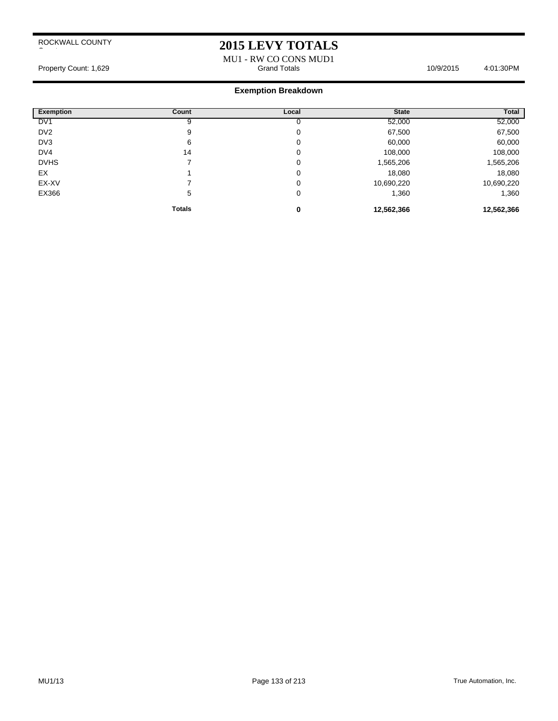## **2015 LEVY TOTALS**

MU1 - RW CO CONS MUD1 Property Count: 1,629 **Accord Totals 10/9/2015** 4:01:30PM Grand Totals 10/9/2015 4:01:30PM

| <b>Exemption</b> | Count         | Local | <b>State</b> | <b>Total</b> |
|------------------|---------------|-------|--------------|--------------|
| DV <sub>1</sub>  |               |       | 52,000       | 52,000       |
| DV <sub>2</sub>  | 9             | 0     | 67,500       | 67,500       |
| DV3              | 6             | 0     | 60,000       | 60,000       |
| DV4              | 14            | 0     | 108,000      | 108,000      |
| <b>DVHS</b>      |               | 0     | 1,565,206    | 1,565,206    |
| EX               |               | 0     | 18,080       | 18,080       |
| EX-XV            |               | 0     | 10,690,220   | 10,690,220   |
| EX366            | 5             | 0     | 1,360        | 1,360        |
|                  | <b>Totals</b> | 0     | 12,562,366   | 12,562,366   |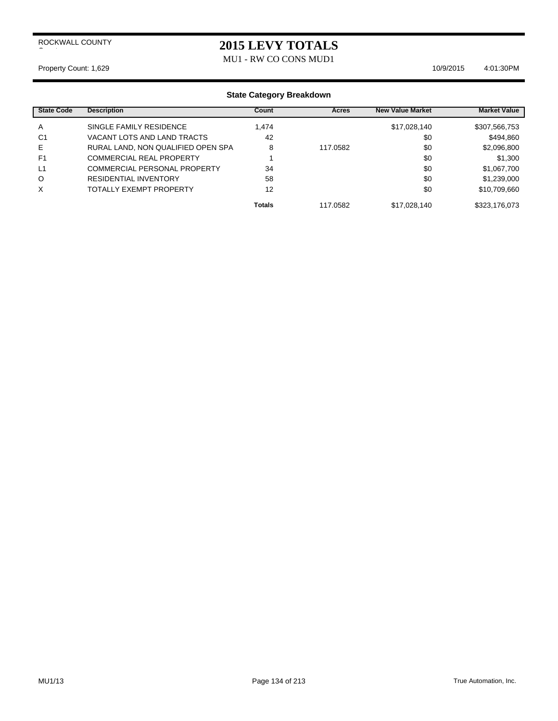## **2015 LEVY TOTALS**

MU1 - RW CO CONS MUD1

#### Property Count: 1,629 10/9/2015 4:01:30PM

| <b>State Code</b> | <b>Description</b>                 | Count         | Acres    | <b>New Value Market</b> | <b>Market Value</b> |
|-------------------|------------------------------------|---------------|----------|-------------------------|---------------------|
| A                 | SINGLE FAMILY RESIDENCE            | 1.474         |          | \$17,028,140            | \$307,566,753       |
| C <sub>1</sub>    | VACANT LOTS AND LAND TRACTS        | 42            |          | \$0                     | \$494,860           |
| Е                 | RURAL LAND, NON QUALIFIED OPEN SPA | 8             | 117.0582 | \$0                     | \$2,096,800         |
| F <sub>1</sub>    | <b>COMMERCIAL REAL PROPERTY</b>    |               |          | \$0                     | \$1,300             |
| L1                | COMMERCIAL PERSONAL PROPERTY       | 34            |          | \$0                     | \$1,067,700         |
| O                 | <b>RESIDENTIAL INVENTORY</b>       | 58            |          | \$0                     | \$1,239,000         |
| X                 | <b>TOTALLY EXEMPT PROPERTY</b>     | 12            |          | \$0                     | \$10,709,660        |
|                   |                                    | <b>Totals</b> | 117.0582 | \$17,028,140            | \$323,176,073       |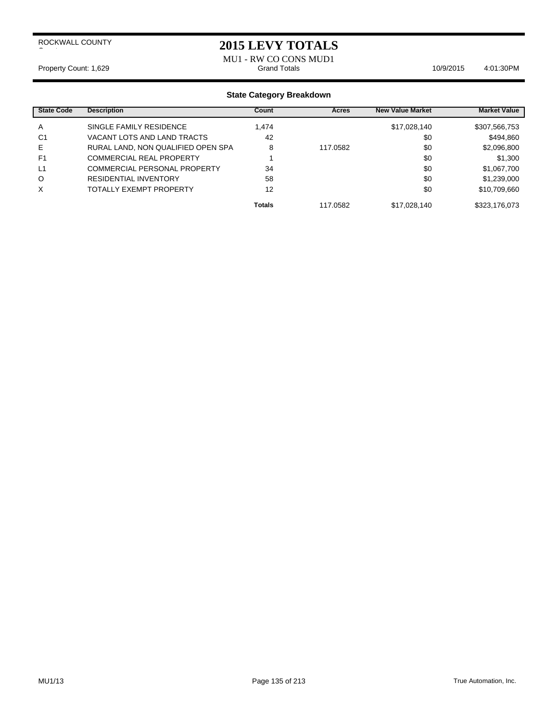### **2015 LEVY TOTALS**

MU1 - RW CO CONS MUD1 Property Count: 1,629 **Access 20:00 Totals 10/9/2015** 4:01:30PM

| <b>State Code</b> | <b>Description</b>                  | Count         | Acres    | <b>New Value Market</b> | <b>Market Value</b> |
|-------------------|-------------------------------------|---------------|----------|-------------------------|---------------------|
| A                 | SINGLE FAMILY RESIDENCE             | 1.474         |          | \$17,028,140            | \$307,566,753       |
| C <sub>1</sub>    | VACANT LOTS AND LAND TRACTS         | 42            |          | \$0                     | \$494,860           |
| Е                 | RURAL LAND, NON QUALIFIED OPEN SPA  | 8             | 117.0582 | \$0                     | \$2,096,800         |
| F <sub>1</sub>    | <b>COMMERCIAL REAL PROPERTY</b>     |               |          | \$0                     | \$1,300             |
| L1                | <b>COMMERCIAL PERSONAL PROPERTY</b> | 34            |          | \$0                     | \$1,067,700         |
| O                 | RESIDENTIAL INVENTORY               | 58            |          | \$0                     | \$1,239,000         |
| X                 | TOTALLY EXEMPT PROPERTY             | 12            |          | \$0                     | \$10,709,660        |
|                   |                                     | <b>Totals</b> | 117.0582 | \$17,028,140            | \$323,176,073       |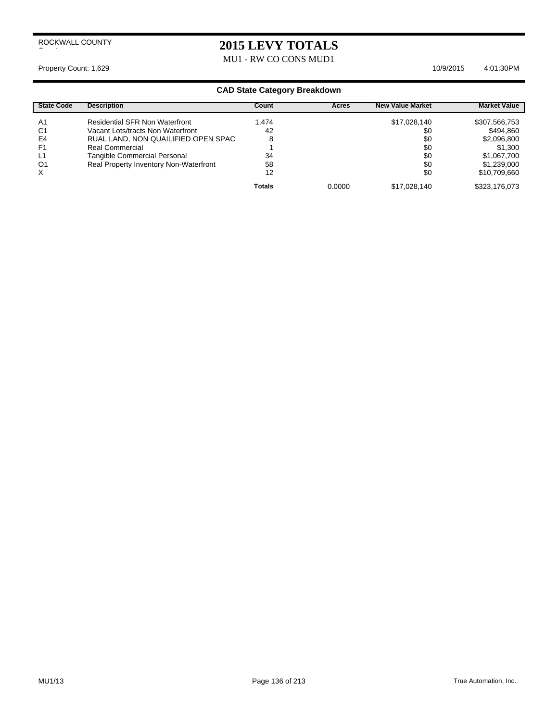## **2015 LEVY TOTALS**

MU1 - RW CO CONS MUD1

Property Count: 1,629 10/9/2015 4:01:30PM

| <b>State Code</b> | <b>Description</b>                     | Count         | Acres  | <b>New Value Market</b> | <b>Market Value</b> |
|-------------------|----------------------------------------|---------------|--------|-------------------------|---------------------|
| A1                | <b>Residential SFR Non Waterfront</b>  | 1.474         |        | \$17,028,140            | \$307,566,753       |
| C <sub>1</sub>    | Vacant Lots/tracts Non Waterfront      | 42            |        | \$0                     | \$494,860           |
| E4                | RUAL LAND, NON QUAILIFIED OPEN SPAC    | 8             |        | \$0                     | \$2,096,800         |
| F1                | Real Commercial                        |               |        | \$0                     | \$1,300             |
| L1                | <b>Tangible Commercial Personal</b>    | 34            |        | \$0                     | \$1,067,700         |
| O1                | Real Property Inventory Non-Waterfront | 58            |        | \$0                     | \$1,239,000         |
| X                 |                                        | 12            |        | \$0                     | \$10,709,660        |
|                   |                                        | <b>Totals</b> | 0.0000 | \$17,028,140            | \$323,176,073       |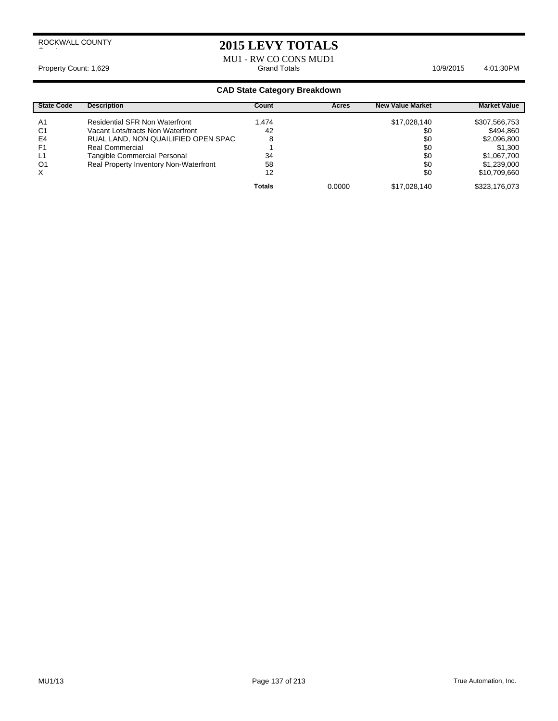## **2015 LEVY TOTALS**

MU1 - RW CO CONS MUD1 Property Count: 1,629 **Access 2:01:30PM** 1,629 **Grand Totals 4:01:30PM** 10/9/2015 4:01:30PM

| <b>State Code</b> | <b>Description</b>                     | Count         | Acres  | <b>New Value Market</b> | <b>Market Value</b> |
|-------------------|----------------------------------------|---------------|--------|-------------------------|---------------------|
| A <sub>1</sub>    | <b>Residential SFR Non Waterfront</b>  | 1.474         |        | \$17,028,140            | \$307,566,753       |
| C <sub>1</sub>    | Vacant Lots/tracts Non Waterfront      | 42            |        | \$0                     | \$494,860           |
| E4                | RUAL LAND, NON QUAILIFIED OPEN SPAC    | 8             |        | \$0                     | \$2,096,800         |
| F <sub>1</sub>    | Real Commercial                        |               |        | \$0                     | \$1,300             |
| L1                | Tangible Commercial Personal           | 34            |        | \$0                     | \$1,067,700         |
| O <sub>1</sub>    | Real Property Inventory Non-Waterfront | 58            |        | \$0                     | \$1,239,000         |
| $\times$          |                                        | 12            |        | \$0                     | \$10,709,660        |
|                   |                                        | <b>Totals</b> | 0.0000 | \$17,028,140            | \$323,176,073       |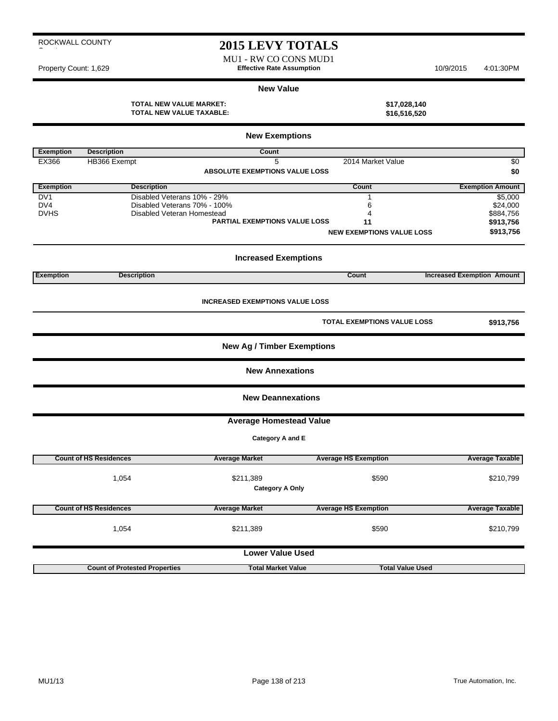## **2015 LEVY TOTALS**

MU1 - RW CO CONS MUD1 Property Count: 1,629 **Effective Rate Assumption** 10/9/2015 4:01:30PM

×

#### **New Value**

**TOTAL NEW VALUE MARKET: \$17,028,140 TOTAL NEW VALUE TAXABLE: \$16,516,520**

|                  |                                      | <b>New Exemptions</b>                  |                                  |                                   |
|------------------|--------------------------------------|----------------------------------------|----------------------------------|-----------------------------------|
| <b>Exemption</b> | <b>Description</b>                   | Count                                  |                                  |                                   |
| EX366            | HB366 Exempt                         | 5                                      | 2014 Market Value                | $\sqrt{6}$                        |
|                  |                                      | <b>ABSOLUTE EXEMPTIONS VALUE LOSS</b>  |                                  | \$0                               |
| <b>Exemption</b> | <b>Description</b>                   |                                        | Count                            | <b>Exemption Amount</b>           |
| DV1              | Disabled Veterans 10% - 29%          |                                        | 1                                | \$5,000                           |
| DV4              | Disabled Veterans 70% - 100%         |                                        | 6                                | \$24,000                          |
| <b>DVHS</b>      | Disabled Veteran Homestead           | <b>PARTIAL EXEMPTIONS VALUE LOSS</b>   | 4<br>11                          | \$884,756                         |
|                  |                                      |                                        | <b>NEW EXEMPTIONS VALUE LOSS</b> | \$913,756<br>\$913,756            |
|                  |                                      |                                        |                                  |                                   |
|                  |                                      | <b>Increased Exemptions</b>            |                                  |                                   |
| <b>Exemption</b> | <b>Description</b>                   |                                        | Count                            | <b>Increased Exemption Amount</b> |
|                  |                                      |                                        |                                  |                                   |
|                  |                                      | <b>INCREASED EXEMPTIONS VALUE LOSS</b> |                                  |                                   |
|                  |                                      |                                        | TOTAL EXEMPTIONS VALUE LOSS      | \$913,756                         |
|                  |                                      | <b>New Ag / Timber Exemptions</b>      |                                  |                                   |
|                  |                                      | <b>New Annexations</b>                 |                                  |                                   |
|                  |                                      | <b>New Deannexations</b>               |                                  |                                   |
|                  |                                      | <b>Average Homestead Value</b>         |                                  |                                   |
|                  |                                      | Category A and E                       |                                  |                                   |
|                  | <b>Count of HS Residences</b>        | <b>Average Market</b>                  | <b>Average HS Exemption</b>      | <b>Average Taxable</b>            |
|                  | 1,054                                | \$211,389<br><b>Category A Only</b>    | \$590                            | \$210,799                         |
|                  | <b>Count of HS Residences</b>        | <b>Average Market</b>                  | <b>Average HS Exemption</b>      | <b>Average Taxable</b>            |
|                  |                                      |                                        |                                  |                                   |
|                  | 1,054                                | \$211,389                              | \$590                            | \$210,799                         |
|                  |                                      | <b>Lower Value Used</b>                |                                  |                                   |
|                  | <b>Count of Protested Properties</b> | <b>Total Market Value</b>              | <b>Total Value Used</b>          |                                   |
|                  |                                      |                                        |                                  |                                   |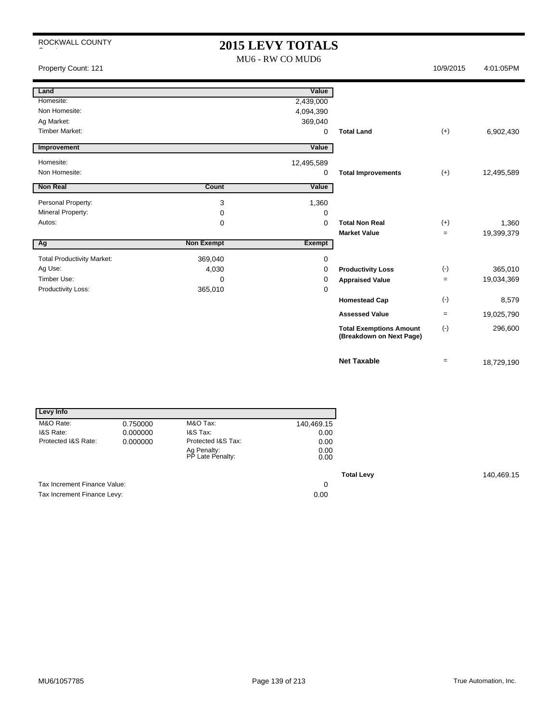| ROCKWALL COUNTY                   |                   | <b>2015 LEVY TOTALS</b><br>MU6 - RW CO MUD6 |                                                            |                    |            |
|-----------------------------------|-------------------|---------------------------------------------|------------------------------------------------------------|--------------------|------------|
| Property Count: 121               |                   |                                             |                                                            | 10/9/2015          | 4:01:05PM  |
| Land                              |                   | Value                                       |                                                            |                    |            |
| Homesite:                         |                   | 2,439,000                                   |                                                            |                    |            |
| Non Homesite:                     |                   | 4,094,390                                   |                                                            |                    |            |
| Ag Market:                        |                   | 369,040                                     |                                                            |                    |            |
| <b>Timber Market:</b>             |                   | 0                                           | <b>Total Land</b>                                          | $(+)$              | 6,902,430  |
| Improvement                       |                   | Value                                       |                                                            |                    |            |
| Homesite:                         |                   | 12,495,589                                  |                                                            |                    |            |
| Non Homesite:                     |                   | 0                                           | <b>Total Improvements</b>                                  | $(+)$              | 12,495,589 |
| Non Real                          | Count             | Value                                       |                                                            |                    |            |
| Personal Property:                | 3                 | 1,360                                       |                                                            |                    |            |
| Mineral Property:                 | 0                 | 0                                           |                                                            |                    |            |
| Autos:                            | 0                 | $\mathbf 0$                                 | <b>Total Non Real</b>                                      | $(+)$              | 1,360      |
|                                   |                   |                                             | <b>Market Value</b>                                        | $=$                | 19,399,379 |
| Ag                                | <b>Non Exempt</b> | <b>Exempt</b>                               |                                                            |                    |            |
| <b>Total Productivity Market:</b> | 369,040           | 0                                           |                                                            |                    |            |
| Ag Use:                           | 4,030             | 0                                           | <b>Productivity Loss</b>                                   | $(\textnormal{-})$ | 365,010    |
| Timber Use:                       | 0                 | 0                                           | <b>Appraised Value</b>                                     | $\qquad \qquad =$  | 19,034,369 |
| Productivity Loss:                | 365,010           | 0                                           |                                                            |                    |            |
|                                   |                   |                                             | <b>Homestead Cap</b>                                       | $(-)$              | 8,579      |
|                                   |                   |                                             | <b>Assessed Value</b>                                      | $=$                | 19,025,790 |
|                                   |                   |                                             | <b>Total Exemptions Amount</b><br>(Breakdown on Next Page) | $(-)$              | 296,600    |
|                                   |                   |                                             | <b>Net Taxable</b>                                         | $=$                | 18,729,190 |

| Levy Info                    |          |                                 |              |                   |
|------------------------------|----------|---------------------------------|--------------|-------------------|
| M&O Rate:                    | 0.750000 | M&O Tax:                        | 140,469.15   |                   |
| I&S Rate:                    | 0.000000 | I&S Tax:                        | 0.00         |                   |
| Protected I&S Rate:          | 0.000000 | Protected I&S Tax:              | 0.00         |                   |
|                              |          | Ag Penalty:<br>PP Late Penalty: | 0.00<br>0.00 |                   |
|                              |          |                                 |              | <b>Total Levy</b> |
| Tax Increment Finance Value: |          |                                 | 0            |                   |
| Tax Increment Finance Levy:  |          |                                 | 0.00         |                   |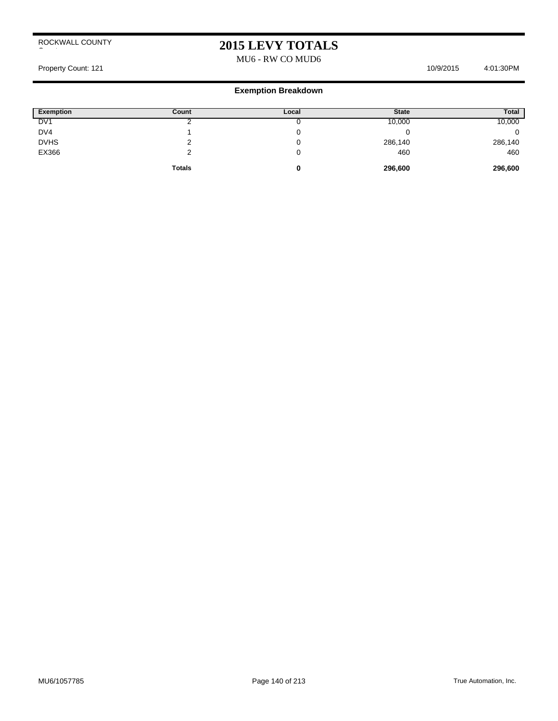## **2015 LEVY TOTALS**

MU6 - RW CO MUD6

Property Count: 121 10/9/2015 4:01:30PM

| <b>Exemption</b> | Count         | Local | <b>State</b> | Total   |
|------------------|---------------|-------|--------------|---------|
| DV <sub>1</sub>  |               | ັ     | 10,000       | 10,000  |
| DV4              |               | ν     |              |         |
| <b>DVHS</b>      |               | υ     | 286,140      | 286,140 |
| EX366            |               | U     | 460          | 460     |
|                  | <b>Totals</b> | 0     | 296,600      | 296,600 |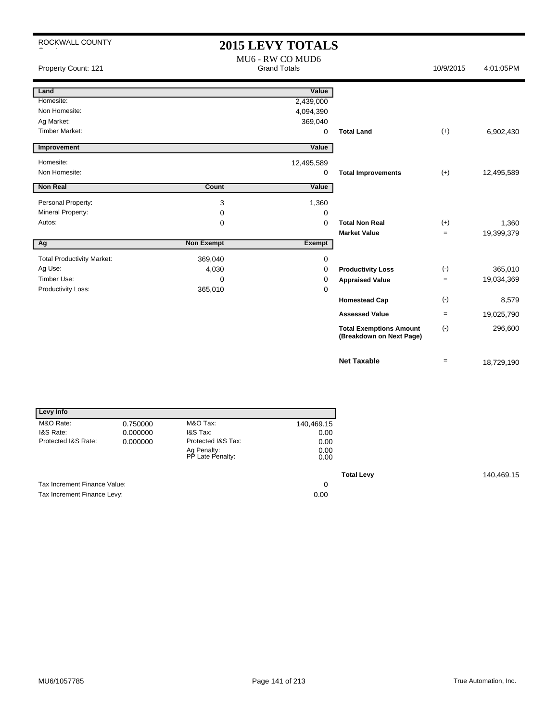| ROCKWALL COUNTY                   |                                         | <b>2015 LEVY TOTALS</b> |                                                            |                   |            |
|-----------------------------------|-----------------------------------------|-------------------------|------------------------------------------------------------|-------------------|------------|
| Property Count: 121               | MU6 - RW CO MUD6<br><b>Grand Totals</b> |                         |                                                            | 10/9/2015         | 4:01:05PM  |
| Land                              |                                         | Value                   |                                                            |                   |            |
| Homesite:                         |                                         | 2,439,000               |                                                            |                   |            |
| Non Homesite:                     |                                         | 4,094,390               |                                                            |                   |            |
| Ag Market:                        |                                         | 369,040                 |                                                            |                   |            |
| <b>Timber Market:</b>             |                                         | $\mathbf 0$             | <b>Total Land</b>                                          | $(+)$             | 6,902,430  |
| Improvement                       |                                         | Value                   |                                                            |                   |            |
| Homesite:                         |                                         | 12,495,589              |                                                            |                   |            |
| Non Homesite:                     |                                         | 0                       | <b>Total Improvements</b>                                  | $(+)$             | 12,495,589 |
| <b>Non Real</b>                   | Count                                   | Value                   |                                                            |                   |            |
| Personal Property:                | 3                                       | 1,360                   |                                                            |                   |            |
| Mineral Property:                 | 0                                       | 0                       |                                                            |                   |            |
| Autos:                            | 0                                       | $\Omega$                | <b>Total Non Real</b>                                      | $(+)$             | 1,360      |
|                                   |                                         |                         | <b>Market Value</b>                                        | $=$               | 19,399,379 |
| Ag                                | <b>Non Exempt</b>                       | Exempt                  |                                                            |                   |            |
| <b>Total Productivity Market:</b> | 369,040                                 | 0                       |                                                            |                   |            |
| Ag Use:                           | 4,030                                   | 0                       | <b>Productivity Loss</b>                                   | $(-)$             | 365,010    |
| Timber Use:                       | $\Omega$                                | 0                       | <b>Appraised Value</b>                                     | $=$               | 19,034,369 |
| Productivity Loss:                | 365,010                                 | $\mathbf 0$             |                                                            |                   |            |
|                                   |                                         |                         | <b>Homestead Cap</b>                                       | $(-)$             | 8,579      |
|                                   |                                         |                         | <b>Assessed Value</b>                                      | $=$               | 19,025,790 |
|                                   |                                         |                         | <b>Total Exemptions Amount</b><br>(Breakdown on Next Page) | $(\cdot)$         | 296,600    |
|                                   |                                         |                         | <b>Net Taxable</b>                                         | $\qquad \qquad =$ | 18,729,190 |

| Levy Info                    |          |                                 |              |
|------------------------------|----------|---------------------------------|--------------|
| M&O Rate:                    | 0.750000 | M&O Tax:                        | 140,469.15   |
| I&S Rate:                    | 0.000000 | I&S Tax:                        | 0.00         |
| Protected I&S Rate:          | 0.000000 | Protected I&S Tax:              | 0.00         |
|                              |          | Ag Penalty:<br>PP Late Penalty: | 0.00<br>0.00 |
|                              |          |                                 |              |
| Tax Increment Finance Value: |          |                                 | 0            |
| Tax Increment Finance Levy:  |          |                                 | 0.00         |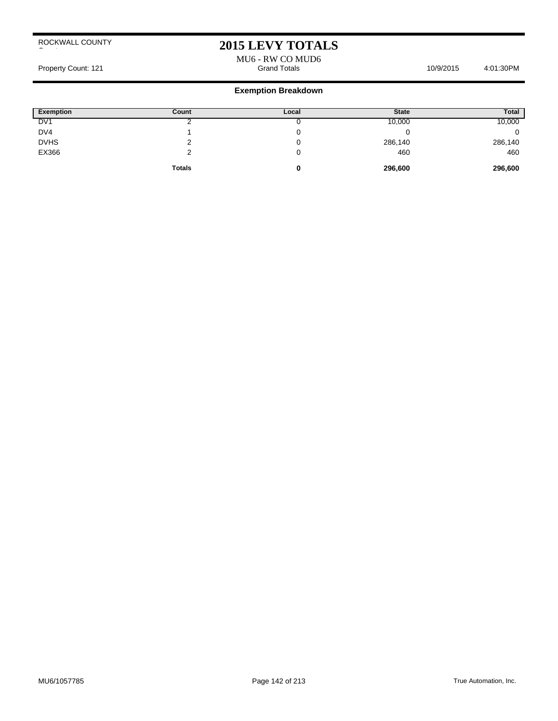## **2015 LEVY TOTALS**

MU6 - RW CO MUD6

Property Count: 121 **Accord 2019 12:00 Property Count: 121** Accord 10/9/2015 4:01:30PM

| <b>Exemption</b> | Count         | Local | <b>State</b> | Total   |
|------------------|---------------|-------|--------------|---------|
| DV <sub>1</sub>  |               |       | 10,000       | 10,000  |
| DV4              |               |       |              |         |
| <b>DVHS</b>      |               |       | 286,140      | 286,140 |
| EX366            |               |       | 460          | 460     |
|                  | <b>Totals</b> | u     | 296,600      | 296,600 |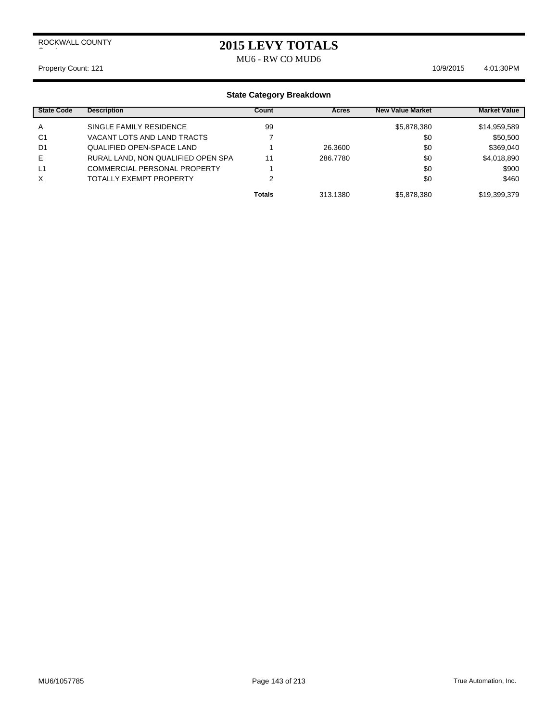## **2015 LEVY TOTALS**

MU6 - RW CO MUD6

#### Property Count: 121 10/9/2015 4:01:30PM

| <b>State Code</b> | <b>Description</b>                  | Count         | Acres    | <b>New Value Market</b> | <b>Market Value</b> |
|-------------------|-------------------------------------|---------------|----------|-------------------------|---------------------|
| A                 | SINGLE FAMILY RESIDENCE             | 99            |          | \$5,878,380             | \$14,959,589        |
| C <sub>1</sub>    | VACANT LOTS AND LAND TRACTS         |               |          | \$0                     | \$50,500            |
| D <sub>1</sub>    | <b>QUALIFIED OPEN-SPACE LAND</b>    |               | 26.3600  | \$0                     | \$369,040           |
| Е                 | RURAL LAND, NON QUALIFIED OPEN SPA  | 11            | 286,7780 | \$0                     | \$4,018,890         |
| L <sub>1</sub>    | <b>COMMERCIAL PERSONAL PROPERTY</b> |               |          | \$0                     | \$900               |
| X                 | TOTALLY EXEMPT PROPERTY             | າ             |          | \$0                     | \$460               |
|                   |                                     | <b>Totals</b> | 313.1380 | \$5,878,380             | \$19,399,379        |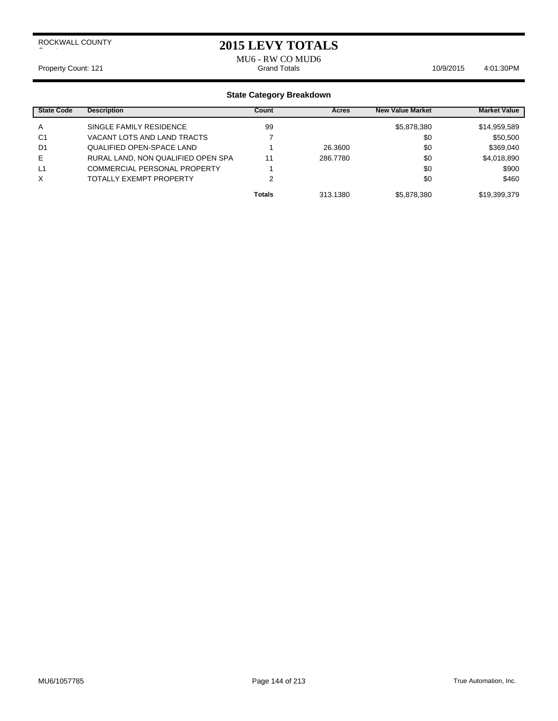### **2015 LEVY TOTALS**

MU6 - RW CO MUD6<br>Grand Totals Property Count: 121 **Count: 121** Crand Totals **10/9/2015** 4:01:30PM

| <b>State Code</b> | <b>Description</b>                  | Count         | Acres    | <b>New Value Market</b> | <b>Market Value</b> |
|-------------------|-------------------------------------|---------------|----------|-------------------------|---------------------|
| A                 | SINGLE FAMILY RESIDENCE             | 99            |          | \$5,878,380             | \$14,959,589        |
| C <sub>1</sub>    | VACANT LOTS AND LAND TRACTS         |               |          | \$0                     | \$50,500            |
| D1                | <b>QUALIFIED OPEN-SPACE LAND</b>    |               | 26,3600  | \$0                     | \$369,040           |
| Е                 | RURAL LAND, NON QUALIFIED OPEN SPA  | 11            | 286,7780 | \$0                     | \$4,018,890         |
| L1                | <b>COMMERCIAL PERSONAL PROPERTY</b> |               |          | \$0                     | \$900               |
| X                 | TOTALLY EXEMPT PROPERTY             | ◠             |          | \$0                     | \$460               |
|                   |                                     | <b>Totals</b> | 313.1380 | \$5,878,380             | \$19,399,379        |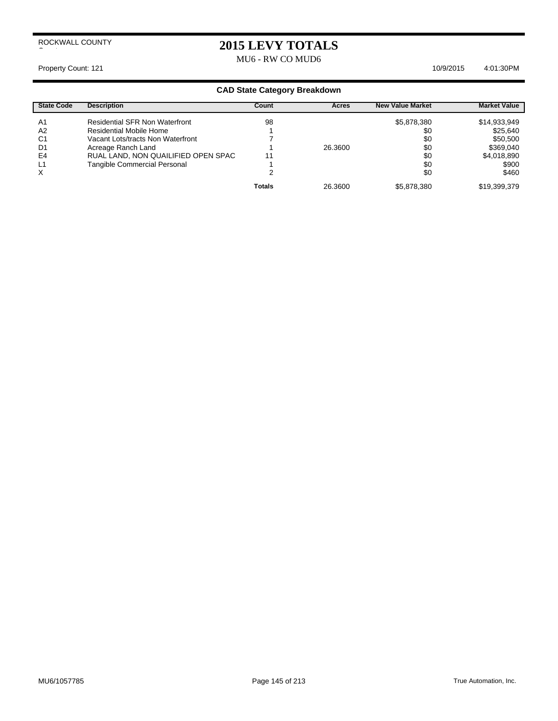## **2015 LEVY TOTALS** MU6 - RW CO MUD6

Property Count: 121 10/9/2015 4:01:30PM

| <b>State Code</b> | <b>Description</b>                    | Count         | Acres   | <b>New Value Market</b> | <b>Market Value</b> |
|-------------------|---------------------------------------|---------------|---------|-------------------------|---------------------|
| A1                | <b>Residential SFR Non Waterfront</b> | 98            |         | \$5,878,380             | \$14,933,949        |
| A2                | Residential Mobile Home               |               |         | \$0                     | \$25,640            |
| C <sub>1</sub>    | Vacant Lots/tracts Non Waterfront     |               |         | \$0                     | \$50,500            |
| D1                | Acreage Ranch Land                    |               | 26.3600 | \$0                     | \$369,040           |
| E4                | RUAL LAND, NON QUAILIFIED OPEN SPAC   |               |         | \$0                     | \$4,018,890         |
| L1                | Tangible Commercial Personal          |               |         | \$0                     | \$900               |
| X                 |                                       |               |         | \$0                     | \$460               |
|                   |                                       | <b>Totals</b> | 26.3600 | \$5,878,380             | \$19,399,379        |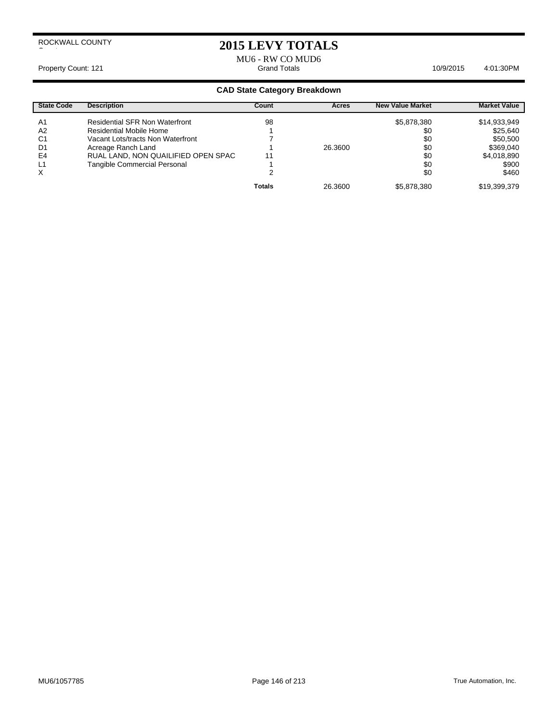# **2015 LEVY TOTALS**

MU6 - RW CO MUD6

Property Count: 121 **Accord 2012 12:01:30PM** Crand Totals **6:000 Crand Totals** 4:01:30PM

| <b>State Code</b> | <b>Description</b>                    | Count         | Acres   | <b>New Value Market</b> | <b>Market Value</b> |
|-------------------|---------------------------------------|---------------|---------|-------------------------|---------------------|
| A1                | <b>Residential SFR Non Waterfront</b> | 98            |         | \$5,878,380             | \$14,933,949        |
| A2                | Residential Mobile Home               |               |         | \$0                     | \$25,640            |
| C <sub>1</sub>    | Vacant Lots/tracts Non Waterfront     |               |         | \$0                     | \$50,500            |
| D1                | Acreage Ranch Land                    |               | 26.3600 | \$0                     | \$369,040           |
| E4                | RUAL LAND, NON QUAILIFIED OPEN SPAC   | 11            |         | \$0                     | \$4,018,890         |
| L1                | <b>Tangible Commercial Personal</b>   |               |         | \$0                     | \$900               |
| X                 |                                       |               |         | \$0                     | \$460               |
|                   |                                       | <b>Totals</b> | 26.3600 | \$5,878,380             | \$19,399,379        |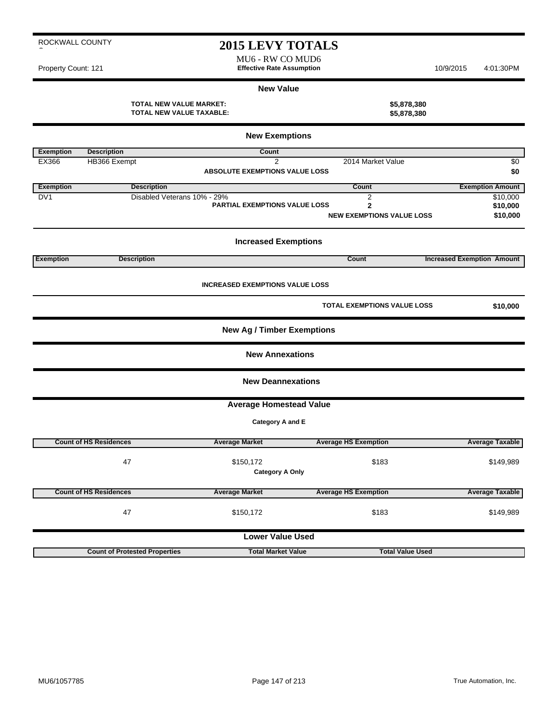MU6 - RW CO MUD6 Property Count: 121 **Effective Rate Assumption** 10/9/2015 4:01:30PM

#### **New Value**

| <b>TOTAL NEW VALUE MARKET:</b>  |  |
|---------------------------------|--|
| <b>TOTAL NEW VALUE TAXABLE:</b> |  |

| <b>New Exemptions</b> |                                      |                                        |                                    |                                   |  |  |
|-----------------------|--------------------------------------|----------------------------------------|------------------------------------|-----------------------------------|--|--|
| <b>Exemption</b>      | <b>Description</b>                   | <b>Count</b>                           |                                    |                                   |  |  |
| EX366                 | HB366 Exempt                         | $\overline{2}$                         | 2014 Market Value                  | \$0                               |  |  |
|                       |                                      | <b>ABSOLUTE EXEMPTIONS VALUE LOSS</b>  |                                    | \$0                               |  |  |
| <b>Exemption</b>      | <b>Description</b>                   |                                        | Count                              | <b>Exemption Amount</b>           |  |  |
| DV <sub>1</sub>       | Disabled Veterans 10% - 29%          |                                        | $\overline{2}$                     | \$10,000                          |  |  |
|                       |                                      | <b>PARTIAL EXEMPTIONS VALUE LOSS</b>   | $\mathbf{2}$                       | \$10,000                          |  |  |
|                       |                                      |                                        | <b>NEW EXEMPTIONS VALUE LOSS</b>   | \$10,000                          |  |  |
|                       |                                      | <b>Increased Exemptions</b>            |                                    |                                   |  |  |
| <b>Exemption</b>      | <b>Description</b>                   |                                        | Count                              | <b>Increased Exemption Amount</b> |  |  |
|                       |                                      | <b>INCREASED EXEMPTIONS VALUE LOSS</b> |                                    |                                   |  |  |
|                       |                                      |                                        |                                    |                                   |  |  |
|                       |                                      |                                        | <b>TOTAL EXEMPTIONS VALUE LOSS</b> | \$10,000                          |  |  |
|                       |                                      | <b>New Ag / Timber Exemptions</b>      |                                    |                                   |  |  |
|                       |                                      | <b>New Annexations</b>                 |                                    |                                   |  |  |
|                       |                                      | <b>New Deannexations</b>               |                                    |                                   |  |  |
|                       |                                      | <b>Average Homestead Value</b>         |                                    |                                   |  |  |
|                       |                                      | Category A and E                       |                                    |                                   |  |  |
|                       | <b>Count of HS Residences</b>        | <b>Average Market</b>                  | <b>Average HS Exemption</b>        | <b>Average Taxable</b>            |  |  |
|                       |                                      |                                        |                                    |                                   |  |  |
|                       | 47                                   | \$150,172                              | \$183                              | \$149,989                         |  |  |
|                       |                                      | <b>Category A Only</b>                 |                                    |                                   |  |  |
|                       | <b>Count of HS Residences</b>        | <b>Average Market</b>                  | <b>Average HS Exemption</b>        | <b>Average Taxable</b>            |  |  |
|                       | 47                                   | \$150,172                              | \$183                              | \$149,989                         |  |  |
|                       |                                      | <b>Lower Value Used</b>                |                                    |                                   |  |  |
|                       | <b>Count of Protested Properties</b> | <b>Total Market Value</b>              | <b>Total Value Used</b>            |                                   |  |  |

**TOTAL NEW VALUE MARKET: \$5,878,380 TOTAL NEW VALUE TAXABLE: \$5,878,380**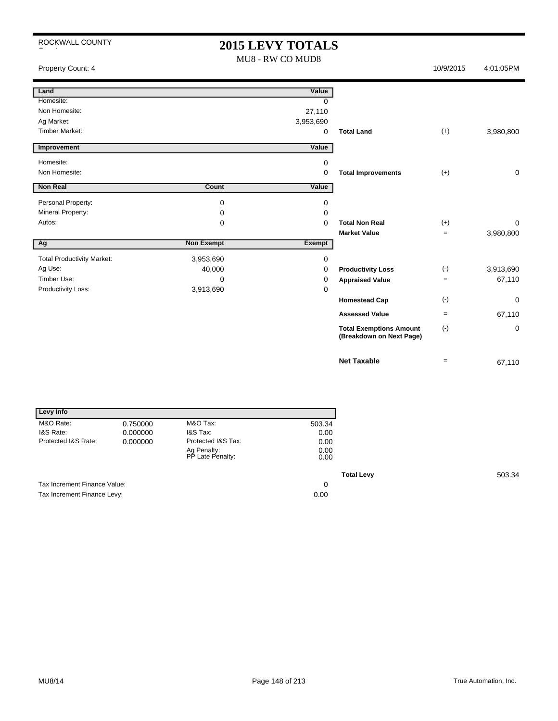## **2015 LEVY TOTALS** MU8 - RW CO MUD8

Property Count: 4 10/9/2015 4:01:05PM

| Land                              |                   | Value         |                                                            |                   |             |
|-----------------------------------|-------------------|---------------|------------------------------------------------------------|-------------------|-------------|
| Homesite:                         |                   | $\Omega$      |                                                            |                   |             |
| Non Homesite:                     |                   | 27,110        |                                                            |                   |             |
| Ag Market:                        |                   | 3,953,690     |                                                            |                   |             |
| <b>Timber Market:</b>             |                   | 0             | <b>Total Land</b>                                          | $(+)$             | 3,980,800   |
| Improvement                       |                   | Value         |                                                            |                   |             |
|                                   |                   |               |                                                            |                   |             |
| Homesite:                         |                   | 0             |                                                            |                   |             |
| Non Homesite:                     |                   | 0             | <b>Total Improvements</b>                                  | $(+)$             | 0           |
| <b>Non Real</b>                   | Count             | Value         |                                                            |                   |             |
| Personal Property:                | 0                 | $\mathbf 0$   |                                                            |                   |             |
| Mineral Property:                 | 0                 | 0             |                                                            |                   |             |
| Autos:                            | 0                 | 0             | <b>Total Non Real</b>                                      | $(+)$             | $\Omega$    |
|                                   |                   |               | <b>Market Value</b>                                        | $\qquad \qquad =$ | 3,980,800   |
| Ag                                | <b>Non Exempt</b> | <b>Exempt</b> |                                                            |                   |             |
|                                   |                   |               |                                                            |                   |             |
| <b>Total Productivity Market:</b> | 3,953,690         | $\mathbf 0$   |                                                            |                   |             |
| Ag Use:                           | 40,000            | 0             | <b>Productivity Loss</b>                                   | $(-)$             | 3,913,690   |
| Timber Use:                       | 0                 | 0             | <b>Appraised Value</b>                                     | $\qquad \qquad =$ | 67,110      |
| Productivity Loss:                | 3,913,690         | 0             |                                                            |                   |             |
|                                   |                   |               | <b>Homestead Cap</b>                                       | $(-)$             | $\mathbf 0$ |
|                                   |                   |               | <b>Assessed Value</b>                                      | $\qquad \qquad =$ | 67,110      |
|                                   |                   |               | <b>Total Exemptions Amount</b><br>(Breakdown on Next Page) | $(-)$             | 0           |
|                                   |                   |               | <b>Net Taxable</b>                                         | $=$               |             |
|                                   |                   |               |                                                            |                   | 67,110      |

| Levy Info                    |          |                                 |              |
|------------------------------|----------|---------------------------------|--------------|
| M&O Rate:                    | 0.750000 | M&O Tax:                        | 503.34       |
| I&S Rate:                    | 0.000000 | I&S Tax:                        | 0.00         |
| Protected I&S Rate:          | 0.000000 | Protected I&S Tax:              | 0.00         |
|                              |          | Ag Penalty:<br>PP Late Penalty: | 0.00<br>0.00 |
|                              |          |                                 |              |
| Tax Increment Finance Value: |          |                                 | 0            |
| Tax Increment Finance Levy:  |          |                                 | 0.00         |

**Total Levy** 503.34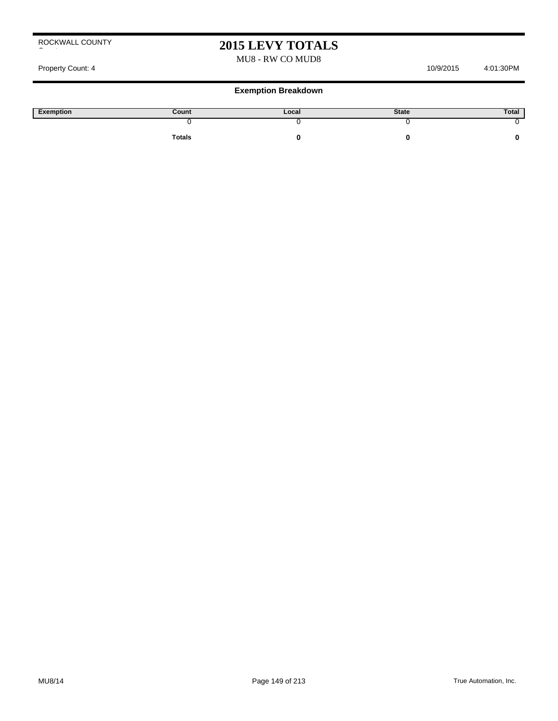### MU8 - RW CO MUD8

#### Property Count: 4 10/9/2015 4:01:30PM

| Exemption | Count         | Local | <b>State</b> | Total |
|-----------|---------------|-------|--------------|-------|
|           |               |       |              |       |
|           | <b>Totals</b> |       |              |       |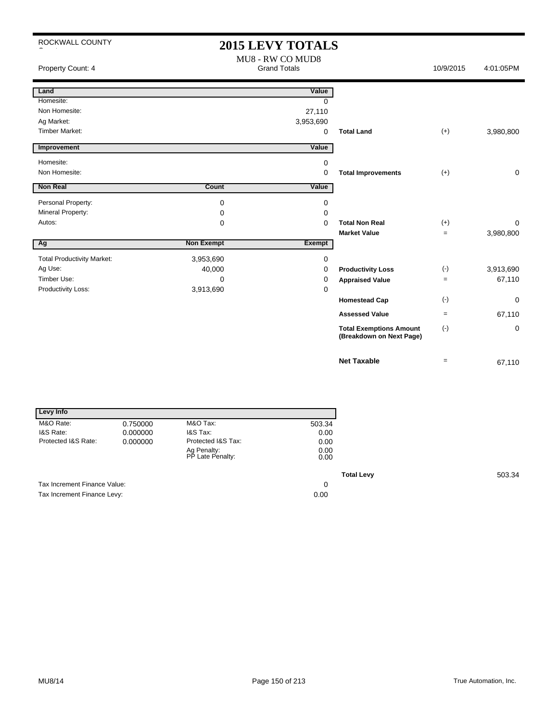# **2015 LEVY TOTALS**

| Property Count: 4                 |                   | MU8 - RW CO MUD8<br><b>Grand Totals</b> |                                                            | 10/9/2015 | 4:01:05PM   |
|-----------------------------------|-------------------|-----------------------------------------|------------------------------------------------------------|-----------|-------------|
| Land                              |                   | Value                                   |                                                            |           |             |
| Homesite:                         |                   | $\Omega$                                |                                                            |           |             |
| Non Homesite:                     |                   | 27,110                                  |                                                            |           |             |
| Ag Market:                        |                   | 3,953,690                               |                                                            |           |             |
| <b>Timber Market:</b>             |                   | 0                                       | <b>Total Land</b>                                          | $(+)$     | 3,980,800   |
| Improvement                       |                   | Value                                   |                                                            |           |             |
| Homesite:                         |                   | 0                                       |                                                            |           |             |
| Non Homesite:                     |                   | 0                                       | <b>Total Improvements</b>                                  | $(+)$     | $\mathbf 0$ |
| <b>Non Real</b>                   | Count             | Value                                   |                                                            |           |             |
| Personal Property:                | 0                 | 0                                       |                                                            |           |             |
| Mineral Property:                 | 0                 | $\Omega$                                |                                                            |           |             |
| Autos:                            | 0                 | $\Omega$                                | <b>Total Non Real</b>                                      | $(+)$     | 0           |
|                                   |                   |                                         | <b>Market Value</b>                                        | $=$       | 3,980,800   |
| Ag                                | <b>Non Exempt</b> | <b>Exempt</b>                           |                                                            |           |             |
| <b>Total Productivity Market:</b> | 3,953,690         | 0                                       |                                                            |           |             |
| Ag Use:                           | 40,000            | 0                                       | <b>Productivity Loss</b>                                   | $(-)$     | 3,913,690   |
| Timber Use:                       | 0                 | 0                                       | <b>Appraised Value</b>                                     | $=$       | 67,110      |
| Productivity Loss:                | 3,913,690         | 0                                       |                                                            |           |             |
|                                   |                   |                                         | <b>Homestead Cap</b>                                       | $(-)$     | 0           |
|                                   |                   |                                         | <b>Assessed Value</b>                                      | $=$       | 67,110      |
|                                   |                   |                                         | <b>Total Exemptions Amount</b><br>(Breakdown on Next Page) | $(\cdot)$ | 0           |
|                                   |                   |                                         | <b>Net Taxable</b>                                         | $=$       | 67,110      |

| Levy Info                    |          |                                 |                   |
|------------------------------|----------|---------------------------------|-------------------|
| M&O Rate:                    | 0.750000 | M&O Tax:                        | 503.34            |
| I&S Rate:                    | 0.000000 | I&S Tax:                        | 0.00              |
| Protected I&S Rate:          | 0.000000 | Protected I&S Tax:              | 0.00              |
|                              |          | Ag Penalty:<br>PP Late Penalty: | 0.00<br>0.00      |
|                              |          |                                 | <b>Total Levy</b> |
| Tax Increment Finance Value: |          |                                 | 0                 |
| Tax Increment Finance Levy:  |          |                                 | 0.00              |

**Total Levy** 503.34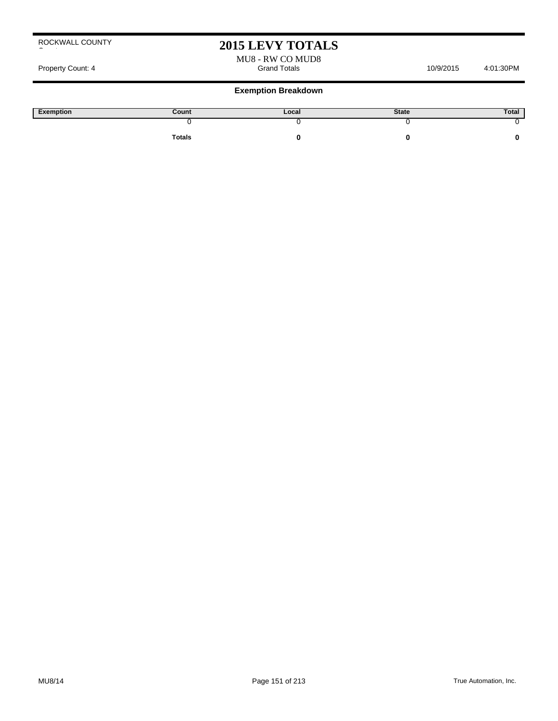# **2015 LEVY TOTALS**

MU8 - RW CO MUD8

Property Count: 4 Grand Totals 10/9/2015 4:01:30PM 4:01:30PM 4:01:30PM 6:00:00 4:01:30PM 4:01:30PM

| Exemption | Count         | Local | <b>State</b> | Total |
|-----------|---------------|-------|--------------|-------|
|           |               |       |              |       |
|           | <b>Totals</b> |       |              |       |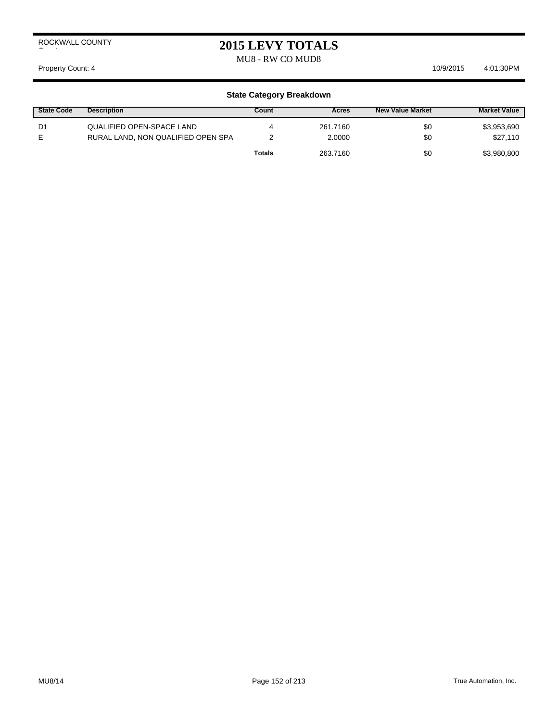MU8 - RW CO MUD8

Property Count: 4 10/9/2015 4:01:30 PM

| <b>State Code</b> | <b>Description</b>                 | Count  | Acres    | New Value Market | <b>Market Value</b> |
|-------------------|------------------------------------|--------|----------|------------------|---------------------|
| D1                | QUALIFIED OPEN-SPACE LAND          | 4      | 261.7160 | \$0              | \$3,953,690         |
|                   | RURAL LAND, NON QUALIFIED OPEN SPA |        | 2.0000   | \$0              | \$27.110            |
|                   |                                    | Totals | 263.7160 | \$0              | \$3,980,800         |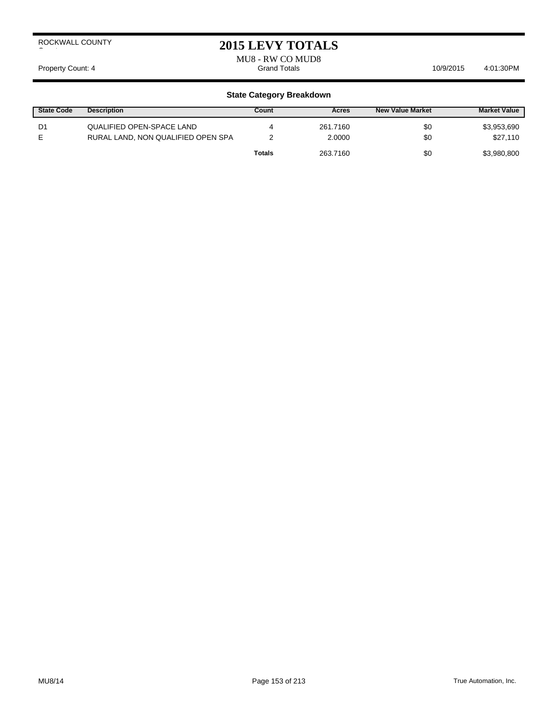## **2015 LEVY TOTALS**

MU8 - RW CO MUD8

Property Count: 4 Crack 10/9/2015 4:01:30PM 4:01:30PM 6. Grand Totals 10/9/2015 4:01:30PM

| <b>State Code</b> | <b>Description</b>                                              | Count         | Acres              | <b>New Value Market</b> | <b>Market Value</b>     |
|-------------------|-----------------------------------------------------------------|---------------|--------------------|-------------------------|-------------------------|
| D1                | QUALIFIED OPEN-SPACE LAND<br>RURAL LAND, NON QUALIFIED OPEN SPA | 4             | 261.7160<br>2.0000 | \$0<br>\$0              | \$3,953,690<br>\$27,110 |
|                   |                                                                 | <b>Totals</b> | 263.7160           | \$0                     | \$3,980,800             |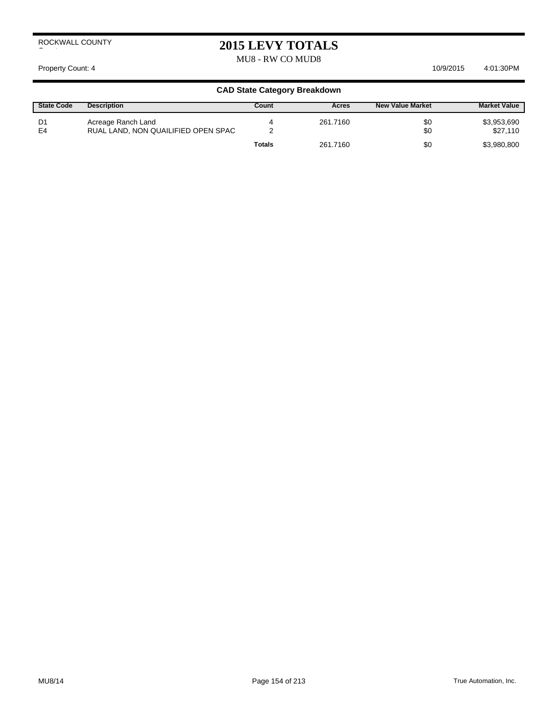# **2015 LEVY TOTALS**

MU8 - RW CO MUD8

#### Property Count: 4 10/9/2015 4:01:30 PM

| <b>State Code</b> | <b>Description</b>                                        | Count         | Acres    | <b>New Value Market</b> | <b>Market Value</b>     |
|-------------------|-----------------------------------------------------------|---------------|----------|-------------------------|-------------------------|
| D1<br>E4          | Acreage Ranch Land<br>RUAL LAND, NON QUAILIFIED OPEN SPAC |               | 261.7160 | \$0<br>\$0              | \$3,953,690<br>\$27,110 |
|                   |                                                           | <b>Totals</b> | 261.7160 | \$0                     | \$3,980,800             |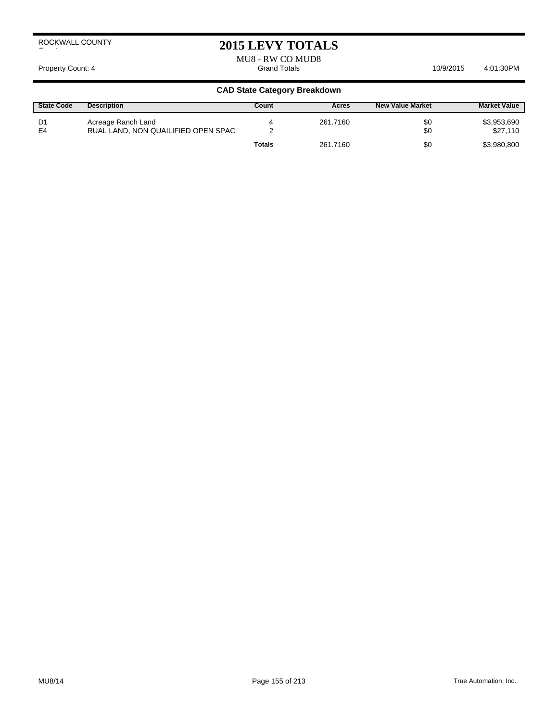# **2015 LEVY TOTALS**

MU8 - RW CO MUD8 Property Count: 4 Grand Totals 4:01:30PM 10/9/2015 4:01:30PM 10/9/2015 4:01:30PM

| <b>State Code</b> | <b>Description</b>                                        | Count         | Acres    | <b>New Value Market</b> | <b>Market Value</b>     |
|-------------------|-----------------------------------------------------------|---------------|----------|-------------------------|-------------------------|
| D1<br>E4          | Acreage Ranch Land<br>RUAL LAND, NON QUAILIFIED OPEN SPAC |               | 261.7160 | \$0<br>\$0              | \$3,953,690<br>\$27.110 |
|                   |                                                           | <b>Totals</b> | 261.7160 | \$0                     | \$3,980,800             |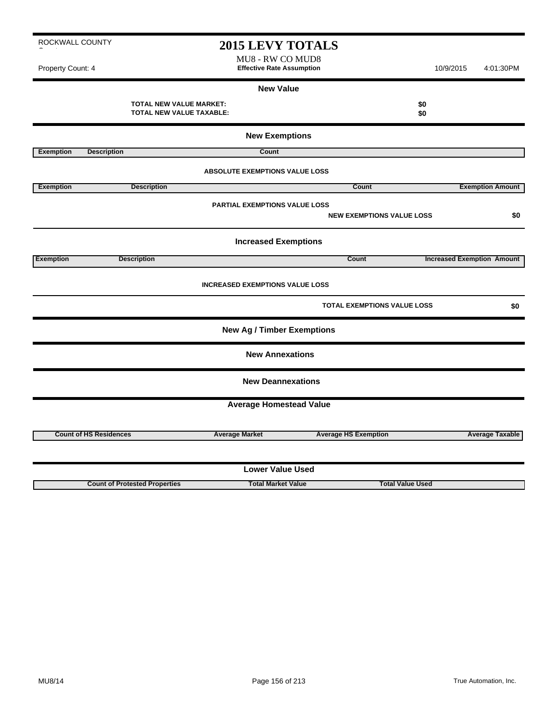**2015 LEVY TOTALS** MU8 - RW CO MUD8 Property Count: 4 **Effective Rate Assumption** 10/9/2015 4:01:30PM **New Value TOTAL NEW VALUE MARKET: \$0 TOTAL NEW VALUE TAXABLE: \$0**

**New Exemptions Exemption** Description **Count ABSOLUTE EXEMPTIONS VALUE LOSS Exemption Count Description Description Count Count Exemption Amount PARTIAL EXEMPTIONS VALUE LOSS NEW EXEMPTIONS VALUE LOSS \$0 Increased Exemptions Exemption Description Count Increased Exemption Amount INCREASED EXEMPTIONS VALUE LOSS TOTAL EXEMPTIONS VALUE LOSS \$0 New Ag / Timber Exemptions New Annexations New Deannexations Average Homestead Value Count of HS Residences Average Market Average HS Exemption Average Taxable Lower Value Used**

**Count of Protested Properties Total Market Value Total Value Used**

ROCKWALL COUNTY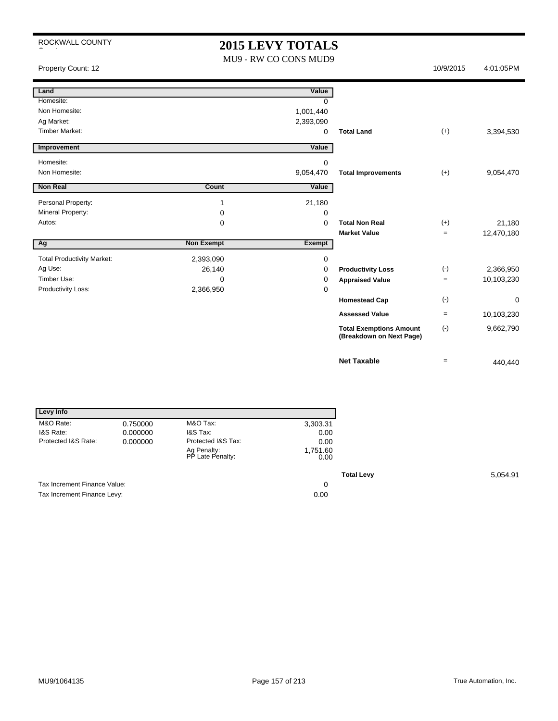# **2015 LEVY TOTALS**

MU9 - RW CO CONS MUD9

Property Count: 12 10/9/2015 4:01:05PM

| Land                              |                   | Value         |                                                            |                   |            |
|-----------------------------------|-------------------|---------------|------------------------------------------------------------|-------------------|------------|
| Homesite:                         |                   | $\Omega$      |                                                            |                   |            |
| Non Homesite:                     |                   | 1,001,440     |                                                            |                   |            |
| Ag Market:                        |                   | 2,393,090     |                                                            |                   |            |
| <b>Timber Market:</b>             |                   | 0             | <b>Total Land</b>                                          | $(+)$             | 3,394,530  |
| Improvement                       |                   | Value         |                                                            |                   |            |
| Homesite:                         |                   | $\mathbf 0$   |                                                            |                   |            |
| Non Homesite:                     |                   | 9,054,470     | <b>Total Improvements</b>                                  | $(+)$             | 9,054,470  |
| <b>Non Real</b>                   | Count             | Value         |                                                            |                   |            |
| Personal Property:                | 1                 | 21,180        |                                                            |                   |            |
| Mineral Property:                 | 0                 | 0             |                                                            |                   |            |
| Autos:                            | 0                 | 0             | <b>Total Non Real</b>                                      | $(+)$             | 21,180     |
|                                   |                   |               | <b>Market Value</b>                                        | $=$               | 12,470,180 |
| Ag                                | <b>Non Exempt</b> | <b>Exempt</b> |                                                            |                   |            |
| <b>Total Productivity Market:</b> | 2,393,090         | $\mathbf 0$   |                                                            |                   |            |
| Ag Use:                           | 26,140            | 0             | <b>Productivity Loss</b>                                   | $(-)$             | 2,366,950  |
| Timber Use:                       | 0                 | 0             | <b>Appraised Value</b>                                     | $\qquad \qquad =$ | 10,103,230 |
| Productivity Loss:                | 2,366,950         | 0             |                                                            |                   |            |
|                                   |                   |               | <b>Homestead Cap</b>                                       | $(\cdot)$         | 0          |
|                                   |                   |               | <b>Assessed Value</b>                                      | $\qquad \qquad =$ | 10,103,230 |
|                                   |                   |               | <b>Total Exemptions Amount</b><br>(Breakdown on Next Page) | $(-)$             | 9,662,790  |
|                                   |                   |               | <b>Net Taxable</b>                                         | $=$               | 440,440    |

| Levy Info                    |          |                                 |                  |
|------------------------------|----------|---------------------------------|------------------|
| M&O Rate:                    | 0.750000 | M&O Tax:                        | 3,303.31         |
| I&S Rate:                    | 0.000000 | I&S Tax:                        | 0.00             |
| Protected I&S Rate:          | 0.000000 | Protected I&S Tax:              | 0.00             |
|                              |          | Ag Penalty:<br>PP Late Penalty: | 1,751.60<br>0.00 |
|                              |          |                                 |                  |
| Tax Increment Finance Value: |          |                                 | 0                |
| Tax Increment Finance Levy:  |          |                                 | 0.00             |

**Total Levy** 5,054.91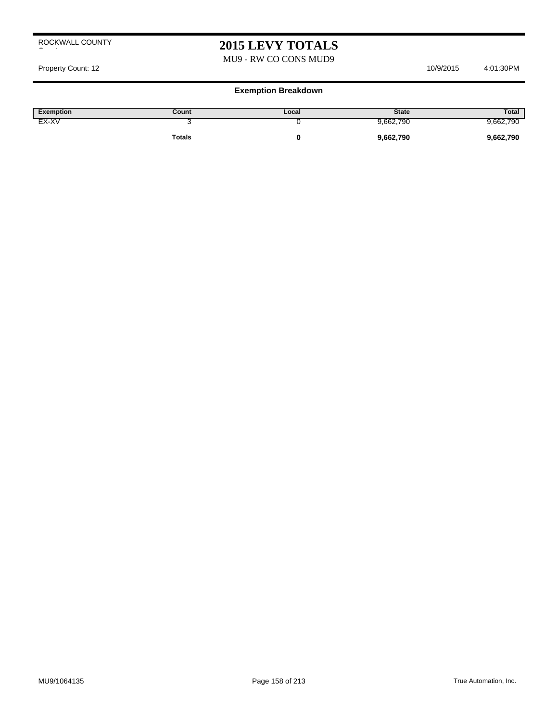# **2015 LEVY TOTALS**

### MU9 - RW CO CONS MUD9

Property Count: 12 10/9/2015 4:01:30PM

| <b>Exemption</b> | Count         | Local | <b>State</b> | Total     |
|------------------|---------------|-------|--------------|-----------|
| EX-XV            |               |       | 9,662,790    | 9,662,790 |
|                  | <b>Totals</b> |       | 9,662,790    | 9,662,790 |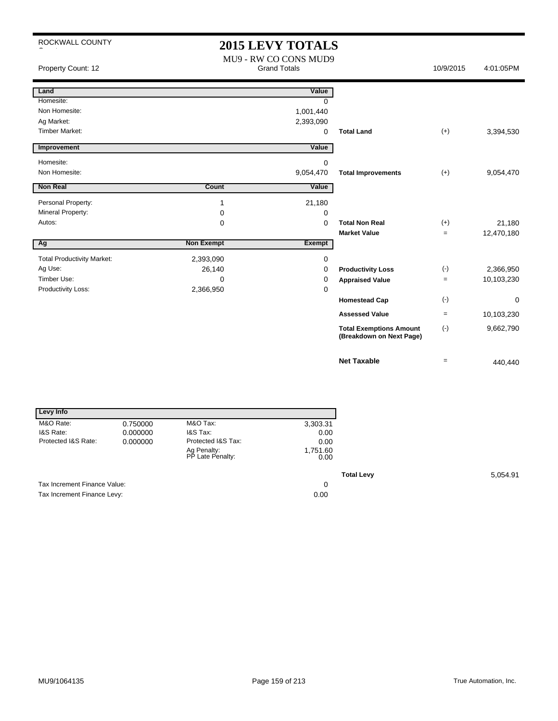# **2015 LEVY TOTALS**

| Property Count: 12                |                   | MU9 - RW CO CONS MUD9<br><b>Grand Totals</b> |                                                            | 10/9/2015         | 4:01:05PM  |
|-----------------------------------|-------------------|----------------------------------------------|------------------------------------------------------------|-------------------|------------|
| Land                              |                   | Value                                        |                                                            |                   |            |
| Homesite:                         |                   | <sup>0</sup>                                 |                                                            |                   |            |
| Non Homesite:                     |                   | 1,001,440                                    |                                                            |                   |            |
| Ag Market:                        |                   | 2,393,090                                    |                                                            |                   |            |
| <b>Timber Market:</b>             |                   | 0                                            | <b>Total Land</b>                                          | $(+)$             | 3,394,530  |
| Improvement                       |                   | Value                                        |                                                            |                   |            |
| Homesite:                         |                   | 0                                            |                                                            |                   |            |
| Non Homesite:                     |                   | 9,054,470                                    | <b>Total Improvements</b>                                  | $(+)$             | 9,054,470  |
| <b>Non Real</b>                   | Count             | Value                                        |                                                            |                   |            |
| Personal Property:                | 1                 | 21,180                                       |                                                            |                   |            |
| Mineral Property:                 | 0                 | 0                                            |                                                            |                   |            |
| Autos:                            | 0                 | $\Omega$                                     | <b>Total Non Real</b>                                      | $(+)$             | 21,180     |
|                                   |                   |                                              | <b>Market Value</b>                                        | $=$               | 12,470,180 |
| Ag                                | <b>Non Exempt</b> | <b>Exempt</b>                                |                                                            |                   |            |
| <b>Total Productivity Market:</b> | 2,393,090         | 0                                            |                                                            |                   |            |
| Ag Use:                           | 26,140            | 0                                            | <b>Productivity Loss</b>                                   | $(-)$             | 2,366,950  |
| Timber Use:                       | 0                 | 0                                            | <b>Appraised Value</b>                                     | $\qquad \qquad =$ | 10,103,230 |
| Productivity Loss:                | 2,366,950         | 0                                            |                                                            |                   |            |
|                                   |                   |                                              | <b>Homestead Cap</b>                                       | $(-)$             | 0          |
|                                   |                   |                                              | <b>Assessed Value</b>                                      | $=$               | 10,103,230 |
|                                   |                   |                                              | <b>Total Exemptions Amount</b><br>(Breakdown on Next Page) | $(-)$             | 9,662,790  |
|                                   |                   |                                              | <b>Net Taxable</b>                                         | $=$               | 440,440    |

| Levy Info                    |          |                                 |                  |
|------------------------------|----------|---------------------------------|------------------|
| M&O Rate:                    | 0.750000 | M&O Tax:                        | 3,303.31         |
| I&S Rate:                    | 0.000000 | I&S Tax:                        | 0.00             |
| Protected I&S Rate:          | 0.000000 | Protected I&S Tax:              | 0.00             |
|                              |          | Ag Penalty:<br>PP Late Penalty: | 1,751.60<br>0.00 |
|                              |          |                                 |                  |
| Tax Increment Finance Value: |          |                                 | 0                |
| Tax Increment Finance Levy:  |          |                                 | 0.00             |

**Total Levy** 5,054.91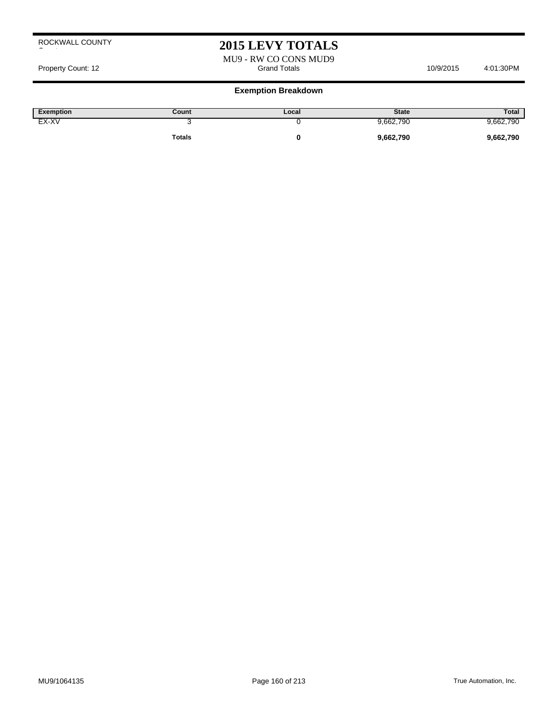## **2015 LEVY TOTALS**

MU9 - RW CO CONS MUD9 Property Count: 12 **Access 10/9/2015** 4:01:30PM Grand Totals 10/9/2015 4:01:30PM

| Exemption | Count  | Local | <b>State</b> | Total     |
|-----------|--------|-------|--------------|-----------|
| EX-XV     | ۰.     |       | 9,662,790    | 9,662,790 |
|           | Totals |       | 9,662,790    | 9,662,790 |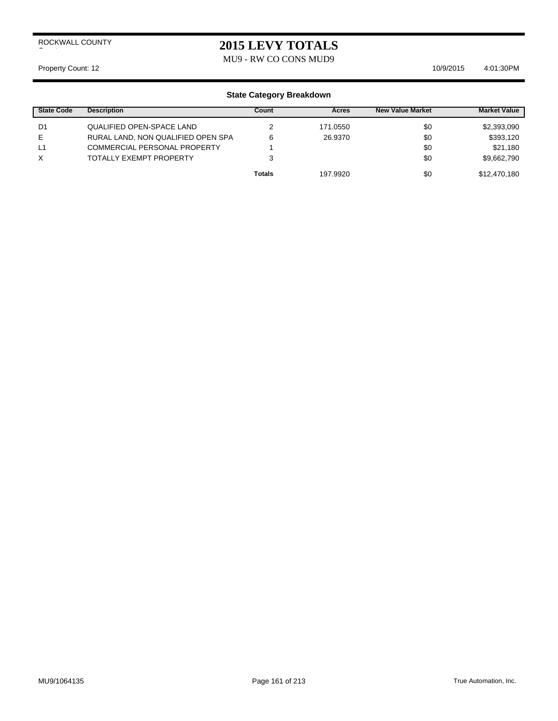MU9 - RW CO CONS MUD9

Property Count: 12 10/9/2015 4:01:30 PM

| <b>State Code</b> | <b>Description</b>                  | Count         | Acres    | <b>New Value Market</b> | <b>Market Value</b> |
|-------------------|-------------------------------------|---------------|----------|-------------------------|---------------------|
| D1                | QUALIFIED OPEN-SPACE LAND           |               | 171.0550 | \$0                     | \$2,393,090         |
| E.                | RURAL LAND, NON QUALIFIED OPEN SPA  | 6             | 26.9370  | \$0                     | \$393,120           |
| L1                | <b>COMMERCIAL PERSONAL PROPERTY</b> |               |          | \$0                     | \$21,180            |
| X                 | <b>TOTALLY EXEMPT PROPERTY</b>      |               |          | \$0                     | \$9,662,790         |
|                   |                                     | <b>Totals</b> | 197.9920 | \$0                     | \$12,470,180        |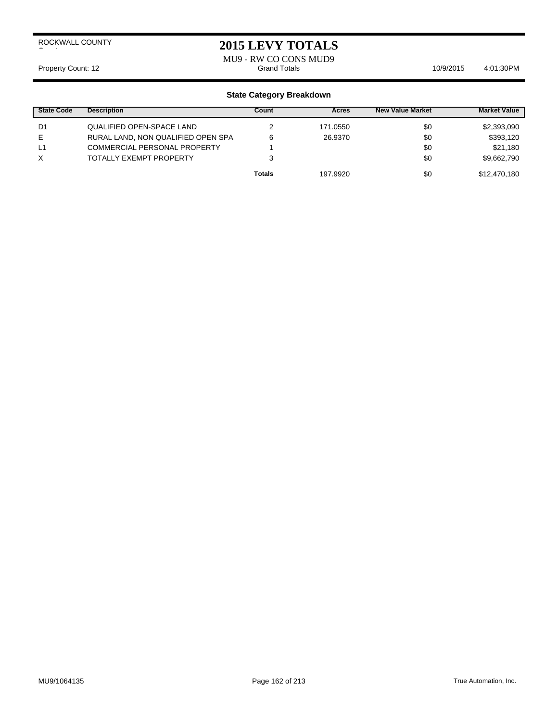## **2015 LEVY TOTALS**

MU9 - RW CO CONS MUD9<br>Grand Totals Property Count: 12 **Accord 2018** Grand Totals **10/9/2015** 4:01:30PM

| <b>State Code</b> | <b>Description</b>                 | Count         | Acres    | <b>New Value Market</b> | <b>Market Value</b> |
|-------------------|------------------------------------|---------------|----------|-------------------------|---------------------|
| D1                | QUALIFIED OPEN-SPACE LAND          |               | 171.0550 | \$0                     | \$2,393,090         |
| E.                | RURAL LAND, NON QUALIFIED OPEN SPA | 6             | 26.9370  | \$0                     | \$393,120           |
| L1                | COMMERCIAL PERSONAL PROPERTY       |               |          | \$0                     | \$21,180            |
| X                 | TOTALLY EXEMPT PROPERTY            |               |          | \$0                     | \$9,662,790         |
|                   |                                    | <b>Totals</b> | 197.9920 | \$0                     | \$12,470,180        |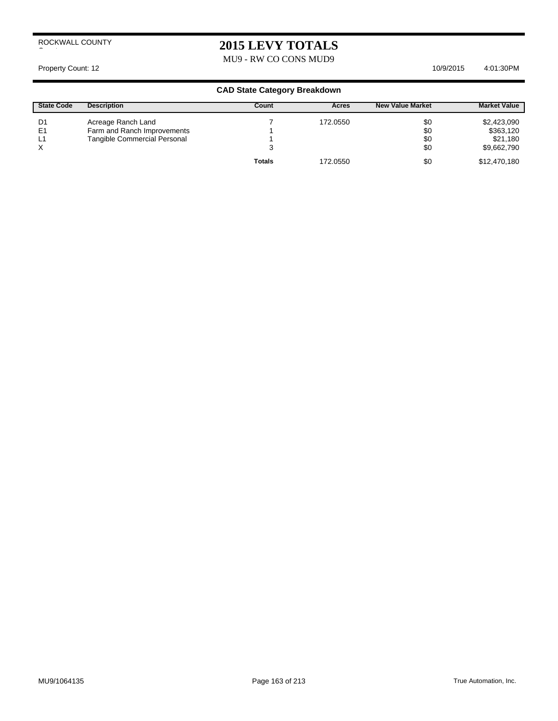# **2015 LEVY TOTALS**

MU9 - RW CO CONS MUD9

Property Count: 12 10/9/2015 4:01:30 PM

| <b>State Code</b> | <b>Description</b>           | Count         | Acres    | <b>New Value Market</b> | <b>Market Value</b> |
|-------------------|------------------------------|---------------|----------|-------------------------|---------------------|
| D1                | Acreage Ranch Land           |               | 172.0550 | \$0                     | \$2,423,090         |
| E <sub>1</sub>    | Farm and Ranch Improvements  |               |          | \$0                     | \$363,120           |
| L1                | Tangible Commercial Personal |               |          | \$0                     | \$21,180            |
| X                 |                              | 3             |          | \$0                     | \$9,662,790         |
|                   |                              | <b>Totals</b> | 172.0550 | \$0                     | \$12,470,180        |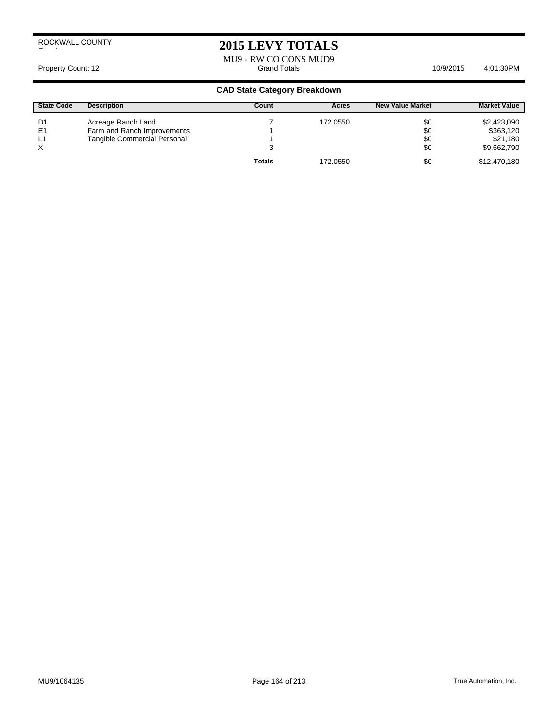# **2015 LEVY TOTALS**

MU9 - RW CO CONS MUD9<br>Grand Totals Property Count: 12 **Accord 2:01:30PM** Grand Totals **4:01:30PM** 10/9/2015 4:01:30PM

| <b>State Code</b> | <b>Description</b>           | Count         | Acres    | <b>New Value Market</b> | <b>Market Value</b> |
|-------------------|------------------------------|---------------|----------|-------------------------|---------------------|
| D1                | Acreage Ranch Land           |               | 172.0550 | \$0                     | \$2,423,090         |
| E <sub>1</sub>    | Farm and Ranch Improvements  |               |          | \$0                     | \$363,120           |
| L1                | Tangible Commercial Personal |               |          | \$0                     | \$21,180            |
|                   |                              |               |          | \$0                     | \$9,662,790         |
|                   |                              | <b>Totals</b> | 172.0550 | \$0                     | \$12,470,180        |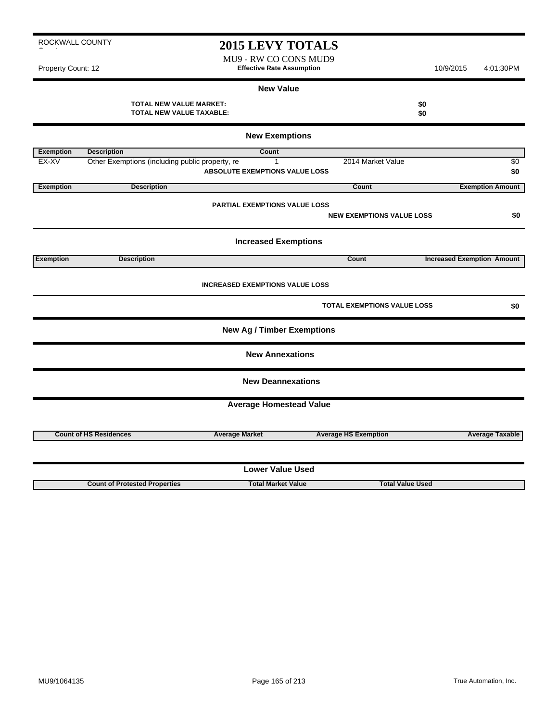MU9 - RW CO CONS MUD9 Property Count: 12 **Effective Rate Assumption Effective Rate Assumption** 10/9/2015 4:01:30PM

#### **New Value**

| -- | ---<br>$\sim$ |  |  | . . <b>. . .</b> . |  |
|----|---------------|--|--|--------------------|--|
|    |               |  |  |                    |  |
|    |               |  |  |                    |  |
|    |               |  |  |                    |  |
|    |               |  |  |                    |  |
|    |               |  |  |                    |  |
|    |               |  |  |                    |  |

|                  | <b>TOTAL NEW VALUE MARKET:</b><br><b>TOTAL NEW VALUE TAXABLE:</b> |                                        |                                  | \$0<br>\$0                        |  |  |  |  |  |
|------------------|-------------------------------------------------------------------|----------------------------------------|----------------------------------|-----------------------------------|--|--|--|--|--|
|                  | <b>New Exemptions</b>                                             |                                        |                                  |                                   |  |  |  |  |  |
| <b>Exemption</b> | <b>Description</b>                                                | Count                                  |                                  |                                   |  |  |  |  |  |
| EX-XV            | Other Exemptions (including public property, re                   | $\mathbf{1}$                           | 2014 Market Value                | \$0                               |  |  |  |  |  |
|                  |                                                                   | <b>ABSOLUTE EXEMPTIONS VALUE LOSS</b>  |                                  | \$0                               |  |  |  |  |  |
| <b>Exemption</b> | <b>Description</b>                                                |                                        | Count                            | <b>Exemption Amount</b>           |  |  |  |  |  |
|                  |                                                                   |                                        |                                  |                                   |  |  |  |  |  |
|                  |                                                                   | <b>PARTIAL EXEMPTIONS VALUE LOSS</b>   |                                  |                                   |  |  |  |  |  |
|                  |                                                                   |                                        | <b>NEW EXEMPTIONS VALUE LOSS</b> | \$0                               |  |  |  |  |  |
|                  |                                                                   | <b>Increased Exemptions</b>            |                                  |                                   |  |  |  |  |  |
|                  |                                                                   |                                        |                                  |                                   |  |  |  |  |  |
| <b>Exemption</b> | <b>Description</b>                                                |                                        | Count                            | <b>Increased Exemption Amount</b> |  |  |  |  |  |
|                  |                                                                   | <b>INCREASED EXEMPTIONS VALUE LOSS</b> |                                  |                                   |  |  |  |  |  |
|                  |                                                                   |                                        | TOTAL EXEMPTIONS VALUE LOSS      | \$0                               |  |  |  |  |  |
|                  |                                                                   | <b>New Ag / Timber Exemptions</b>      |                                  |                                   |  |  |  |  |  |
|                  |                                                                   | <b>New Annexations</b>                 |                                  |                                   |  |  |  |  |  |
|                  |                                                                   | <b>New Deannexations</b>               |                                  |                                   |  |  |  |  |  |
|                  |                                                                   | <b>Average Homestead Value</b>         |                                  |                                   |  |  |  |  |  |
|                  |                                                                   |                                        |                                  |                                   |  |  |  |  |  |
|                  | <b>Count of HS Residences</b>                                     | <b>Average Market</b>                  | <b>Average HS Exemption</b>      | <b>Average Taxable</b>            |  |  |  |  |  |
|                  |                                                                   |                                        |                                  |                                   |  |  |  |  |  |
|                  |                                                                   | <b>Lower Value Used</b>                |                                  |                                   |  |  |  |  |  |
|                  | <b>Count of Protested Properties</b>                              | <b>Total Market Value</b>              | <b>Total Value Used</b>          |                                   |  |  |  |  |  |
|                  |                                                                   |                                        |                                  |                                   |  |  |  |  |  |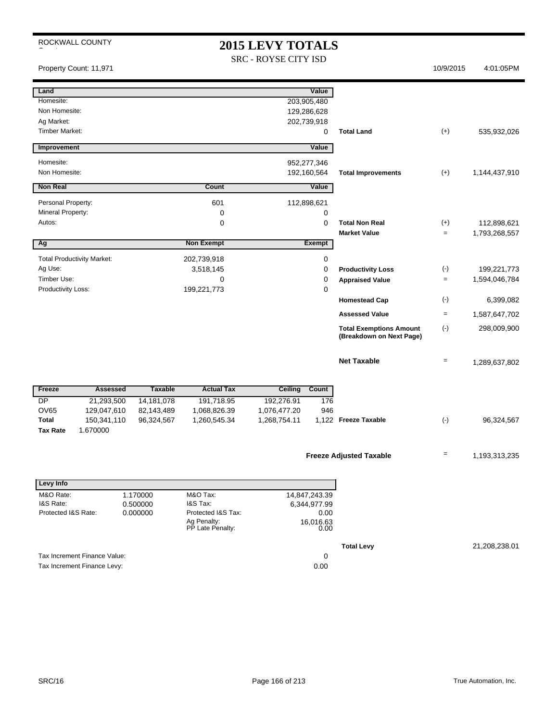# 2015 LEVY TOTALS

|                                                                        |                                 | 2015 LEVY TOTALS                         |                                                            |                   |               |
|------------------------------------------------------------------------|---------------------------------|------------------------------------------|------------------------------------------------------------|-------------------|---------------|
| Property Count: 11,971                                                 |                                 | SRC - ROYSE CITY ISD                     |                                                            | 10/9/2015         | 4:01:05PM     |
| Land                                                                   |                                 | Value                                    |                                                            |                   |               |
| Homesite:                                                              |                                 | 203,905,480                              |                                                            |                   |               |
| Non Homesite:                                                          |                                 | 129,286,628                              |                                                            |                   |               |
| Ag Market:                                                             |                                 | 202,739,918                              |                                                            |                   |               |
| <b>Timber Market:</b>                                                  |                                 | 0                                        | <b>Total Land</b>                                          | $(+)$             | 535,932,026   |
| Improvement                                                            |                                 | Value                                    |                                                            |                   |               |
| Homesite:                                                              |                                 | 952,277,346                              |                                                            |                   |               |
| Non Homesite:                                                          |                                 | 192,160,564                              | <b>Total Improvements</b>                                  | $(+)$             | 1,144,437,910 |
| Non Real                                                               | Count                           | Value                                    |                                                            |                   |               |
| Personal Property:                                                     | 601                             | 112,898,621                              |                                                            |                   |               |
| Mineral Property:                                                      | 0                               | 0                                        |                                                            |                   |               |
| Autos:                                                                 | 0                               | $\mathbf 0$                              | <b>Total Non Real</b><br><b>Market Value</b>               | $(+)$             | 112,898,621   |
| Ag                                                                     | <b>Non Exempt</b>               | <b>Exempt</b>                            |                                                            | $\equiv$          | 1,793,268,557 |
| <b>Total Productivity Market:</b>                                      | 202,739,918                     | 0                                        |                                                            |                   |               |
| Ag Use:                                                                | 3,518,145                       | 0                                        | <b>Productivity Loss</b>                                   | $(\text{-})$      | 199,221,773   |
| Timber Use:                                                            | $\mathbf 0$                     | 0                                        | <b>Appraised Value</b>                                     | $\equiv$          | 1,594,046,784 |
| Productivity Loss:                                                     | 199,221,773                     | 0                                        |                                                            |                   |               |
|                                                                        |                                 |                                          | <b>Homestead Cap</b>                                       | $(\cdot)$         | 6,399,082     |
|                                                                        |                                 |                                          | <b>Assessed Value</b>                                      | $\equiv$          | 1,587,647,702 |
|                                                                        |                                 |                                          | <b>Total Exemptions Amount</b><br>(Breakdown on Next Page) | $(-)$             | 298,009,900   |
|                                                                        |                                 |                                          |                                                            |                   |               |
|                                                                        |                                 |                                          | <b>Net Taxable</b>                                         | $\qquad \qquad =$ | 1,289,637,802 |
|                                                                        |                                 |                                          |                                                            |                   |               |
| Freeze<br><b>Assessed</b><br><b>Taxable</b>                            | <b>Actual Tax</b>               | <b>Ceiling</b><br>Count                  |                                                            |                   |               |
| <b>DP</b><br>21,293,500<br>14,181,078<br>OV65                          | 191,718.95                      | 192,276.91<br>176<br>946<br>1,076,477.20 |                                                            |                   |               |
| 129,047,610<br>82,143,489<br><b>Total</b><br>150,341,110<br>96,324,567 | 1,068,826.39<br>1,260,545.34    | 1,268,754.11                             | 1,122 Freeze Taxable                                       | $(\cdot)$         | 96,324,567    |
| <b>Tax Rate</b><br>1.670000                                            |                                 |                                          |                                                            |                   |               |
|                                                                        |                                 |                                          |                                                            |                   |               |
|                                                                        |                                 |                                          | <b>Freeze Adjusted Taxable</b>                             |                   | 1,193,313,235 |
|                                                                        |                                 |                                          |                                                            |                   |               |
| Levy Info                                                              |                                 |                                          |                                                            |                   |               |
| M&O Rate:<br>1.170000<br>I&S Rate:                                     | M&O Tax:<br>I&S Tax:            | 14,847,243.39                            |                                                            |                   |               |
| 0.500000<br>Protected I&S Rate:<br>0.000000                            | Protected I&S Tax:              | 6,344,977.99<br>0.00                     |                                                            |                   |               |
|                                                                        | Ag Penalty:<br>PP Late Penalty: | 16,016.63                                |                                                            |                   |               |
|                                                                        |                                 | 0.00                                     |                                                            |                   |               |
|                                                                        |                                 |                                          | <b>Total Levy</b>                                          |                   | 21,208,238.01 |
| Tax Increment Finance Value:                                           |                                 | 0                                        |                                                            |                   |               |
| Tax Increment Finance Levy:                                            |                                 | 0.00                                     |                                                            |                   |               |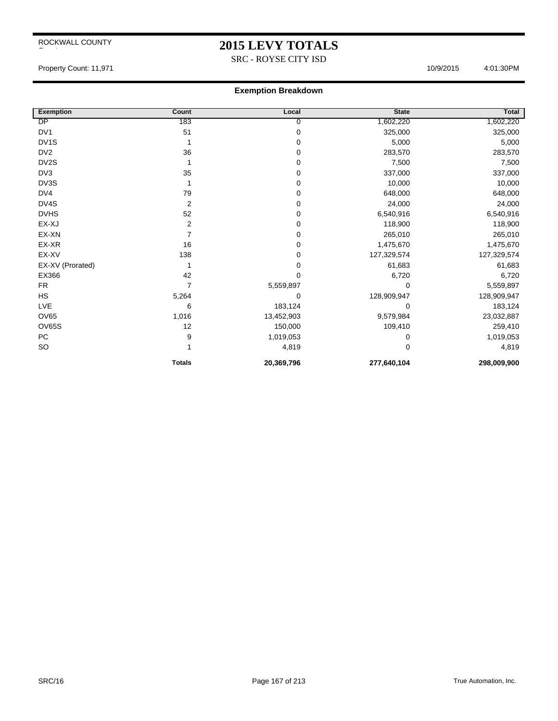# **2015 LEVY TOTALS**

SRC - ROYSE CITY ISD

Property Count: 11,971 10/9/2015 4:01:30PM

| <b>Exemption</b> | Count          | Local       | <b>State</b> | Total       |
|------------------|----------------|-------------|--------------|-------------|
| DP               | 183            | 0           | 1,602,220    | 1,602,220   |
| DV <sub>1</sub>  | 51             | $\pmb{0}$   | 325,000      | 325,000     |
| DV1S             |                | $\pmb{0}$   | 5,000        | 5,000       |
| DV <sub>2</sub>  | 36             | $\pmb{0}$   | 283,570      | 283,570     |
| DV2S             |                | 0           | 7,500        | 7,500       |
| DV3              | 35             | $\pmb{0}$   | 337,000      | 337,000     |
| DV3S             | 1              | 0           | 10,000       | 10,000      |
| DV4              | 79             | $\pmb{0}$   | 648,000      | 648,000     |
| DV4S             | $\overline{2}$ | $\mathbf 0$ | 24,000       | 24,000      |
| <b>DVHS</b>      | 52             | $\pmb{0}$   | 6,540,916    | 6,540,916   |
| EX-XJ            | 2              | $\mathbf 0$ | 118,900      | 118,900     |
| EX-XN            | 7              | $\mathbf 0$ | 265,010      | 265,010     |
| EX-XR            | 16             | 0           | 1,475,670    | 1,475,670   |
| EX-XV            | 138            | $\mathbf 0$ | 127,329,574  | 127,329,574 |
| EX-XV (Prorated) |                | $\mathbf 0$ | 61,683       | 61,683      |
| EX366            | 42             | $\mathbf 0$ | 6,720        | 6,720       |
| <b>FR</b>        | $\overline{7}$ | 5,559,897   | $\Omega$     | 5,559,897   |
| <b>HS</b>        | 5,264          | $\mathbf 0$ | 128,909,947  | 128,909,947 |
| <b>LVE</b>       | 6              | 183,124     | 0            | 183,124     |
| OV65             | 1,016          | 13,452,903  | 9,579,984    | 23,032,887  |
| OV65S            | 12             | 150,000     | 109,410      | 259,410     |
| PC               | 9              | 1,019,053   | 0            | 1,019,053   |
| <b>SO</b>        |                | 4,819       | $\Omega$     | 4,819       |
|                  | <b>Totals</b>  | 20,369,796  | 277,640,104  | 298,009,900 |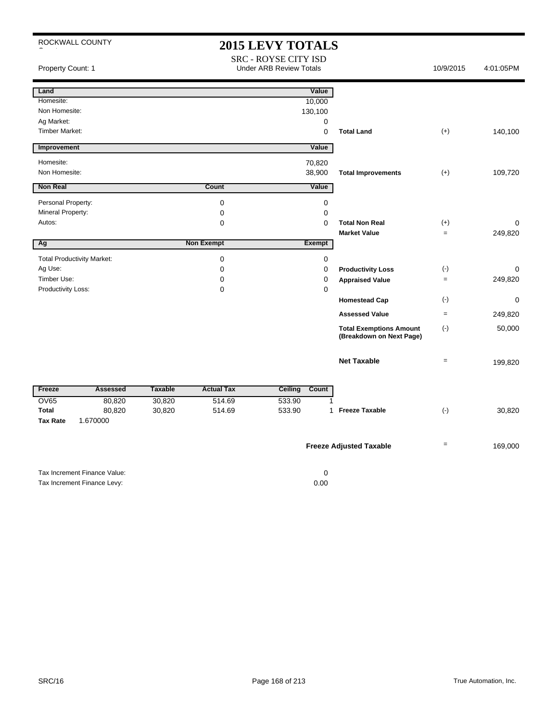|                       | ROCKWALL COUNTY                   |                |                   | <b>2015 LEVY TOTALS</b><br><b>SRC - ROYSE CITY ISD</b> |                                                            |                   |           |
|-----------------------|-----------------------------------|----------------|-------------------|--------------------------------------------------------|------------------------------------------------------------|-------------------|-----------|
| Property Count: 1     |                                   |                |                   | <b>Under ARB Review Totals</b>                         |                                                            | 10/9/2015         | 4:01:05PM |
| Land                  |                                   |                |                   | Value                                                  |                                                            |                   |           |
| Homesite:             |                                   |                |                   | 10,000                                                 |                                                            |                   |           |
| Non Homesite:         |                                   |                |                   | 130,100                                                |                                                            |                   |           |
| Ag Market:            |                                   |                |                   | 0                                                      |                                                            |                   |           |
| <b>Timber Market:</b> |                                   |                |                   | $\mathbf 0$                                            | <b>Total Land</b>                                          | $(+)$             | 140,100   |
| Improvement           |                                   |                |                   | Value                                                  |                                                            |                   |           |
| Homesite:             |                                   |                |                   | 70,820                                                 |                                                            |                   |           |
| Non Homesite:         |                                   |                |                   | 38,900                                                 | <b>Total Improvements</b>                                  | $(+)$             | 109,720   |
| <b>Non Real</b>       |                                   |                | Count             | Value                                                  |                                                            |                   |           |
| Personal Property:    |                                   |                | $\pmb{0}$         | $\pmb{0}$                                              |                                                            |                   |           |
| Mineral Property:     |                                   |                | $\mathbf 0$       | $\mathbf 0$                                            |                                                            |                   |           |
| Autos:                |                                   |                | $\mathbf 0$       | $\mathbf 0$                                            | <b>Total Non Real</b>                                      | $(+)$             | 0         |
|                       |                                   |                |                   |                                                        | <b>Market Value</b>                                        | $=$               | 249,820   |
| Ag                    |                                   |                | <b>Non Exempt</b> | <b>Exempt</b>                                          |                                                            |                   |           |
|                       | <b>Total Productivity Market:</b> |                | $\pmb{0}$         | 0                                                      |                                                            |                   |           |
| Ag Use:               |                                   |                | $\mathbf 0$       | $\mathbf 0$                                            | <b>Productivity Loss</b>                                   | $(\cdot)$         | 0         |
| Timber Use:           |                                   |                | $\mathbf 0$       | $\mathbf 0$                                            | <b>Appraised Value</b>                                     | $\qquad \qquad =$ | 249,820   |
| Productivity Loss:    |                                   |                | $\mathbf 0$       | $\mathbf 0$                                            |                                                            |                   |           |
|                       |                                   |                |                   |                                                        | <b>Homestead Cap</b>                                       | $(\cdot)$         | 0         |
|                       |                                   |                |                   |                                                        | <b>Assessed Value</b>                                      | $\qquad \qquad =$ | 249,820   |
|                       |                                   |                |                   |                                                        | <b>Total Exemptions Amount</b><br>(Breakdown on Next Page) | $(-)$             | 50,000    |
|                       |                                   |                |                   |                                                        | <b>Net Taxable</b>                                         | $=$               | 199,820   |
| Freeze                | <b>Assessed</b>                   | <b>Taxable</b> | <b>Actual Tax</b> | Ceiling<br>Count                                       |                                                            |                   |           |
| <b>OV65</b>           | 80,820                            | 30,820         | 514.69            | 533.90<br>1                                            |                                                            |                   |           |
| <b>Total</b>          | 80,820                            | 30,820         | 514.69            | 533.90<br>$\mathbf 1$                                  | <b>Freeze Taxable</b>                                      | $(\cdot)$         | 30,820    |
| <b>Tax Rate</b>       | 1.670000                          |                |                   |                                                        |                                                            |                   |           |
|                       |                                   |                |                   |                                                        | <b>Freeze Adjusted Taxable</b>                             | $\qquad \qquad =$ | 169,000   |
|                       | Tax Increment Finance Value:      |                |                   | $\pmb{0}$                                              |                                                            |                   |           |
|                       | Tax Increment Finance Levy:       |                |                   | 0.00                                                   |                                                            |                   |           |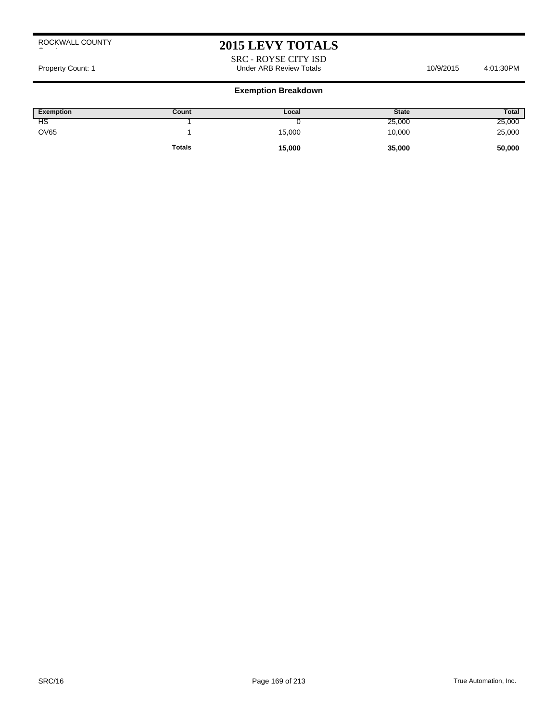# **2015 LEVY TOTALS**

SRC - ROYSE CITY ISD Property Count: 1 **Accord 2011** Count: 1 Count: 1 Count: 1 Count: 1 Count: 1 Count: 1 Count: 1 Count: 1 Count: 1 Count: 1 Count: 1 Count: 1 Count: 1 Count: 1 Count: 1 Count: 1 Count: 1 Count: 1 Count: 1 Count: 1 Count: 1 C

| Exemption   | Count         | Local  | <b>State</b> | Total  |
|-------------|---------------|--------|--------------|--------|
| НS          |               |        | 25,000       | 25,000 |
| <b>OV65</b> |               | 15,000 | 10,000       | 25,000 |
|             | <b>Totals</b> | 15,000 | 35,000       | 50,000 |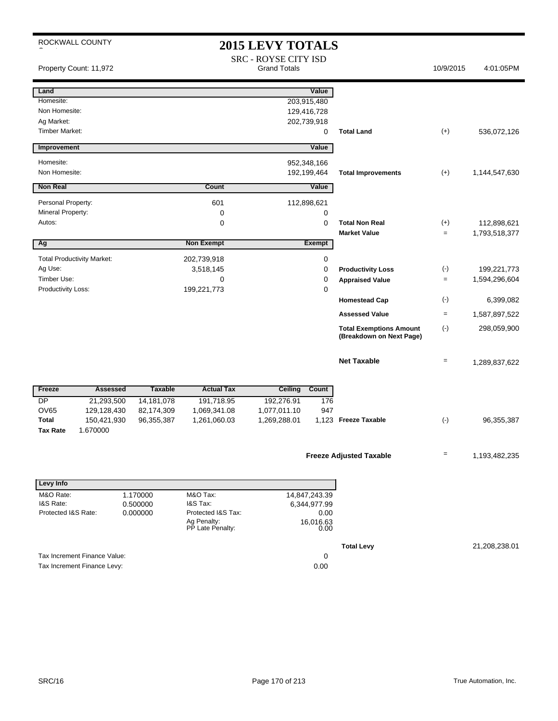| ROCKWALL COUNTY                     |                |                                                       | <b>2015 LEVY TOTALS</b>                            |                            |                                                            |                   |                              |
|-------------------------------------|----------------|-------------------------------------------------------|----------------------------------------------------|----------------------------|------------------------------------------------------------|-------------------|------------------------------|
| Property Count: 11,972              |                |                                                       | <b>SRC - ROYSE CITY ISD</b><br><b>Grand Totals</b> |                            |                                                            | 10/9/2015         | 4:01:05PM                    |
| Land                                |                |                                                       |                                                    | Value                      |                                                            |                   |                              |
| Homesite:                           |                |                                                       |                                                    | 203,915,480                |                                                            |                   |                              |
| Non Homesite:                       |                |                                                       |                                                    | 129,416,728                |                                                            |                   |                              |
| Ag Market:<br><b>Timber Market:</b> |                |                                                       |                                                    | 202,739,918<br>0           | <b>Total Land</b>                                          | $(+)$             | 536,072,126                  |
| Improvement                         |                |                                                       |                                                    | Value                      |                                                            |                   |                              |
|                                     |                |                                                       |                                                    |                            |                                                            |                   |                              |
| Homesite:<br>Non Homesite:          |                |                                                       |                                                    | 952,348,166<br>192,199,464 | <b>Total Improvements</b>                                  | $(+)$             | 1,144,547,630                |
| <b>Non Real</b>                     |                | Count                                                 |                                                    | Value                      |                                                            |                   |                              |
| Personal Property:                  |                | 601                                                   |                                                    | 112,898,621                |                                                            |                   |                              |
| Mineral Property:                   |                | 0                                                     |                                                    | 0                          |                                                            |                   |                              |
| Autos:                              |                | 0                                                     |                                                    | $\mathbf 0$                | <b>Total Non Real</b>                                      | $(+)$             | 112,898,621                  |
|                                     |                | <b>Non Exempt</b>                                     |                                                    | Exempt                     | <b>Market Value</b>                                        | $=$               | 1,793,518,377                |
| Ag                                  |                |                                                       |                                                    |                            |                                                            |                   |                              |
| <b>Total Productivity Market:</b>   |                | 202,739,918                                           |                                                    | 0                          |                                                            |                   |                              |
| Ag Use:<br>Timber Use:              |                | 3,518,145<br>0                                        |                                                    | 0<br>0                     | <b>Productivity Loss</b>                                   | $(-)$<br>$=$      | 199,221,773<br>1,594,296,604 |
| Productivity Loss:                  |                | 199,221,773                                           |                                                    | 0                          | <b>Appraised Value</b>                                     |                   |                              |
|                                     |                |                                                       |                                                    |                            | <b>Homestead Cap</b>                                       | $(-)$             | 6,399,082                    |
|                                     |                |                                                       |                                                    |                            | <b>Assessed Value</b>                                      | $\qquad \qquad =$ | 1,587,897,522                |
|                                     |                |                                                       |                                                    |                            | <b>Total Exemptions Amount</b><br>(Breakdown on Next Page) | $(-)$             | 298,059,900                  |
|                                     |                |                                                       |                                                    |                            | <b>Net Taxable</b>                                         | $=$               | 1,289,837,622                |
| Freeze<br><b>Assessed</b>           | <b>Taxable</b> | <b>Actual Tax</b>                                     | Ceiling Count                                      |                            |                                                            |                   |                              |
| <b>DP</b><br>21,293,500             | 14, 181, 078   | 191,718.95                                            | 192,276.91                                         | 176                        |                                                            |                   |                              |
| <b>OV65</b><br>129,128,430          | 82,174,309     | 1,069,341.08                                          | 1,077,011.10                                       | 947                        |                                                            |                   |                              |
| <b>Total</b><br>150,421,930         | 96,355,387     | 1,261,060.03                                          | 1,269,288.01                                       |                            | 1,123 Freeze Taxable                                       | $(-)$             | 96,355,387                   |
| <b>Tax Rate</b><br>1.670000         |                |                                                       |                                                    |                            |                                                            |                   |                              |
|                                     |                |                                                       |                                                    |                            | <b>Freeze Adjusted Taxable</b>                             | $\equiv$          | 1,193,482,235                |
|                                     |                |                                                       |                                                    |                            |                                                            |                   |                              |
| Levy Info                           |                |                                                       |                                                    |                            |                                                            |                   |                              |
| M&O Rate:                           | 1.170000       | M&O Tax:                                              |                                                    | 14,847,243.39              |                                                            |                   |                              |
| I&S Rate:                           | 0.500000       | I&S Tax:                                              |                                                    | 6,344,977.99               |                                                            |                   |                              |
| Protected I&S Rate:                 | 0.000000       | Protected I&S Tax:<br>Ag Penalty:<br>PP Late Penalty: |                                                    | 0.00<br>16,016.63<br>0.00  |                                                            |                   |                              |
|                                     |                |                                                       |                                                    |                            | <b>Total Levy</b>                                          |                   | 21,208,238.01                |
| Tax Increment Finance Value:        |                |                                                       |                                                    | 0                          |                                                            |                   |                              |
| Tax Increment Finance Levy:         |                |                                                       |                                                    | 0.00                       |                                                            |                   |                              |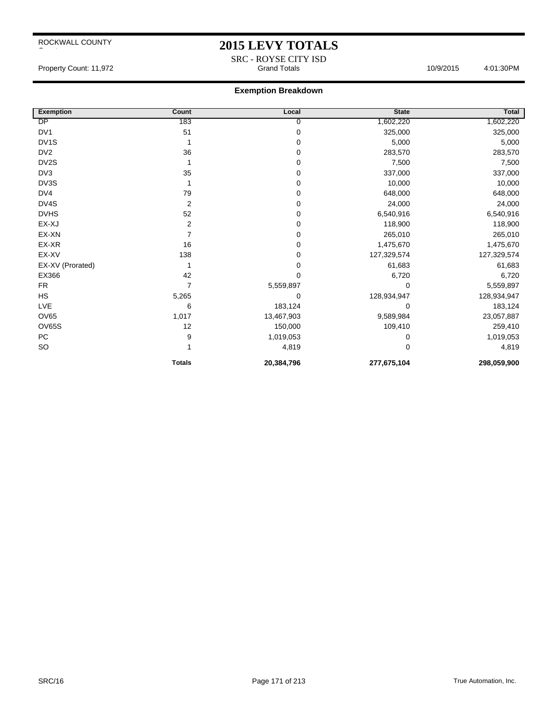## **2015 LEVY TOTALS**

SRC - ROYSE CITY ISD<br>Grand Totals Property Count: 11,972 **Accord Property Count: 11,972** Crand Totals 10/9/2015 4:01:30PM

| <b>Exemption</b>  | Count          | Local      | <b>State</b> | Total       |
|-------------------|----------------|------------|--------------|-------------|
| DP                | 183            | 0          | 1,602,220    | 1,602,220   |
| DV <sub>1</sub>   | 51             | 0          | 325,000      | 325,000     |
| DV <sub>1</sub> S |                | 0          | 5,000        | 5,000       |
| DV <sub>2</sub>   | 36             | 0          | 283,570      | 283,570     |
| DV <sub>2</sub> S |                | 0          | 7,500        | 7,500       |
| DV3               | 35             | 0          | 337,000      | 337,000     |
| DV3S              |                | 0          | 10,000       | 10,000      |
| DV4               | 79             | 0          | 648,000      | 648,000     |
| DV4S              | $\overline{2}$ | 0          | 24,000       | 24,000      |
| <b>DVHS</b>       | 52             | 0          | 6,540,916    | 6,540,916   |
| EX-XJ             | 2              | 0          | 118,900      | 118,900     |
| EX-XN             | 7              | 0          | 265,010      | 265,010     |
| EX-XR             | 16             | 0          | 1,475,670    | 1,475,670   |
| EX-XV             | 138            | 0          | 127,329,574  | 127,329,574 |
| EX-XV (Prorated)  |                | 0          | 61,683       | 61,683      |
| EX366             | 42             | 0          | 6,720        | 6,720       |
| <b>FR</b>         | 7              | 5,559,897  | 0            | 5,559,897   |
| <b>HS</b>         | 5,265          | 0          | 128,934,947  | 128,934,947 |
| LVE               | 6              | 183,124    | 0            | 183,124     |
| OV65              | 1,017          | 13,467,903 | 9,589,984    | 23,057,887  |
| OV65S             | 12             | 150,000    | 109,410      | 259,410     |
| PC                | 9              | 1,019,053  | 0            | 1,019,053   |
| <b>SO</b>         |                | 4,819      | 0            | 4,819       |
|                   | <b>Totals</b>  | 20,384,796 | 277,675,104  | 298,059,900 |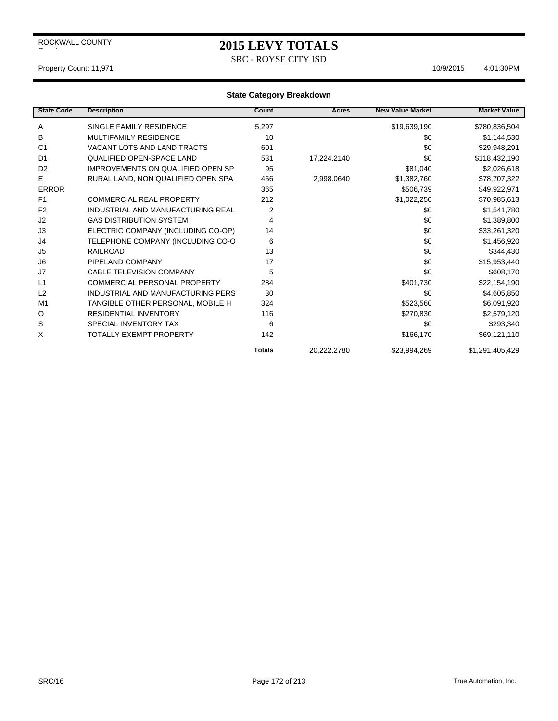SRC - ROYSE CITY ISD

#### Property Count: 11,971 10/9/2015 4:01:30PM

| <b>State Code</b> | <b>Description</b>                  | Count         | <b>Acres</b> | <b>New Value Market</b> | <b>Market Value</b> |
|-------------------|-------------------------------------|---------------|--------------|-------------------------|---------------------|
| Α                 | SINGLE FAMILY RESIDENCE             | 5,297         |              | \$19,639,190            | \$780,836,504       |
| в                 | <b>MULTIFAMILY RESIDENCE</b>        | 10            |              | \$0                     | \$1,144,530         |
| C <sub>1</sub>    | VACANT LOTS AND LAND TRACTS         | 601           |              | \$0                     | \$29,948,291        |
| D <sub>1</sub>    | <b>QUALIFIED OPEN-SPACE LAND</b>    | 531           | 17,224.2140  | \$0                     | \$118,432,190       |
| D <sub>2</sub>    | IMPROVEMENTS ON QUALIFIED OPEN SP   | 95            |              | \$81,040                | \$2,026,618         |
| Е                 | RURAL LAND, NON QUALIFIED OPEN SPA  | 456           | 2,998.0640   | \$1,382,760             | \$78,707,322        |
| <b>ERROR</b>      |                                     | 365           |              | \$506,739               | \$49,922,971        |
| F <sub>1</sub>    | <b>COMMERCIAL REAL PROPERTY</b>     | 212           |              | \$1,022,250             | \$70,985,613        |
| F <sub>2</sub>    | INDUSTRIAL AND MANUFACTURING REAL   | 2             |              | \$0                     | \$1,541,780         |
| J <sub>2</sub>    | <b>GAS DISTRIBUTION SYSTEM</b>      | 4             |              | \$0                     | \$1,389,800         |
| J3                | ELECTRIC COMPANY (INCLUDING CO-OP)  | 14            |              | \$0                     | \$33,261,320        |
| J4                | TELEPHONE COMPANY (INCLUDING CO-O   | 6             |              | \$0                     | \$1,456,920         |
| J <sub>5</sub>    | <b>RAILROAD</b>                     | 13            |              | \$0                     | \$344,430           |
| J <sub>6</sub>    | PIPELAND COMPANY                    | 17            |              | \$0                     | \$15,953,440        |
| J7                | <b>CABLE TELEVISION COMPANY</b>     | 5             |              | \$0                     | \$608,170           |
| L1                | <b>COMMERCIAL PERSONAL PROPERTY</b> | 284           |              | \$401,730               | \$22,154,190        |
| L2                | INDUSTRIAL AND MANUFACTURING PERS   | 30            |              | \$0                     | \$4,605,850         |
| M <sub>1</sub>    | TANGIBLE OTHER PERSONAL, MOBILE H   | 324           |              | \$523,560               | \$6,091,920         |
| O                 | <b>RESIDENTIAL INVENTORY</b>        | 116           |              | \$270,830               | \$2,579,120         |
| S                 | SPECIAL INVENTORY TAX               | 6             |              | \$0                     | \$293,340           |
| Χ                 | TOTALLY EXEMPT PROPERTY             | 142           |              | \$166,170               | \$69,121,110        |
|                   |                                     | <b>Totals</b> | 20.222.2780  | \$23,994,269            | \$1,291,405,429     |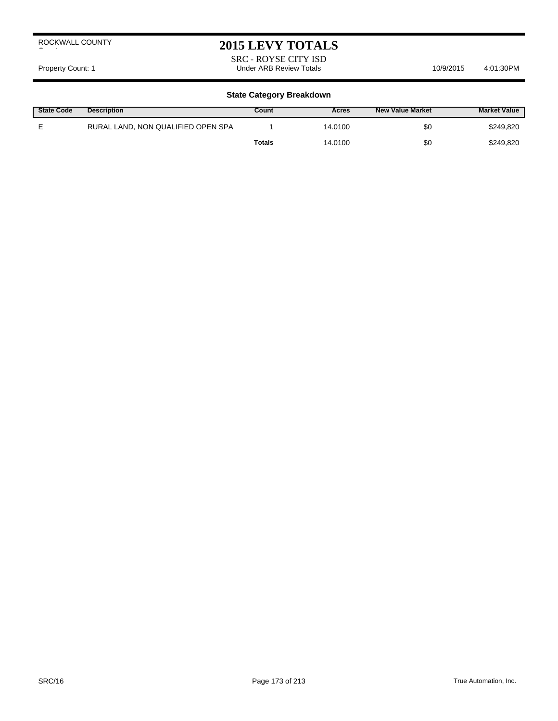## **2015 LEVY TOTALS**

SRC - ROYSE CITY ISD Property Count: 1 **Accord 2018** Under ARB Review Totals **10/9/2015** 4:01:30PM

| <b>State Code</b> | <b>Description</b>                 | Count         | Acres   | <b>New Value Market</b> | <b>Market Value</b> |
|-------------------|------------------------------------|---------------|---------|-------------------------|---------------------|
|                   | RURAL LAND, NON QUALIFIED OPEN SPA |               | 14.0100 | \$0                     | \$249,820           |
|                   |                                    | <b>Totals</b> | 14.0100 | \$0                     | \$249,820           |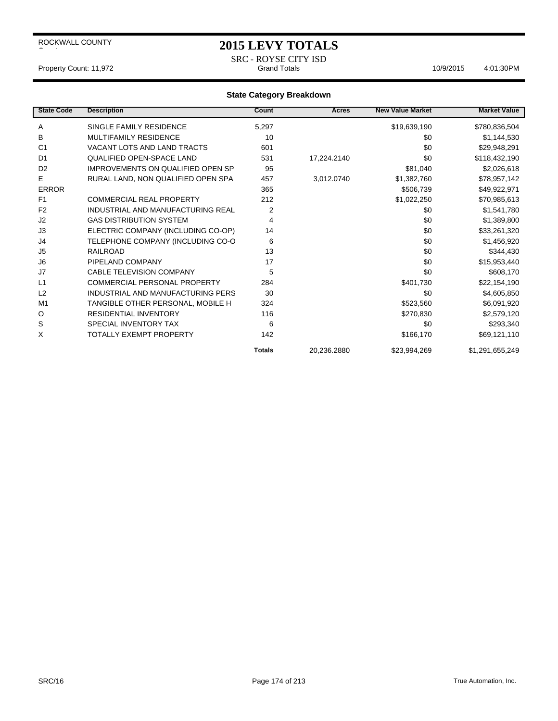## **2015 LEVY TOTALS**

SRC - ROYSE CITY ISD Property Count: 11,972 **Count: 11,972** Crand Totals 10/9/2015 4:01:30PM

| <b>State Code</b> | <b>Description</b>                       | Count          | <b>Acres</b> | <b>New Value Market</b> | <b>Market Value</b> |
|-------------------|------------------------------------------|----------------|--------------|-------------------------|---------------------|
| A                 | SINGLE FAMILY RESIDENCE                  | 5,297          |              | \$19,639,190            | \$780,836,504       |
| В                 | <b>MULTIFAMILY RESIDENCE</b>             | 10             |              | \$0                     | \$1,144,530         |
| C <sub>1</sub>    | VACANT LOTS AND LAND TRACTS              | 601            |              | \$0                     | \$29,948,291        |
| D <sub>1</sub>    | <b>QUALIFIED OPEN-SPACE LAND</b>         | 531            | 17,224.2140  | \$0                     | \$118,432,190       |
| D <sub>2</sub>    | <b>IMPROVEMENTS ON QUALIFIED OPEN SP</b> | 95             |              | \$81,040                | \$2,026,618         |
| E                 | RURAL LAND, NON QUALIFIED OPEN SPA       | 457            | 3,012.0740   | \$1,382,760             | \$78,957,142        |
| <b>ERROR</b>      |                                          | 365            |              | \$506,739               | \$49,922,971        |
| F <sub>1</sub>    | <b>COMMERCIAL REAL PROPERTY</b>          | 212            |              | \$1,022,250             | \$70,985,613        |
| F <sub>2</sub>    | INDUSTRIAL AND MANUFACTURING REAL        | $\overline{2}$ |              | \$0                     | \$1,541,780         |
| J2                | <b>GAS DISTRIBUTION SYSTEM</b>           | 4              |              | \$0                     | \$1,389,800         |
| J3                | ELECTRIC COMPANY (INCLUDING CO-OP)       | 14             |              | \$0                     | \$33,261,320        |
| J4                | TELEPHONE COMPANY (INCLUDING CO-O        | 6              |              | \$0                     | \$1,456,920         |
| J <sub>5</sub>    | <b>RAILROAD</b>                          | 13             |              | \$0                     | \$344,430           |
| J <sub>6</sub>    | PIPELAND COMPANY                         | 17             |              | \$0                     | \$15,953,440        |
| J7                | <b>CABLE TELEVISION COMPANY</b>          | 5              |              | \$0                     | \$608,170           |
| L1                | <b>COMMERCIAL PERSONAL PROPERTY</b>      | 284            |              | \$401,730               | \$22,154,190        |
| L2                | INDUSTRIAL AND MANUFACTURING PERS        | 30             |              | \$0                     | \$4,605,850         |
| M <sub>1</sub>    | TANGIBLE OTHER PERSONAL, MOBILE H        | 324            |              | \$523,560               | \$6,091,920         |
| O                 | <b>RESIDENTIAL INVENTORY</b>             | 116            |              | \$270,830               | \$2,579,120         |
| S                 | SPECIAL INVENTORY TAX                    | 6              |              | \$0                     | \$293,340           |
| X                 | TOTALLY EXEMPT PROPERTY                  | 142            |              | \$166,170               | \$69,121,110        |
|                   |                                          | <b>Totals</b>  | 20.236.2880  | \$23,994,269            | \$1,291,655,249     |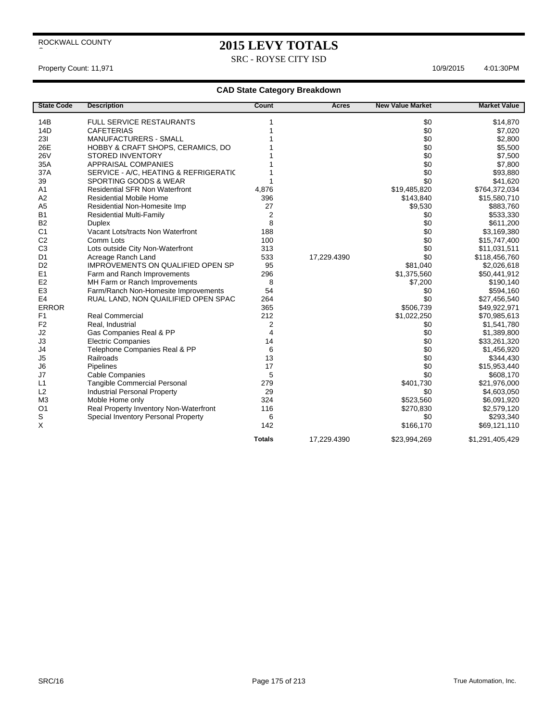SRC - ROYSE CITY ISD

## Property Count: 11,971 10/9/2015 4:01:30PM

| <b>State Code</b> | <b>Description</b>                       | Count            | Acres       | <b>New Value Market</b> | <b>Market Value</b> |
|-------------------|------------------------------------------|------------------|-------------|-------------------------|---------------------|
| 14B               | <b>FULL SERVICE RESTAURANTS</b>          |                  |             | \$0                     | \$14,870            |
| 14D               | <b>CAFETERIAS</b>                        |                  |             | \$0                     | \$7,020             |
| 231               | <b>MANUFACTURERS - SMALL</b>             |                  |             | \$0                     | \$2,800             |
| 26E               | HOBBY & CRAFT SHOPS, CERAMICS, DO        |                  |             | \$0                     | \$5,500             |
| <b>26V</b>        | <b>STORED INVENTORY</b>                  |                  |             | \$0                     | \$7,500             |
| 35A               | <b>APPRAISAL COMPANIES</b>               |                  |             | \$0                     | \$7,800             |
| 37A               | SERVICE - A/C, HEATING & REFRIGERATIC    |                  |             | \$0                     | \$93,880            |
| 39                | SPORTING GOODS & WEAR                    |                  |             | \$0                     | \$41,620            |
| A <sub>1</sub>    | <b>Residential SFR Non Waterfront</b>    | 4,876            |             | \$19,485,820            | \$764,372,034       |
| A2                | <b>Residential Mobile Home</b>           | 396              |             | \$143,840               | \$15,580,710        |
| A <sub>5</sub>    | Residential Non-Homesite Imp             | 27               |             | \$9,530                 | \$883,760           |
| <b>B1</b>         | <b>Residential Multi-Family</b>          | $\boldsymbol{2}$ |             | \$0                     | \$533,330           |
| <b>B2</b>         | <b>Duplex</b>                            | 8                |             | \$0                     | \$611,200           |
| C <sub>1</sub>    | Vacant Lots/tracts Non Waterfront        | 188              |             | \$0                     | \$3,169,380         |
| C <sub>2</sub>    | Comm Lots                                | 100              |             | \$0                     | \$15,747,400        |
| C <sub>3</sub>    | Lots outside City Non-Waterfront         | 313              |             | \$0                     | \$11,031,511        |
| D <sub>1</sub>    | Acreage Ranch Land                       | 533              | 17,229.4390 | \$0                     | \$118,456,760       |
| D <sub>2</sub>    | <b>IMPROVEMENTS ON QUALIFIED OPEN SP</b> | 95               |             | \$81,040                | \$2,026,618         |
| E1                | Farm and Ranch Improvements              | 296              |             | \$1,375,560             | \$50,441,912        |
| E <sub>2</sub>    | MH Farm or Ranch Improvements            | 8                |             | \$7,200                 | \$190,140           |
| E <sub>3</sub>    | Farm/Ranch Non-Homesite Improvements     | 54               |             | \$0                     | \$594,160           |
| E <sub>4</sub>    | RUAL LAND, NON QUAILIFIED OPEN SPAC      | 264              |             | \$0                     | \$27,456,540        |
| <b>ERROR</b>      |                                          | 365              |             | \$506,739               | \$49,922,971        |
| F1                | <b>Real Commercial</b>                   | 212              |             | \$1,022,250             | \$70,985,613        |
| F <sub>2</sub>    | Real. Industrial                         | 2                |             | \$0                     | \$1,541,780         |
| J2                | Gas Companies Real & PP                  | 4                |             | \$0                     | \$1,389,800         |
| J3                | <b>Electric Companies</b>                | 14               |             | \$0                     | \$33,261,320        |
| J4                | Telephone Companies Real & PP            | 6                |             | \$0                     | \$1,456,920         |
| J <sub>5</sub>    | Railroads                                | 13               |             | \$0                     | \$344,430           |
| J6                | Pipelines                                | 17               |             | \$0                     | \$15,953,440        |
| J7                | <b>Cable Companies</b>                   | 5                |             | \$0                     | \$608,170           |
| L1                | Tangible Commercial Personal             | 279              |             | \$401,730               | \$21,976,000        |
| L2                | <b>Industrial Personal Property</b>      | 29               |             | \$0                     | \$4,603,050         |
| M <sub>3</sub>    | Moble Home only                          | 324              |             | \$523,560               | \$6,091,920         |
| O <sub>1</sub>    | Real Property Inventory Non-Waterfront   | 116              |             | \$270,830               | \$2,579,120         |
| S                 | Special Inventory Personal Property      | 6                |             | \$0                     | \$293,340           |
| X                 |                                          | 142              |             | \$166,170               | \$69,121,110        |
|                   |                                          | <b>Totals</b>    | 17,229.4390 | \$23,994,269            | \$1,291,405,429     |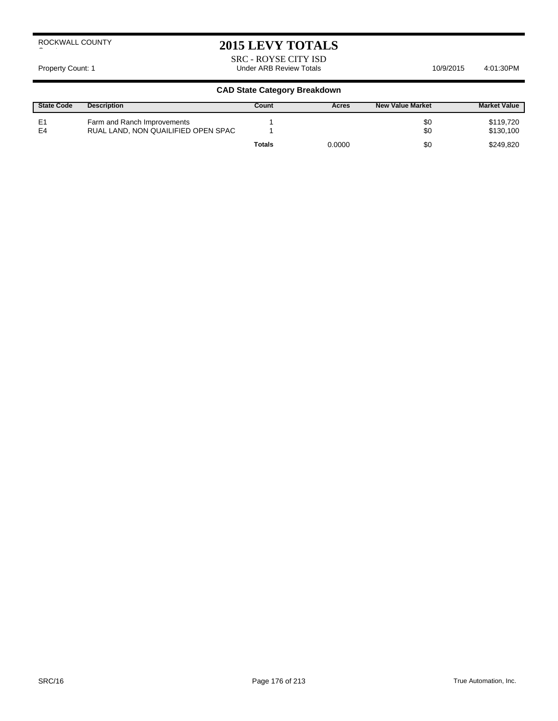# **2015 LEVY TOTALS**

SRC - ROYSE CITY ISD Property Count: 1 **Accord 2011** Under ARB Review Totals **10/9/2015** 4:01:30PM

| <b>State Code</b>    | <b>Description</b>                                                 | Count         | Acres  | <b>New Value Market</b> | <b>Market Value</b>    |
|----------------------|--------------------------------------------------------------------|---------------|--------|-------------------------|------------------------|
| E <sub>1</sub><br>E4 | Farm and Ranch Improvements<br>RUAL LAND, NON QUAILIFIED OPEN SPAC |               |        | \$0<br>\$0              | \$119,720<br>\$130,100 |
|                      |                                                                    | <b>Totals</b> | 0.0000 | \$0                     | \$249.820              |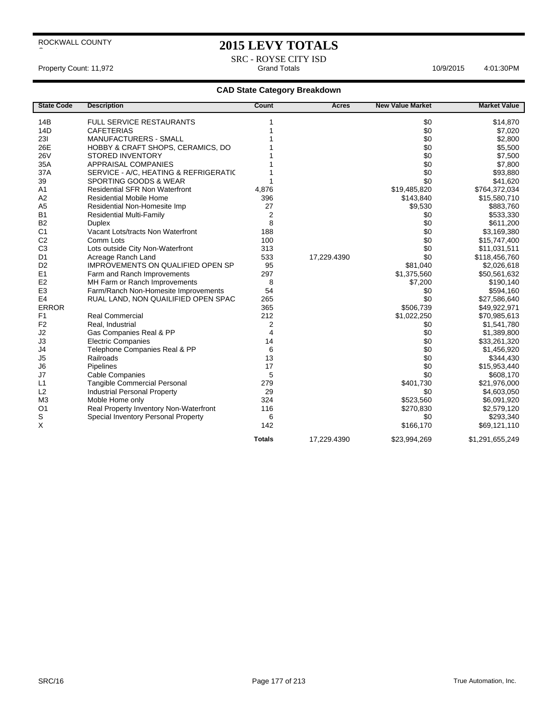# **2015 LEVY TOTALS**

SRC - ROYSE CITY ISD Property Count: 11,972 **Accord Property Count: 11,972** Grand Totals **6:000 Count: 11,972** Accord 2:01:30PM

| <b>State Code</b> | <b>Description</b>                     | Count         | Acres       | <b>New Value Market</b> | <b>Market Value</b> |
|-------------------|----------------------------------------|---------------|-------------|-------------------------|---------------------|
| 14B               | <b>FULL SERVICE RESTAURANTS</b>        |               |             | \$0                     | \$14,870            |
| 14D               | <b>CAFETERIAS</b>                      |               |             | \$0                     | \$7,020             |
| 231               | <b>MANUFACTURERS - SMALL</b>           |               |             | \$0                     | \$2,800             |
| 26E               | HOBBY & CRAFT SHOPS, CERAMICS, DO      |               |             | \$0                     | \$5,500             |
| <b>26V</b>        | <b>STORED INVENTORY</b>                |               |             | \$0                     | \$7,500             |
| 35A               | APPRAISAL COMPANIES                    |               |             | \$0                     | \$7,800             |
| 37A               | SERVICE - A/C, HEATING & REFRIGERATIC  |               |             | \$0                     | \$93,880            |
| 39                | SPORTING GOODS & WEAR                  |               |             | \$0                     | \$41,620            |
| A <sub>1</sub>    | <b>Residential SFR Non Waterfront</b>  | 4,876         |             | \$19,485,820            | \$764,372,034       |
| A2                | <b>Residential Mobile Home</b>         | 396           |             | \$143,840               | \$15,580,710        |
| A <sub>5</sub>    | Residential Non-Homesite Imp           | 27            |             | \$9,530                 | \$883,760           |
| <b>B1</b>         | <b>Residential Multi-Family</b>        | 2             |             | \$0                     | \$533,330           |
| <b>B2</b>         | <b>Duplex</b>                          | 8             |             | \$0                     | \$611,200           |
| C <sub>1</sub>    | Vacant Lots/tracts Non Waterfront      | 188           |             | \$0                     | \$3,169,380         |
| C <sub>2</sub>    | Comm Lots                              | 100           |             | \$0                     | \$15,747,400        |
| C <sub>3</sub>    | Lots outside City Non-Waterfront       | 313           |             | \$0                     | \$11,031,511        |
| D <sub>1</sub>    | Acreage Ranch Land                     | 533           | 17,229.4390 | \$0                     | \$118,456,760       |
| D <sub>2</sub>    | IMPROVEMENTS ON QUALIFIED OPEN SP      | 95            |             | \$81,040                | \$2,026,618         |
| E1                | Farm and Ranch Improvements            | 297           |             | \$1,375,560             | \$50,561,632        |
| E <sub>2</sub>    | MH Farm or Ranch Improvements          | 8             |             | \$7,200                 | \$190,140           |
| E <sub>3</sub>    | Farm/Ranch Non-Homesite Improvements   | 54            |             | \$0                     | \$594,160           |
| E <sub>4</sub>    | RUAL LAND, NON QUAILIFIED OPEN SPAC    | 265           |             | \$0                     | \$27,586,640        |
| <b>ERROR</b>      |                                        | 365           |             | \$506,739               | \$49,922,971        |
| F <sub>1</sub>    | <b>Real Commercial</b>                 | 212           |             | \$1,022,250             | \$70,985,613        |
| F <sub>2</sub>    | Real, Industrial                       | 2             |             | \$0                     | \$1,541,780         |
| J2                | Gas Companies Real & PP                | 4             |             | \$0                     | \$1,389,800         |
| J3                | <b>Electric Companies</b>              | 14            |             | \$0                     | \$33,261,320        |
| J4                | Telephone Companies Real & PP          | 6             |             | \$0                     | \$1,456,920         |
| J <sub>5</sub>    | Railroads                              | 13            |             | \$0                     | \$344,430           |
| J6                | Pipelines                              | 17            |             | \$0                     | \$15,953,440        |
| J7                | Cable Companies                        | 5             |             | \$0                     | \$608,170           |
| L1                | Tangible Commercial Personal           | 279           |             | \$401,730               | \$21,976,000        |
| L2                | <b>Industrial Personal Property</b>    | 29            |             | \$0                     | \$4,603,050         |
| M <sub>3</sub>    | Moble Home only                        | 324           |             | \$523,560               | \$6,091,920         |
| O <sub>1</sub>    | Real Property Inventory Non-Waterfront | 116           |             | \$270,830               | \$2,579,120         |
| S                 | Special Inventory Personal Property    | 6             |             | \$0                     | \$293,340           |
| X                 |                                        | 142           |             | \$166,170               | \$69,121,110        |
|                   |                                        | <b>Totals</b> | 17,229.4390 | \$23,994,269            | \$1,291,655,249     |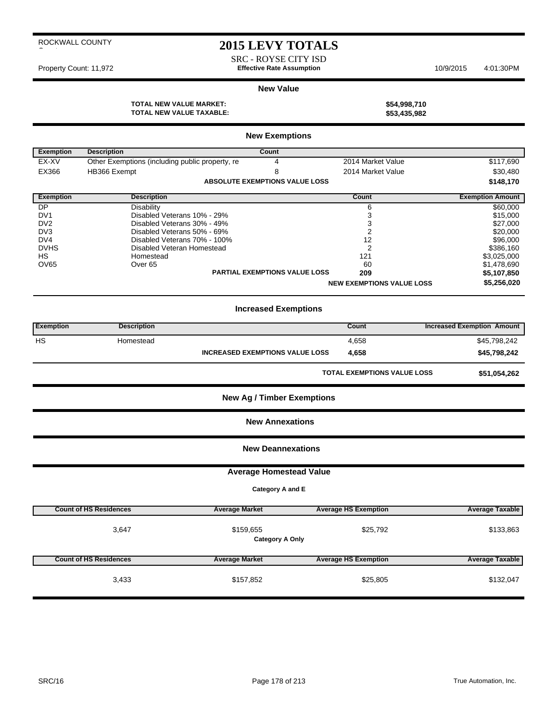SRC - ROYSE CITY ISD Property Count: 11,972 **Effective Rate Assumption** 10/9/2015 4:01:30PM

#### **New Value**

**TOTAL NEW VALUE MARKET: \$54,998,710 TOTAL NEW VALUE TAXABLE: \$53,435,982**

| <b>New Exemptions</b> |                                                 |                                        |                                    |                                   |  |  |  |
|-----------------------|-------------------------------------------------|----------------------------------------|------------------------------------|-----------------------------------|--|--|--|
| <b>Exemption</b>      | <b>Description</b>                              | <b>Count</b>                           |                                    |                                   |  |  |  |
| EX-XV                 | Other Exemptions (including public property, re | 4                                      | 2014 Market Value                  | \$117,690                         |  |  |  |
| EX366                 | HB366 Exempt                                    | 8                                      | 2014 Market Value                  | \$30,480                          |  |  |  |
|                       |                                                 | <b>ABSOLUTE EXEMPTIONS VALUE LOSS</b>  |                                    | \$148,170                         |  |  |  |
| <b>Exemption</b>      | <b>Description</b>                              |                                        | Count                              | <b>Exemption Amount</b>           |  |  |  |
| DP                    | <b>Disability</b>                               |                                        | 6                                  | \$60,000                          |  |  |  |
| DV <sub>1</sub>       | Disabled Veterans 10% - 29%                     |                                        | 3                                  | \$15,000                          |  |  |  |
| DV <sub>2</sub>       | Disabled Veterans 30% - 49%                     |                                        | 3                                  | \$27,000                          |  |  |  |
| DV <sub>3</sub>       | Disabled Veterans 50% - 69%                     |                                        | $\overline{2}$                     | \$20,000                          |  |  |  |
| DV4                   | Disabled Veterans 70% - 100%                    |                                        | 12                                 | \$96,000                          |  |  |  |
| <b>DVHS</b>           | Disabled Veteran Homestead                      |                                        | $\overline{2}$                     | \$386,160<br>\$3,025,000          |  |  |  |
| <b>HS</b>             | Homestead<br>121                                |                                        |                                    |                                   |  |  |  |
| OV65                  | Over <sub>65</sub>                              |                                        | 60                                 | \$1,478,690                       |  |  |  |
|                       |                                                 | PARTIAL EXEMPTIONS VALUE LOSS          | 209                                | \$5,107,850                       |  |  |  |
|                       |                                                 |                                        | <b>NEW EXEMPTIONS VALUE LOSS</b>   | \$5,256,020                       |  |  |  |
|                       |                                                 | <b>Increased Exemptions</b>            |                                    |                                   |  |  |  |
| <b>Exemption</b>      | <b>Description</b>                              |                                        | Count                              | <b>Increased Exemption Amount</b> |  |  |  |
| HS                    | Homestead                                       |                                        | 4,658                              | \$45,798,242                      |  |  |  |
|                       |                                                 | <b>INCREASED EXEMPTIONS VALUE LOSS</b> | 4,658                              | \$45,798,242                      |  |  |  |
|                       |                                                 |                                        | <b>TOTAL EXEMPTIONS VALUE LOSS</b> | \$51,054,262                      |  |  |  |
|                       |                                                 | <b>New Ag / Timber Exemptions</b>      |                                    |                                   |  |  |  |
|                       |                                                 | <b>New Annexations</b>                 |                                    |                                   |  |  |  |
|                       |                                                 | <b>New Deannexations</b>               |                                    |                                   |  |  |  |
|                       |                                                 | <b>Average Homestead Value</b>         |                                    |                                   |  |  |  |
|                       |                                                 | Category A and E                       |                                    |                                   |  |  |  |
|                       |                                                 |                                        |                                    |                                   |  |  |  |
|                       | <b>Count of HS Residences</b>                   | <b>Average Market</b>                  | <b>Average HS Exemption</b>        | <b>Average Taxable</b>            |  |  |  |
|                       | 3,647                                           | \$159,655<br><b>Category A Only</b>    | \$25,792                           | \$133,863                         |  |  |  |
|                       | <b>Count of HS Residences</b>                   | <b>Average Market</b>                  | <b>Average HS Exemption</b>        | <b>Average Taxable</b>            |  |  |  |
|                       | 3,433                                           | \$157,852                              | \$25,805                           | \$132,047                         |  |  |  |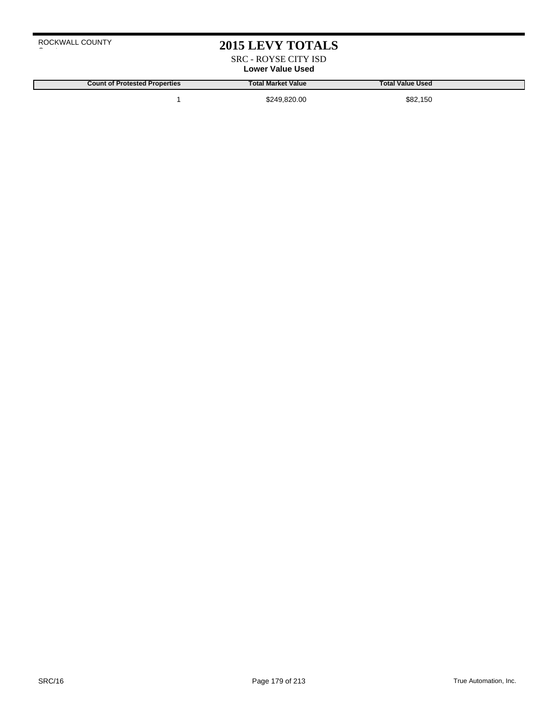SRC - ROYSE CITY ISD **Lower Value Used**

**Count of Protested Properties Total Market Value Total Value Used**

1 \$249,820.00 \$82,150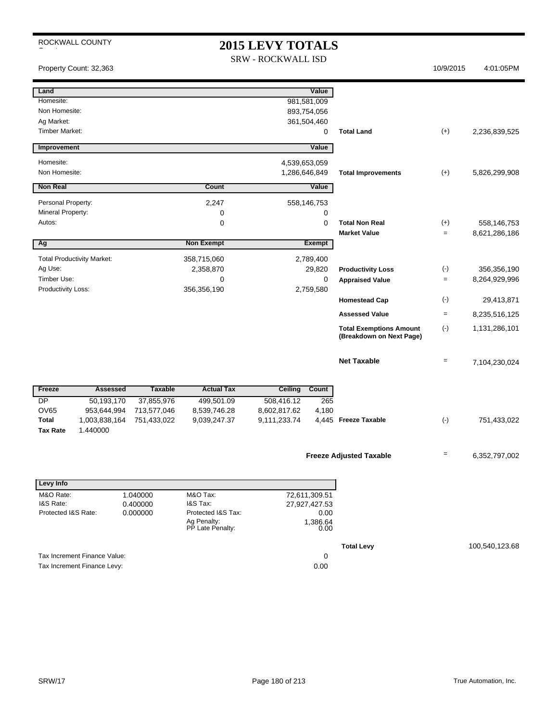| ROCKWALL COUNTY<br><b>2015 LEVY TOTALS</b> |                                   |                          |                                                       |                           |                            |                                                            |                                |                |
|--------------------------------------------|-----------------------------------|--------------------------|-------------------------------------------------------|---------------------------|----------------------------|------------------------------------------------------------|--------------------------------|----------------|
|                                            |                                   |                          |                                                       | <b>SRW - ROCKWALL ISD</b> |                            |                                                            | 10/9/2015                      |                |
|                                            | Property Count: 32,363            |                          |                                                       |                           |                            |                                                            |                                | 4:01:05PM      |
| Land                                       |                                   |                          |                                                       |                           | Value                      |                                                            |                                |                |
| Homesite:                                  |                                   |                          |                                                       |                           | 981,581,009                |                                                            |                                |                |
| Non Homesite:<br>Ag Market:                |                                   |                          |                                                       |                           | 893,754,056<br>361,504,460 |                                                            |                                |                |
| <b>Timber Market:</b>                      |                                   |                          |                                                       |                           | 0                          | <b>Total Land</b>                                          | $(+)$                          | 2,236,839,525  |
| Improvement                                |                                   |                          |                                                       |                           | Value                      |                                                            |                                |                |
| Homesite:                                  |                                   |                          |                                                       |                           |                            |                                                            |                                |                |
| Non Homesite:                              |                                   |                          | 4,539,653,059<br>1,286,646,849                        |                           |                            | <b>Total Improvements</b>                                  | $(+)$                          | 5,826,299,908  |
| <b>Non Real</b>                            |                                   |                          | Count                                                 |                           | Value                      |                                                            |                                |                |
| Personal Property:                         |                                   |                          | 2,247                                                 |                           | 558,146,753                |                                                            |                                |                |
| Mineral Property:                          |                                   |                          | 0                                                     |                           | 0                          |                                                            |                                |                |
| Autos:                                     |                                   |                          | 0                                                     |                           | 0                          | <b>Total Non Real</b>                                      | $(+)$                          | 558,146,753    |
|                                            |                                   |                          |                                                       |                           |                            | <b>Market Value</b>                                        | $=$                            | 8,621,286,186  |
| Ag                                         |                                   | <b>Non Exempt</b>        |                                                       | Exempt                    |                            |                                                            |                                |                |
|                                            | <b>Total Productivity Market:</b> |                          | 358,715,060                                           | 2,789,400                 |                            |                                                            |                                |                |
| Ag Use:                                    |                                   |                          | 2,358,870                                             | 29,820                    |                            | <b>Productivity Loss</b>                                   | $(\cdot)$                      | 356,356,190    |
| Timber Use:                                |                                   |                          | 0<br>0                                                |                           | <b>Appraised Value</b>     | $\equiv$                                                   | 8,264,929,996                  |                |
| Productivity Loss:                         |                                   | 356,356,190<br>2,759,580 |                                                       |                           |                            |                                                            |                                |                |
|                                            |                                   |                          |                                                       |                           |                            | <b>Homestead Cap</b>                                       | $(-)$                          | 29,413,871     |
|                                            |                                   |                          |                                                       |                           |                            | <b>Assessed Value</b>                                      | $\equiv$                       | 8,235,516,125  |
|                                            |                                   |                          |                                                       |                           |                            | <b>Total Exemptions Amount</b><br>(Breakdown on Next Page) | $(-)$                          | 1,131,286,101  |
|                                            |                                   |                          |                                                       |                           |                            | <b>Net Taxable</b>                                         | $\qquad \qquad =\qquad \qquad$ | 7,104,230,024  |
| Freeze                                     | <b>Assessed</b>                   | <b>Taxable</b>           | <b>Actual Tax</b>                                     | <b>Ceiling</b>            | Count                      |                                                            |                                |                |
| <b>DP</b>                                  | 50,193,170                        | 37,855,976               | 499,501.09                                            | 508,416.12                | 265                        |                                                            |                                |                |
| <b>OV65</b>                                | 953,644,994                       | 713,577,046              | 8,539,746.28                                          | 8,602,817.62              | 4,180                      |                                                            |                                |                |
| <b>Total</b><br><b>Tax Rate</b>            | 1,003,838,164<br>1.440000         | 751,433,022              | 9,039,247.37                                          | 9,111,233.74              |                            | 4,445 Freeze Taxable                                       | $(\cdot)$                      | 751,433,022    |
|                                            |                                   |                          |                                                       |                           |                            | <b>Freeze Adjusted Taxable</b>                             | $=$                            | 6,352,797,002  |
| Levy Info                                  |                                   |                          |                                                       |                           |                            |                                                            |                                |                |
| M&O Rate:                                  |                                   | 1.040000                 | M&O Tax:                                              |                           | 72,611,309.51              |                                                            |                                |                |
| I&S Rate:                                  |                                   | 0.400000                 | I&S Tax:                                              |                           | 27,927,427.53              |                                                            |                                |                |
| Protected I&S Rate:                        |                                   | 0.000000                 | Protected I&S Tax:<br>Ag Penalty:<br>PP Late Penalty: |                           | 0.00<br>1,386.64<br>0.00   |                                                            |                                |                |
|                                            |                                   |                          |                                                       |                           |                            | <b>Total Levy</b>                                          |                                | 100,540,123.68 |
|                                            | Tax Increment Finance Value:      |                          |                                                       |                           | 0                          |                                                            |                                |                |
| Tax Increment Finance Levy:                |                                   |                          |                                                       |                           | 0.00                       |                                                            |                                |                |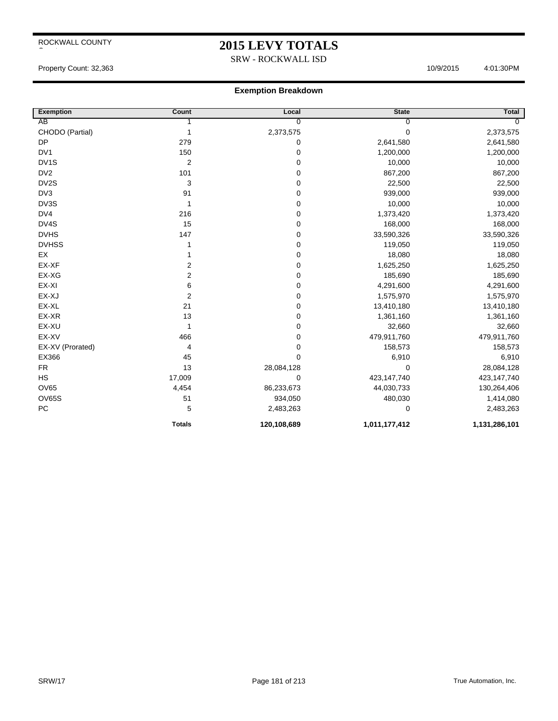## **2015 LEVY TOTALS**

SRW - ROCKWALL ISD

#### Property Count: 32,363 4:01:30PM

| <b>Exemption</b>  | Count                   | Local          | <b>State</b>  | <b>Total</b>  |
|-------------------|-------------------------|----------------|---------------|---------------|
| AB                |                         | $\overline{0}$ | 0             | 0             |
| CHODO (Partial)   | 1                       | 2,373,575      | 0             | 2,373,575     |
| <b>DP</b>         | 279                     | 0              | 2,641,580     | 2,641,580     |
| DV1               | 150                     | 0              | 1,200,000     | 1,200,000     |
| DV <sub>1</sub> S | $\overline{2}$          | 0              | 10,000        | 10,000        |
| DV <sub>2</sub>   | 101                     | 0              | 867,200       | 867,200       |
| DV2S              | 3                       | 0              | 22,500        | 22,500        |
| DV3               | 91                      | 0              | 939,000       | 939,000       |
| DV3S              | 1                       | 0              | 10,000        | 10,000        |
| DV4               | 216                     | 0              | 1,373,420     | 1,373,420     |
| DV4S              | 15                      | 0              | 168,000       | 168,000       |
| <b>DVHS</b>       | 147                     | 0              | 33,590,326    | 33,590,326    |
| <b>DVHSS</b>      | 1                       | 0              | 119,050       | 119,050       |
| EX                |                         | 0              | 18,080        | 18,080        |
| EX-XF             | $\overline{2}$          | 0              | 1,625,250     | 1,625,250     |
| EX-XG             | $\overline{\mathbf{c}}$ | 0              | 185,690       | 185,690       |
| EX-XI             | 6                       | 0              | 4,291,600     | 4,291,600     |
| EX-XJ             | $\boldsymbol{2}$        | 0              | 1,575,970     | 1,575,970     |
| EX-XL             | 21                      | 0              | 13,410,180    | 13,410,180    |
| EX-XR             | 13                      | 0              | 1,361,160     | 1,361,160     |
| EX-XU             | 1                       | 0              | 32,660        | 32,660        |
| EX-XV             | 466                     | 0              | 479,911,760   | 479,911,760   |
| EX-XV (Prorated)  | 4                       | 0              | 158,573       | 158,573       |
| EX366             | 45                      | 0              | 6,910         | 6,910         |
| FR                | 13                      | 28,084,128     | 0             | 28,084,128    |
| HS                | 17,009                  | 0              | 423,147,740   | 423,147,740   |
| <b>OV65</b>       | 4,454                   | 86,233,673     | 44,030,733    | 130,264,406   |
| <b>OV65S</b>      | 51                      | 934,050        | 480,030       | 1,414,080     |
| PC                | 5                       | 2,483,263      | 0             | 2,483,263     |
|                   | <b>Totals</b>           | 120,108,689    | 1,011,177,412 | 1,131,286,101 |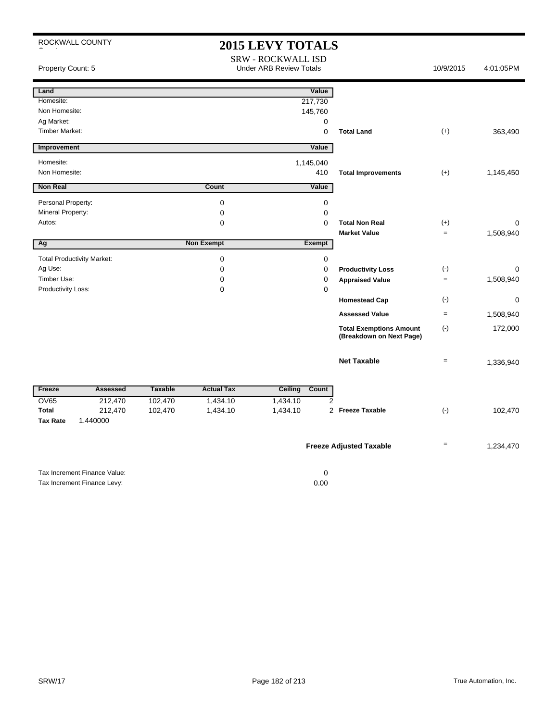| ROCKWALL COUNTY                     |                              |                |                            | <b>2015 LEVY TOTALS</b><br><b>SRW - ROCKWALL ISD</b> |                                                            |                   |           |
|-------------------------------------|------------------------------|----------------|----------------------------|------------------------------------------------------|------------------------------------------------------------|-------------------|-----------|
| Property Count: 5                   |                              |                |                            | <b>Under ARB Review Totals</b>                       |                                                            | 10/9/2015         | 4:01:05PM |
| Land                                |                              |                |                            | Value                                                |                                                            |                   |           |
| Homesite:                           |                              |                |                            | 217,730                                              |                                                            |                   |           |
| Non Homesite:                       |                              |                |                            | 145,760                                              |                                                            |                   |           |
| Ag Market:<br><b>Timber Market:</b> |                              |                |                            | $\mathbf 0$                                          |                                                            |                   |           |
|                                     |                              |                |                            | $\mathbf 0$                                          | <b>Total Land</b>                                          | $(+)$             | 363,490   |
| Improvement                         |                              |                |                            | Value                                                |                                                            |                   |           |
| Homesite:                           |                              |                |                            | 1,145,040                                            |                                                            |                   |           |
| Non Homesite:                       |                              |                |                            | 410                                                  | <b>Total Improvements</b>                                  | $(+)$             | 1,145,450 |
| <b>Non Real</b>                     |                              |                | Count                      | Value                                                |                                                            |                   |           |
|                                     |                              |                |                            |                                                      |                                                            |                   |           |
| Personal Property:                  |                              |                | $\mathbf 0$                | $\mathbf 0$<br>$\mathbf 0$                           |                                                            |                   |           |
| Mineral Property:<br>Autos:         |                              |                | $\mathbf 0$<br>$\mathbf 0$ | $\Omega$                                             | <b>Total Non Real</b>                                      | $(+)$             | 0         |
|                                     |                              |                |                            |                                                      | <b>Market Value</b>                                        | $=$               | 1,508,940 |
| Ag                                  |                              |                | <b>Non Exempt</b>          | Exempt                                               |                                                            |                   |           |
| <b>Total Productivity Market:</b>   |                              |                |                            |                                                      |                                                            |                   |           |
| Ag Use:                             |                              |                | $\mathbf 0$<br>$\mathbf 0$ | $\mathbf 0$<br>$\mathbf 0$                           | <b>Productivity Loss</b>                                   | $(-)$             | 0         |
| Timber Use:                         |                              |                | $\mathbf 0$                | $\mathbf 0$                                          | <b>Appraised Value</b>                                     | $=$               | 1,508,940 |
| Productivity Loss:                  |                              |                | 0                          | $\mathbf 0$                                          |                                                            |                   |           |
|                                     |                              |                |                            |                                                      | <b>Homestead Cap</b>                                       | $(\cdot)$         | 0         |
|                                     |                              |                |                            |                                                      | <b>Assessed Value</b>                                      | $=$               | 1,508,940 |
|                                     |                              |                |                            |                                                      | <b>Total Exemptions Amount</b><br>(Breakdown on Next Page) | $(-)$             | 172,000   |
|                                     |                              |                |                            |                                                      | <b>Net Taxable</b>                                         | $\qquad \qquad =$ | 1,336,940 |
| Freeze                              | <b>Assessed</b>              | <b>Taxable</b> | <b>Actual Tax</b>          | <b>Ceiling</b><br>Count                              |                                                            |                   |           |
| <b>OV65</b>                         | 212,470                      | 102,470        | 1,434.10                   | $\overline{2}$<br>1,434.10                           |                                                            |                   |           |
| <b>Total</b>                        | 212,470                      | 102,470        | 1,434.10                   | 1,434.10                                             | 2 Freeze Taxable                                           | $(-)$             | 102,470   |
| <b>Tax Rate</b>                     | 1.440000                     |                |                            |                                                      |                                                            |                   |           |
|                                     |                              |                |                            |                                                      | <b>Freeze Adjusted Taxable</b>                             | $=$               | 1,234,470 |
|                                     | Tax Increment Finance Value: |                |                            | $\mathbf 0$                                          |                                                            |                   |           |

Tax Increment Finance Levy: 0.00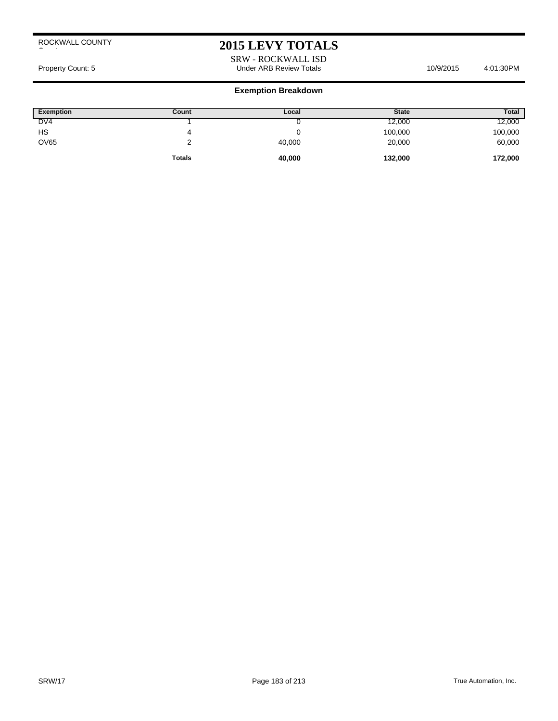# **2015 LEVY TOTALS**

### SRW - ROCKWALL ISD Property Count: 5 Count: 5 Count: 5 Count: 5 Count: 5 Count: 5 Count: 5 Count: 5 Count: 5 Count: 5 Count: 4:01:30PM

| <b>Exemption</b> | Count         | Local  | <b>State</b> | <b>Total</b> |
|------------------|---------------|--------|--------------|--------------|
| DV <sub>4</sub>  |               |        | 12,000       | 12,000       |
| HS               | 4             |        | 100,000      | 100,000      |
| <b>OV65</b>      |               | 40,000 | 20,000       | 60,000       |
|                  | <b>Totals</b> | 40,000 | 132,000      | 172,000      |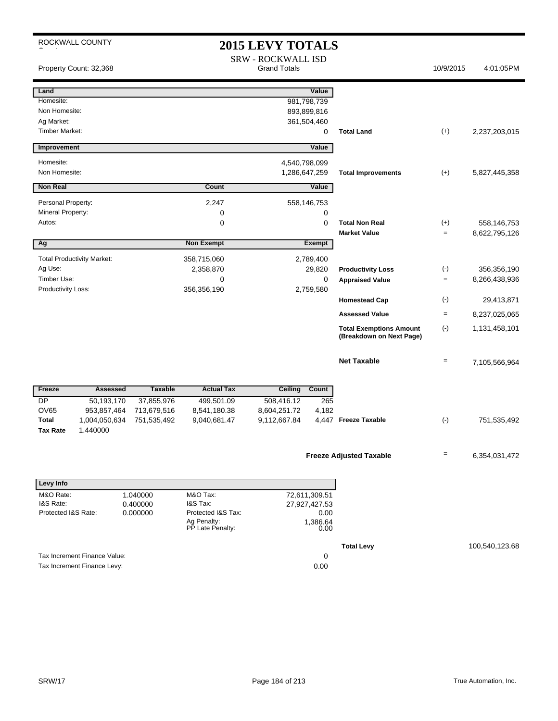| ROCKWALL COUNTY<br><b>2015 LEVY TOTALS</b> |                                   |                |                                 |                                                  |                  |                                                            |                   |                |
|--------------------------------------------|-----------------------------------|----------------|---------------------------------|--------------------------------------------------|------------------|------------------------------------------------------------|-------------------|----------------|
|                                            | Property Count: 32,368            |                |                                 | <b>SRW - ROCKWALL ISD</b><br><b>Grand Totals</b> |                  |                                                            | 10/9/2015         | 4:01:05PM      |
| Land                                       |                                   |                |                                 |                                                  | Value            |                                                            |                   |                |
| Homesite:                                  |                                   |                |                                 |                                                  | 981,798,739      |                                                            |                   |                |
| Non Homesite:                              |                                   |                |                                 |                                                  | 893,899,816      |                                                            |                   |                |
| Ag Market:                                 |                                   |                |                                 |                                                  | 361,504,460      |                                                            |                   |                |
| <b>Timber Market:</b>                      |                                   |                |                                 |                                                  | 0                | <b>Total Land</b>                                          | $(+)$             | 2,237,203,015  |
| Improvement                                |                                   |                |                                 |                                                  | Value            |                                                            |                   |                |
| Homesite:                                  |                                   |                |                                 | 4,540,798,099                                    |                  |                                                            |                   |                |
| Non Homesite:                              |                                   |                |                                 | 1,286,647,259                                    |                  | <b>Total Improvements</b>                                  | $(+)$             | 5,827,445,358  |
| <b>Non Real</b>                            |                                   |                | <b>Count</b>                    |                                                  | Value            |                                                            |                   |                |
| Personal Property:                         |                                   |                | 2,247                           |                                                  | 558,146,753      |                                                            |                   |                |
| Mineral Property:                          |                                   |                | 0                               |                                                  | 0                |                                                            |                   |                |
| Autos:                                     |                                   |                | 0                               |                                                  | 0                | <b>Total Non Real</b>                                      | $(+)$             | 558,146,753    |
|                                            |                                   |                |                                 |                                                  |                  | <b>Market Value</b>                                        | $=$               | 8,622,795,126  |
| Ag                                         |                                   |                | <b>Non Exempt</b>               |                                                  | <b>Exempt</b>    |                                                            |                   |                |
|                                            | <b>Total Productivity Market:</b> |                | 358,715,060                     |                                                  | 2,789,400        |                                                            |                   |                |
| Ag Use:                                    |                                   |                | 2,358,870                       |                                                  | 29,820           | <b>Productivity Loss</b>                                   | $(-)$             | 356,356,190    |
| Timber Use:                                |                                   |                | $\mathbf 0$                     |                                                  | $\mathbf 0$      | <b>Appraised Value</b>                                     | $=$               | 8,266,438,936  |
| Productivity Loss:                         |                                   |                | 356,356,190                     |                                                  | 2,759,580        |                                                            |                   |                |
|                                            |                                   |                |                                 |                                                  |                  | <b>Homestead Cap</b>                                       | $(\cdot)$         | 29,413,871     |
|                                            |                                   |                |                                 |                                                  |                  | <b>Assessed Value</b>                                      | $=$               | 8,237,025,065  |
|                                            |                                   |                |                                 |                                                  |                  | <b>Total Exemptions Amount</b><br>(Breakdown on Next Page) | $(-)$             | 1,131,458,101  |
|                                            |                                   |                |                                 |                                                  |                  | <b>Net Taxable</b>                                         | $=$               | 7,105,566,964  |
| Freeze                                     | <b>Assessed</b>                   | <b>Taxable</b> | <b>Actual Tax</b>               | <b>Ceiling</b>                                   | Count            |                                                            |                   |                |
| $\overline{DP}$                            | 50,193,170                        | 37,855,976     | 499,501.09                      | 508,416.12                                       | 265              |                                                            |                   |                |
| <b>OV65</b>                                | 953,857,464                       | 713,679,516    | 8,541,180.38                    | 8,604,251.72                                     | 4,182            |                                                            |                   |                |
| <b>Total</b>                               | 1,004,050,634                     | 751,535,492    | 9,040,681.47                    | 9,112,667.84                                     |                  | 4,447 Freeze Taxable                                       | $(-)$             | 751,535,492    |
| <b>Tax Rate</b>                            | 1.440000                          |                |                                 |                                                  |                  |                                                            |                   |                |
|                                            |                                   |                |                                 |                                                  |                  |                                                            |                   |                |
|                                            |                                   |                |                                 |                                                  |                  | <b>Freeze Adjusted Taxable</b>                             | $\qquad \qquad =$ | 6,354,031,472  |
|                                            |                                   |                |                                 |                                                  |                  |                                                            |                   |                |
| Levy Info                                  |                                   |                |                                 |                                                  |                  |                                                            |                   |                |
| M&O Rate:                                  |                                   | 1.040000       | M&O Tax:                        |                                                  | 72,611,309.51    |                                                            |                   |                |
| I&S Rate:                                  |                                   | 0.400000       | I&S Tax:                        |                                                  | 27,927,427.53    |                                                            |                   |                |
| Protected I&S Rate:                        |                                   | 0.000000       | Protected I&S Tax:              |                                                  | 0.00             |                                                            |                   |                |
|                                            |                                   |                | Ag Penalty:<br>PP Late Penalty: |                                                  | 1,386.64<br>0.00 |                                                            |                   |                |
|                                            |                                   |                |                                 |                                                  |                  | <b>Total Levy</b>                                          |                   | 100,540,123.68 |
|                                            | Tax Increment Finance Value:      |                |                                 |                                                  | 0                |                                                            |                   |                |
|                                            | Tax Increment Finance Levy:       |                |                                 |                                                  | 0.00             |                                                            |                   |                |
|                                            |                                   |                |                                 |                                                  |                  |                                                            |                   |                |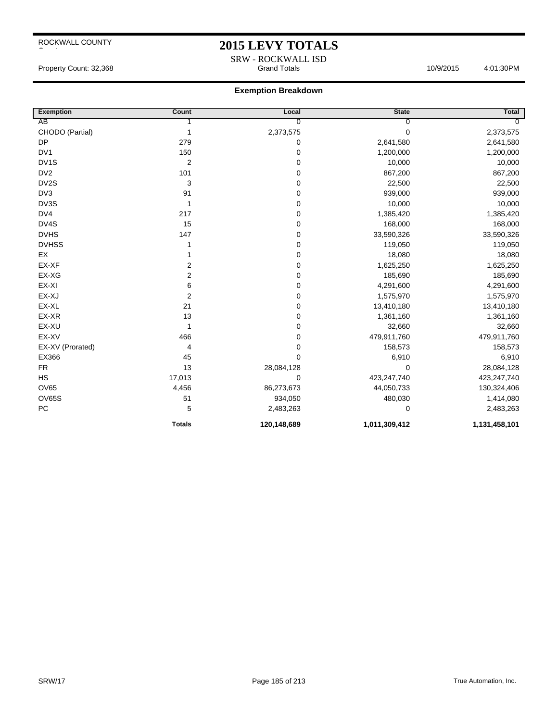## **2015 LEVY TOTALS**

SRW - ROCKWALL ISD<br>Grand Totals Property Count: 32,368 **Accord Property Count: 32,368** Grand Totals 10/9/2015 4:01:30PM

| Exemption         | Count                   | Local          | <b>State</b>  | <b>Total</b>   |
|-------------------|-------------------------|----------------|---------------|----------------|
| AB                |                         | $\overline{0}$ | 0             | $\overline{0}$ |
| CHODO (Partial)   | 1                       | 2,373,575      | 0             | 2,373,575      |
| <b>DP</b>         | 279                     | 0              | 2,641,580     | 2,641,580      |
| DV <sub>1</sub>   | 150                     | 0              | 1,200,000     | 1,200,000      |
| DV <sub>1</sub> S | 2                       | 0              | 10,000        | 10,000         |
| DV <sub>2</sub>   | 101                     | 0              | 867,200       | 867,200        |
| DV2S              | 3                       | 0              | 22,500        | 22,500         |
| DV3               | 91                      | 0              | 939,000       | 939,000        |
| DV3S              | 1                       | 0              | 10,000        | 10,000         |
| DV4               | 217                     | 0              | 1,385,420     | 1,385,420      |
| DV4S              | 15                      | 0              | 168,000       | 168,000        |
| <b>DVHS</b>       | 147                     | 0              | 33,590,326    | 33,590,326     |
| <b>DVHSS</b>      | 1                       | 0              | 119,050       | 119,050        |
| EX                |                         | 0              | 18,080        | 18,080         |
| EX-XF             | 2                       | 0              | 1,625,250     | 1,625,250      |
| EX-XG             | 2                       | 0              | 185,690       | 185,690        |
| EX-XI             | 6                       | 0              | 4,291,600     | 4,291,600      |
| EX-XJ             | $\overline{\mathbf{c}}$ | 0              | 1,575,970     | 1,575,970      |
| EX-XL             | 21                      | 0              | 13,410,180    | 13,410,180     |
| EX-XR             | 13                      | 0              | 1,361,160     | 1,361,160      |
| EX-XU             | 1                       | 0              | 32,660        | 32,660         |
| EX-XV             | 466                     | 0              | 479,911,760   | 479,911,760    |
| EX-XV (Prorated)  | 4                       | 0              | 158,573       | 158,573        |
| EX366             | 45                      | 0              | 6,910         | 6,910          |
| <b>FR</b>         | 13                      | 28,084,128     | 0             | 28,084,128     |
| <b>HS</b>         | 17,013                  | 0              | 423,247,740   | 423,247,740    |
| <b>OV65</b>       | 4,456                   | 86,273,673     | 44,050,733    | 130,324,406    |
| <b>OV65S</b>      | 51                      | 934,050        | 480,030       | 1,414,080      |
| PC                | 5                       | 2,483,263      | 0             | 2,483,263      |
|                   | <b>Totals</b>           | 120,148,689    | 1,011,309,412 | 1,131,458,101  |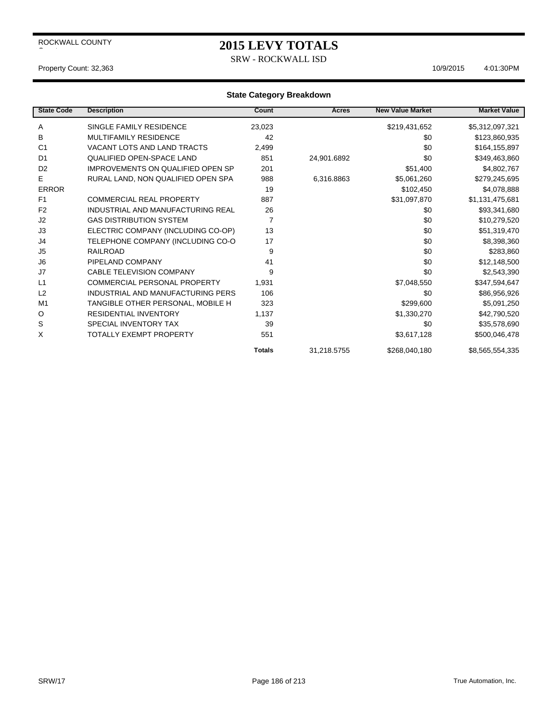## **2015 LEVY TOTALS**

SRW - ROCKWALL ISD

#### Property Count: 32,363 4:01:30PM

| <b>State Code</b> | <b>Description</b>                       | Count          | Acres       | <b>New Value Market</b> | <b>Market Value</b> |
|-------------------|------------------------------------------|----------------|-------------|-------------------------|---------------------|
| Α                 | SINGLE FAMILY RESIDENCE                  | 23,023         |             | \$219,431,652           | \$5,312,097,321     |
| B                 | <b>MULTIFAMILY RESIDENCE</b>             | 42             |             | \$0                     | \$123,860,935       |
| C <sub>1</sub>    | VACANT LOTS AND LAND TRACTS              | 2,499          |             | \$0                     | \$164,155,897       |
| D <sub>1</sub>    | <b>QUALIFIED OPEN-SPACE LAND</b>         | 851            | 24,901.6892 | \$0                     | \$349,463,860       |
| D <sub>2</sub>    | <b>IMPROVEMENTS ON QUALIFIED OPEN SP</b> | 201            |             | \$51,400                | \$4,802,767         |
| E                 | RURAL LAND, NON QUALIFIED OPEN SPA       | 988            | 6,316.8863  | \$5,061,260             | \$279,245,695       |
| <b>ERROR</b>      |                                          | 19             |             | \$102,450               | \$4,078,888         |
| F <sub>1</sub>    | <b>COMMERCIAL REAL PROPERTY</b>          | 887            |             | \$31,097,870            | \$1,131,475,681     |
| F <sub>2</sub>    | INDUSTRIAL AND MANUFACTURING REAL        | 26             |             | \$0                     | \$93,341,680        |
| J <sub>2</sub>    | <b>GAS DISTRIBUTION SYSTEM</b>           | $\overline{7}$ |             | \$0                     | \$10,279,520        |
| J3                | ELECTRIC COMPANY (INCLUDING CO-OP)       | 13             |             | \$0                     | \$51,319,470        |
| J4                | TELEPHONE COMPANY (INCLUDING CO-O        | 17             |             | \$0                     | \$8,398,360         |
| J5                | <b>RAILROAD</b>                          | 9              |             | \$0                     | \$283,860           |
| J <sub>6</sub>    | PIPELAND COMPANY                         | 41             |             | \$0                     | \$12,148,500        |
| J7                | <b>CABLE TELEVISION COMPANY</b>          | 9              |             | \$0                     | \$2,543,390         |
| L1                | <b>COMMERCIAL PERSONAL PROPERTY</b>      | 1,931          |             | \$7,048,550             | \$347,594,647       |
| L2                | INDUSTRIAL AND MANUFACTURING PERS        | 106            |             | \$0                     | \$86,956,926        |
| M <sub>1</sub>    | TANGIBLE OTHER PERSONAL, MOBILE H        | 323            |             | \$299,600               | \$5,091,250         |
| O                 | <b>RESIDENTIAL INVENTORY</b>             | 1,137          |             | \$1,330,270             | \$42,790,520        |
| S                 | SPECIAL INVENTORY TAX                    | 39             |             | \$0                     | \$35,578,690        |
| X                 | <b>TOTALLY EXEMPT PROPERTY</b>           | 551            |             | \$3,617,128             | \$500,046,478       |
|                   |                                          | <b>Totals</b>  | 31,218.5755 | \$268,040,180           | \$8,565,554,335     |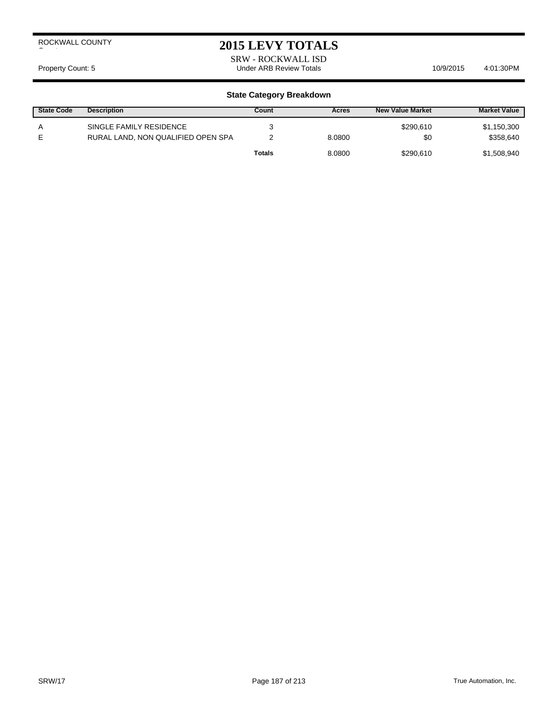## **2015 LEVY TOTALS**

SRW - ROCKWALL ISD Property Count: 5 Count: 5 Count: 5 Count: 5 Count: 5 Count: 5 Count: 5 Count: 5 Count: 5 Count: 5 Count: 4:01:30PM

| <b>State Code</b> | <b>Description</b>                                            | Count  | Acres  | <b>New Value Market</b> | <b>Market Value</b>      |
|-------------------|---------------------------------------------------------------|--------|--------|-------------------------|--------------------------|
| A<br>F            | SINGLE FAMILY RESIDENCE<br>RURAL LAND, NON QUALIFIED OPEN SPA |        | 8.0800 | \$290.610<br>\$0        | \$1,150,300<br>\$358,640 |
|                   |                                                               | Totals | 8.0800 | \$290.610               | \$1,508,940              |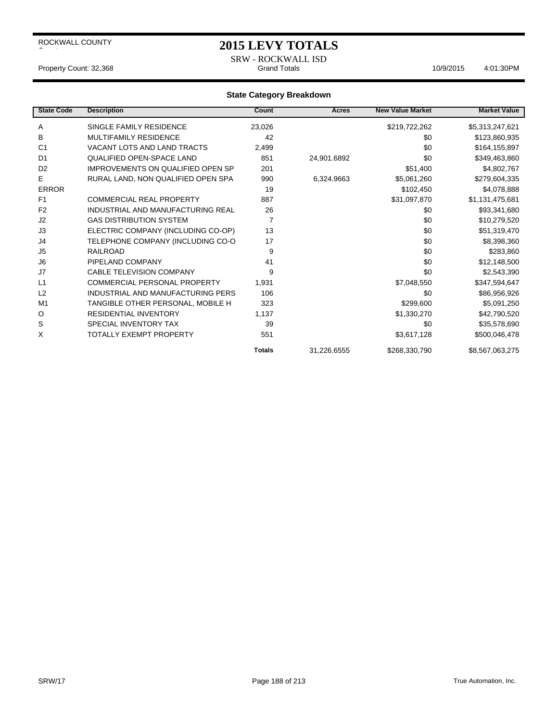## **2015 LEVY TOTALS**

SRW - ROCKWALL ISD<br>Grand Totals Property Count: 32,368 Crand Totals Grand Totals 10/9/2015 4:01:30PM

| <b>State Code</b> | <b>Description</b>                       | Count         | <b>Acres</b> | <b>New Value Market</b> | <b>Market Value</b> |
|-------------------|------------------------------------------|---------------|--------------|-------------------------|---------------------|
| Α                 | SINGLE FAMILY RESIDENCE                  | 23,026        |              | \$219,722,262           | \$5,313,247,621     |
| в                 | <b>MULTIFAMILY RESIDENCE</b>             | 42            |              | \$0                     | \$123,860,935       |
| C <sub>1</sub>    | VACANT LOTS AND LAND TRACTS              | 2,499         |              | \$0                     | \$164,155,897       |
| D <sub>1</sub>    | <b>QUALIFIED OPEN-SPACE LAND</b>         | 851           | 24,901.6892  | \$0                     | \$349,463,860       |
| D <sub>2</sub>    | IMPROVEMENTS ON QUALIFIED OPEN SP        | 201           |              | \$51,400                | \$4,802,767         |
| Е                 | RURAL LAND, NON QUALIFIED OPEN SPA       | 990           | 6,324.9663   | \$5,061,260             | \$279,604,335       |
| <b>ERROR</b>      |                                          | 19            |              | \$102,450               | \$4,078,888         |
| F <sub>1</sub>    | <b>COMMERCIAL REAL PROPERTY</b>          | 887           |              | \$31,097,870            | \$1,131,475,681     |
| F <sub>2</sub>    | <b>INDUSTRIAL AND MANUFACTURING REAL</b> | 26            |              | \$0                     | \$93,341,680        |
| J <sub>2</sub>    | <b>GAS DISTRIBUTION SYSTEM</b>           | 7             |              | \$0                     | \$10,279,520        |
| J3                | ELECTRIC COMPANY (INCLUDING CO-OP)       | 13            |              | \$0                     | \$51,319,470        |
| J4                | TELEPHONE COMPANY (INCLUDING CO-O        | 17            |              | \$0                     | \$8,398,360         |
| J <sub>5</sub>    | <b>RAILROAD</b>                          | 9             |              | \$0                     | \$283,860           |
| J <sub>6</sub>    | PIPELAND COMPANY                         | 41            |              | \$0                     | \$12,148,500        |
| J7                | <b>CABLE TELEVISION COMPANY</b>          | 9             |              | \$0                     | \$2,543,390         |
| L1                | <b>COMMERCIAL PERSONAL PROPERTY</b>      | 1,931         |              | \$7,048,550             | \$347,594,647       |
| L <sub>2</sub>    | INDUSTRIAL AND MANUFACTURING PERS        | 106           |              | \$0                     | \$86,956,926        |
| M <sub>1</sub>    | TANGIBLE OTHER PERSONAL, MOBILE H        | 323           |              | \$299,600               | \$5,091,250         |
| O                 | <b>RESIDENTIAL INVENTORY</b>             | 1,137         |              | \$1,330,270             | \$42,790,520        |
| S                 | SPECIAL INVENTORY TAX                    | 39            |              | \$0                     | \$35,578,690        |
| X                 | TOTALLY EXEMPT PROPERTY                  | 551           |              | \$3,617,128             | \$500,046,478       |
|                   |                                          | <b>Totals</b> | 31,226.6555  | \$268,330,790           | \$8,567,063,275     |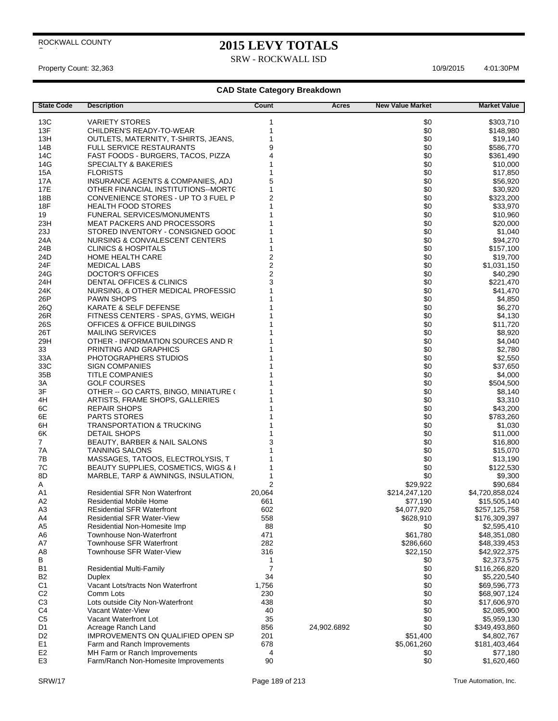# **2015 LEVY TOTALS**

SRW - ROCKWALL ISD

Property Count: 32,363 10/9/2015 4:01:30 PM

| <b>State Code</b>                | <b>Description</b>                                                    | Count                   | Acres       | <b>New Value Market</b> | <b>Market Value</b>         |
|----------------------------------|-----------------------------------------------------------------------|-------------------------|-------------|-------------------------|-----------------------------|
| 13C                              | <b>VARIETY STORES</b>                                                 | 1                       |             | \$0                     | \$303,710                   |
| 13F                              | CHILDREN'S READY-TO-WEAR                                              | 1                       |             | \$0                     | \$148,980                   |
| 13H                              | OUTLETS, MATERNITY, T-SHIRTS, JEANS,                                  | 1                       |             | \$0                     | \$19,140                    |
| 14B                              | <b>FULL SERVICE RESTAURANTS</b>                                       | 9                       |             | \$0                     | \$586,770                   |
| 14C                              | FAST FOODS - BURGERS, TACOS, PIZZA                                    | $\overline{4}$          |             | \$0                     | \$361,490                   |
| 14G                              | <b>SPECIALTY &amp; BAKERIES</b>                                       |                         |             | \$0                     | \$10,000                    |
| 15A                              | <b>FLORISTS</b>                                                       |                         |             | \$0                     | \$17,850                    |
| 17A                              | INSURANCE AGENTS & COMPANIES, ADJ                                     | 5                       |             | \$0                     | \$56,920                    |
| 17E                              | OTHER FINANCIAL INSTITUTIONS--MORTC                                   | 1                       |             | \$0                     | \$30,920                    |
| 18B                              | CONVENIENCE STORES - UP TO 3 FUEL P                                   | $\overline{2}$          |             | \$0                     | \$323,200                   |
| 18F                              | <b>HEALTH FOOD STORES</b>                                             | 1                       |             | \$0                     | \$33,970                    |
| 19                               | <b>FUNERAL SERVICES/MONUMENTS</b>                                     |                         |             | \$0                     | \$10,960                    |
| 23H                              | <b>MEAT PACKERS AND PROCESSORS</b>                                    |                         |             | \$0                     | \$20,000                    |
| 23J                              | STORED INVENTORY - CONSIGNED GOOD                                     |                         |             | \$0                     | \$1,040                     |
| 24A                              | NURSING & CONVALESCENT CENTERS                                        |                         |             | \$0                     | \$94,270                    |
| 24B                              | <b>CLINICS &amp; HOSPITALS</b>                                        | 1                       |             | \$0                     | \$157,100                   |
| 24D                              | <b>HOME HEALTH CARE</b>                                               | $\overline{2}$          |             | \$0                     | \$19,700                    |
| 24F                              | <b>MEDICAL LABS</b>                                                   | $\overline{\mathbf{c}}$ |             | \$0                     | \$1,031,150                 |
| 24G                              | <b>DOCTOR'S OFFICES</b>                                               | $\overline{\mathbf{c}}$ |             | \$0                     | \$40,290                    |
| 24H                              | DENTAL OFFICES & CLINICS                                              | 3                       |             | \$0                     | \$221,470                   |
| 24K                              | NURSING, & OTHER MEDICAL PROFESSIC                                    |                         |             | \$0                     | \$41,470                    |
| 26P                              | <b>PAWN SHOPS</b><br><b>KARATE &amp; SELF DEFENSE</b>                 |                         |             | \$0<br>\$0              | \$4,850<br>\$6,270          |
| 26Q<br>26R                       | FITNESS CENTERS - SPAS, GYMS, WEIGH                                   |                         |             | \$0                     |                             |
| 26S                              | OFFICES & OFFICE BUILDINGS                                            |                         |             | \$0                     | \$4,130                     |
| 26T                              | <b>MAILING SERVICES</b>                                               |                         |             | \$0                     | \$11,720<br>\$8,920         |
| 29H                              | OTHER - INFORMATION SOURCES AND R                                     |                         |             | \$0                     | \$4,040                     |
| 33                               | PRINTING AND GRAPHICS                                                 |                         |             | \$0                     | \$2,780                     |
| 33A                              | PHOTOGRAPHERS STUDIOS                                                 |                         |             | \$0                     | \$2,550                     |
| 33C                              | <b>SIGN COMPANIES</b>                                                 |                         |             | \$0                     | \$37,650                    |
| 35B                              | <b>TITLE COMPANIES</b>                                                |                         |             | \$0                     | \$4,000                     |
| ЗA                               | <b>GOLF COURSES</b>                                                   |                         |             | \$0                     | \$504,500                   |
| 3F                               | OTHER -- GO CARTS, BINGO, MINIATURE (                                 |                         |             | \$0                     | \$8,140                     |
| 4H                               | ARTISTS, FRAME SHOPS, GALLERIES                                       |                         |             | \$0                     | \$3,310                     |
| 6C                               | <b>REPAIR SHOPS</b>                                                   |                         |             | \$0                     | \$43,200                    |
| 6E                               | <b>PARTS STORES</b>                                                   |                         |             | \$0                     | \$783,260                   |
| 6H                               | TRANSPORTATION & TRUCKING                                             |                         |             | \$0                     | \$1,030                     |
| 6K                               | <b>DETAIL SHOPS</b>                                                   |                         |             | \$0                     | \$11,000                    |
| 7                                | BEAUTY, BARBER & NAIL SALONS                                          | 3                       |             | \$0                     | \$16,800                    |
| 7A                               | <b>TANNING SALONS</b>                                                 |                         |             | \$0                     | \$15,070                    |
| 7В                               | MASSAGES, TATOOS, ELECTROLYSIS, T                                     |                         |             | \$0                     | \$13,190                    |
| 7C                               | <b>BEAUTY SUPPLIES, COSMETICS, WIGS &amp; I</b>                       |                         |             | \$0                     | \$122,530                   |
| 8D                               | MARBLE, TARP & AWNINGS, INSULATION,                                   | 1<br>2                  |             | \$0<br>\$29,922         | \$9,300                     |
| A<br>A1                          | <b>Residential SFR Non Waterfront</b>                                 | 20,064                  |             | \$214,247,120           | \$90,684<br>\$4,720,858,024 |
| A <sub>2</sub>                   | <b>Residential Mobile Home</b>                                        | 661                     |             | \$77,190                | \$15,505,140                |
| A3                               | <b>REsidential SFR Waterfront</b>                                     | 602                     |             | \$4,077,920             | \$257,125,758               |
| A4                               | <b>Residential SFR Water-View</b>                                     | 558                     |             | \$628,910               | \$176,309,397               |
| A <sub>5</sub>                   | Residential Non-Homesite Imp                                          | 88                      |             | \$0                     | \$2,595,410                 |
| A <sub>6</sub>                   | <b>Townhouse Non-Waterfront</b>                                       | 471                     |             | \$61,780                | \$48,351,080                |
| A7                               | <b>Townhouse SFR Waterfront</b>                                       | 282                     |             | \$286,660               | \$48,339,453                |
| A <sub>8</sub>                   | Townhouse SFR Water-View                                              | 316                     |             | \$22,150                | \$42,922,375                |
| В                                |                                                                       | 1                       |             | \$0                     | \$2,373,575                 |
| <b>B1</b>                        | <b>Residential Multi-Family</b>                                       | $\overline{7}$          |             | \$0                     | \$116,266,820               |
| B <sub>2</sub>                   | <b>Duplex</b>                                                         | 34                      |             | \$0                     | \$5,220,540                 |
| C <sub>1</sub>                   | Vacant Lots/tracts Non Waterfront                                     | 1,756                   |             | \$0                     | \$69,596,773                |
| C <sub>2</sub>                   | Comm Lots                                                             | 230                     |             | \$0                     | \$68,907,124                |
| C <sub>3</sub>                   | Lots outside City Non-Waterfront                                      | 438                     |             | \$0                     | \$17,606,970                |
| C4                               | Vacant Water-View                                                     | 40                      |             | \$0                     | \$2,085,900                 |
| C <sub>5</sub>                   | Vacant Waterfront Lot                                                 | 35                      |             | \$0                     | \$5,959,130                 |
| D1                               | Acreage Ranch Land                                                    | 856                     | 24,902.6892 | \$0                     | \$349,493,860               |
| D <sub>2</sub>                   | IMPROVEMENTS ON QUALIFIED OPEN SP                                     | 201                     |             | \$51,400                | \$4,802,767                 |
| E <sub>1</sub>                   | Farm and Ranch Improvements                                           | 678                     |             | \$5,061,260             | \$181,403,464               |
| E <sub>2</sub><br>E <sub>3</sub> | MH Farm or Ranch Improvements<br>Farm/Ranch Non-Homesite Improvements | 4<br>90                 |             | \$0<br>\$0              | \$77,180<br>\$1,620,460     |
|                                  |                                                                       |                         |             |                         |                             |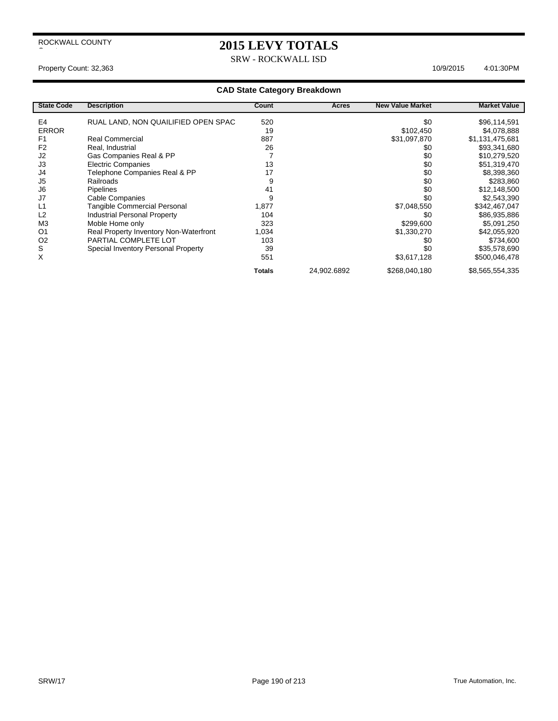## **2015 LEVY TOTALS**

SRW - ROCKWALL ISD

## Property Count: 32,363 10/9/2015 4:01:30 PM

| <b>State Code</b> | <b>Description</b>                     | Count         | Acres       | <b>New Value Market</b> | <b>Market Value</b> |
|-------------------|----------------------------------------|---------------|-------------|-------------------------|---------------------|
| E4                | RUAL LAND, NON QUAILIFIED OPEN SPAC    | 520           |             | \$0                     | \$96,114,591        |
| <b>ERROR</b>      |                                        | 19            |             | \$102,450               | \$4,078,888         |
| F <sub>1</sub>    | Real Commercial                        | 887           |             | \$31,097,870            | \$1,131,475,681     |
| F <sub>2</sub>    | Real, Industrial                       | 26            |             | \$0                     | \$93,341,680        |
| J2                | Gas Companies Real & PP                |               |             | \$0                     | \$10,279,520        |
| J3                | <b>Electric Companies</b>              | 13            |             | \$0                     | \$51,319,470        |
| J4                | Telephone Companies Real & PP          | 17            |             | \$0                     | \$8,398,360         |
| J <sub>5</sub>    | Railroads                              | 9             |             | \$0                     | \$283,860           |
| J6                | Pipelines                              | 41            |             | \$0                     | \$12,148,500        |
| J7                | Cable Companies                        | 9             |             | \$0                     | \$2,543,390         |
| L1                | Tangible Commercial Personal           | 1,877         |             | \$7,048,550             | \$342,467,047       |
| L2                | Industrial Personal Property           | 104           |             | \$0                     | \$86,935,886        |
| M <sub>3</sub>    | Moble Home only                        | 323           |             | \$299,600               | \$5,091,250         |
| O <sub>1</sub>    | Real Property Inventory Non-Waterfront | 1,034         |             | \$1,330,270             | \$42,055,920        |
| O <sub>2</sub>    | PARTIAL COMPLETE LOT                   | 103           |             | \$0                     | \$734,600           |
| S                 | Special Inventory Personal Property    | 39            |             | \$0                     | \$35,578,690        |
| X                 |                                        | 551           |             | \$3,617,128             | \$500,046,478       |
|                   |                                        | <b>Totals</b> | 24,902.6892 | \$268,040,180           | \$8,565,554,335     |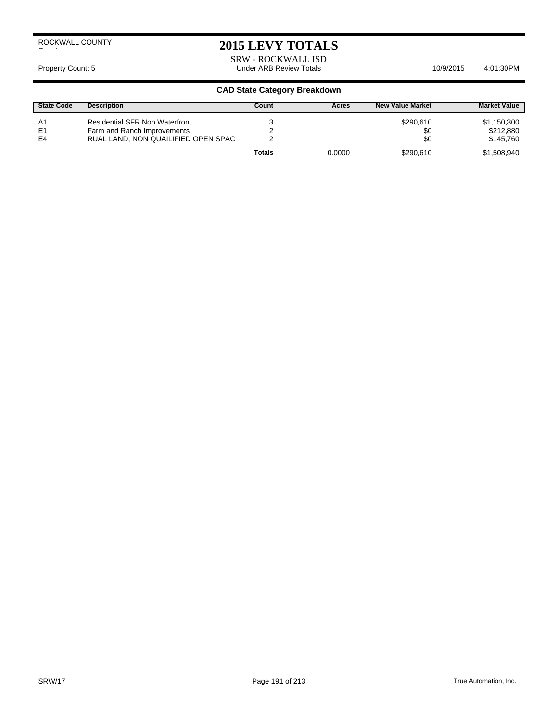## **2015 LEVY TOTALS**

SRW - ROCKWALL ISD Property Count: 5 **Accord 2011** Under ARB Review Totals **10/9/2015** 4:01:30PM

| <b>State Code</b>                      | <b>Description</b>                                                                                          | Count         | Acres  | <b>New Value Market</b> | <b>Market Value</b>                   |
|----------------------------------------|-------------------------------------------------------------------------------------------------------------|---------------|--------|-------------------------|---------------------------------------|
| A <sub>1</sub><br>E1<br>E <sub>4</sub> | <b>Residential SFR Non Waterfront</b><br>Farm and Ranch Improvements<br>RUAL LAND, NON QUAILIFIED OPEN SPAC |               |        | \$290,610<br>\$0<br>\$0 | \$1,150,300<br>\$212,880<br>\$145.760 |
|                                        |                                                                                                             | <b>Totals</b> | 0.0000 | \$290.610               | \$1,508,940                           |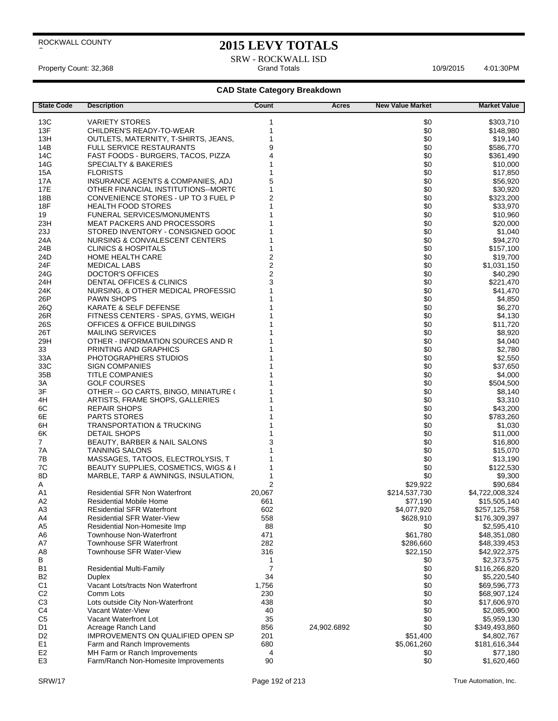$\overline{\phantom{a}}$ 

## **2015 LEVY TOTALS**

SRW - ROCKWALL ISD<br>Grand Totals Property Count: 32,368 **Accord 2:01:30PM** Grand Totals **Grand Totals** 4:01:30PM

| <b>State Code</b> | <b>Description</b>                    | Count                   | <b>Acres</b> | <b>New Value Market</b> | <b>Market Value</b> |
|-------------------|---------------------------------------|-------------------------|--------------|-------------------------|---------------------|
| 13C               | VARIETY STORES                        | 1                       |              | \$0                     | \$303,710           |
| 13F               | CHILDREN'S READY-TO-WEAR              | 1                       |              | \$0                     | \$148,980           |
| 13H               | OUTLETS, MATERNITY, T-SHIRTS, JEANS,  | 1                       |              | \$0                     | \$19,140            |
| 14B               | <b>FULL SERVICE RESTAURANTS</b>       | 9                       |              | \$0                     |                     |
|                   | FAST FOODS - BURGERS, TACOS, PIZZA    | 4                       |              | \$0                     | \$586,770           |
| 14C               |                                       | 1                       |              |                         | \$361,490           |
| 14G               | <b>SPECIALTY &amp; BAKERIES</b>       |                         |              | \$0                     | \$10,000            |
| <b>15A</b>        | <b>FLORISTS</b>                       | 1                       |              | \$0                     | \$17,850            |
| 17A               | INSURANCE AGENTS & COMPANIES, ADJ     | 5                       |              | \$0                     | \$56,920            |
| 17E               | OTHER FINANCIAL INSTITUTIONS--MORTC   | 1                       |              | \$0                     | \$30,920            |
| 18B               | CONVENIENCE STORES - UP TO 3 FUEL P   | $\overline{2}$          |              | \$0                     | \$323,200           |
| 18F               | <b>HEALTH FOOD STORES</b>             | 1                       |              | \$0                     | \$33,970            |
| 19                | <b>FUNERAL SERVICES/MONUMENTS</b>     |                         |              | \$0                     | \$10,960            |
| 23H               | <b>MEAT PACKERS AND PROCESSORS</b>    |                         |              | \$0                     | \$20,000            |
| 23J               | STORED INVENTORY - CONSIGNED GOOD     |                         |              | \$0                     | \$1,040             |
| 24A               | NURSING & CONVALESCENT CENTERS        |                         |              | \$0                     | \$94,270            |
| 24B               | <b>CLINICS &amp; HOSPITALS</b>        | 1                       |              | \$0                     | \$157,100           |
| 24D               | <b>HOME HEALTH CARE</b>               | $\overline{\mathbf{c}}$ |              | \$0                     | \$19,700            |
| 24F               | <b>MEDICAL LABS</b>                   | $\overline{\mathbf{c}}$ |              | \$0                     | \$1,031,150         |
| 24G               | <b>DOCTOR'S OFFICES</b>               | $\overline{c}$          |              | \$0                     | \$40,290            |
| 24H               | DENTAL OFFICES & CLINICS              | 3                       |              | \$0                     | \$221,470           |
| 24K               | NURSING, & OTHER MEDICAL PROFESSIC    | 1                       |              | \$0                     | \$41,470            |
| 26P               | <b>PAWN SHOPS</b>                     |                         |              | \$0                     | \$4,850             |
| 26Q               | KARATE & SELF DEFENSE                 |                         |              | \$0                     | \$6,270             |
| 26R               | FITNESS CENTERS - SPAS, GYMS, WEIGH   |                         |              | \$0                     | \$4,130             |
| 26S               | OFFICES & OFFICE BUILDINGS            |                         |              | \$0                     | \$11,720            |
| 26T               | <b>MAILING SERVICES</b>               |                         |              | \$0                     | \$8,920             |
| 29H               | OTHER - INFORMATION SOURCES AND R     |                         |              | \$0                     | \$4,040             |
| 33                | PRINTING AND GRAPHICS                 |                         |              | \$0                     | \$2.780             |
| 33A               | PHOTOGRAPHERS STUDIOS                 |                         |              | \$0                     | \$2,550             |
| 33C               | <b>SIGN COMPANIES</b>                 |                         |              | \$0                     | \$37,650            |
| 35B               | <b>TITLE COMPANIES</b>                |                         |              | \$0                     | \$4,000             |
| ЗA                | <b>GOLF COURSES</b>                   |                         |              | \$0                     | \$504,500           |
| 3F                | OTHER -- GO CARTS, BINGO, MINIATURE ( |                         |              | \$0                     | \$8,140             |
| 4H                | ARTISTS, FRAME SHOPS, GALLERIES       |                         |              | \$0                     | \$3,310             |
| 6C                | REPAIR SHOPS                          |                         |              | \$0                     | \$43,200            |
| 6E                | <b>PARTS STORES</b>                   |                         |              | \$0                     | \$783,260           |
| 6H                | <b>TRANSPORTATION &amp; TRUCKING</b>  |                         |              | \$0                     | \$1,030             |
| 6K                | <b>DETAIL SHOPS</b>                   |                         |              | \$0                     | \$11,000            |
| 7                 | BEAUTY, BARBER & NAIL SALONS          | 3                       |              | \$0                     | \$16,800            |
| 7A                | <b>TANNING SALONS</b>                 |                         |              | \$0                     | \$15,070            |
| 7В                | MASSAGES, TATOOS, ELECTROLYSIS, T     | 1                       |              | \$0                     | \$13,190            |
| 7C                | BEAUTY SUPPLIES, COSMETICS, WIGS & I  | 1                       |              | \$0                     | \$122,530           |
| 8D                | MARBLE, TARP & AWNINGS, INSULATION,   | 1                       |              | \$0                     | \$9,300             |
| A                 |                                       | 2                       |              | \$29,922                | \$90,684            |
| A1                | <b>Residential SFR Non Waterfront</b> | 20,067                  |              | \$214,537,730           | \$4,722,008,324     |
| A2                | Residential Mobile Home               | 661                     |              | \$77,190                | \$15,505,140        |
| A3                | <b>REsidential SFR Waterfront</b>     | 602                     |              | \$4,077,920             | \$257,125,758       |
| A4                | <b>Residential SFR Water-View</b>     | 558                     |              | \$628,910               | \$176,309,397       |
| A <sub>5</sub>    | Residential Non-Homesite Imp          | 88                      |              | \$0                     | \$2,595,410         |
| A <sub>6</sub>    | <b>Townhouse Non-Waterfront</b>       | 471                     |              | \$61,780                | \$48,351,080        |
| A7                | Townhouse SFR Waterfront              | 282                     |              | \$286,660               | \$48,339,453        |
| A8                | Townhouse SFR Water-View              | 316                     |              | \$22,150                | \$42,922,375        |
| В                 |                                       | 1                       |              | \$0                     | \$2,373,575         |
| B <sub>1</sub>    | <b>Residential Multi-Family</b>       | $\overline{7}$          |              | \$0                     | \$116,266,820       |
| <b>B2</b>         | Duplex                                | 34                      |              | \$0                     | \$5,220,540         |
| C1                | Vacant Lots/tracts Non Waterfront     | 1,756                   |              | \$0                     | \$69,596,773        |
| C <sub>2</sub>    | Comm Lots                             | 230                     |              | \$0                     | \$68,907,124        |
| C <sub>3</sub>    | Lots outside City Non-Waterfront      | 438                     |              | \$0                     | \$17,606,970        |
| C4                | Vacant Water-View                     | 40                      |              | \$0                     | \$2,085,900         |
| C <sub>5</sub>    | Vacant Waterfront Lot                 | 35                      |              | \$0                     | \$5,959,130         |
| D1                | Acreage Ranch Land                    | 856                     | 24,902.6892  | \$0                     | \$349,493,860       |
| D <sub>2</sub>    | IMPROVEMENTS ON QUALIFIED OPEN SP     | 201                     |              | \$51,400                | \$4,802,767         |
| E <sub>1</sub>    | Farm and Ranch Improvements           | 680                     |              | \$5,061,260             | \$181,616,344       |
| E2                | MH Farm or Ranch Improvements         | 4                       |              | \$0                     | \$77,180            |
| E <sub>3</sub>    | Farm/Ranch Non-Homesite Improvements  | 90                      |              | \$0                     | \$1,620,460         |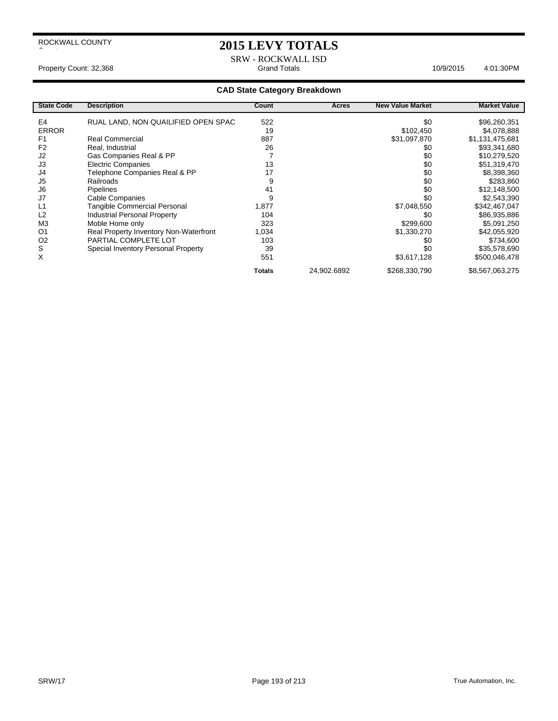## **2015 LEVY TOTALS**

SRW - ROCKWALL ISD<br>Grand Totals Property Count: 32,368 **Accord 2:01:30PM** Grand Totals **Grand Totals** 4:01:30PM

| <b>State Code</b> | <b>Description</b>                     | Count         | Acres       | <b>New Value Market</b> | <b>Market Value</b> |
|-------------------|----------------------------------------|---------------|-------------|-------------------------|---------------------|
| E4                | RUAL LAND, NON QUAILIFIED OPEN SPAC    | 522           |             | \$0                     | \$96,260,351        |
| <b>ERROR</b>      |                                        | 19            |             | \$102,450               | \$4,078,888         |
| F <sub>1</sub>    | Real Commercial                        | 887           |             | \$31,097,870            | \$1,131,475,681     |
| F <sub>2</sub>    | Real, Industrial                       | 26            |             | \$0                     | \$93,341,680        |
| J <sub>2</sub>    | Gas Companies Real & PP                |               |             | \$0                     | \$10,279,520        |
| J3                | <b>Electric Companies</b>              | 13            |             | \$0                     | \$51,319,470        |
| J4                | Telephone Companies Real & PP          | 17            |             | \$0                     | \$8,398,360         |
| J <sub>5</sub>    | Railroads                              | 9             |             | \$0                     | \$283,860           |
| J6                | <b>Pipelines</b>                       | 41            |             | \$0                     | \$12,148,500        |
| J7                | <b>Cable Companies</b>                 | 9             |             | \$0                     | \$2,543,390         |
| L1                | Tangible Commercial Personal           | 1,877         |             | \$7,048,550             | \$342,467,047       |
| L2                | <b>Industrial Personal Property</b>    | 104           |             | \$0                     | \$86,935,886        |
| M <sub>3</sub>    | Moble Home only                        | 323           |             | \$299,600               | \$5,091,250         |
| O <sub>1</sub>    | Real Property Inventory Non-Waterfront | 1,034         |             | \$1,330,270             | \$42,055,920        |
| O <sub>2</sub>    | PARTIAL COMPLETE LOT                   | 103           |             | \$0                     | \$734,600           |
| S                 | Special Inventory Personal Property    | 39            |             | \$0                     | \$35,578,690        |
| X                 |                                        | 551           |             | \$3,617,128             | \$500,046,478       |
|                   |                                        | <b>Totals</b> | 24,902.6892 | \$268,330,790           | \$8,567,063,275     |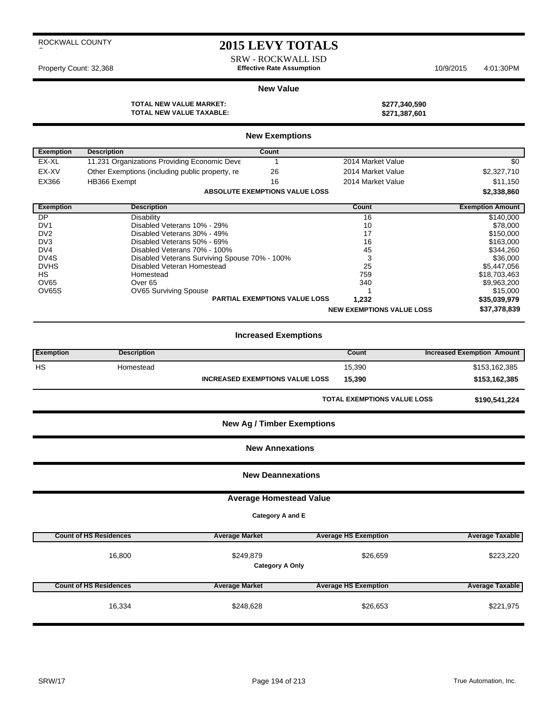## **2015 LEVY TOTALS**

SRW - ROCKWALL ISD Property Count: 32,368 **Effective Rate Assumption** 10/9/2015 4:01:30PM

#### **New Value**

**TOTAL NEW VALUE MARKET: \$277,340,590 TOTAL NEW VALUE TAXABLE: \$271,387,601**

| \$277,340,590 |  |
|---------------|--|
| \$271,387,601 |  |

|                   |                                                 | <b>New Exemptions</b>                 |                                  |                         |
|-------------------|-------------------------------------------------|---------------------------------------|----------------------------------|-------------------------|
| <b>Exemption</b>  | <b>Description</b>                              | Count                                 |                                  |                         |
| EX-XL             | 11.231 Organizations Providing Economic Deve    |                                       | 2014 Market Value                | \$0                     |
| EX-XV             | Other Exemptions (including public property, re | 26                                    | 2014 Market Value                | \$2,327,710             |
| EX366             | HB366 Exempt                                    | 16                                    | 2014 Market Value                | \$11,150                |
|                   |                                                 | <b>ABSOLUTE EXEMPTIONS VALUE LOSS</b> |                                  | \$2,338,860             |
| <b>Exemption</b>  | <b>Description</b>                              |                                       | Count                            | <b>Exemption Amount</b> |
| DP                | Disability                                      |                                       | 16                               | \$140,000               |
| DV <sub>1</sub>   | Disabled Veterans 10% - 29%                     |                                       | 10                               | \$78,000                |
| D <sub>V2</sub>   | Disabled Veterans 30% - 49%                     |                                       | 17                               | \$150,000               |
| DV <sub>3</sub>   | Disabled Veterans 50% - 69%                     |                                       | 16                               | \$163,000               |
| DV4               | Disabled Veterans 70% - 100%                    |                                       | 45                               | \$344,260               |
| DV <sub>4</sub> S | Disabled Veterans Surviving Spouse 70% - 100%   |                                       | 3                                | \$36,000                |
| <b>DVHS</b>       | Disabled Veteran Homestead                      |                                       | 25                               | \$5,447,056             |
| <b>HS</b>         | Homestead                                       |                                       | 759                              | \$18,703,463            |
| <b>OV65</b>       | Over <sub>65</sub>                              |                                       | 340                              | \$9,963,200             |
| OV65S             | OV65 Surviving Spouse                           |                                       |                                  | \$15,000                |
|                   |                                                 | PARTIAL EXEMPTIONS VALUE LOSS         | 1,232                            | \$35,039,979            |
|                   |                                                 |                                       | <b>NEW EXEMPTIONS VALUE LOSS</b> | \$37,378,839            |

## **Increased Exemptions**

| <b>Exemption</b>                  | <b>Description</b> |                                        | Count                              | <b>Increased Exemption Amount</b> |  |  |
|-----------------------------------|--------------------|----------------------------------------|------------------------------------|-----------------------------------|--|--|
| <b>HS</b>                         | Homestead          |                                        | 15,390                             | \$153,162,385                     |  |  |
|                                   |                    | <b>INCREASED EXEMPTIONS VALUE LOSS</b> | 15,390                             | \$153,162,385                     |  |  |
|                                   |                    |                                        | <b>TOTAL EXEMPTIONS VALUE LOSS</b> | \$190,541,224                     |  |  |
| <b>New Ag / Timber Exemptions</b> |                    |                                        |                                    |                                   |  |  |
| <b>New Annexations</b>            |                    |                                        |                                    |                                   |  |  |
| <b>New Deannexations</b>          |                    |                                        |                                    |                                   |  |  |
|                                   |                    | <b>Average Homestead Value</b>         |                                    |                                   |  |  |
|                                   | Category A and E   |                                        |                                    |                                   |  |  |

| <b>Count of HS Residences</b> | <b>Average Market</b> | <b>Average HS Exemption</b>        | <b>Average Taxable</b> |
|-------------------------------|-----------------------|------------------------------------|------------------------|
| 16,800                        | \$249,879             | \$26,659<br><b>Category A Only</b> | \$223,220              |
| <b>Count of HS Residences</b> | <b>Average Market</b> | <b>Average HS Exemption</b>        | <b>Average Taxable</b> |
|                               |                       |                                    | \$221,975              |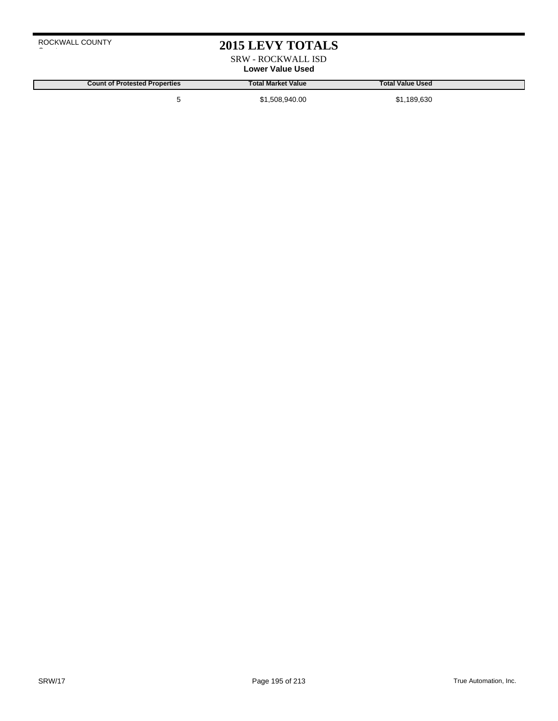## **2015 LEVY TOTALS**

SRW - ROCKWALL ISD **Lower Value Used**

**Count of Protested Properties Total Market Value Total Value Used** 5 \$1,508,940.00 \$1,189,630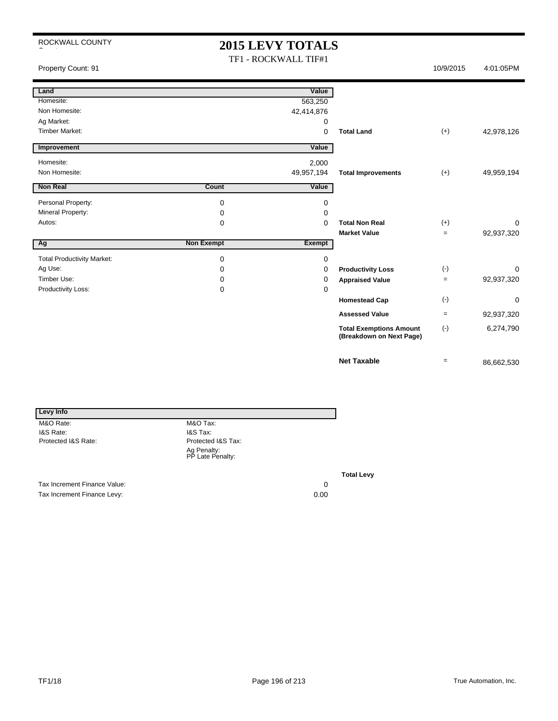# **2015 LEVY TOTALS**

TF1 - ROCKWALL TIF#1 Property Count: 91 10/9/2015 4:01:05PM

| Land                              |                   | Value         |                                                            |           |             |
|-----------------------------------|-------------------|---------------|------------------------------------------------------------|-----------|-------------|
| Homesite:                         |                   | 563,250       |                                                            |           |             |
| Non Homesite:                     |                   | 42,414,876    |                                                            |           |             |
| Ag Market:                        |                   | 0             |                                                            |           |             |
| <b>Timber Market:</b>             |                   | $\mathbf 0$   | <b>Total Land</b>                                          | $(+)$     | 42,978,126  |
| Improvement                       |                   | Value         |                                                            |           |             |
| Homesite:                         |                   | 2,000         |                                                            |           |             |
| Non Homesite:                     |                   | 49,957,194    | <b>Total Improvements</b>                                  | $(+)$     | 49,959,194  |
| <b>Non Real</b>                   | Count             | Value         |                                                            |           |             |
| Personal Property:                | 0                 | 0             |                                                            |           |             |
| Mineral Property:                 | 0                 | 0             |                                                            |           |             |
| Autos:                            | $\mathbf 0$       | $\Omega$      | <b>Total Non Real</b>                                      | $(+)$     | $\Omega$    |
|                                   |                   |               | <b>Market Value</b>                                        | $=$       | 92,937,320  |
| Ag                                | <b>Non Exempt</b> | <b>Exempt</b> |                                                            |           |             |
| <b>Total Productivity Market:</b> | 0                 | 0             |                                                            |           |             |
| Ag Use:                           | 0                 | 0             | <b>Productivity Loss</b>                                   | $(-)$     | $\mathbf 0$ |
| Timber Use:                       | 0                 | 0             | <b>Appraised Value</b>                                     | $=$       | 92,937,320  |
| Productivity Loss:                | 0                 | 0             |                                                            |           |             |
|                                   |                   |               | <b>Homestead Cap</b>                                       | $(-)$     | $\mathbf 0$ |
|                                   |                   |               | <b>Assessed Value</b>                                      | $=$       | 92,937,320  |
|                                   |                   |               | <b>Total Exemptions Amount</b><br>(Breakdown on Next Page) | $(\cdot)$ | 6,274,790   |
|                                   |                   |               | <b>Net Taxable</b>                                         | $=$       | 86,662,530  |

| <b>Levy Info</b>             |                                 |    |
|------------------------------|---------------------------------|----|
| M&O Rate:                    | M&O Tax:                        |    |
| I&S Rate:                    | I&S Tax:                        |    |
| Protected I&S Rate:          | Protected I&S Tax:              |    |
|                              | Ag Penalty:<br>PP Late Penalty: |    |
|                              |                                 | Тα |
| Tax Increment Finance Value: |                                 | 0  |

Tax Increment Finance Levy: 0.00

**Total Levy**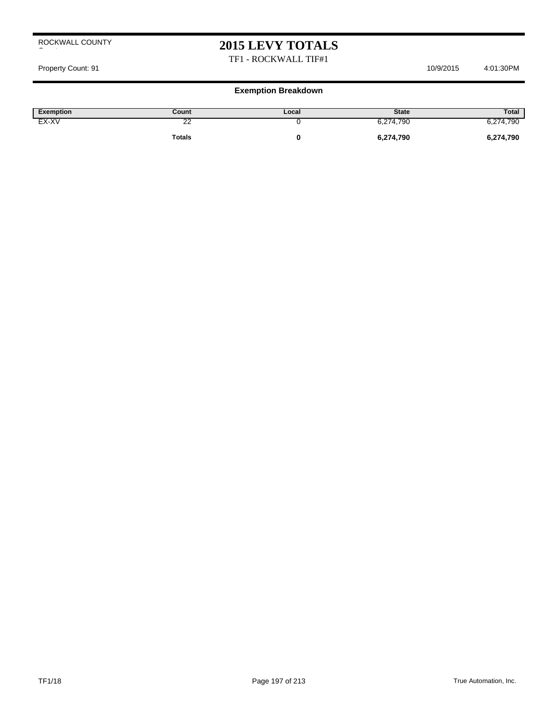## **2015 LEVY TOTALS**

## TF1 - ROCKWALL TIF#1

#### Property Count: 91 10/9/2015 4:01:30PM

| Exemption | Count  | Local | <b>State</b> | Total     |
|-----------|--------|-------|--------------|-----------|
| EX-XV     | ć<br>∼ |       | 6,274,790    | 6,274,790 |
|           | Totals |       | 6,274,790    | 6,274,790 |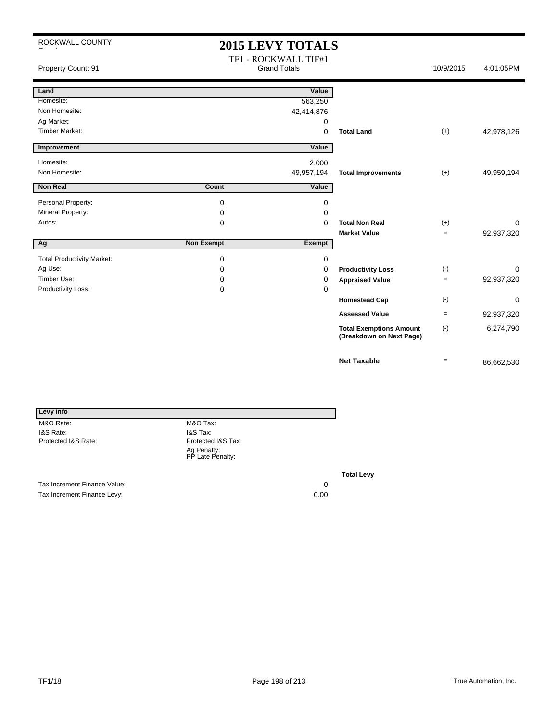# **2015 LEVY TOTALS**

| Property Count: 91                |                   | TF1 - ROCKWALL TIF#1<br><b>Grand Totals</b> |                                                            | 10/9/2015         | 4:01:05PM  |
|-----------------------------------|-------------------|---------------------------------------------|------------------------------------------------------------|-------------------|------------|
| Land                              |                   | Value                                       |                                                            |                   |            |
| Homesite:                         |                   | 563,250                                     |                                                            |                   |            |
| Non Homesite:                     |                   | 42,414,876                                  |                                                            |                   |            |
| Ag Market:                        |                   | 0                                           |                                                            |                   |            |
| <b>Timber Market:</b>             |                   | 0                                           | <b>Total Land</b>                                          | $(+)$             | 42,978,126 |
| Improvement                       |                   | Value                                       |                                                            |                   |            |
| Homesite:                         |                   | 2,000                                       |                                                            |                   |            |
| Non Homesite:                     |                   | 49,957,194                                  | <b>Total Improvements</b>                                  | $(+)$             | 49,959,194 |
| <b>Non Real</b>                   | Count             | Value                                       |                                                            |                   |            |
| Personal Property:                | 0                 | 0                                           |                                                            |                   |            |
| Mineral Property:                 | 0                 | 0                                           |                                                            |                   |            |
| Autos:                            | 0                 | 0                                           | <b>Total Non Real</b>                                      | $(+)$             | 0          |
|                                   |                   |                                             | <b>Market Value</b>                                        | $=$               | 92,937,320 |
| Ag                                | <b>Non Exempt</b> | <b>Exempt</b>                               |                                                            |                   |            |
| <b>Total Productivity Market:</b> | 0                 | 0                                           |                                                            |                   |            |
| Ag Use:                           | $\Omega$          | 0                                           | <b>Productivity Loss</b>                                   | $(\text{-})$      | 0          |
| Timber Use:                       | 0                 | 0                                           | <b>Appraised Value</b>                                     | $=$               | 92,937,320 |
| Productivity Loss:                | 0                 | 0                                           |                                                            |                   |            |
|                                   |                   |                                             | <b>Homestead Cap</b>                                       | $(\cdot)$         | 0          |
|                                   |                   |                                             | <b>Assessed Value</b>                                      | $=$               | 92,937,320 |
|                                   |                   |                                             | <b>Total Exemptions Amount</b><br>(Breakdown on Next Page) | $(-)$             | 6,274,790  |
|                                   |                   |                                             | <b>Net Taxable</b>                                         | $\qquad \qquad =$ | 86,662,530 |

| Levy Info                    |                                 |    |
|------------------------------|---------------------------------|----|
| M&O Rate:                    | M&O Tax:                        |    |
| I&S Rate:                    | I&S Tax:                        |    |
| Protected I&S Rate:          | Protected I&S Tax:              |    |
|                              | Ag Penalty:<br>PP Late Penalty: |    |
|                              |                                 | Тα |
| Tax Increment Finance Value: |                                 |    |

Tax Increment Finance Levy: 0.00

**Total Levy**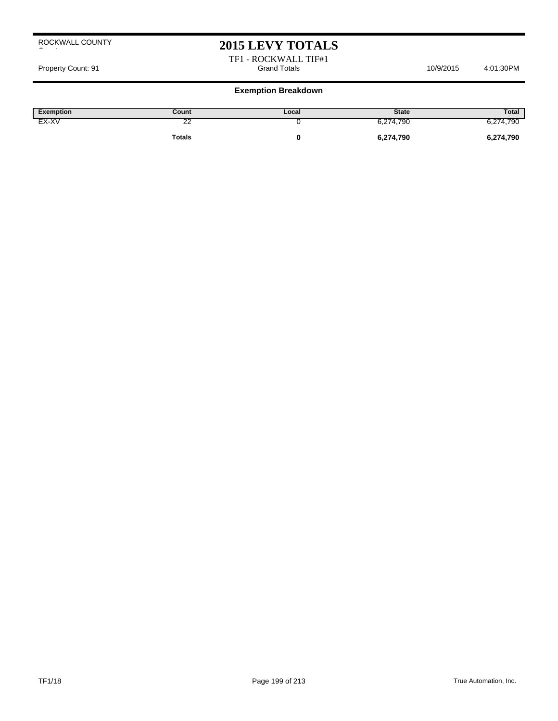## **2015 LEVY TOTALS**

TF1 - ROCKWALL TIF#1 Property Count: 91 Cross 10/9/2015 4:01:30PM Grand Totals 10/9/2015 4:01:30PM

| Exemption | Count       | Local | <b>State</b> | Total     |
|-----------|-------------|-------|--------------|-----------|
| EX-XV     | $\sim$<br>∼ |       | 6,274,790    | 6,274,790 |
|           | Totals      |       | 6,274,790    | 6,274,790 |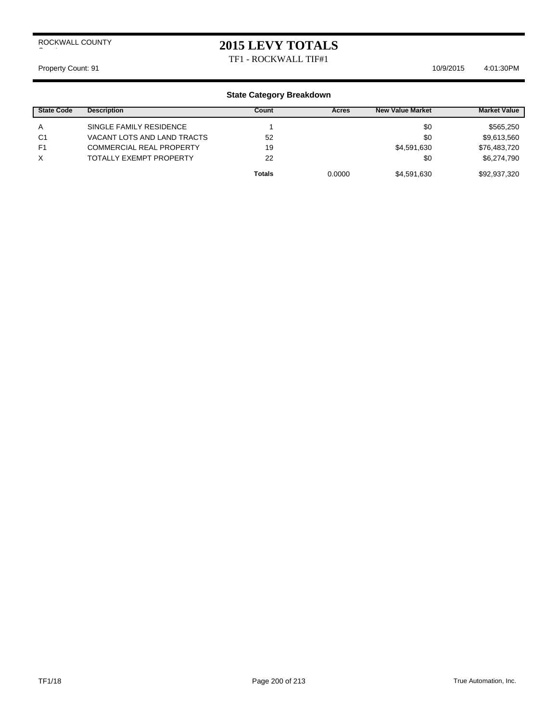## **2015 LEVY TOTALS**

TF1 - ROCKWALL TIF#1

Property Count: 91 10/9/2015 4:01:30 PM

| <b>State Code</b> | <b>Description</b>              | Count         | Acres  | <b>New Value Market</b> | <b>Market Value</b> |
|-------------------|---------------------------------|---------------|--------|-------------------------|---------------------|
| A                 | SINGLE FAMILY RESIDENCE         |               |        | \$0                     | \$565,250           |
| C <sub>1</sub>    | VACANT LOTS AND LAND TRACTS     | 52            |        | \$0                     | \$9,613,560         |
| F <sub>1</sub>    | <b>COMMERCIAL REAL PROPERTY</b> | 19            |        | \$4,591,630             | \$76,483,720        |
| X                 | <b>TOTALLY EXEMPT PROPERTY</b>  | 22            |        | \$0                     | \$6,274,790         |
|                   |                                 | <b>Totals</b> | 0.0000 | \$4,591,630             | \$92,937,320        |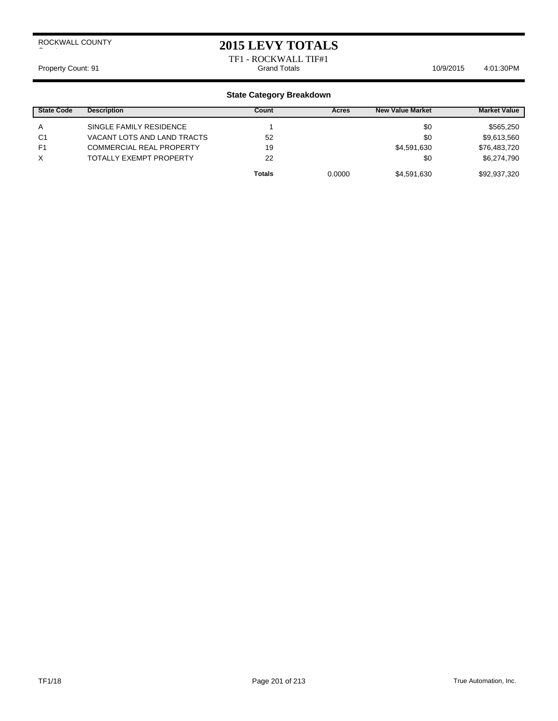## **2015 LEVY TOTALS**

# TF1 - ROCKWALL TIF#1

Property Count: 91 **According to Accord Totals** 10/9/2015 4:01:30PM

| <b>State Code</b> | <b>Description</b>              | Count         | Acres  | <b>New Value Market</b> | <b>Market Value</b> |
|-------------------|---------------------------------|---------------|--------|-------------------------|---------------------|
| A                 | SINGLE FAMILY RESIDENCE         |               |        | \$0                     | \$565,250           |
| C <sub>1</sub>    | VACANT LOTS AND LAND TRACTS     | 52            |        | \$0                     | \$9,613,560         |
| F <sub>1</sub>    | <b>COMMERCIAL REAL PROPERTY</b> | 19            |        | \$4,591,630             | \$76,483,720        |
| X                 | <b>TOTALLY EXEMPT PROPERTY</b>  | 22            |        | \$0                     | \$6,274,790         |
|                   |                                 | <b>Totals</b> | 0.0000 | \$4,591,630             | \$92,937,320        |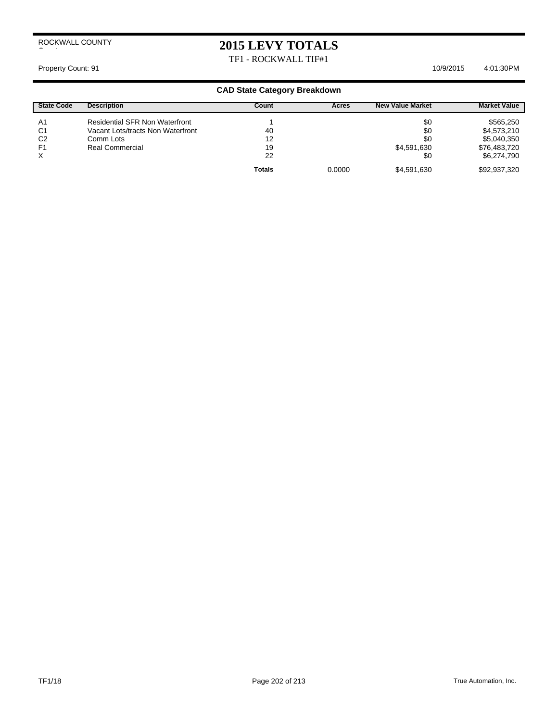# **2015 LEVY TOTALS**

TF1 - ROCKWALL TIF#1

#### Property Count: 91 10/9/2015 4:01:30 PM

| <b>State Code</b> | <b>Description</b>                    | Count         | Acres  | <b>New Value Market</b> | <b>Market Value</b> |
|-------------------|---------------------------------------|---------------|--------|-------------------------|---------------------|
| A <sub>1</sub>    | <b>Residential SFR Non Waterfront</b> |               |        | \$0                     | \$565,250           |
| C <sub>1</sub>    | Vacant Lots/tracts Non Waterfront     | 40            |        | \$0                     | \$4,573,210         |
| C <sub>2</sub>    | Comm Lots                             | 12            |        | \$0                     | \$5,040,350         |
| F <sub>1</sub>    | Real Commercial                       | 19            |        | \$4,591,630             | \$76,483,720        |
| X                 |                                       | 22            |        | \$0                     | \$6,274,790         |
|                   |                                       | <b>Totals</b> | 0.0000 | \$4,591,630             | \$92,937,320        |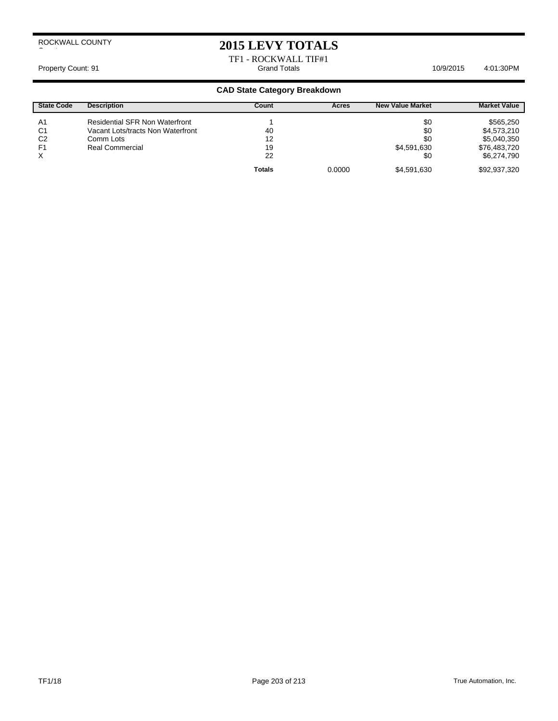## **2015 LEVY TOTALS**

TF1 - ROCKWALL TIF#1

Property Count: 91 **According to Accord Totals** 6. Grand Totals **6. According to Accord 10/9/2015** 4:01:30PM

| <b>State Code</b> | <b>Description</b>                    | Count         | Acres  | <b>New Value Market</b> | <b>Market Value</b> |
|-------------------|---------------------------------------|---------------|--------|-------------------------|---------------------|
| A <sub>1</sub>    | <b>Residential SFR Non Waterfront</b> |               |        | \$0                     | \$565,250           |
| C <sub>1</sub>    | Vacant Lots/tracts Non Waterfront     | 40            |        | \$0                     | \$4,573,210         |
| C <sub>2</sub>    | Comm Lots                             | 12            |        | \$0                     | \$5,040,350         |
| F <sub>1</sub>    | <b>Real Commercial</b>                | 19            |        | \$4,591,630             | \$76,483,720        |
| X                 |                                       | 22            |        | \$0                     | \$6,274,790         |
|                   |                                       | <b>Totals</b> | 0.0000 | \$4,591,630             | \$92,937,320        |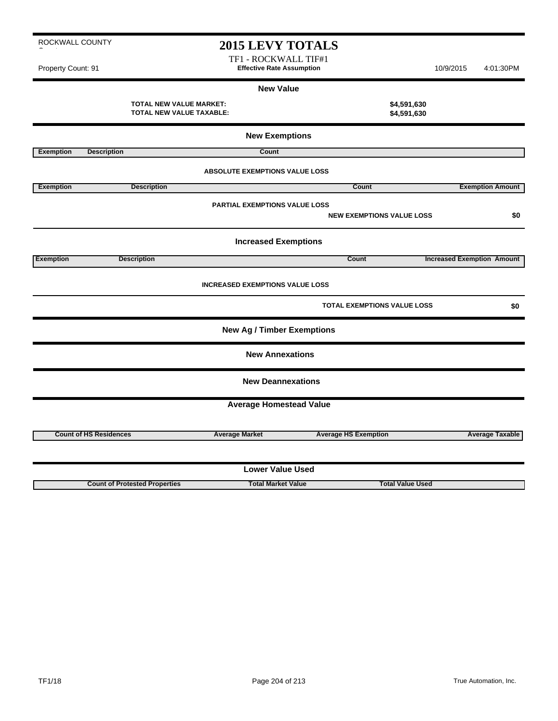|                  |                               | <b>New Exemptions</b>                  |                                    |                                   |
|------------------|-------------------------------|----------------------------------------|------------------------------------|-----------------------------------|
| <b>Exemption</b> | <b>Description</b>            | Count                                  |                                    |                                   |
|                  |                               | <b>ABSOLUTE EXEMPTIONS VALUE LOSS</b>  |                                    |                                   |
| <b>Exemption</b> | <b>Description</b>            |                                        | Count                              | <b>Exemption Amount</b>           |
|                  |                               | PARTIAL EXEMPTIONS VALUE LOSS          | <b>NEW EXEMPTIONS VALUE LOSS</b>   | \$0                               |
|                  |                               | <b>Increased Exemptions</b>            |                                    |                                   |
| <b>Exemption</b> | <b>Description</b>            |                                        | Count                              | <b>Increased Exemption Amount</b> |
|                  |                               | <b>INCREASED EXEMPTIONS VALUE LOSS</b> |                                    |                                   |
|                  |                               |                                        | <b>TOTAL EXEMPTIONS VALUE LOSS</b> | \$0                               |
|                  |                               | <b>New Ag / Timber Exemptions</b>      |                                    |                                   |
|                  |                               | <b>New Annexations</b>                 |                                    |                                   |
|                  |                               | <b>New Deannexations</b>               |                                    |                                   |
|                  |                               | <b>Average Homestead Value</b>         |                                    |                                   |
|                  | <b>Count of HS Residences</b> | <b>Average Market</b>                  | <b>Average HS Exemption</b>        | <b>Average Taxable</b>            |
|                  |                               | <b>Lower Value Used</b>                |                                    |                                   |

**Count of Protested Properties Total Market Value Total Value Used**

**2015 LEVY TOTALS** TF1 - ROCKWALL TIF#1 Property Count: 91 **Effective Rate Assumption Effective Rate Assumption** 10/9/2015 4:01:30PM

> **New Value TOTAL NEW VALUE MARKET: \$4,591,630 TOTAL NEW VALUE TAXABLE: \$4,591,630**

ROCKWALL COUNTY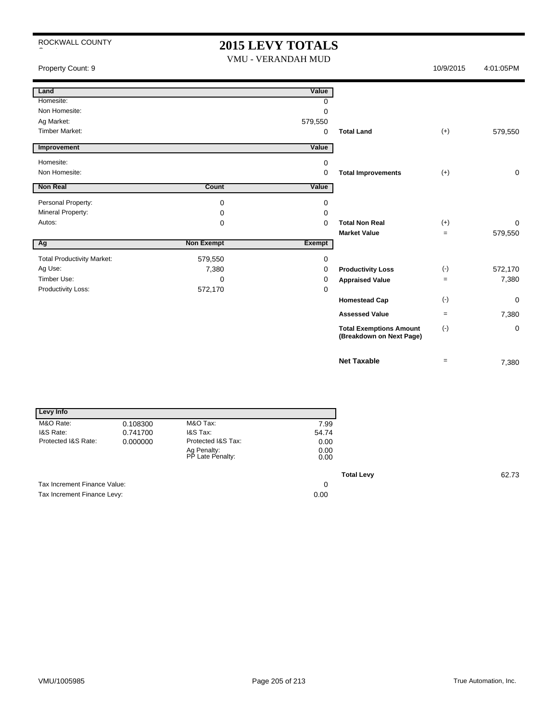## 2015 LEVY TOTALS

| $\sim$                            |                   | $2013$ Levi I Joialo<br>VMU - VERANDAH MUD |                                                            |           |             |
|-----------------------------------|-------------------|--------------------------------------------|------------------------------------------------------------|-----------|-------------|
| Property Count: 9                 |                   |                                            |                                                            | 10/9/2015 | 4:01:05PM   |
| Land                              |                   | Value                                      |                                                            |           |             |
| Homesite:                         |                   | $\Omega$                                   |                                                            |           |             |
| Non Homesite:                     |                   | 0                                          |                                                            |           |             |
| Ag Market:                        |                   | 579,550                                    |                                                            |           |             |
| <b>Timber Market:</b>             |                   | 0                                          | <b>Total Land</b>                                          | $(+)$     | 579,550     |
| <b>Improvement</b>                |                   | Value                                      |                                                            |           |             |
| Homesite:                         |                   | 0                                          |                                                            |           |             |
| Non Homesite:                     |                   | 0                                          | <b>Total Improvements</b>                                  | $(+)$     | $\mathbf 0$ |
| Non Real                          | Count             | Value                                      |                                                            |           |             |
| Personal Property:                | 0                 | 0                                          |                                                            |           |             |
| Mineral Property:                 | 0                 | 0                                          |                                                            |           |             |
| Autos:                            | 0                 | 0                                          | <b>Total Non Real</b>                                      | $(+)$     | 0           |
|                                   |                   |                                            | <b>Market Value</b>                                        | $\equiv$  | 579,550     |
| Ag                                | <b>Non Exempt</b> | <b>Exempt</b>                              |                                                            |           |             |
| <b>Total Productivity Market:</b> | 579,550           | $\mathbf 0$                                |                                                            |           |             |
| Ag Use:                           | 7,380             | 0                                          | <b>Productivity Loss</b>                                   | $(\cdot)$ | 572,170     |
| Timber Use:                       | 0                 | 0                                          | <b>Appraised Value</b>                                     | $\equiv$  | 7,380       |
| Productivity Loss:                | 572,170           | $\mathbf 0$                                |                                                            |           |             |
|                                   |                   |                                            | <b>Homestead Cap</b>                                       | $(\cdot)$ | 0           |
|                                   |                   |                                            | <b>Assessed Value</b>                                      | $=$       | 7,380       |
|                                   |                   |                                            | <b>Total Exemptions Amount</b><br>(Breakdown on Next Page) | $(-)$     | 0           |
|                                   |                   |                                            | <b>Net Taxable</b>                                         | $=$       | 7,380       |

| Levy Info                    |          |                                 |                   |
|------------------------------|----------|---------------------------------|-------------------|
| M&O Rate:                    | 0.108300 | M&O Tax:                        | 7.99              |
| I&S Rate:                    | 0.741700 | I&S Tax:                        | 54.74             |
| Protected I&S Rate:          | 0.000000 | Protected I&S Tax:              | 0.00              |
|                              |          | Ag Penalty:<br>PP Late Penalty: | 0.00<br>0.00      |
|                              |          |                                 | <b>Total Levy</b> |
| Tax Increment Finance Value: |          |                                 | 0                 |
| Tax Increment Finance Levy:  |          |                                 | 0.00              |

**Total Levy** 62.73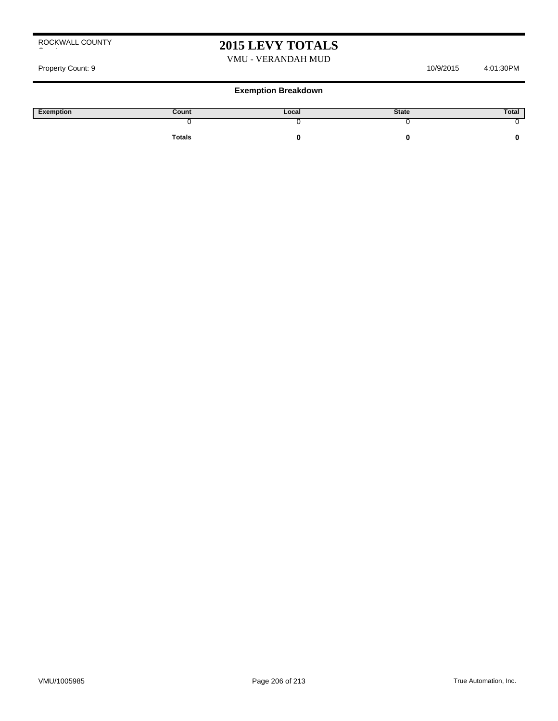# **2015 LEVY TOTALS**

#### VMU - VERANDAH MUD

## Property Count: 9 10/9/2015 4:01:30PM

| Exemption | Count         | Local | <b>State</b> | Total |
|-----------|---------------|-------|--------------|-------|
|           |               |       |              |       |
|           | <b>Totals</b> |       |              |       |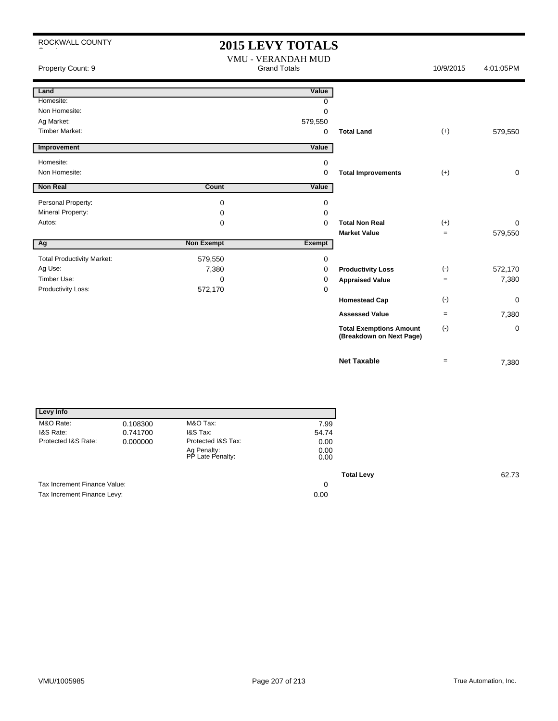# **2015 LEVY TOTALS**

| Property Count: 9                 |                   | VMU - VERANDAH MUD<br><b>Grand Totals</b> |                                                            | 10/9/2015 | 4:01:05PM |
|-----------------------------------|-------------------|-------------------------------------------|------------------------------------------------------------|-----------|-----------|
| Land                              |                   | Value                                     |                                                            |           |           |
| Homesite:                         |                   | 0                                         |                                                            |           |           |
| Non Homesite:                     |                   | 0                                         |                                                            |           |           |
| Ag Market:                        |                   | 579,550                                   |                                                            |           |           |
| <b>Timber Market:</b>             |                   | 0                                         | <b>Total Land</b>                                          | $(+)$     | 579,550   |
| Improvement                       |                   | Value                                     |                                                            |           |           |
| Homesite:                         |                   | 0                                         |                                                            |           |           |
| Non Homesite:                     |                   | 0                                         | <b>Total Improvements</b>                                  | $(+)$     | 0         |
| <b>Non Real</b>                   | <b>Count</b>      | Value                                     |                                                            |           |           |
| Personal Property:                | 0                 | 0                                         |                                                            |           |           |
| Mineral Property:                 | 0                 | $\Omega$                                  |                                                            |           |           |
| Autos:                            | 0                 | $\Omega$                                  | <b>Total Non Real</b>                                      | $(+)$     | 0         |
|                                   |                   |                                           | <b>Market Value</b>                                        | $=$       | 579,550   |
| Ag                                | <b>Non Exempt</b> | <b>Exempt</b>                             |                                                            |           |           |
| <b>Total Productivity Market:</b> | 579,550           | 0                                         |                                                            |           |           |
| Ag Use:                           | 7,380             | 0                                         | <b>Productivity Loss</b>                                   | $(-)$     | 572,170   |
| Timber Use:                       | 0                 | 0                                         | <b>Appraised Value</b>                                     | $\equiv$  | 7,380     |
| Productivity Loss:                | 572,170           | 0                                         |                                                            |           |           |
|                                   |                   |                                           | <b>Homestead Cap</b>                                       | $(\cdot)$ | 0         |
|                                   |                   |                                           | <b>Assessed Value</b>                                      | $=$       | 7,380     |
|                                   |                   |                                           | <b>Total Exemptions Amount</b><br>(Breakdown on Next Page) | $(-)$     | 0         |
|                                   |                   |                                           | <b>Net Taxable</b>                                         | $=$       | 7,380     |

| Levy Info                    |          |                                 |                   |
|------------------------------|----------|---------------------------------|-------------------|
| M&O Rate:                    | 0.108300 | M&O Tax:                        | 7.99              |
| I&S Rate:                    | 0.741700 | <b>I&amp;S Tax:</b>             | 54.74             |
| Protected I&S Rate:          | 0.000000 | Protected I&S Tax:              | 0.00              |
|                              |          | Ag Penalty:<br>PP Late Penalty: | 0.00<br>0.00      |
|                              |          |                                 | <b>Total Levy</b> |
| Tax Increment Finance Value: |          |                                 | 0                 |
| Tax Increment Finance Levy:  |          |                                 | 0.00              |

**Total Levy** 62.73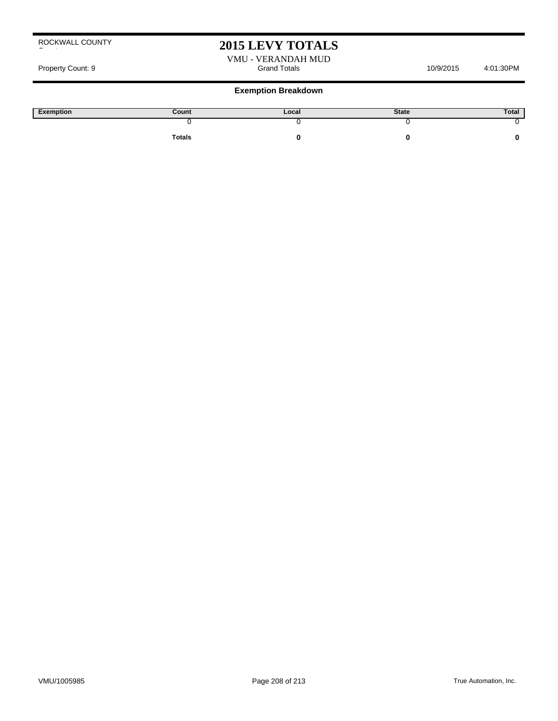## **2015 LEVY TOTALS**

VMU - VERANDAH MUD Property Count: 9 and Totals Crand Totals 10/9/2015 4:01:30PM

| Exemption | Count  | Local | <b>State</b> | Total |
|-----------|--------|-------|--------------|-------|
|           |        |       |              |       |
|           | Totals |       |              |       |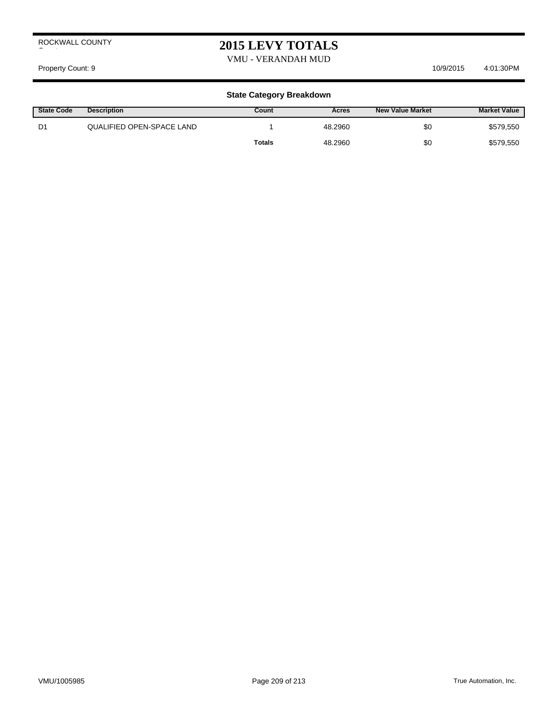## **2015 LEVY TOTALS**

VMU - VERANDAH MUD

Property Count: 9 10/9/2015 4:01:30 PM

| <b>State Code</b> | <b>Description</b>        | Count         | Acres   | <b>New Value Market</b> | <b>Market Value</b> |
|-------------------|---------------------------|---------------|---------|-------------------------|---------------------|
| D1                | QUALIFIED OPEN-SPACE LAND |               | 48.2960 | \$0                     | \$579,550           |
|                   |                           | <b>Totals</b> | 48.2960 | \$0                     | \$579,550           |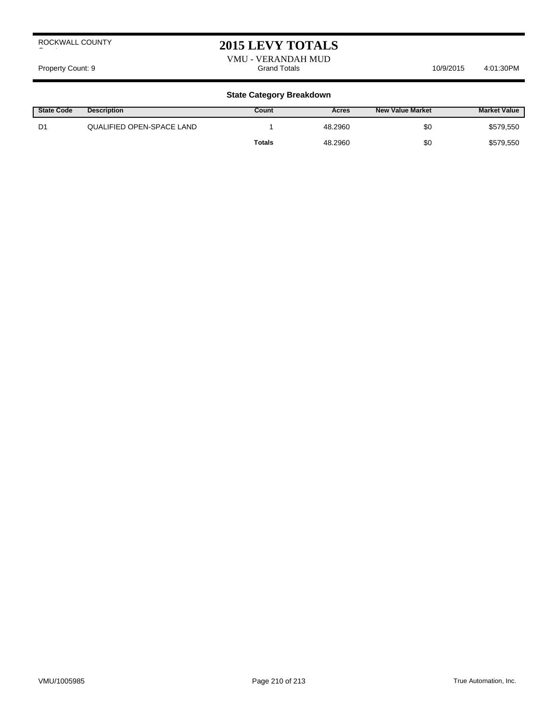## **2015 LEVY TOTALS**

VMU - VERANDAH MUD Property Count: 9 and Totals Count: 9 and Totals 10/9/2015 4:01:30PM

| <b>State Code</b> | <b>Description</b>        | Count         | Acres   | <b>New Value Market</b> | <b>Market Value</b> |
|-------------------|---------------------------|---------------|---------|-------------------------|---------------------|
| D1                | QUALIFIED OPEN-SPACE LAND |               | 48.2960 | \$0                     | \$579,550           |
|                   |                           | <b>Totals</b> | 48.2960 | \$0                     | \$579,550           |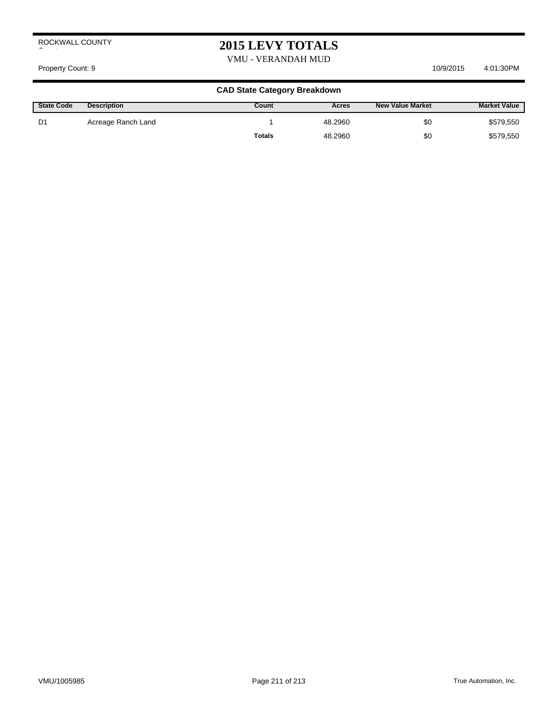# **2015 LEVY TOTALS**

VMU - VERANDAH MUD

#### Property Count: 9 10/9/2015 4:01:30 PM

| <b>State Code</b> | <b>Description</b> | Count         | Acres   | <b>New Value Market</b> | <b>Market Value</b> |
|-------------------|--------------------|---------------|---------|-------------------------|---------------------|
| D1                | Acreage Ranch Land |               | 48.2960 | \$0                     | \$579,550           |
|                   |                    | <b>Totals</b> | 48.2960 | \$0                     | \$579,550           |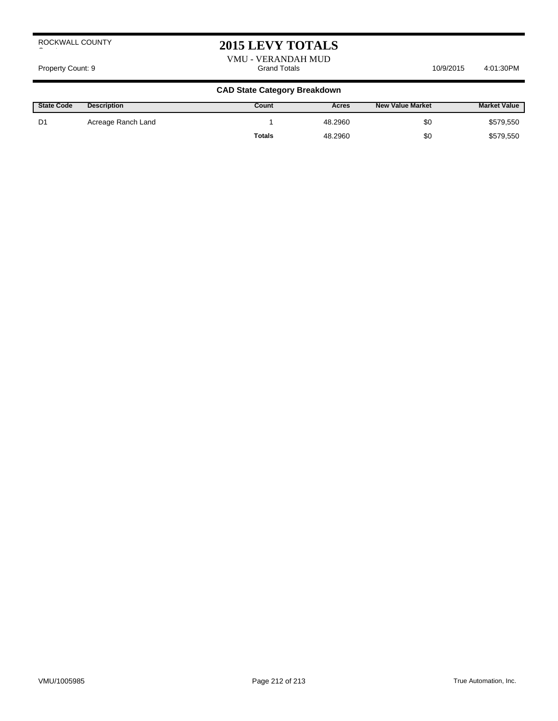## **2015 LEVY TOTALS**

VMU - VERANDAH MUD Property Count: 9 and Totals Grand Totals 4:01:30PM 10/9/2015 4:01:30PM

| <b>State Code</b> | <b>Description</b> | Count  | Acres   | <b>New Value Market</b> | <b>Market Value</b> |
|-------------------|--------------------|--------|---------|-------------------------|---------------------|
| D1                | Acreage Ranch Land |        | 48.2960 | \$0                     | \$579,550           |
|                   |                    | Totals | 48.2960 | \$0                     | \$579,550           |